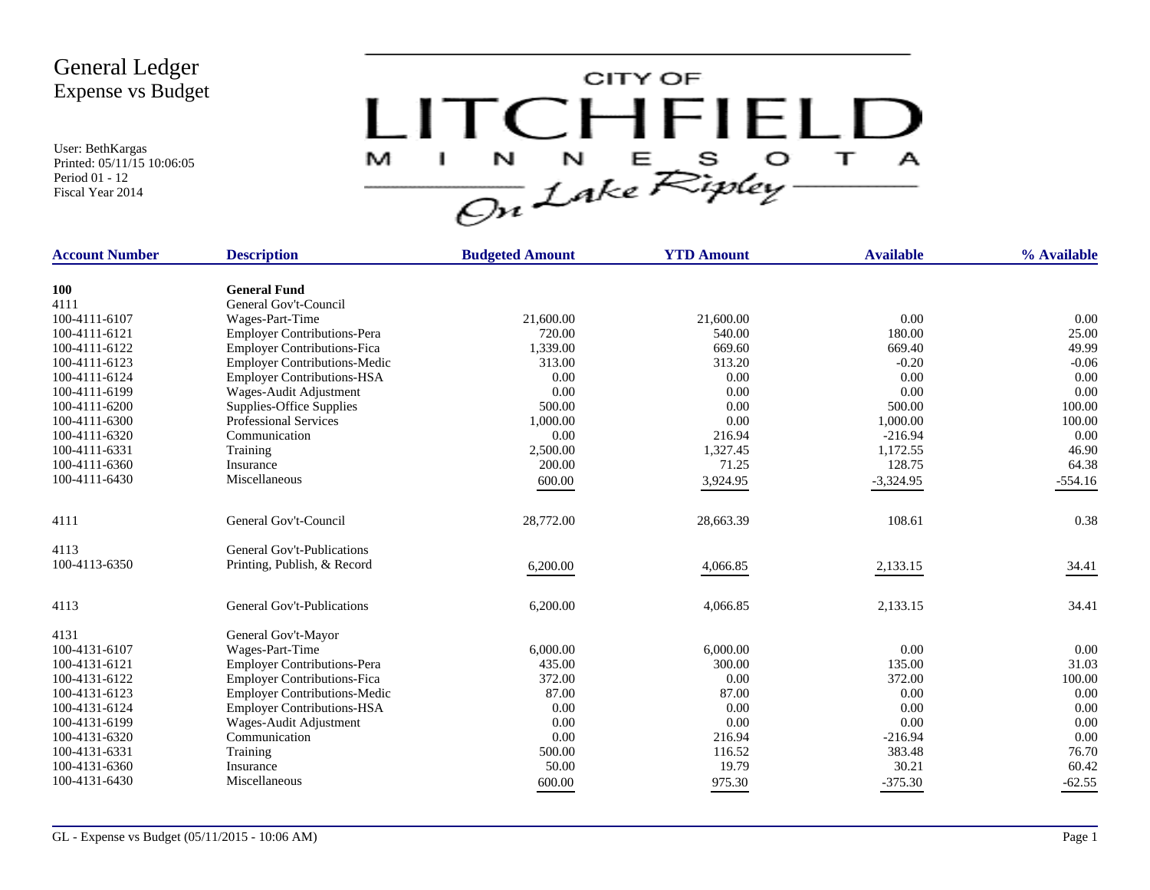User: BethKargas Printed: 05/11/15 10:06:05 Period 01 - 12 Fiscal Year 2014



| <b>Account Number</b> | <b>Description</b>                  | <b>Budgeted Amount</b> | <b>YTD Amount</b> | <b>Available</b> | % Available |
|-----------------------|-------------------------------------|------------------------|-------------------|------------------|-------------|
| <b>100</b>            | <b>General Fund</b>                 |                        |                   |                  |             |
| 4111                  | General Gov't-Council               |                        |                   |                  |             |
| 100-4111-6107         | Wages-Part-Time                     | 21,600.00              | 21,600.00         | 0.00             | 0.00        |
| 100-4111-6121         | <b>Employer Contributions-Pera</b>  | 720.00                 | 540.00            | 180.00           | 25.00       |
| 100-4111-6122         | <b>Employer Contributions-Fica</b>  | 1,339.00               | 669.60            | 669.40           | 49.99       |
| 100-4111-6123         | <b>Employer Contributions-Medic</b> | 313.00                 | 313.20            | $-0.20$          | $-0.06$     |
| 100-4111-6124         | <b>Employer Contributions-HSA</b>   | 0.00                   | 0.00              | 0.00             | 0.00        |
| 100-4111-6199         | Wages-Audit Adjustment              | 0.00                   | 0.00              | 0.00             | 0.00        |
| 100-4111-6200         | Supplies-Office Supplies            | 500.00                 | 0.00              | 500.00           | 100.00      |
| 100-4111-6300         | <b>Professional Services</b>        | 1,000.00               | 0.00              | 1,000.00         | 100.00      |
| 100-4111-6320         | Communication                       | 0.00                   | 216.94            | $-216.94$        | 0.00        |
| 100-4111-6331         | Training                            | 2,500.00               | 1,327.45          | 1,172.55         | 46.90       |
| 100-4111-6360         | Insurance                           | 200.00                 | 71.25             | 128.75           | 64.38       |
| 100-4111-6430         | Miscellaneous                       | 600.00                 | 3,924.95          | $-3,324.95$      | $-554.16$   |
|                       |                                     |                        |                   |                  |             |
| 4111                  | General Gov't-Council               | 28,772.00              | 28,663.39         | 108.61           | 0.38        |
| 4113                  | General Gov't-Publications          |                        |                   |                  |             |
| 100-4113-6350         | Printing, Publish, & Record         | 6,200.00               | 4,066.85          | 2,133.15         | 34.41       |
| 4113                  | General Gov't-Publications          | 6,200.00               | 4,066.85          | 2,133.15         | 34.41       |
| 4131                  | General Gov't-Mayor                 |                        |                   |                  |             |
| 100-4131-6107         | Wages-Part-Time                     | 6,000.00               | 6,000.00          | 0.00             | 0.00        |
| 100-4131-6121         | <b>Employer Contributions-Pera</b>  | 435.00                 | 300.00            | 135.00           | 31.03       |
| 100-4131-6122         | <b>Employer Contributions-Fica</b>  | 372.00                 | 0.00              | 372.00           | 100.00      |
| 100-4131-6123         | <b>Employer Contributions-Medic</b> | 87.00                  | 87.00             | 0.00             | 0.00        |
| 100-4131-6124         | <b>Employer Contributions-HSA</b>   | 0.00                   | 0.00              | 0.00             | 0.00        |
| 100-4131-6199         | Wages-Audit Adjustment              | 0.00                   | 0.00              | 0.00             | 0.00        |
| 100-4131-6320         | Communication                       | 0.00                   | 216.94            | $-216.94$        | 0.00        |
| 100-4131-6331         | Training                            | 500.00                 | 116.52            | 383.48           | 76.70       |
| 100-4131-6360         | Insurance                           | 50.00                  | 19.79             | 30.21            | 60.42       |
| 100-4131-6430         | Miscellaneous                       | 600.00                 | 975.30            | $-375.30$        | $-62.55$    |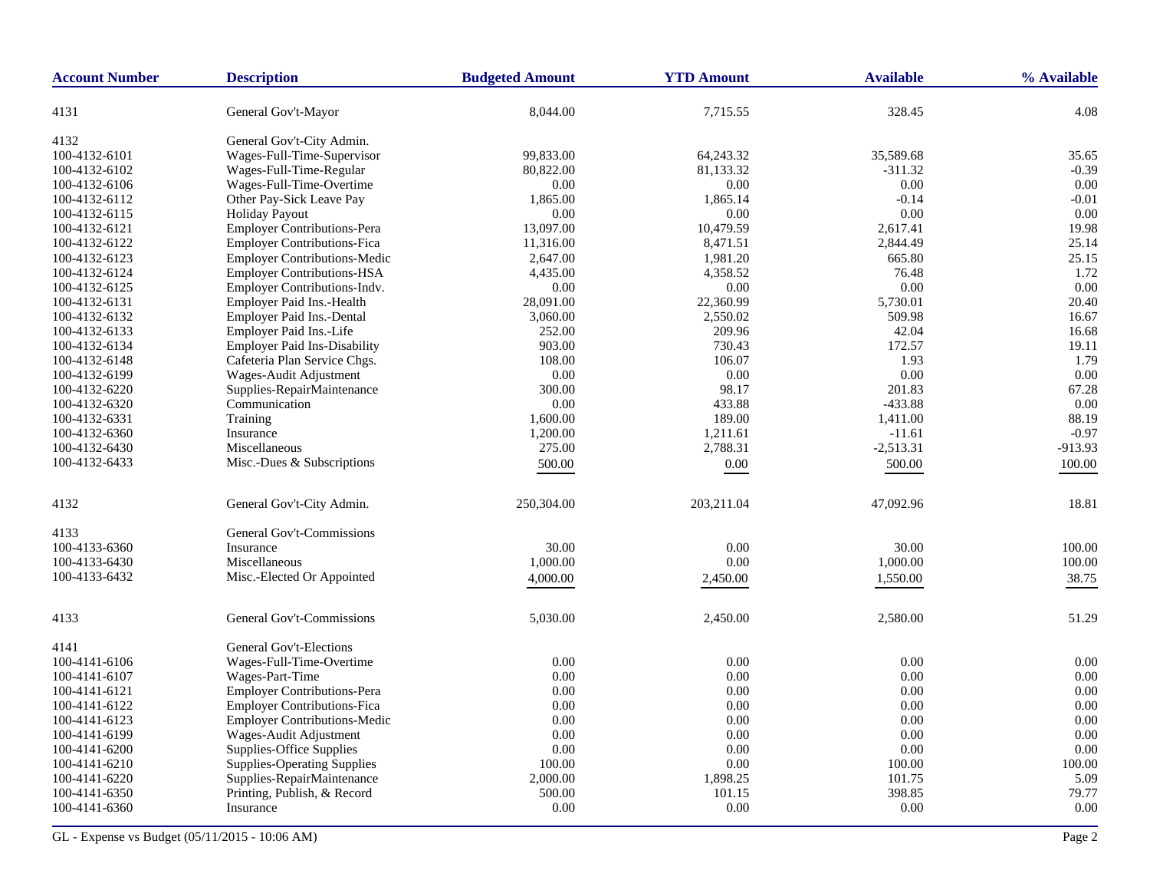| <b>Account Number</b> | <b>Description</b>                  | <b>Budgeted Amount</b> | <b>YTD Amount</b> | <b>Available</b> | % Available |
|-----------------------|-------------------------------------|------------------------|-------------------|------------------|-------------|
| 4131                  | General Gov't-Mayor                 | 8,044.00               | 7,715.55          | 328.45           | 4.08        |
| 4132                  | General Gov't-City Admin.           |                        |                   |                  |             |
| 100-4132-6101         | Wages-Full-Time-Supervisor          | 99,833.00              | 64,243.32         | 35,589.68        | 35.65       |
| 100-4132-6102         | Wages-Full-Time-Regular             | 80,822.00              | 81,133.32         | $-311.32$        | $-0.39$     |
| 100-4132-6106         | Wages-Full-Time-Overtime            | 0.00                   | 0.00              | 0.00             | 0.00        |
| 100-4132-6112         | Other Pay-Sick Leave Pay            | 1,865.00               | 1,865.14          | $-0.14$          | $-0.01$     |
| 100-4132-6115         | <b>Holiday Payout</b>               | 0.00                   | 0.00              | 0.00             | 0.00        |
| 100-4132-6121         | <b>Employer Contributions-Pera</b>  | 13,097.00              | 10,479.59         | 2,617.41         | 19.98       |
| 100-4132-6122         | <b>Employer Contributions-Fica</b>  | 11,316.00              | 8,471.51          | 2,844.49         | 25.14       |
| 100-4132-6123         | <b>Employer Contributions-Medic</b> | 2,647.00               | 1,981.20          | 665.80           | 25.15       |
| 100-4132-6124         | <b>Employer Contributions-HSA</b>   | 4,435.00               | 4,358.52          | 76.48            | 1.72        |
| 100-4132-6125         | Employer Contributions-Indv.        | 0.00                   | 0.00              | 0.00             | 0.00        |
| 100-4132-6131         | Employer Paid Ins.-Health           | 28,091.00              | 22,360.99         | 5,730.01         | 20.40       |
| 100-4132-6132         | Employer Paid Ins.-Dental           | 3,060.00               | 2,550.02          | 509.98           | 16.67       |
| 100-4132-6133         | Employer Paid Ins.-Life             | 252.00                 | 209.96            | 42.04            | 16.68       |
| 100-4132-6134         | <b>Employer Paid Ins-Disability</b> | 903.00                 | 730.43            | 172.57           | 19.11       |
| 100-4132-6148         | Cafeteria Plan Service Chgs.        | 108.00                 | 106.07            | 1.93             | 1.79        |
| 100-4132-6199         | Wages-Audit Adjustment              | 0.00                   | 0.00              | 0.00             | 0.00        |
| 100-4132-6220         | Supplies-RepairMaintenance          | 300.00                 | 98.17             | 201.83           | 67.28       |
| 100-4132-6320         | Communication                       | 0.00                   | 433.88            | $-433.88$        | 0.00        |
| 100-4132-6331         | Training                            | 1,600.00               | 189.00            | 1,411.00         | 88.19       |
| 100-4132-6360         | Insurance                           | 1,200.00               | 1,211.61          | $-11.61$         | $-0.97$     |
| 100-4132-6430         | Miscellaneous                       | 275.00                 | 2,788.31          | $-2,513.31$      | -913.93     |
| 100-4132-6433         | Misc.-Dues & Subscriptions          | 500.00                 | $0.00\,$          | 500.00           | 100.00      |
|                       |                                     |                        |                   |                  |             |
| 4132                  | General Gov't-City Admin.           | 250,304.00             | 203,211.04        | 47,092.96        | 18.81       |
| 4133                  | General Gov't-Commissions           |                        |                   |                  |             |
| 100-4133-6360         | Insurance                           | 30.00                  | 0.00              | 30.00            | 100.00      |
| 100-4133-6430         | Miscellaneous                       | 1,000.00               | 0.00              | 1,000.00         | 100.00      |
| 100-4133-6432         | Misc.-Elected Or Appointed          | 4,000.00               | 2,450.00          | 1,550.00         | 38.75       |
|                       |                                     |                        |                   |                  |             |
| 4133                  | General Gov't-Commissions           | 5,030.00               | 2,450.00          | 2,580.00         | 51.29       |
| 4141                  | General Gov't-Elections             |                        |                   |                  |             |
| 100-4141-6106         | Wages-Full-Time-Overtime            | 0.00                   | 0.00              | 0.00             | 0.00        |
| 100-4141-6107         | Wages-Part-Time                     | 0.00                   | 0.00              | 0.00             | 0.00        |
| 100-4141-6121         | <b>Employer Contributions-Pera</b>  | 0.00                   | 0.00              | 0.00             | 0.00        |
| 100-4141-6122         | <b>Employer Contributions-Fica</b>  | 0.00                   | 0.00              | $0.00\,$         | 0.00        |
| 100-4141-6123         | <b>Employer Contributions-Medic</b> | 0.00                   | 0.00              | 0.00             | 0.00        |
| 100-4141-6199         | Wages-Audit Adjustment              | 0.00                   | 0.00              | 0.00             | 0.00        |
| 100-4141-6200         | Supplies-Office Supplies            | 0.00                   | 0.00              | 0.00             | 0.00        |
| 100-4141-6210         | <b>Supplies-Operating Supplies</b>  | 100.00                 | 0.00              | 100.00           | 100.00      |
| 100-4141-6220         | Supplies-RepairMaintenance          | 2,000.00               | 1,898.25          | 101.75           | 5.09        |
| 100-4141-6350         | Printing, Publish, & Record         | 500.00                 | 101.15            | 398.85           | 79.77       |
| 100-4141-6360         | Insurance                           | 0.00                   | 0.00              | 0.00             | 0.00        |
|                       |                                     |                        |                   |                  |             |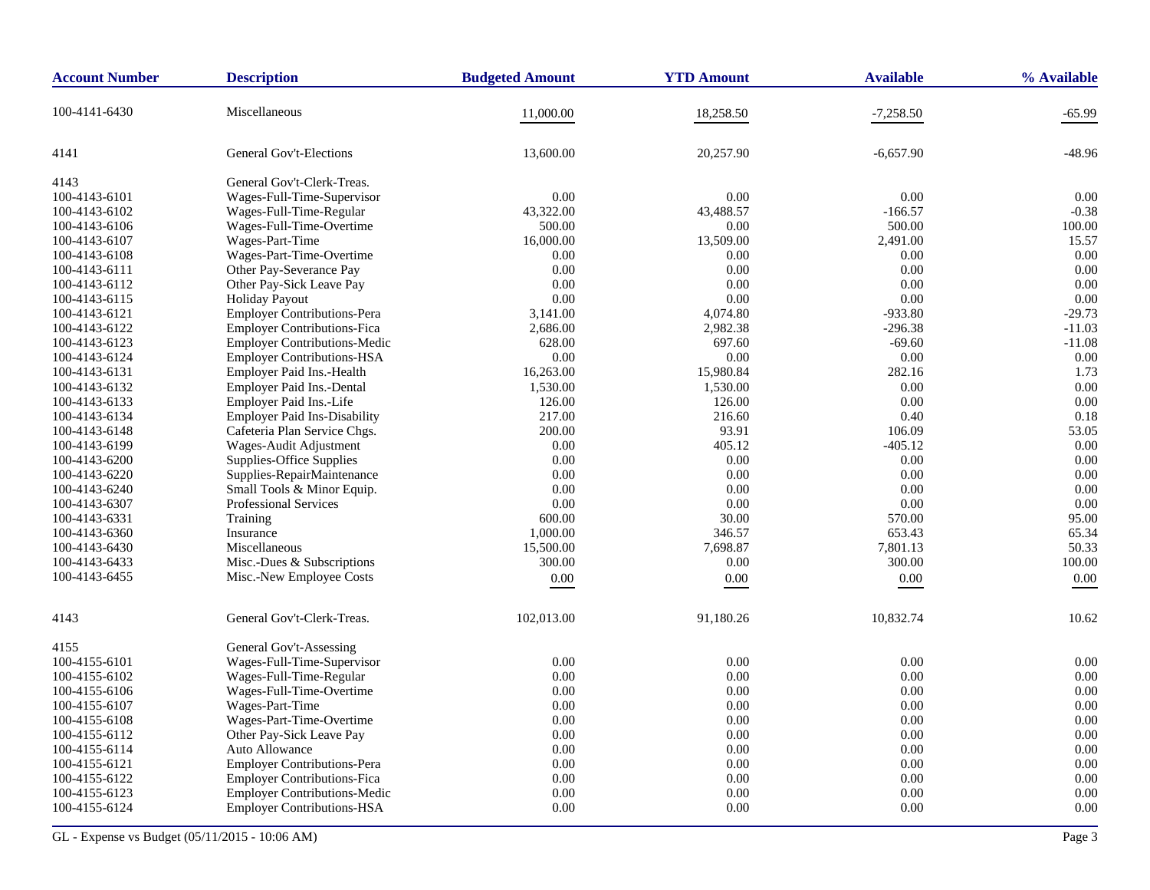| <b>Account Number</b> | <b>Description</b>                  | <b>Budgeted Amount</b> | <b>YTD Amount</b> | <b>Available</b> | % Available |
|-----------------------|-------------------------------------|------------------------|-------------------|------------------|-------------|
| 100-4141-6430         | Miscellaneous                       | 11,000.00              | 18,258.50         | $-7,258.50$      | -65.99      |
| 4141                  | <b>General Gov't-Elections</b>      | 13,600.00              | 20,257.90         | $-6,657.90$      | -48.96      |
| 4143                  | General Gov't-Clerk-Treas.          |                        |                   |                  |             |
| 100-4143-6101         | Wages-Full-Time-Supervisor          | 0.00                   | 0.00              | 0.00             | 0.00        |
| 100-4143-6102         | Wages-Full-Time-Regular             | 43,322.00              | 43,488.57         | $-166.57$        | $-0.38$     |
| 100-4143-6106         | Wages-Full-Time-Overtime            | 500.00                 | 0.00              | 500.00           | 100.00      |
| 100-4143-6107         | Wages-Part-Time                     | 16,000.00              | 13,509.00         | 2,491.00         | 15.57       |
| 100-4143-6108         | Wages-Part-Time-Overtime            | 0.00                   | 0.00              | 0.00             | 0.00        |
| 100-4143-6111         | Other Pay-Severance Pay             | 0.00                   | 0.00              | 0.00             | 0.00        |
| 100-4143-6112         | Other Pay-Sick Leave Pay            | 0.00                   | 0.00              | 0.00             | 0.00        |
| 100-4143-6115         | <b>Holiday Payout</b>               | 0.00                   | 0.00              | 0.00             | 0.00        |
| 100-4143-6121         | Employer Contributions-Pera         | 3,141.00               | 4,074.80          | -933.80          | $-29.73$    |
| 100-4143-6122         | <b>Employer Contributions-Fica</b>  | 2,686.00               | 2,982.38          | $-296.38$        | $-11.03$    |
| 100-4143-6123         | Employer Contributions-Medic        | 628.00                 | 697.60            | $-69.60$         | $-11.08$    |
| 100-4143-6124         | <b>Employer Contributions-HSA</b>   | 0.00                   | 0.00              | 0.00             | 0.00        |
| 100-4143-6131         | Employer Paid Ins.-Health           | 16,263.00              | 15,980.84         | 282.16           | 1.73        |
| 100-4143-6132         | Employer Paid Ins.-Dental           | 1,530.00               | 1,530.00          | 0.00             | 0.00        |
| 100-4143-6133         | Employer Paid Ins.-Life             | 126.00                 | 126.00            | 0.00             | 0.00        |
| 100-4143-6134         | <b>Employer Paid Ins-Disability</b> | 217.00                 | 216.60            | 0.40             | 0.18        |
| 100-4143-6148         | Cafeteria Plan Service Chgs.        | 200.00                 | 93.91             | 106.09           | 53.05       |
| 100-4143-6199         | Wages-Audit Adjustment              | 0.00                   | 405.12            | $-405.12$        | 0.00        |
| 100-4143-6200         | Supplies-Office Supplies            | 0.00                   | 0.00              | 0.00             | 0.00        |
| 100-4143-6220         | Supplies-RepairMaintenance          | 0.00                   | 0.00              | 0.00             | 0.00        |
| 100-4143-6240         | Small Tools & Minor Equip.          | 0.00                   | 0.00              | 0.00             | 0.00        |
| 100-4143-6307         | Professional Services               | 0.00                   | 0.00              | 0.00             | 0.00        |
| 100-4143-6331         | Training                            | 600.00                 | 30.00             | 570.00           | 95.00       |
| 100-4143-6360         | Insurance                           | 1,000.00               | 346.57            | 653.43           | 65.34       |
| 100-4143-6430         | Miscellaneous                       | 15,500.00              | 7,698.87          | 7,801.13         | 50.33       |
| 100-4143-6433         | Misc.-Dues & Subscriptions          | 300.00                 | $0.00\,$          | 300.00           | 100.00      |
| 100-4143-6455         | Misc.-New Employee Costs            | 0.00                   | 0.00              | 0.00             | 0.00        |
| 4143                  | General Gov't-Clerk-Treas.          | 102,013.00             | 91,180.26         | 10,832.74        | 10.62       |
| 4155                  | General Gov't-Assessing             |                        |                   |                  |             |
| 100-4155-6101         | Wages-Full-Time-Supervisor          | 0.00                   | 0.00              | 0.00             | 0.00        |
| 100-4155-6102         | Wages-Full-Time-Regular             | 0.00                   | 0.00              | 0.00             | 0.00        |
| 100-4155-6106         | Wages-Full-Time-Overtime            | 0.00                   | 0.00              | 0.00             | 0.00        |
| 100-4155-6107         | Wages-Part-Time                     | 0.00                   | 0.00              | 0.00             | 0.00        |
| 100-4155-6108         | Wages-Part-Time-Overtime            | 0.00                   | 0.00              | 0.00             | 0.00        |
| 100-4155-6112         | Other Pay-Sick Leave Pay            | 0.00                   | 0.00              | 0.00             | 0.00        |
| 100-4155-6114         | Auto Allowance                      | 0.00                   | 0.00              | 0.00             | 0.00        |
| 100-4155-6121         | <b>Employer Contributions-Pera</b>  | 0.00                   | 0.00              | 0.00             | 0.00        |
| 100-4155-6122         | <b>Employer Contributions-Fica</b>  | 0.00                   | 0.00              | 0.00             | 0.00        |
| 100-4155-6123         | <b>Employer Contributions-Medic</b> | 0.00                   | 0.00              | 0.00             | 0.00        |
| 100-4155-6124         | <b>Employer Contributions-HSA</b>   | 0.00                   | 0.00              | 0.00             | 0.00        |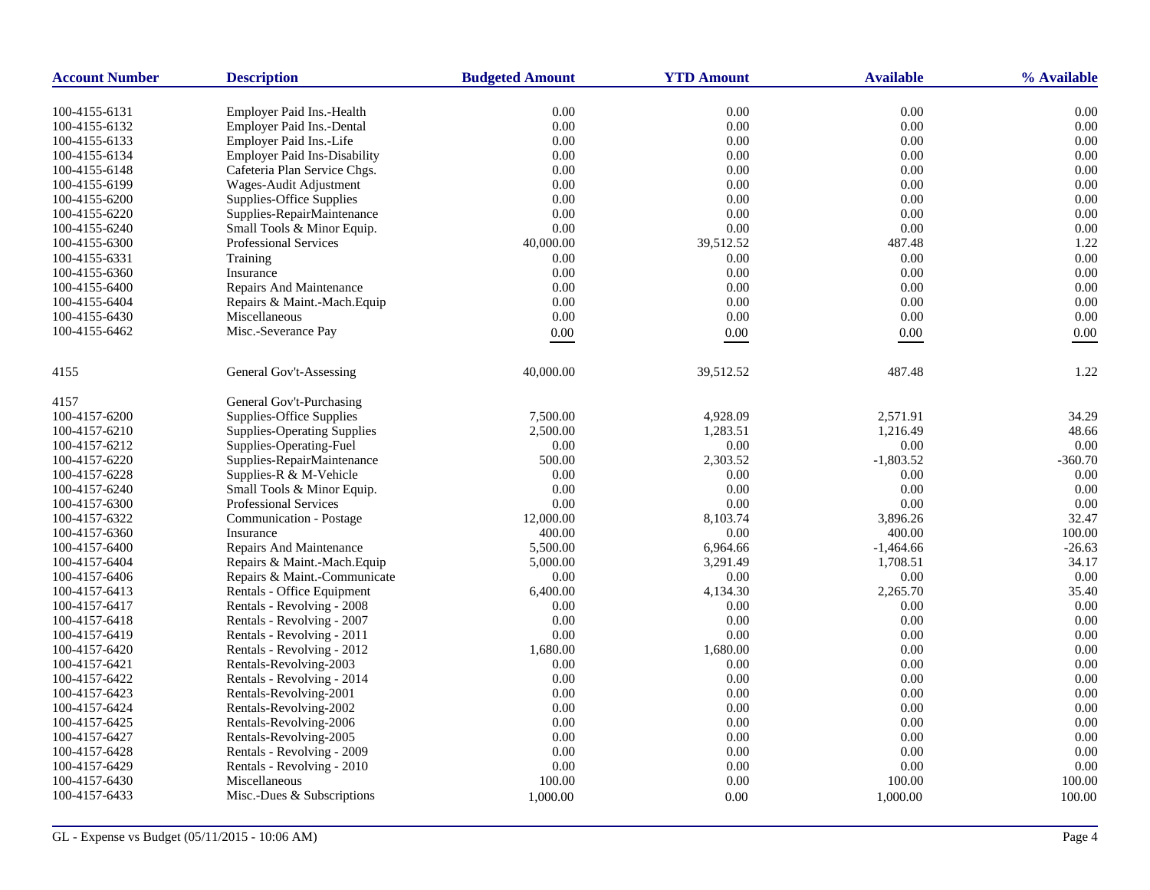| <b>Account Number</b>          | <b>Description</b>                                                   | <b>Budgeted Amount</b> | <b>YTD Amount</b> | <b>Available</b> | % Available  |
|--------------------------------|----------------------------------------------------------------------|------------------------|-------------------|------------------|--------------|
|                                |                                                                      |                        |                   |                  |              |
| 100-4155-6131<br>100-4155-6132 | <b>Employer Paid Ins.-Health</b><br><b>Employer Paid Ins.-Dental</b> | 0.00<br>0.00           | 0.00<br>0.00      | 0.00<br>0.00     | 0.00<br>0.00 |
| 100-4155-6133                  | Employer Paid Ins.-Life                                              | 0.00                   | 0.00              | 0.00             | 0.00         |
|                                |                                                                      |                        | 0.00              | 0.00             | 0.00         |
| 100-4155-6134                  | <b>Employer Paid Ins-Disability</b>                                  | 0.00                   |                   |                  |              |
| 100-4155-6148                  | Cafeteria Plan Service Chgs.                                         | 0.00                   | 0.00              | 0.00<br>0.00     | 0.00         |
| 100-4155-6199                  | Wages-Audit Adjustment                                               | 0.00                   | 0.00<br>0.00      | 0.00             | 0.00<br>0.00 |
| 100-4155-6200                  | Supplies-Office Supplies                                             | 0.00                   |                   |                  | 0.00         |
| 100-4155-6220                  | Supplies-RepairMaintenance                                           | 0.00                   | 0.00              | 0.00<br>0.00     |              |
| 100-4155-6240                  | Small Tools & Minor Equip.                                           | 0.00                   | 0.00              |                  | 0.00         |
| 100-4155-6300                  | Professional Services                                                | 40,000.00              | 39,512.52         | 487.48           | 1.22         |
| 100-4155-6331                  | Training                                                             | 0.00                   | 0.00              | 0.00             | 0.00         |
| 100-4155-6360                  | Insurance                                                            | 0.00                   | 0.00              | 0.00             | 0.00         |
| 100-4155-6400                  | <b>Repairs And Maintenance</b>                                       | 0.00                   | 0.00              | 0.00             | 0.00         |
| 100-4155-6404                  | Repairs & Maint.-Mach.Equip                                          | 0.00                   | 0.00              | 0.00             | 0.00         |
| 100-4155-6430                  | Miscellaneous                                                        | 0.00                   | 0.00              | 0.00             | 0.00         |
| 100-4155-6462                  | Misc.-Severance Pay                                                  | $0.00\,$               | 0.00              | 0.00             | 0.00         |
| 4155                           | General Gov't-Assessing                                              | 40,000.00              | 39,512.52         | 487.48           | 1.22         |
| 4157                           | General Gov't-Purchasing                                             |                        |                   |                  |              |
| 100-4157-6200                  | Supplies-Office Supplies                                             | 7,500.00               | 4.928.09          | 2.571.91         | 34.29        |
| 100-4157-6210                  | <b>Supplies-Operating Supplies</b>                                   | 2,500.00               | 1,283.51          | 1,216.49         | 48.66        |
| 100-4157-6212                  | Supplies-Operating-Fuel                                              | 0.00                   | 0.00              | 0.00             | 0.00         |
| 100-4157-6220                  | Supplies-RepairMaintenance                                           | 500.00                 | 2,303.52          | $-1,803.52$      | $-360.70$    |
| 100-4157-6228                  | Supplies-R & M-Vehicle                                               | 0.00                   | 0.00              | 0.00             | 0.00         |
| 100-4157-6240                  | Small Tools & Minor Equip.                                           | 0.00                   | 0.00              | 0.00             | 0.00         |
| 100-4157-6300                  | <b>Professional Services</b>                                         | 0.00                   | 0.00              | 0.00             | 0.00         |
| 100-4157-6322                  | Communication - Postage                                              | 12,000.00              | 8,103.74          | 3,896.26         | 32.47        |
| 100-4157-6360                  | Insurance                                                            | 400.00                 | 0.00              | 400.00           | 100.00       |
| 100-4157-6400                  | Repairs And Maintenance                                              | 5,500.00               | 6,964.66          | $-1,464.66$      | $-26.63$     |
| 100-4157-6404                  | Repairs & Maint.-Mach.Equip                                          | 5,000.00               | 3,291.49          | 1,708.51         | 34.17        |
| 100-4157-6406                  | Repairs & Maint.-Communicate                                         | 0.00                   | 0.00              | 0.00             | 0.00         |
| 100-4157-6413                  | Rentals - Office Equipment                                           | 6,400.00               | 4,134.30          | 2,265.70         | 35.40        |
| 100-4157-6417                  | Rentals - Revolving - 2008                                           | 0.00                   | 0.00              | 0.00             | 0.00         |
| 100-4157-6418                  | Rentals - Revolving - 2007                                           | 0.00                   | 0.00              | 0.00             | 0.00         |
| 100-4157-6419                  | Rentals - Revolving - 2011                                           | 0.00                   | 0.00              | 0.00             | 0.00         |
| 100-4157-6420                  | Rentals - Revolving - 2012                                           | 1,680.00               | 1,680.00          | 0.00             | 0.00         |
| 100-4157-6421                  | Rentals-Revolving-2003                                               | 0.00                   | 0.00              | 0.00             | 0.00         |
| 100-4157-6422                  | Rentals - Revolving - 2014                                           | 0.00                   | 0.00              | 0.00             | 0.00         |
| 100-4157-6423                  | Rentals-Revolving-2001                                               | 0.00                   | 0.00              | 0.00             | 0.00         |
| 100-4157-6424                  | Rentals-Revolving-2002                                               | 0.00                   | 0.00              | 0.00             | 0.00         |
| 100-4157-6425                  | Rentals-Revolving-2006                                               | 0.00                   | 0.00              | 0.00             | 0.00         |
| 100-4157-6427                  | Rentals-Revolving-2005                                               | 0.00                   | 0.00              | 0.00             | 0.00         |
| 100-4157-6428                  | Rentals - Revolving - 2009                                           | 0.00                   | 0.00              | 0.00             | 0.00         |
| 100-4157-6429                  | Rentals - Revolving - 2010                                           | 0.00                   | 0.00              | 0.00             | 0.00         |
| 100-4157-6430                  | Miscellaneous                                                        | 100.00                 | 0.00              | 100.00           | 100.00       |
|                                |                                                                      |                        |                   |                  |              |
| 100-4157-6433                  | Misc.-Dues & Subscriptions                                           | 1,000.00               | 0.00              | 1,000.00         | 100.00       |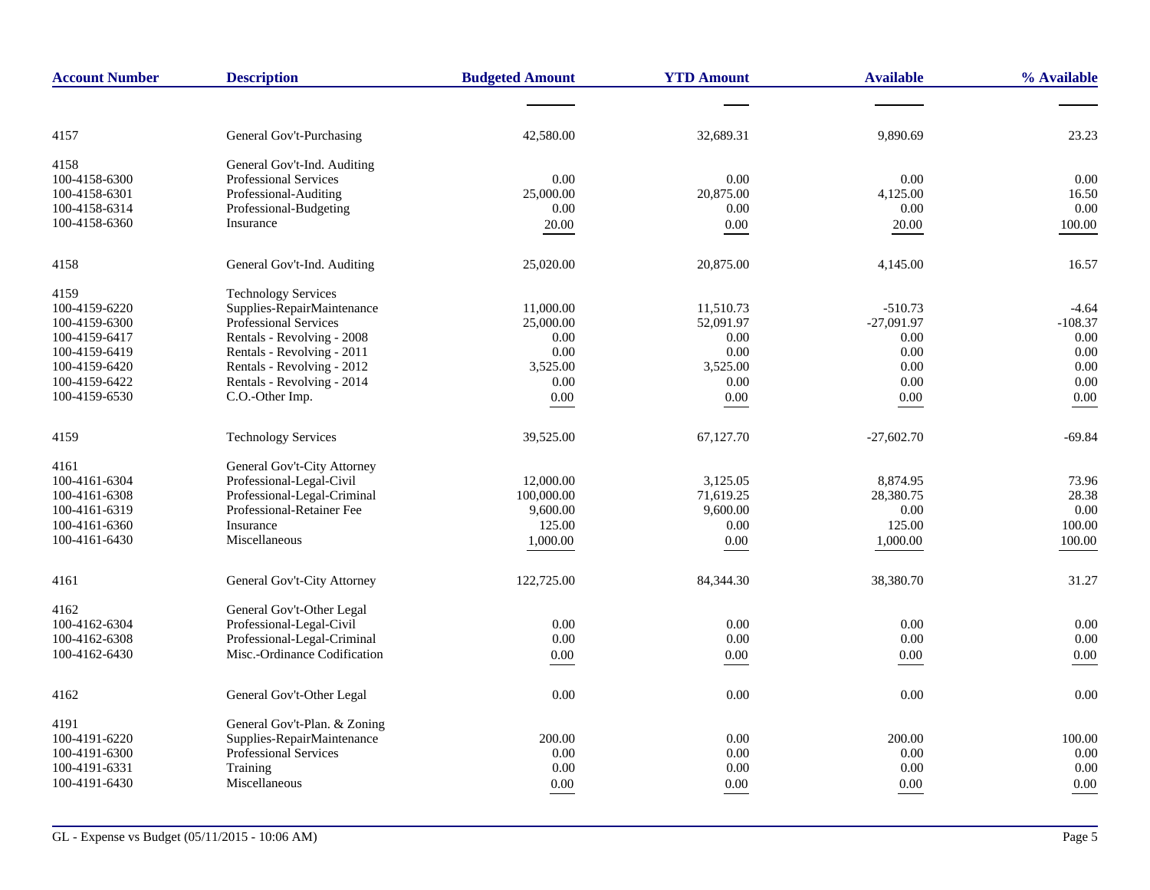| <b>Account Number</b> | <b>Description</b>           | <b>Budgeted Amount</b> | <b>YTD Amount</b> | <b>Available</b> | % Available |
|-----------------------|------------------------------|------------------------|-------------------|------------------|-------------|
|                       |                              |                        |                   |                  |             |
| 4157                  | General Gov't-Purchasing     | 42,580.00              | 32,689.31         | 9,890.69         | 23.23       |
| 4158                  | General Gov't-Ind. Auditing  |                        |                   |                  |             |
| 100-4158-6300         | <b>Professional Services</b> | 0.00                   | 0.00              | 0.00             | 0.00        |
| 100-4158-6301         | Professional-Auditing        | 25,000.00              | 20,875.00         | 4,125.00         | 16.50       |
| 100-4158-6314         | Professional-Budgeting       | 0.00                   | 0.00              | 0.00             | 0.00        |
| 100-4158-6360         | Insurance                    | 20.00                  | 0.00              | 20.00            | 100.00      |
| 4158                  | General Gov't-Ind. Auditing  | 25,020.00              | 20,875.00         | 4,145.00         | 16.57       |
| 4159                  | <b>Technology Services</b>   |                        |                   |                  |             |
| 100-4159-6220         | Supplies-RepairMaintenance   | 11,000.00              | 11.510.73         | $-510.73$        | $-4.64$     |
| 100-4159-6300         | <b>Professional Services</b> | 25,000.00              | 52,091.97         | $-27,091.97$     | $-108.37$   |
| 100-4159-6417         | Rentals - Revolving - 2008   | 0.00                   | 0.00              | 0.00             | $0.00\,$    |
| 100-4159-6419         | Rentals - Revolving - 2011   | 0.00                   | 0.00              | 0.00             | 0.00        |
| 100-4159-6420         | Rentals - Revolving - 2012   | 3,525.00               | 3,525.00          | 0.00             | 0.00        |
| 100-4159-6422         | Rentals - Revolving - 2014   | 0.00                   | 0.00              | 0.00             | 0.00        |
| 100-4159-6530         | C.O.-Other Imp.              | $0.00\,$               | $0.00\,$          | $0.00\,$         | $0.00\,$    |
| 4159                  | <b>Technology Services</b>   | 39,525.00              | 67,127.70         | $-27,602.70$     | $-69.84$    |
| 4161                  | General Gov't-City Attorney  |                        |                   |                  |             |
| 100-4161-6304         | Professional-Legal-Civil     | 12,000.00              | 3,125.05          | 8,874.95         | 73.96       |
| 100-4161-6308         | Professional-Legal-Criminal  | 100,000.00             | 71,619.25         | 28,380.75        | 28.38       |
| 100-4161-6319         | Professional-Retainer Fee    | 9,600.00               | 9,600.00          | 0.00             | 0.00        |
| 100-4161-6360         | Insurance                    | 125.00                 | 0.00              | 125.00           | 100.00      |
| 100-4161-6430         | Miscellaneous                | 1,000.00               | 0.00              | 1,000.00         | 100.00      |
| 4161                  | General Gov't-City Attorney  | 122,725.00             | 84,344.30         | 38,380.70        | 31.27       |
|                       |                              |                        |                   |                  |             |
| 4162                  | General Gov't-Other Legal    |                        |                   |                  |             |
| 100-4162-6304         | Professional-Legal-Civil     | 0.00                   | 0.00              | 0.00             | 0.00        |
| 100-4162-6308         | Professional-Legal-Criminal  | 0.00                   | 0.00              | 0.00             | 0.00        |
| 100-4162-6430         | Misc.-Ordinance Codification | 0.00                   | 0.00              | 0.00             | 0.00        |
| 4162                  | General Gov't-Other Legal    | 0.00                   | 0.00              | 0.00             | 0.00        |
| 4191                  | General Gov't-Plan. & Zoning |                        |                   |                  |             |
| 100-4191-6220         | Supplies-RepairMaintenance   | 200.00                 | 0.00              | 200.00           | 100.00      |
| 100-4191-6300         | Professional Services        | 0.00                   | 0.00              | 0.00             | 0.00        |
| 100-4191-6331         | Training                     | 0.00                   | 0.00              | 0.00             | 0.00        |
| 100-4191-6430         | Miscellaneous                | 0.00                   | 0.00              | 0.00             | 0.00        |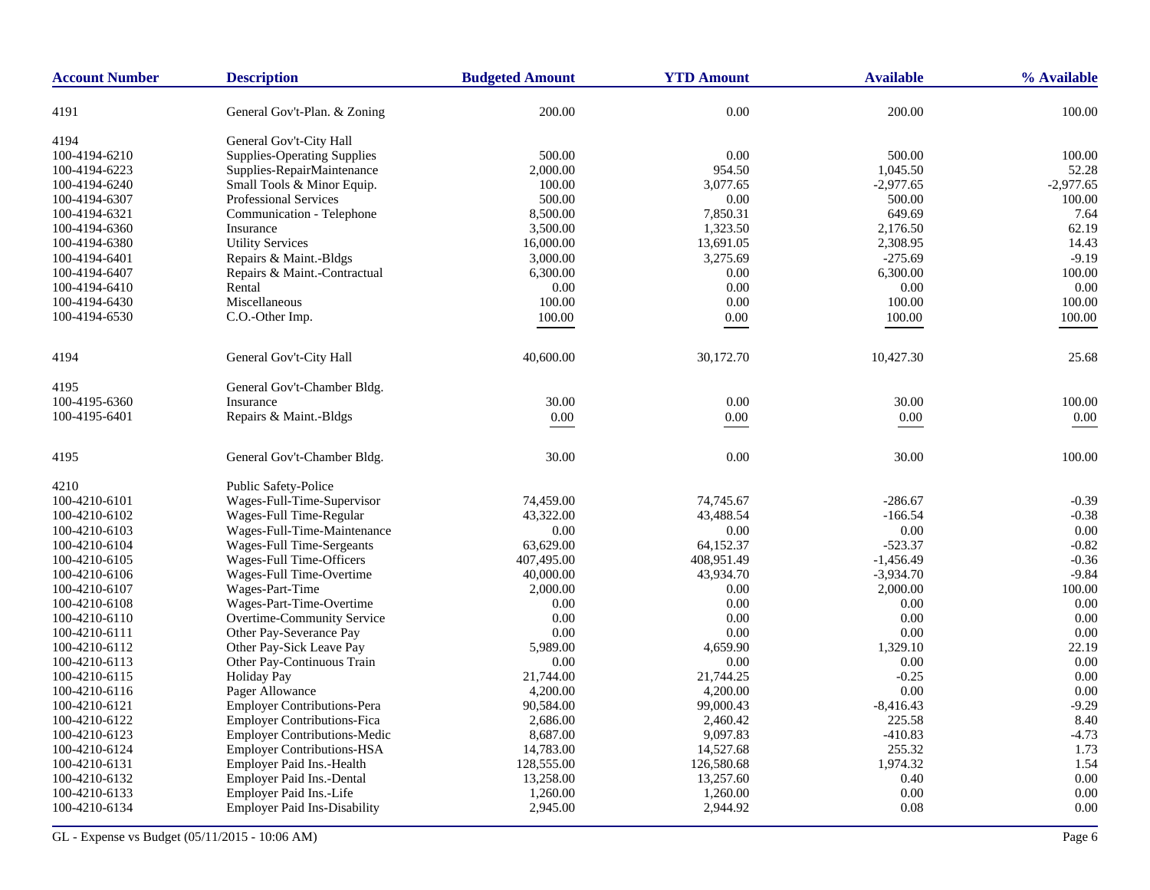| <b>Account Number</b> | <b>Description</b>                  | <b>Budgeted Amount</b> | <b>YTD Amount</b> | <b>Available</b> | % Available |
|-----------------------|-------------------------------------|------------------------|-------------------|------------------|-------------|
| 4191                  | General Gov't-Plan. & Zoning        | 200.00                 | 0.00              | 200.00           | 100.00      |
| 4194                  | General Gov't-City Hall             |                        |                   |                  |             |
| 100-4194-6210         | <b>Supplies-Operating Supplies</b>  | 500.00                 | 0.00              | 500.00           | 100.00      |
| 100-4194-6223         | Supplies-RepairMaintenance          | 2,000.00               | 954.50            | 1,045.50         | 52.28       |
| 100-4194-6240         | Small Tools & Minor Equip.          | 100.00                 | 3,077.65          | $-2,977.65$      | $-2,977.65$ |
| 100-4194-6307         | <b>Professional Services</b>        | 500.00                 | 0.00              | 500.00           | 100.00      |
| 100-4194-6321         | Communication - Telephone           | 8,500.00               | 7,850.31          | 649.69           | 7.64        |
| 100-4194-6360         | Insurance                           | 3,500.00               | 1,323.50          | 2,176.50         | 62.19       |
| 100-4194-6380         | <b>Utility Services</b>             | 16,000.00              | 13,691.05         | 2,308.95         | 14.43       |
| 100-4194-6401         | Repairs & Maint.-Bldgs              | 3,000.00               | 3,275.69          | $-275.69$        | $-9.19$     |
| 100-4194-6407         | Repairs & Maint.-Contractual        | 6,300.00               | 0.00              | 6,300.00         | 100.00      |
| 100-4194-6410         | Rental                              | 0.00                   | 0.00              | 0.00             | 0.00        |
| 100-4194-6430         | Miscellaneous                       | 100.00                 | 0.00              | 100.00           | 100.00      |
| 100-4194-6530         | C.O.-Other Imp.                     | 100.00                 | $0.00\,$          | 100.00           | 100.00      |
|                       |                                     |                        |                   |                  |             |
| 4194                  | General Gov't-City Hall             | 40,600.00              | 30,172.70         | 10,427.30        | 25.68       |
| 4195                  | General Gov't-Chamber Bldg.         |                        |                   |                  |             |
| 100-4195-6360         | Insurance                           | 30.00                  | 0.00              | 30.00            | 100.00      |
| 100-4195-6401         | Repairs & Maint.-Bldgs              | $0.00\,$               | $0.00\,$          | $0.00\,$         | $0.00\,$    |
| 4195                  | General Gov't-Chamber Bldg.         | 30.00                  | 0.00              | 30.00            | 100.00      |
| 4210                  | <b>Public Safety-Police</b>         |                        |                   |                  |             |
| 100-4210-6101         | Wages-Full-Time-Supervisor          | 74,459.00              | 74,745.67         | $-286.67$        | $-0.39$     |
| 100-4210-6102         | Wages-Full Time-Regular             | 43,322.00              | 43,488.54         | $-166.54$        | $-0.38$     |
| 100-4210-6103         | Wages-Full-Time-Maintenance         | 0.00                   | 0.00              | 0.00             | 0.00        |
| 100-4210-6104         | Wages-Full Time-Sergeants           | 63,629.00              | 64,152.37         | $-523.37$        | $-0.82$     |
| 100-4210-6105         | Wages-Full Time-Officers            | 407,495.00             | 408,951.49        | $-1,456.49$      | $-0.36$     |
| 100-4210-6106         | Wages-Full Time-Overtime            | 40,000.00              | 43,934.70         | $-3,934.70$      | $-9.84$     |
| 100-4210-6107         | Wages-Part-Time                     | 2,000.00               | 0.00              | 2,000.00         | 100.00      |
| 100-4210-6108         | Wages-Part-Time-Overtime            | 0.00                   | 0.00              | 0.00             | 0.00        |
| 100-4210-6110         | Overtime-Community Service          | 0.00                   | 0.00              | 0.00             | 0.00        |
| 100-4210-6111         | Other Pay-Severance Pay             | 0.00                   | 0.00              | 0.00             | 0.00        |
| 100-4210-6112         | Other Pay-Sick Leave Pay            | 5,989.00               | 4,659.90          | 1,329.10         | 22.19       |
| 100-4210-6113         | Other Pay-Continuous Train          | 0.00                   | 0.00              | 0.00             | 0.00        |
| 100-4210-6115         | <b>Holiday Pay</b>                  | 21,744.00              | 21,744.25         | $-0.25$          | 0.00        |
| 100-4210-6116         | Pager Allowance                     | 4,200.00               | 4,200.00          | 0.00             | 0.00        |
| 100-4210-6121         | <b>Employer Contributions-Pera</b>  | 90,584.00              | 99,000.43         | $-8,416.43$      | $-9.29$     |
| 100-4210-6122         | <b>Employer Contributions-Fica</b>  | 2,686.00               | 2,460.42          | 225.58           | 8.40        |
| 100-4210-6123         | <b>Employer Contributions-Medic</b> | 8,687.00               | 9,097.83          | $-410.83$        | $-4.73$     |
| 100-4210-6124         | <b>Employer Contributions-HSA</b>   | 14,783.00              | 14,527.68         | 255.32           | 1.73        |
| 100-4210-6131         | Employer Paid Ins.-Health           | 128,555.00             | 126,580.68        | 1,974.32         | 1.54        |
| 100-4210-6132         | Employer Paid Ins.-Dental           | 13,258.00              | 13,257.60         | 0.40             | 0.00        |
| 100-4210-6133         | Employer Paid Ins.-Life             | 1,260.00               | 1,260.00          | 0.00             | 0.00        |
| 100-4210-6134         | <b>Employer Paid Ins-Disability</b> | 2,945.00               | 2,944.92          | 0.08             | 0.00        |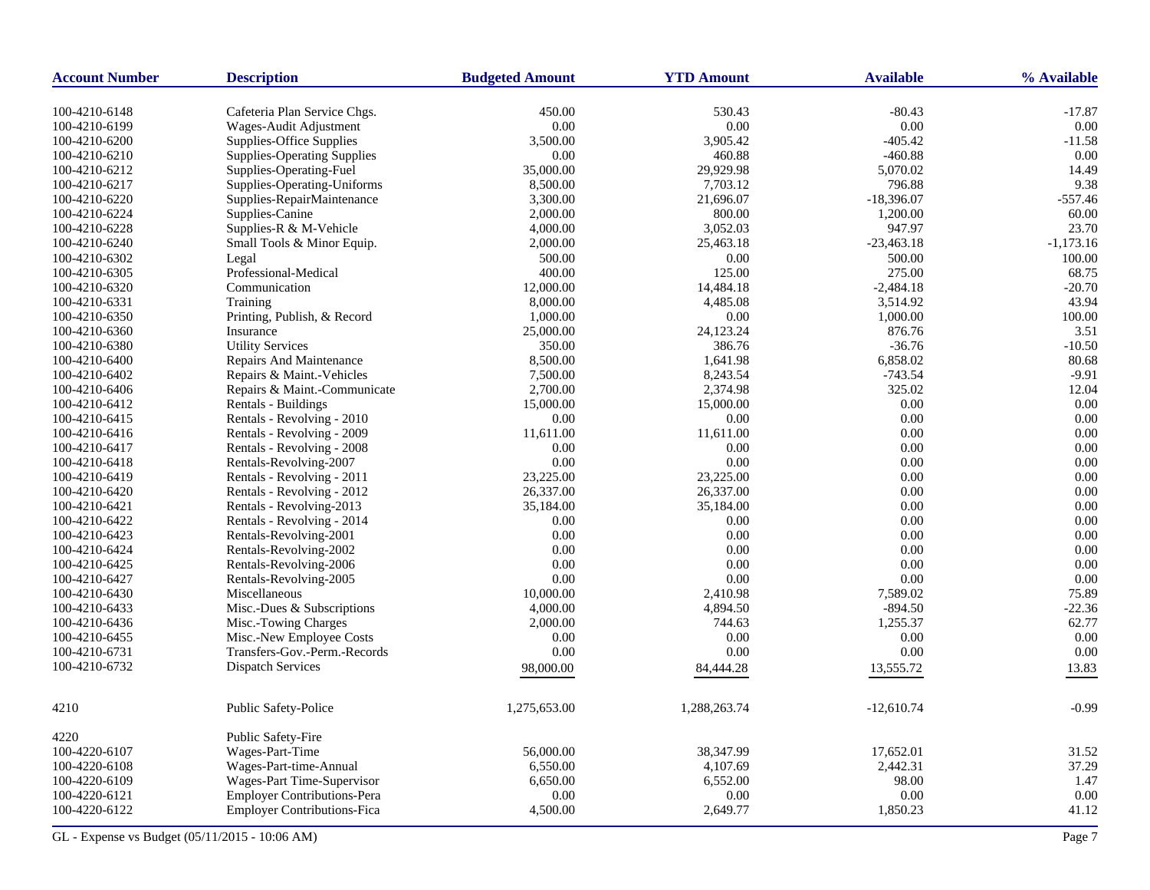| <b>Account Number</b> | <b>Description</b>                 | <b>Budgeted Amount</b> | <b>YTD Amount</b> | <b>Available</b> | % Available |
|-----------------------|------------------------------------|------------------------|-------------------|------------------|-------------|
| 100-4210-6148         | Cafeteria Plan Service Chgs.       | 450.00                 | 530.43            | $-80.43$         | $-17.87$    |
| 100-4210-6199         | Wages-Audit Adjustment             | 0.00                   | $0.00\,$          | 0.00             | 0.00        |
| 100-4210-6200         | Supplies-Office Supplies           | 3,500.00               | 3,905.42          | $-405.42$        | $-11.58$    |
| 100-4210-6210         | <b>Supplies-Operating Supplies</b> | 0.00                   | 460.88            | $-460.88$        | 0.00        |
| 100-4210-6212         | Supplies-Operating-Fuel            | 35,000.00              | 29,929.98         | 5,070.02         | 14.49       |
| 100-4210-6217         | Supplies-Operating-Uniforms        | 8,500.00               | 7,703.12          | 796.88           | 9.38        |
| 100-4210-6220         | Supplies-RepairMaintenance         | 3,300.00               | 21,696.07         | $-18,396.07$     | $-557.46$   |
| 100-4210-6224         | Supplies-Canine                    | 2,000.00               | 800.00            | 1,200.00         | 60.00       |
| 100-4210-6228         | Supplies-R & M-Vehicle             | 4,000.00               | 3,052.03          | 947.97           | 23.70       |
| 100-4210-6240         | Small Tools & Minor Equip.         | 2,000.00               | 25,463.18         | $-23,463.18$     | $-1,173.16$ |
| 100-4210-6302         | Legal                              | 500.00                 | 0.00              | 500.00           | 100.00      |
| 100-4210-6305         | Professional-Medical               | 400.00                 | 125.00            | 275.00           | 68.75       |
| 100-4210-6320         | Communication                      | 12,000.00              | 14,484.18         | $-2,484.18$      | $-20.70$    |
| 100-4210-6331         | Training                           | 8,000.00               | 4,485.08          | 3,514.92         | 43.94       |
| 100-4210-6350         | Printing, Publish, & Record        | 1,000.00               | 0.00              | 1,000.00         | 100.00      |
| 100-4210-6360         | Insurance                          | 25,000.00              | 24,123.24         | 876.76           | 3.51        |
| 100-4210-6380         | <b>Utility Services</b>            | 350.00                 | 386.76            | $-36.76$         | $-10.50$    |
| 100-4210-6400         | Repairs And Maintenance            | 8,500.00               | 1,641.98          | 6,858.02         | 80.68       |
| 100-4210-6402         | Repairs & Maint.-Vehicles          | 7,500.00               | 8,243.54          | $-743.54$        | $-9.91$     |
| 100-4210-6406         | Repairs & Maint.-Communicate       | 2,700.00               | 2,374.98          | 325.02           | 12.04       |
| 100-4210-6412         | Rentals - Buildings                | 15,000.00              | 15,000.00         | 0.00             | 0.00        |
| 100-4210-6415         | Rentals - Revolving - 2010         | 0.00                   | 0.00              | 0.00             | 0.00        |
| 100-4210-6416         | Rentals - Revolving - 2009         | 11,611.00              | 11,611.00         | 0.00             | 0.00        |
| 100-4210-6417         | Rentals - Revolving - 2008         | 0.00                   | 0.00              | 0.00             | 0.00        |
| 100-4210-6418         | Rentals-Revolving-2007             | 0.00                   | 0.00              | 0.00             | 0.00        |
| 100-4210-6419         | Rentals - Revolving - 2011         | 23,225.00              | 23,225.00         | 0.00             | 0.00        |
| 100-4210-6420         | Rentals - Revolving - 2012         | 26,337.00              | 26,337.00         | 0.00             | 0.00        |
| 100-4210-6421         | Rentals - Revolving-2013           | 35,184.00              | 35,184.00         | 0.00             | 0.00        |
| 100-4210-6422         | Rentals - Revolving - 2014         | 0.00                   | 0.00              | 0.00             | 0.00        |
| 100-4210-6423         | Rentals-Revolving-2001             | 0.00                   | 0.00              | 0.00             | 0.00        |
| 100-4210-6424         | Rentals-Revolving-2002             | 0.00                   | 0.00              | 0.00             | 0.00        |
| 100-4210-6425         | Rentals-Revolving-2006             | 0.00                   | 0.00              | 0.00             | 0.00        |
| 100-4210-6427         | Rentals-Revolving-2005             | 0.00                   | 0.00              | 0.00             | 0.00        |
| 100-4210-6430         | Miscellaneous                      | 10,000.00              | 2,410.98          | 7,589.02         | 75.89       |
| 100-4210-6433         | Misc.-Dues & Subscriptions         | 4,000.00               | 4,894.50          | $-894.50$        | $-22.36$    |
| 100-4210-6436         | Misc.-Towing Charges               | 2,000.00               | 744.63            | 1,255.37         | 62.77       |
| 100-4210-6455         | Misc.-New Employee Costs           | 0.00                   | 0.00              | 0.00             | 0.00        |
| 100-4210-6731         | Transfers-Gov.-Perm.-Records       | 0.00                   | 0.00              | 0.00             | 0.00        |
| 100-4210-6732         |                                    |                        |                   |                  |             |
|                       | <b>Dispatch Services</b>           | 98,000.00              | 84,444.28         | 13,555.72        | 13.83       |
| 4210                  | Public Safety-Police               | 1,275,653.00           | 1,288,263.74      | $-12,610.74$     | $-0.99$     |
| 4220                  | Public Safety-Fire                 |                        |                   |                  |             |
| 100-4220-6107         | Wages-Part-Time                    | 56,000.00              | 38,347.99         | 17,652.01        | 31.52       |
| 100-4220-6108         | Wages-Part-time-Annual             | 6,550.00               | 4,107.69          | 2,442.31         | 37.29       |
| 100-4220-6109         | Wages-Part Time-Supervisor         | 6,650.00               | 6,552.00          | 98.00            | 1.47        |
| 100-4220-6121         | <b>Employer Contributions-Pera</b> | 0.00                   | 0.00              | 0.00             | 0.00        |
| 100-4220-6122         | <b>Employer Contributions-Fica</b> | 4,500.00               | 2,649.77          | 1,850.23         | 41.12       |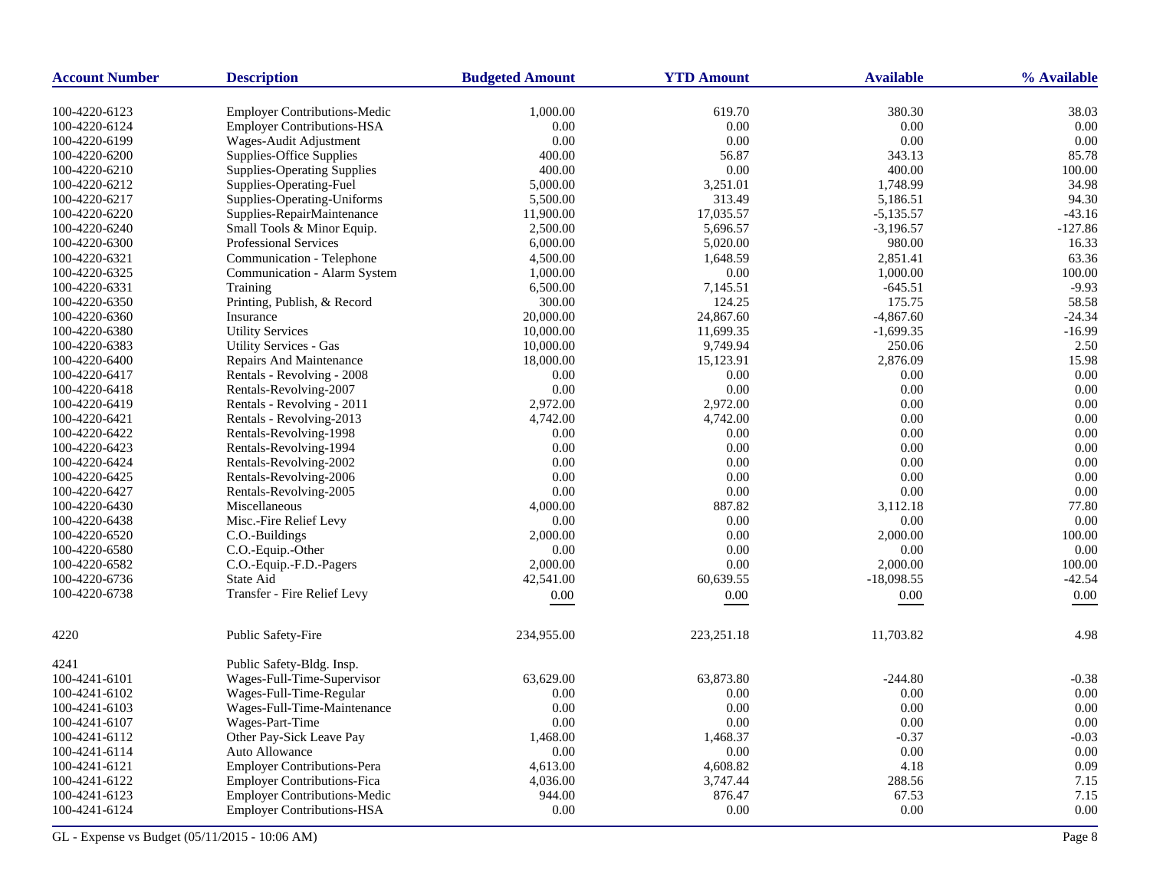| <b>Account Number</b> | <b>Description</b>                  | <b>Budgeted Amount</b> | <b>YTD Amount</b> | <b>Available</b> | % Available |
|-----------------------|-------------------------------------|------------------------|-------------------|------------------|-------------|
| 100-4220-6123         | <b>Employer Contributions-Medic</b> | 1,000.00               | 619.70            | 380.30           | 38.03       |
| 100-4220-6124         | <b>Employer Contributions-HSA</b>   | 0.00                   | 0.00              | 0.00             | 0.00        |
| 100-4220-6199         | Wages-Audit Adjustment              | 0.00                   | 0.00              | 0.00             | 0.00        |
| 100-4220-6200         | Supplies-Office Supplies            | 400.00                 | 56.87             | 343.13           | 85.78       |
| 100-4220-6210         | <b>Supplies-Operating Supplies</b>  | 400.00                 | 0.00              | 400.00           | 100.00      |
| 100-4220-6212         | Supplies-Operating-Fuel             | 5,000.00               | 3,251.01          | 1,748.99         | 34.98       |
| 100-4220-6217         | Supplies-Operating-Uniforms         | 5,500.00               | 313.49            | 5,186.51         | 94.30       |
| 100-4220-6220         | Supplies-RepairMaintenance          | 11,900.00              | 17,035.57         | $-5,135.57$      | $-43.16$    |
| 100-4220-6240         | Small Tools & Minor Equip.          | 2,500.00               | 5,696.57          | $-3,196.57$      | $-127.86$   |
| 100-4220-6300         | Professional Services               | 6,000.00               | 5,020.00          | 980.00           | 16.33       |
| 100-4220-6321         | Communication - Telephone           | 4,500.00               | 1,648.59          | 2,851.41         | 63.36       |
| 100-4220-6325         | Communication - Alarm System        | 1,000.00               | 0.00              | 1,000.00         | 100.00      |
| 100-4220-6331         | Training                            | 6,500.00               | 7,145.51          | $-645.51$        | $-9.93$     |
| 100-4220-6350         | Printing, Publish, & Record         | 300.00                 | 124.25            | 175.75           | 58.58       |
| 100-4220-6360         | Insurance                           | 20,000.00              | 24,867.60         | $-4,867.60$      | $-24.34$    |
| 100-4220-6380         | <b>Utility Services</b>             | 10,000.00              | 11,699.35         | $-1,699.35$      | $-16.99$    |
| 100-4220-6383         | Utility Services - Gas              | 10,000.00              | 9,749.94          | 250.06           | 2.50        |
| 100-4220-6400         | Repairs And Maintenance             | 18,000.00              | 15,123.91         | 2,876.09         | 15.98       |
| 100-4220-6417         | Rentals - Revolving - 2008          | 0.00                   | 0.00              | 0.00             | 0.00        |
| 100-4220-6418         | Rentals-Revolving-2007              | 0.00                   | $0.00\,$          | 0.00             | 0.00        |
| 100-4220-6419         | Rentals - Revolving - 2011          | 2,972.00               | 2,972.00          | 0.00             | 0.00        |
| 100-4220-6421         | Rentals - Revolving-2013            | 4,742.00               | 4,742.00          | 0.00             | 0.00        |
| 100-4220-6422         | Rentals-Revolving-1998              | 0.00                   | 0.00              | 0.00             | 0.00        |
| 100-4220-6423         | Rentals-Revolving-1994              | 0.00                   | 0.00              | 0.00             | 0.00        |
| 100-4220-6424         | Rentals-Revolving-2002              | 0.00                   | 0.00              | 0.00             | 0.00        |
| 100-4220-6425         | Rentals-Revolving-2006              | 0.00                   | 0.00              | 0.00             | 0.00        |
| 100-4220-6427         | Rentals-Revolving-2005              | 0.00                   | 0.00              | 0.00             | 0.00        |
| 100-4220-6430         | Miscellaneous                       | 4,000.00               | 887.82            | 3,112.18         | 77.80       |
| 100-4220-6438         | Misc.-Fire Relief Levy              | 0.00                   | 0.00              | 0.00             | 0.00        |
| 100-4220-6520         | C.O.-Buildings                      | 2,000.00               | 0.00              | 2,000.00         | 100.00      |
| 100-4220-6580         | C.O.-Equip.-Other                   | 0.00                   | 0.00              | 0.00             | 0.00        |
| 100-4220-6582         | C.O.-Equip.-F.D.-Pagers             | 2,000.00               | 0.00              | 2,000.00         | 100.00      |
| 100-4220-6736         | State Aid                           | 42,541.00              | 60,639.55         | $-18,098.55$     | $-42.54$    |
| 100-4220-6738         | Transfer - Fire Relief Levy         | 0.00                   | 0.00              | 0.00             | 0.00        |
|                       |                                     |                        |                   |                  |             |
| 4220                  | <b>Public Safety-Fire</b>           | 234,955.00             | 223,251.18        | 11,703.82        | 4.98        |
| 4241                  | Public Safety-Bldg. Insp.           |                        |                   |                  |             |
| 100-4241-6101         | Wages-Full-Time-Supervisor          | 63.629.00              | 63,873.80         | $-244.80$        | $-0.38$     |
| 100-4241-6102         | Wages-Full-Time-Regular             | 0.00                   | 0.00              | 0.00             | 0.00        |
| 100-4241-6103         | Wages-Full-Time-Maintenance         | 0.00                   | 0.00              | 0.00             | 0.00        |
| 100-4241-6107         | Wages-Part-Time                     | 0.00                   | 0.00              | 0.00             | 0.00        |
| 100-4241-6112         | Other Pay-Sick Leave Pay            | 1,468.00               | 1,468.37          | $-0.37$          | $-0.03$     |
| 100-4241-6114         | Auto Allowance                      | 0.00                   | 0.00              | 0.00             | 0.00        |
| 100-4241-6121         | <b>Employer Contributions-Pera</b>  | 4,613.00               | 4,608.82          | 4.18             | 0.09        |
| 100-4241-6122         | <b>Employer Contributions-Fica</b>  | 4,036.00               | 3,747.44          | 288.56           | 7.15        |
| 100-4241-6123         | <b>Employer Contributions-Medic</b> | 944.00                 | 876.47            | 67.53            | 7.15        |
| 100-4241-6124         | <b>Employer Contributions-HSA</b>   | 0.00                   | 0.00              | 0.00             | 0.00        |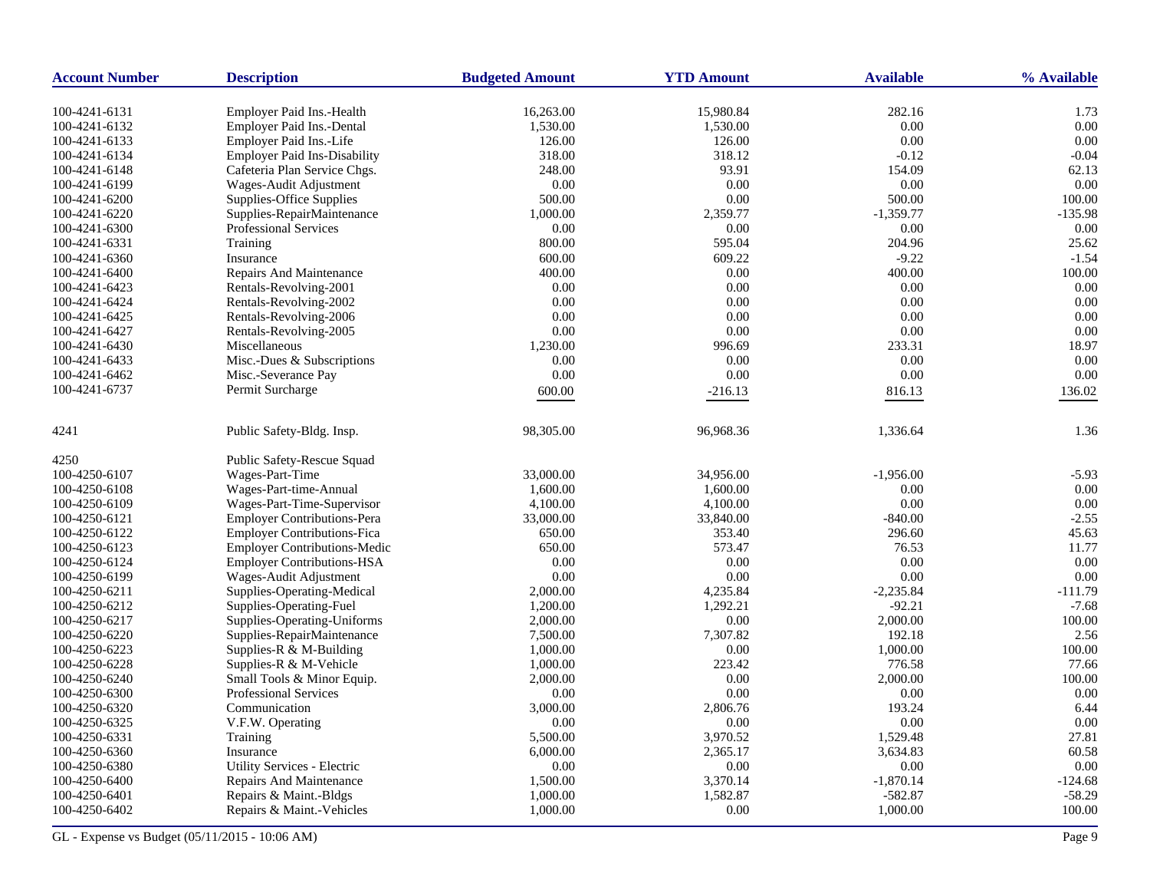| <b>Account Number</b> | <b>Description</b>                  | <b>Budgeted Amount</b> | <b>YTD Amount</b> | <b>Available</b> | % Available |
|-----------------------|-------------------------------------|------------------------|-------------------|------------------|-------------|
| 100-4241-6131         | Employer Paid Ins.-Health           | 16,263.00              | 15,980.84         | 282.16           | 1.73        |
| 100-4241-6132         | Employer Paid Ins.-Dental           | 1,530.00               | 1,530.00          | $0.00\,$         | 0.00        |
| 100-4241-6133         | Employer Paid Ins.-Life             | 126.00                 | 126.00            | 0.00             | 0.00        |
| 100-4241-6134         | <b>Employer Paid Ins-Disability</b> | 318.00                 | 318.12            | $-0.12$          | $-0.04$     |
| 100-4241-6148         | Cafeteria Plan Service Chgs.        | 248.00                 | 93.91             | 154.09           | 62.13       |
| 100-4241-6199         | Wages-Audit Adjustment              | 0.00                   | 0.00              | 0.00             | 0.00        |
| 100-4241-6200         | Supplies-Office Supplies            | 500.00                 | 0.00              | 500.00           | 100.00      |
| 100-4241-6220         | Supplies-RepairMaintenance          | 1,000.00               | 2,359.77          | $-1,359.77$      | $-135.98$   |
| 100-4241-6300         | <b>Professional Services</b>        | 0.00                   | 0.00              | 0.00             | 0.00        |
| 100-4241-6331         | Training                            | 800.00                 | 595.04            | 204.96           | 25.62       |
| 100-4241-6360         | Insurance                           | 600.00                 | 609.22            | $-9.22$          | $-1.54$     |
| 100-4241-6400         | Repairs And Maintenance             | 400.00                 | 0.00              | 400.00           | 100.00      |
| 100-4241-6423         | Rentals-Revolving-2001              | 0.00                   | 0.00              | 0.00             | 0.00        |
| 100-4241-6424         | Rentals-Revolving-2002              | 0.00                   | 0.00              | 0.00             | 0.00        |
| 100-4241-6425         | Rentals-Revolving-2006              | 0.00                   | 0.00              | 0.00             | 0.00        |
| 100-4241-6427         | Rentals-Revolving-2005              | 0.00                   | 0.00              | $0.00\,$         | 0.00        |
| 100-4241-6430         | Miscellaneous                       | 1,230.00               | 996.69            | 233.31           | 18.97       |
| 100-4241-6433         | Misc.-Dues & Subscriptions          | 0.00                   | 0.00              | 0.00             | 0.00        |
| 100-4241-6462         | Misc.-Severance Pay                 | 0.00                   | 0.00              | 0.00             | 0.00        |
| 100-4241-6737         | Permit Surcharge                    | 600.00                 | $-216.13$         | 816.13           | 136.02      |
|                       |                                     |                        |                   |                  |             |
| 4241                  | Public Safety-Bldg. Insp.           | 98,305.00              | 96,968.36         | 1,336.64         | 1.36        |
| 4250                  | Public Safety-Rescue Squad          |                        |                   |                  |             |
| 100-4250-6107         | Wages-Part-Time                     | 33,000.00              | 34,956.00         | $-1,956.00$      | $-5.93$     |
| 100-4250-6108         | Wages-Part-time-Annual              | 1,600.00               | 1,600.00          | 0.00             | 0.00        |
| 100-4250-6109         | Wages-Part-Time-Supervisor          | 4,100.00               | 4,100.00          | 0.00             | 0.00        |
| 100-4250-6121         | <b>Employer Contributions-Pera</b>  | 33,000.00              | 33,840.00         | $-840.00$        | $-2.55$     |
| 100-4250-6122         | <b>Employer Contributions-Fica</b>  | 650.00                 | 353.40            | 296.60           | 45.63       |
| 100-4250-6123         | <b>Employer Contributions-Medic</b> | 650.00                 | 573.47            | 76.53            | 11.77       |
| 100-4250-6124         | <b>Employer Contributions-HSA</b>   | 0.00                   | 0.00              | 0.00             | 0.00        |
| 100-4250-6199         | Wages-Audit Adjustment              | 0.00                   | 0.00              | 0.00             | 0.00        |
| 100-4250-6211         | Supplies-Operating-Medical          | 2,000.00               | 4,235.84          | $-2,235.84$      | $-111.79$   |
| 100-4250-6212         | Supplies-Operating-Fuel             | 1,200.00               | 1,292.21          | $-92.21$         | $-7.68$     |
| 100-4250-6217         | Supplies-Operating-Uniforms         | 2,000.00               | $0.00\,$          | 2,000.00         | 100.00      |
| 100-4250-6220         | Supplies-RepairMaintenance          | 7,500.00               | 7,307.82          | 192.18           | 2.56        |
| 100-4250-6223         | Supplies-R & M-Building             | 1,000.00               | 0.00              | 1,000.00         | 100.00      |
| 100-4250-6228         | Supplies-R & M-Vehicle              | 1,000.00               | 223.42            | 776.58           | 77.66       |
| 100-4250-6240         | Small Tools & Minor Equip.          | 2,000.00               | 0.00              | 2,000.00         | 100.00      |
| 100-4250-6300         | <b>Professional Services</b>        | 0.00                   | 0.00              | 0.00             | 0.00        |
| 100-4250-6320         | Communication                       | 3,000.00               | 2,806.76          | 193.24           | 6.44        |
| 100-4250-6325         | V.F.W. Operating                    | $0.00\,$               | 0.00              | 0.00             | 0.00        |
| 100-4250-6331         | Training                            | 5,500.00               | 3,970.52          | 1,529.48         | 27.81       |
| 100-4250-6360         | Insurance                           | 6,000.00               | 2,365.17          | 3,634.83         | 60.58       |
| 100-4250-6380         | Utility Services - Electric         | 0.00                   | 0.00              | 0.00             | 0.00        |
| 100-4250-6400         | Repairs And Maintenance             | 1,500.00               | 3,370.14          | $-1,870.14$      | $-124.68$   |
| 100-4250-6401         | Repairs & Maint.-Bldgs              | 1,000.00               | 1,582.87          | $-582.87$        | $-58.29$    |
| 100-4250-6402         | Repairs & Maint.-Vehicles           | 1,000.00               | 0.00              | 1,000.00         | 100.00      |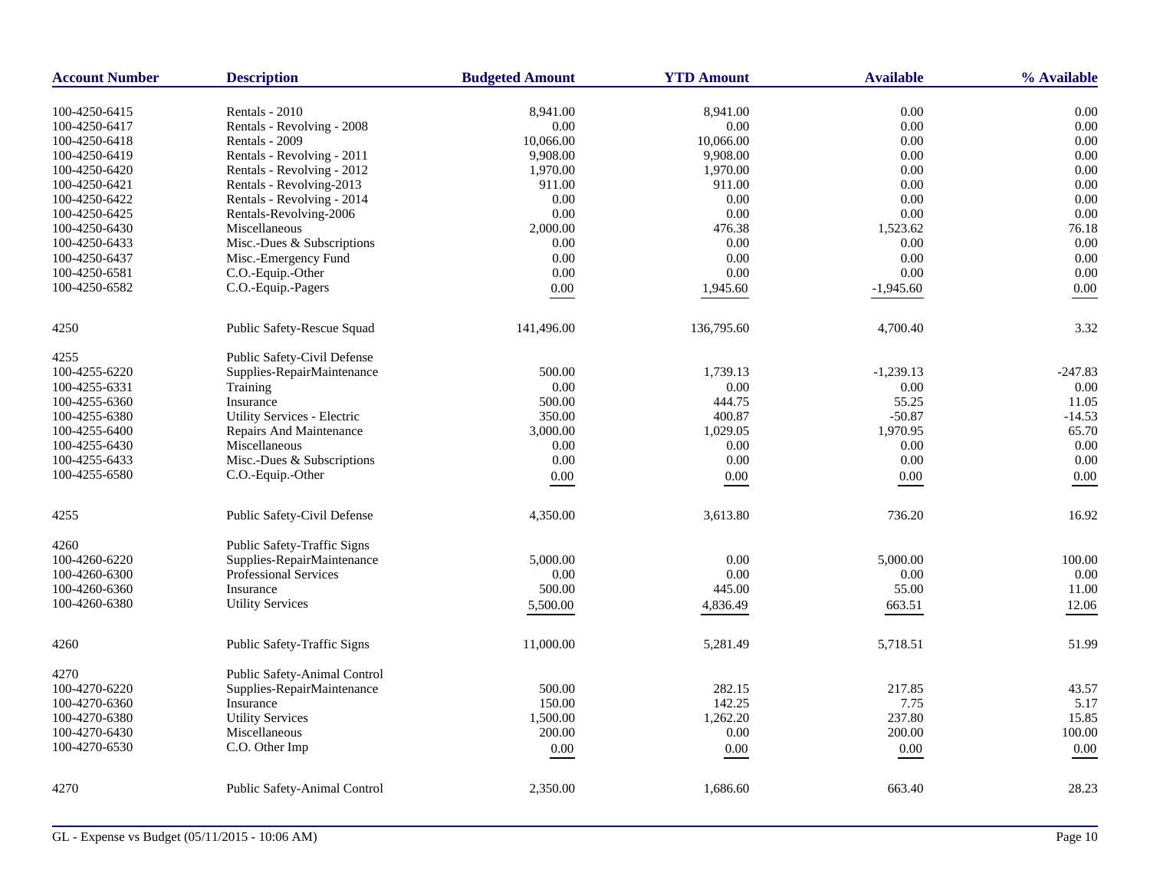| <b>Account Number</b>          | <b>Description</b>                                     | <b>Budgeted Amount</b> | <b>YTD Amount</b>    | <b>Available</b> | % Available  |
|--------------------------------|--------------------------------------------------------|------------------------|----------------------|------------------|--------------|
|                                |                                                        |                        |                      |                  |              |
| 100-4250-6415                  | Rentals - 2010<br>Rentals - Revolving - 2008           | 8,941.00<br>0.00       | 8,941.00<br>$0.00\,$ | 0.00<br>$0.00\,$ | 0.00<br>0.00 |
| 100-4250-6417<br>100-4250-6418 | Rentals - 2009                                         | 10,066.00              | 10,066.00            | 0.00             | 0.00         |
| 100-4250-6419                  | Rentals - Revolving - 2011                             | 9,908.00               | 9,908.00             | 0.00             | 0.00         |
| 100-4250-6420                  |                                                        |                        | 1,970.00             | 0.00             | 0.00         |
|                                | Rentals - Revolving - 2012<br>Rentals - Revolving-2013 | 1,970.00               | 911.00               | 0.00             | 0.00         |
| 100-4250-6421                  |                                                        | 911.00                 |                      |                  | 0.00         |
| 100-4250-6422                  | Rentals - Revolving - 2014                             | 0.00                   | 0.00                 | 0.00             |              |
| 100-4250-6425                  | Rentals-Revolving-2006                                 | 0.00                   | 0.00                 | 0.00             | 0.00         |
| 100-4250-6430                  | Miscellaneous                                          | 2,000.00               | 476.38               | 1,523.62         | 76.18        |
| 100-4250-6433                  | Misc.-Dues & Subscriptions                             | 0.00                   | 0.00                 | 0.00             | 0.00         |
| 100-4250-6437                  | Misc.-Emergency Fund                                   | 0.00                   | 0.00                 | 0.00             | 0.00         |
| 100-4250-6581                  | C.O.-Equip.-Other                                      | 0.00                   | $0.00\,$             | 0.00             | 0.00         |
| 100-4250-6582                  | C.O.-Equip.-Pagers                                     | 0.00                   | 1,945.60             | $-1,945.60$      | 0.00         |
| 4250                           | Public Safety-Rescue Squad                             | 141,496.00             | 136,795.60           | 4,700.40         | 3.32         |
| 4255                           | Public Safety-Civil Defense                            |                        |                      |                  |              |
| 100-4255-6220                  | Supplies-RepairMaintenance                             | 500.00                 | 1,739.13             | $-1,239.13$      | $-247.83$    |
| 100-4255-6331                  | Training                                               | 0.00                   | 0.00                 | 0.00             | 0.00         |
|                                |                                                        |                        | 444.75               | 55.25            | 11.05        |
| 100-4255-6360                  | Insurance<br><b>Utility Services - Electric</b>        | 500.00                 |                      |                  | $-14.53$     |
| 100-4255-6380                  |                                                        | 350.00                 | 400.87               | $-50.87$         |              |
| 100-4255-6400                  | <b>Repairs And Maintenance</b>                         | 3,000.00               | 1,029.05             | 1,970.95         | 65.70        |
| 100-4255-6430                  | Miscellaneous                                          | 0.00                   | 0.00                 | $0.00\,$         | 0.00         |
| 100-4255-6433                  | Misc.-Dues & Subscriptions                             | 0.00                   | 0.00                 | 0.00             | 0.00         |
| 100-4255-6580                  | C.O.-Equip.-Other                                      | 0.00                   | 0.00                 | 0.00             | 0.00         |
| 4255                           | Public Safety-Civil Defense                            | 4,350.00               | 3,613.80             | 736.20           | 16.92        |
| 4260                           | <b>Public Safety-Traffic Signs</b>                     |                        |                      |                  |              |
| 100-4260-6220                  | Supplies-RepairMaintenance                             | 5,000.00               | 0.00                 | 5,000.00         | 100.00       |
| 100-4260-6300                  | <b>Professional Services</b>                           | 0.00                   | 0.00                 | 0.00             | 0.00         |
| 100-4260-6360                  | Insurance                                              | 500.00                 | 445.00               | 55.00            | 11.00        |
| 100-4260-6380                  | <b>Utility Services</b>                                | 5,500.00               | 4,836.49             | 663.51           | 12.06        |
| 4260                           | Public Safety-Traffic Signs                            | 11,000.00              | 5,281.49             | 5,718.51         | 51.99        |
|                                |                                                        |                        |                      |                  |              |
| 4270                           | Public Safety-Animal Control                           |                        |                      |                  |              |
| 100-4270-6220                  | Supplies-RepairMaintenance                             | 500.00                 | 282.15               | 217.85           | 43.57        |
| 100-4270-6360                  | Insurance                                              | 150.00                 | 142.25               | 7.75             | 5.17         |
| 100-4270-6380                  | <b>Utility Services</b>                                | 1,500.00               | 1,262.20             | 237.80           | 15.85        |
| 100-4270-6430                  | Miscellaneous                                          | 200.00                 | $0.00\,$             | 200.00           | 100.00       |
| 100-4270-6530                  | C.O. Other Imp                                         | $0.00\,$               | 0.00                 | $0.00\,$         | $0.00\,$     |
| 4270                           | Public Safety-Animal Control                           | 2,350.00               | 1,686.60             | 663.40           | 28.23        |
|                                |                                                        |                        |                      |                  |              |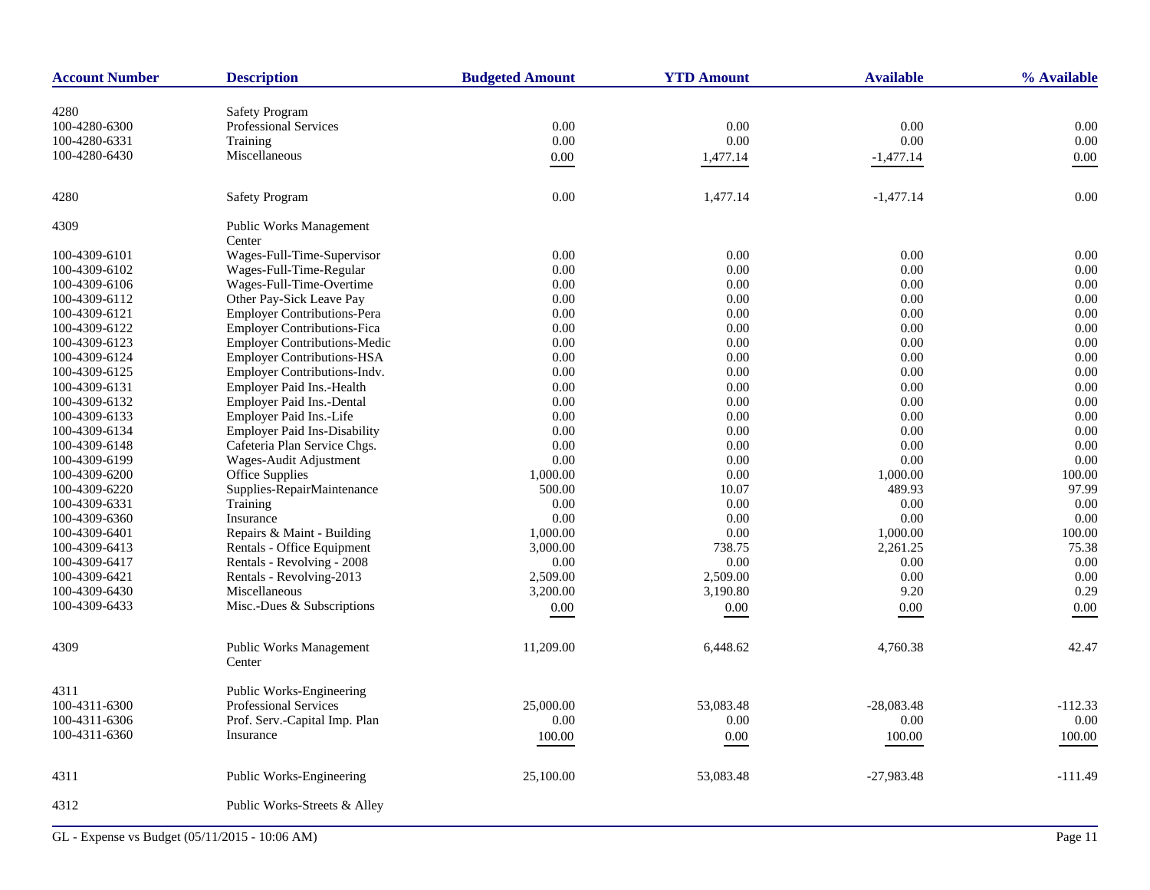| <b>Account Number</b>          | <b>Description</b>                                             | <b>Budgeted Amount</b> | <b>YTD Amount</b> | <b>Available</b>   | % Available   |
|--------------------------------|----------------------------------------------------------------|------------------------|-------------------|--------------------|---------------|
|                                |                                                                |                        |                   |                    |               |
| 4280                           | <b>Safety Program</b><br><b>Professional Services</b>          | 0.00                   | 0.00              | 0.00               | 0.00          |
| 100-4280-6300<br>100-4280-6331 | Training                                                       | 0.00                   | 0.00              | 0.00               | 0.00          |
|                                |                                                                |                        |                   |                    |               |
| 100-4280-6430                  | Miscellaneous                                                  | 0.00                   | 1,477.14          | $-1,477.14$        | $0.00\,$      |
| 4280                           | <b>Safety Program</b>                                          | 0.00                   | 1,477.14          | $-1,477.14$        | 0.00          |
| 4309                           | <b>Public Works Management</b><br>Center                       |                        |                   |                    |               |
| 100-4309-6101                  | Wages-Full-Time-Supervisor                                     | 0.00                   | 0.00              | 0.00               | 0.00          |
|                                | Wages-Full-Time-Regular                                        |                        |                   |                    |               |
| 100-4309-6102                  |                                                                | 0.00                   | 0.00              | 0.00               | 0.00          |
| 100-4309-6106                  | Wages-Full-Time-Overtime                                       | 0.00<br>0.00           | 0.00<br>0.00      | 0.00<br>0.00       | 0.00<br>0.00  |
| 100-4309-6112                  | Other Pay-Sick Leave Pay<br><b>Employer Contributions-Pera</b> |                        | 0.00              | 0.00               | 0.00          |
| 100-4309-6121                  | <b>Employer Contributions-Fica</b>                             | 0.00                   |                   |                    |               |
| 100-4309-6122                  |                                                                | 0.00                   | 0.00              | 0.00               | 0.00          |
| 100-4309-6123                  | <b>Employer Contributions-Medic</b>                            | 0.00                   | 0.00              | 0.00               | 0.00          |
| 100-4309-6124                  | Employer Contributions-HSA<br>Employer Contributions-Indv.     | 0.00                   | 0.00              | 0.00               | 0.00<br>0.00  |
| 100-4309-6125                  |                                                                | 0.00                   | 0.00              | 0.00               |               |
| 100-4309-6131                  | Employer Paid Ins.-Health                                      | 0.00                   | 0.00              | 0.00               | 0.00          |
| 100-4309-6132                  | Employer Paid Ins.-Dental                                      | 0.00                   | 0.00<br>0.00      | 0.00               | 0.00<br>0.00  |
| 100-4309-6133<br>100-4309-6134 | Employer Paid Ins.-Life<br><b>Employer Paid Ins-Disability</b> | 0.00<br>0.00           | 0.00              | 0.00<br>0.00       | 0.00          |
|                                |                                                                | 0.00                   | 0.00              | 0.00               | 0.00          |
| 100-4309-6148                  | Cafeteria Plan Service Chgs.                                   | 0.00                   | 0.00              | 0.00               | 0.00          |
| 100-4309-6199                  | Wages-Audit Adjustment<br>Office Supplies                      |                        | 0.00              |                    | 100.00        |
| 100-4309-6200<br>100-4309-6220 | Supplies-RepairMaintenance                                     | 1,000.00<br>500.00     | 10.07             | 1,000.00<br>489.93 | 97.99         |
|                                |                                                                |                        | 0.00              |                    | 0.00          |
| 100-4309-6331<br>100-4309-6360 | Training<br>Insurance                                          | 0.00<br>0.00           | 0.00              | 0.00<br>0.00       | 0.00          |
|                                |                                                                |                        | 0.00              |                    |               |
| 100-4309-6401                  | Repairs & Maint - Building                                     | 1,000.00               |                   | 1,000.00           | 100.00        |
| 100-4309-6413                  | Rentals - Office Equipment<br>Rentals - Revolving - 2008       | 3,000.00<br>0.00       | 738.75<br>0.00    | 2,261.25<br>0.00   | 75.38<br>0.00 |
| 100-4309-6417                  | Rentals - Revolving-2013                                       |                        |                   |                    |               |
| 100-4309-6421                  |                                                                | 2,509.00               | 2,509.00          | 0.00               | 0.00          |
| 100-4309-6430                  | Miscellaneous                                                  | 3,200.00               | 3,190.80          | 9.20               | 0.29          |
| 100-4309-6433                  | Misc.-Dues & Subscriptions                                     | 0.00                   | 0.00              | 0.00               | 0.00          |
| 4309                           | <b>Public Works Management</b><br>Center                       | 11,209.00              | 6,448.62          | 4,760.38           | 42.47         |
| 4311                           | Public Works-Engineering                                       |                        |                   |                    |               |
| 100-4311-6300                  | <b>Professional Services</b>                                   | 25,000.00              | 53,083.48         | $-28,083.48$       | $-112.33$     |
| 100-4311-6306                  | Prof. Serv.-Capital Imp. Plan                                  | 0.00                   | 0.00              | 0.00               | 0.00          |
| 100-4311-6360                  | Insurance                                                      | 100.00                 | 0.00              | 100.00             | 100.00        |
| 4311                           | Public Works-Engineering                                       | 25,100.00              | 53,083.48         | $-27,983.48$       | $-111.49$     |
| 4312                           | Public Works-Streets & Alley                                   |                        |                   |                    |               |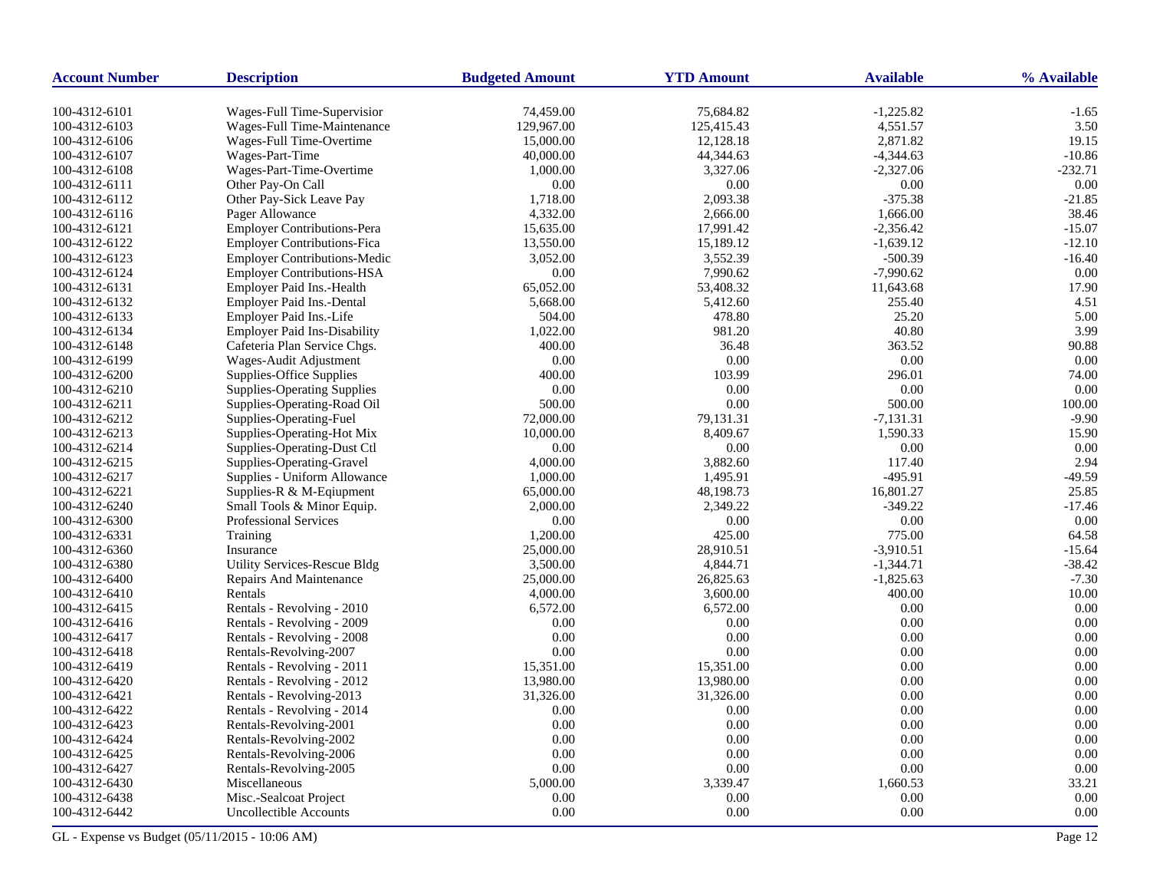| <b>Account Number</b>          | <b>Description</b>                                         | <b>Budgeted Amount</b>  | <b>YTD Amount</b>       | <b>Available</b>        | % Available     |
|--------------------------------|------------------------------------------------------------|-------------------------|-------------------------|-------------------------|-----------------|
|                                |                                                            |                         |                         |                         |                 |
| 100-4312-6101<br>100-4312-6103 | Wages-Full Time-Supervisior<br>Wages-Full Time-Maintenance | 74,459.00<br>129,967.00 | 75,684.82<br>125,415.43 | $-1,225.82$<br>4,551.57 | $-1.65$<br>3.50 |
| 100-4312-6106                  | Wages-Full Time-Overtime                                   | 15,000.00               | 12,128.18               | 2,871.82                | 19.15           |
| 100-4312-6107                  | Wages-Part-Time                                            | 40,000.00               | 44,344.63               | $-4,344.63$             | $-10.86$        |
| 100-4312-6108                  | Wages-Part-Time-Overtime                                   | 1,000.00                | 3,327.06                | $-2,327.06$             | $-232.71$       |
| 100-4312-6111                  | Other Pay-On Call                                          | 0.00                    | 0.00                    | 0.00                    | 0.00            |
| 100-4312-6112                  | Other Pay-Sick Leave Pay                                   | 1,718.00                | 2,093.38                | $-375.38$               | $-21.85$        |
| 100-4312-6116                  | Pager Allowance                                            | 4,332.00                | 2,666.00                | 1,666.00                | 38.46           |
| 100-4312-6121                  | Employer Contributions-Pera                                | 15,635.00               | 17,991.42               | $-2,356.42$             | $-15.07$        |
| 100-4312-6122                  | <b>Employer Contributions-Fica</b>                         | 13,550.00               | 15,189.12               | $-1,639.12$             | $-12.10$        |
| 100-4312-6123                  | <b>Employer Contributions-Medic</b>                        | 3,052.00                | 3,552.39                | $-500.39$               | $-16.40$        |
| 100-4312-6124                  | <b>Employer Contributions-HSA</b>                          | 0.00                    | 7,990.62                | $-7,990.62$             | 0.00            |
| 100-4312-6131                  | Employer Paid Ins.-Health                                  | 65,052.00               | 53,408.32               | 11,643.68               | 17.90           |
| 100-4312-6132                  | Employer Paid Ins.-Dental                                  | 5,668.00                | 5,412.60                | 255.40                  | 4.51            |
| 100-4312-6133                  | Employer Paid Ins.-Life                                    | 504.00                  | 478.80                  | 25.20                   | 5.00            |
| 100-4312-6134                  | <b>Employer Paid Ins-Disability</b>                        | 1,022.00                | 981.20                  | 40.80                   | 3.99            |
| 100-4312-6148                  | Cafeteria Plan Service Chgs.                               | 400.00                  | 36.48                   | 363.52                  | 90.88           |
| 100-4312-6199                  | Wages-Audit Adjustment                                     | 0.00                    | 0.00                    | 0.00                    | 0.00            |
| 100-4312-6200                  | Supplies-Office Supplies                                   | 400.00                  | 103.99                  | 296.01                  | 74.00           |
| 100-4312-6210                  | <b>Supplies-Operating Supplies</b>                         | 0.00                    | 0.00                    | 0.00                    | 0.00            |
| 100-4312-6211                  | Supplies-Operating-Road Oil                                | 500.00                  | 0.00                    | 500.00                  | 100.00          |
| 100-4312-6212                  | Supplies-Operating-Fuel                                    | 72,000.00               | 79,131.31               | $-7,131.31$             | $-9.90$         |
| 100-4312-6213                  | Supplies-Operating-Hot Mix                                 | 10,000.00               | 8,409.67                | 1,590.33                | 15.90           |
| 100-4312-6214                  | Supplies-Operating-Dust Ctl                                | 0.00                    | 0.00                    | 0.00                    | 0.00            |
| 100-4312-6215                  | Supplies-Operating-Gravel                                  | 4,000.00                | 3,882.60                | 117.40                  | 2.94            |
| 100-4312-6217                  | Supplies - Uniform Allowance                               | 1,000.00                | 1,495.91                | $-495.91$               | $-49.59$        |
| 100-4312-6221                  | Supplies-R & M-Eqiupment                                   | 65,000.00               | 48,198.73               | 16,801.27               | 25.85           |
| 100-4312-6240                  | Small Tools & Minor Equip.                                 | 2,000.00                | 2,349.22                | $-349.22$               | $-17.46$        |
| 100-4312-6300                  | Professional Services                                      | 0.00                    | 0.00                    | 0.00                    | 0.00            |
| 100-4312-6331                  | Training                                                   | 1,200.00                | 425.00                  | 775.00                  | 64.58           |
| 100-4312-6360                  | Insurance                                                  | 25,000.00               | 28,910.51               | $-3,910.51$             | $-15.64$        |
| 100-4312-6380                  | <b>Utility Services-Rescue Bldg</b>                        | 3,500.00                | 4,844.71                | $-1,344.71$             | $-38.42$        |
| 100-4312-6400                  | Repairs And Maintenance                                    | 25,000.00               | 26,825.63               | $-1,825.63$             | $-7.30$         |
| 100-4312-6410                  | Rentals                                                    | 4,000.00                | 3,600.00                | 400.00                  | 10.00           |
| 100-4312-6415                  | Rentals - Revolving - 2010                                 | 6,572.00                | 6,572.00                | 0.00                    | 0.00            |
| 100-4312-6416                  | Rentals - Revolving - 2009                                 | 0.00                    | 0.00                    | 0.00                    | 0.00            |
| 100-4312-6417                  | Rentals - Revolving - 2008                                 | 0.00                    | 0.00                    | 0.00                    | 0.00            |
| 100-4312-6418                  | Rentals-Revolving-2007                                     | 0.00                    | 0.00                    | 0.00                    | 0.00            |
| 100-4312-6419                  | Rentals - Revolving - 2011                                 | 15,351.00               | 15,351.00               | 0.00                    | 0.00            |
| 100-4312-6420                  | Rentals - Revolving - 2012                                 | 13,980.00               | 13,980.00               | 0.00                    | 0.00            |
| 100-4312-6421                  | Rentals - Revolving-2013                                   | 31,326.00               | 31,326.00               | 0.00                    | 0.00            |
| 100-4312-6422                  | Rentals - Revolving - 2014                                 | 0.00                    | 0.00                    | 0.00                    | 0.00            |
| 100-4312-6423                  | Rentals-Revolving-2001                                     | 0.00                    | 0.00                    | 0.00                    | 0.00            |
| 100-4312-6424                  | Rentals-Revolving-2002                                     | 0.00                    | 0.00                    | 0.00                    | 0.00            |
| 100-4312-6425                  | Rentals-Revolving-2006                                     | 0.00                    | 0.00                    | 0.00                    | 0.00            |
| 100-4312-6427                  | Rentals-Revolving-2005                                     | 0.00                    | 0.00                    | 0.00                    | 0.00            |
| 100-4312-6430                  | Miscellaneous                                              | 5,000.00                | 3,339.47                | 1,660.53                | 33.21           |
| 100-4312-6438                  | Misc.-Sealcoat Project                                     | 0.00                    | 0.00                    | 0.00                    | 0.00            |
| 100-4312-6442                  | <b>Uncollectible Accounts</b>                              | 0.00                    | 0.00                    | 0.00                    | 0.00            |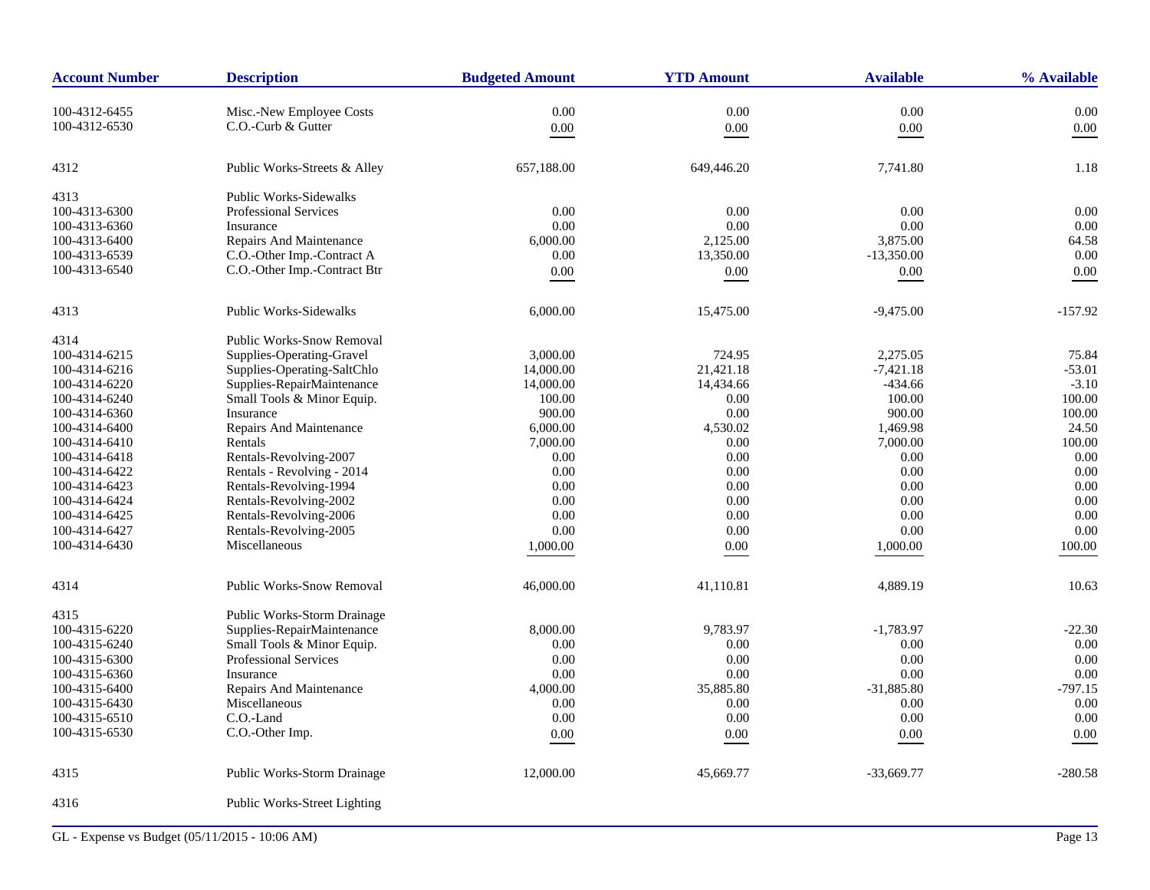| <b>Account Number</b> | <b>Description</b>               | <b>Budgeted Amount</b> | <b>YTD Amount</b> | <b>Available</b> | % Available |
|-----------------------|----------------------------------|------------------------|-------------------|------------------|-------------|
| 100-4312-6455         | Misc.-New Employee Costs         | 0.00                   | 0.00              | 0.00             | 0.00        |
| 100-4312-6530         | C.O.-Curb & Gutter               | $0.00\,$               | $0.00\,$          | $0.00\,$         | 0.00        |
|                       |                                  |                        |                   |                  |             |
| 4312                  | Public Works-Streets & Alley     | 657,188.00             | 649,446.20        | 7,741.80         | 1.18        |
| 4313                  | Public Works-Sidewalks           |                        |                   |                  |             |
| 100-4313-6300         | <b>Professional Services</b>     | 0.00                   | 0.00              | 0.00             | 0.00        |
| 100-4313-6360         | Insurance                        | 0.00                   | 0.00              | 0.00             | 0.00        |
| 100-4313-6400         | Repairs And Maintenance          | 6,000.00               | 2,125.00          | 3,875.00         | 64.58       |
| 100-4313-6539         | C.O.-Other Imp.-Contract A       | 0.00                   | 13,350.00         | $-13,350.00$     | 0.00        |
| 100-4313-6540         | C.O.-Other Imp.-Contract Btr     | 0.00                   | 0.00              | $0.00\,$         | 0.00        |
| 4313                  | <b>Public Works-Sidewalks</b>    | 6,000.00               | 15,475.00         | $-9,475.00$      | $-157.92$   |
| 4314                  | <b>Public Works-Snow Removal</b> |                        |                   |                  |             |
| 100-4314-6215         | Supplies-Operating-Gravel        | 3,000.00               | 724.95            | 2,275.05         | 75.84       |
| 100-4314-6216         | Supplies-Operating-SaltChlo      | 14,000.00              | 21,421.18         | $-7,421.18$      | $-53.01$    |
| 100-4314-6220         | Supplies-RepairMaintenance       | 14,000.00              | 14,434.66         | $-434.66$        | $-3.10$     |
| 100-4314-6240         | Small Tools & Minor Equip.       | 100.00                 | 0.00              | 100.00           | 100.00      |
| 100-4314-6360         | Insurance                        | 900.00                 | 0.00              | 900.00           | 100.00      |
| 100-4314-6400         | Repairs And Maintenance          | 6,000.00               | 4,530.02          | 1,469.98         | 24.50       |
| 100-4314-6410         | Rentals                          | 7,000.00               | 0.00              | 7,000.00         | 100.00      |
| 100-4314-6418         | Rentals-Revolving-2007           | 0.00                   | 0.00              | 0.00             | 0.00        |
| 100-4314-6422         | Rentals - Revolving - 2014       | 0.00                   | 0.00              | 0.00             | 0.00        |
| 100-4314-6423         | Rentals-Revolving-1994           | 0.00                   | 0.00              | 0.00             | 0.00        |
| 100-4314-6424         | Rentals-Revolving-2002           | 0.00                   | 0.00              | 0.00             | 0.00        |
| 100-4314-6425         | Rentals-Revolving-2006           | 0.00                   | 0.00              | 0.00             | 0.00        |
| 100-4314-6427         | Rentals-Revolving-2005           | 0.00                   | 0.00              | 0.00             | 0.00        |
| 100-4314-6430         | Miscellaneous                    | 1,000.00               | $0.00\,$          | 1,000.00         | 100.00      |
|                       |                                  |                        |                   |                  |             |
| 4314                  | <b>Public Works-Snow Removal</b> | 46,000.00              | 41,110.81         | 4,889.19         | 10.63       |
| 4315                  | Public Works-Storm Drainage      |                        |                   |                  |             |
| 100-4315-6220         | Supplies-RepairMaintenance       | 8,000.00               | 9,783.97          | $-1,783.97$      | $-22.30$    |
| 100-4315-6240         | Small Tools & Minor Equip.       | 0.00                   | 0.00              | 0.00             | 0.00        |
| 100-4315-6300         | <b>Professional Services</b>     | 0.00                   | 0.00              | 0.00             | 0.00        |
| 100-4315-6360         | Insurance                        | 0.00                   | 0.00              | 0.00             | 0.00        |
| 100-4315-6400         | Repairs And Maintenance          | 4,000.00               | 35,885.80         | $-31,885.80$     | $-797.15$   |
| 100-4315-6430         | Miscellaneous                    | 0.00                   | 0.00              | 0.00             | 0.00        |
| 100-4315-6510         | C.O.-Land                        | 0.00                   | 0.00              | 0.00             | 0.00        |
| 100-4315-6530         | C.O.-Other Imp.                  | 0.00                   | 0.00              | $0.00\,$         | 0.00        |
| 4315                  | Public Works-Storm Drainage      | 12,000.00              | 45,669.77         | $-33,669.77$     | $-280.58$   |
| 4316                  | Public Works-Street Lighting     |                        |                   |                  |             |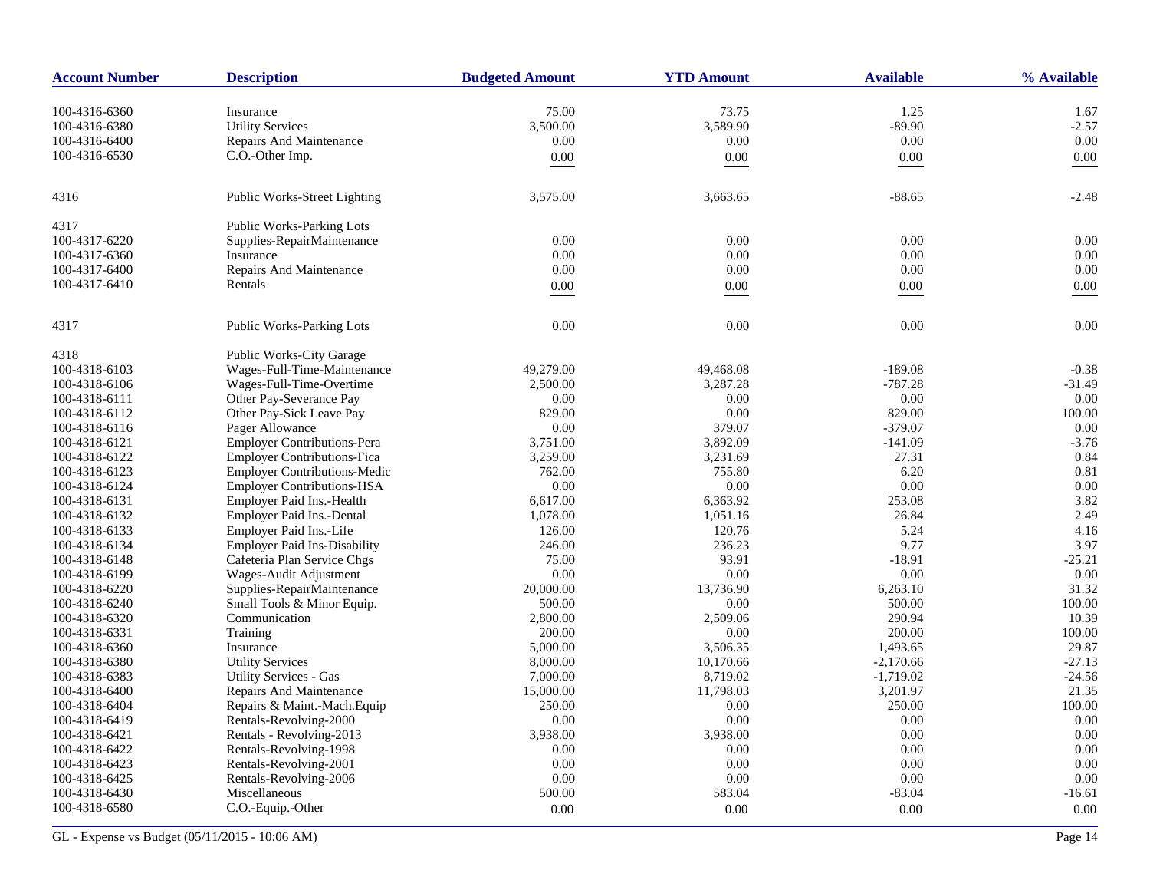| <b>Account Number</b> | <b>Description</b>                  | <b>Budgeted Amount</b> | <b>YTD Amount</b> | <b>Available</b> | % Available |
|-----------------------|-------------------------------------|------------------------|-------------------|------------------|-------------|
| 100-4316-6360         | Insurance                           | 75.00                  | 73.75             | 1.25             | 1.67        |
| 100-4316-6380         | <b>Utility Services</b>             | 3,500.00               | 3,589.90          | $-89.90$         | $-2.57$     |
| 100-4316-6400         | Repairs And Maintenance             | 0.00                   | 0.00              | 0.00             | 0.00        |
| 100-4316-6530         | C.O.-Other Imp.                     | $0.00\,$               | $0.00\,$          | $0.00\,$         | 0.00        |
|                       |                                     |                        |                   |                  |             |
| 4316                  | Public Works-Street Lighting        | 3,575.00               | 3,663.65          | $-88.65$         | $-2.48$     |
| 4317                  | <b>Public Works-Parking Lots</b>    |                        |                   |                  |             |
| 100-4317-6220         | Supplies-RepairMaintenance          | 0.00                   | 0.00              | 0.00             | 0.00        |
| 100-4317-6360         | Insurance                           | 0.00                   | 0.00              | 0.00             | 0.00        |
| 100-4317-6400         | <b>Repairs And Maintenance</b>      | 0.00                   | 0.00              | 0.00             | 0.00        |
| 100-4317-6410         | Rentals                             | 0.00                   | 0.00              | $0.00\,$         | 0.00        |
| 4317                  | <b>Public Works-Parking Lots</b>    | 0.00                   | 0.00              | 0.00             | 0.00        |
|                       |                                     |                        |                   |                  |             |
| 4318                  | <b>Public Works-City Garage</b>     |                        |                   |                  |             |
| 100-4318-6103         | Wages-Full-Time-Maintenance         | 49,279.00              | 49,468.08         | $-189.08$        | $-0.38$     |
| 100-4318-6106         | Wages-Full-Time-Overtime            | 2,500.00               | 3,287.28          | $-787.28$        | $-31.49$    |
| 100-4318-6111         | Other Pay-Severance Pay             | 0.00                   | 0.00              | 0.00             | 0.00        |
| 100-4318-6112         | Other Pay-Sick Leave Pay            | 829.00                 | 0.00              | 829.00           | 100.00      |
| 100-4318-6116         | Pager Allowance                     | 0.00                   | 379.07            | $-379.07$        | 0.00        |
| 100-4318-6121         | Employer Contributions-Pera         | 3,751.00               | 3,892.09          | $-141.09$        | $-3.76$     |
| 100-4318-6122         | <b>Employer Contributions-Fica</b>  | 3,259.00               | 3,231.69          | 27.31            | 0.84        |
| 100-4318-6123         | <b>Employer Contributions-Medic</b> | 762.00                 | 755.80            | 6.20             | 0.81        |
| 100-4318-6124         | <b>Employer Contributions-HSA</b>   | 0.00                   | 0.00              | 0.00             | 0.00        |
| 100-4318-6131         | Employer Paid Ins.-Health           | 6,617.00               | 6,363.92          | 253.08           | 3.82        |
| 100-4318-6132         | Employer Paid Ins.-Dental           | 1,078.00               | 1,051.16          | 26.84            | 2.49        |
| 100-4318-6133         | Employer Paid Ins.-Life             | 126.00                 | 120.76            | 5.24             | 4.16        |
| 100-4318-6134         | <b>Employer Paid Ins-Disability</b> | 246.00                 | 236.23            | 9.77             | 3.97        |
| 100-4318-6148         | Cafeteria Plan Service Chgs         | 75.00                  | 93.91             | $-18.91$         | $-25.21$    |
| 100-4318-6199         | Wages-Audit Adjustment              | 0.00                   | 0.00              | 0.00             | 0.00        |
| 100-4318-6220         | Supplies-RepairMaintenance          | 20,000.00              | 13,736.90         | 6,263.10         | 31.32       |
| 100-4318-6240         | Small Tools & Minor Equip.          | 500.00                 | 0.00              | 500.00           | 100.00      |
| 100-4318-6320         | Communication                       | 2,800.00               | 2,509.06          | 290.94           | 10.39       |
| 100-4318-6331         | Training                            | 200.00                 | 0.00              | 200.00           | 100.00      |
| 100-4318-6360         | Insurance                           | 5,000.00               | 3,506.35          | 1,493.65         | 29.87       |
| 100-4318-6380         | <b>Utility Services</b>             | 8,000.00               | 10,170.66         | $-2,170.66$      | $-27.13$    |
| 100-4318-6383         | <b>Utility Services - Gas</b>       | 7,000.00               | 8,719.02          | $-1,719.02$      | $-24.56$    |
| 100-4318-6400         | <b>Repairs And Maintenance</b>      | 15,000.00              | 11,798.03         | 3,201.97         | 21.35       |
| 100-4318-6404         | Repairs & Maint.-Mach.Equip         | 250.00                 | 0.00              | 250.00           | 100.00      |
| 100-4318-6419         | Rentals-Revolving-2000              | 0.00                   | $0.00\,$          | 0.00             | 0.00        |
| 100-4318-6421         | Rentals - Revolving-2013            | 3,938.00               | 3,938.00          | 0.00             | 0.00        |
| 100-4318-6422         | Rentals-Revolving-1998              | 0.00                   | 0.00              | 0.00             | 0.00        |
| 100-4318-6423         | Rentals-Revolving-2001              | 0.00                   | 0.00              | 0.00             | 0.00        |
| 100-4318-6425         | Rentals-Revolving-2006              | 0.00                   | 0.00              | 0.00             | 0.00        |
| 100-4318-6430         | Miscellaneous                       | 500.00                 | 583.04            | $-83.04$         | $-16.61$    |
| 100-4318-6580         | C.O.-Equip.-Other                   | $0.00\,$               | 0.00              | 0.00             | 0.00        |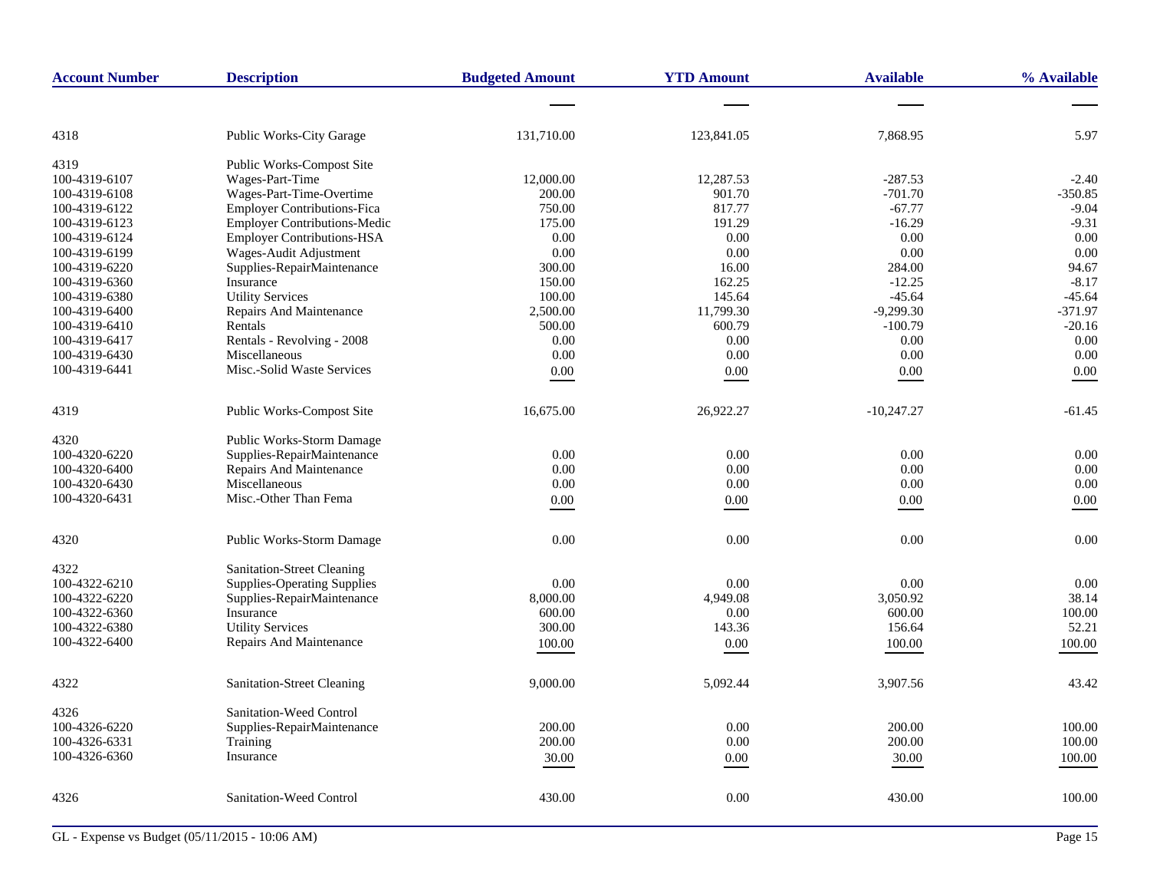| <b>Account Number</b> | <b>Description</b>                  | <b>Budgeted Amount</b> | <b>YTD Amount</b> | <b>Available</b> | % Available |
|-----------------------|-------------------------------------|------------------------|-------------------|------------------|-------------|
|                       |                                     |                        |                   |                  |             |
| 4318                  | <b>Public Works-City Garage</b>     | 131,710.00             | 123,841.05        | 7,868.95         | 5.97        |
| 4319                  | <b>Public Works-Compost Site</b>    |                        |                   |                  |             |
| 100-4319-6107         | Wages-Part-Time                     | 12,000.00              | 12,287.53         | $-287.53$        | $-2.40$     |
| 100-4319-6108         | Wages-Part-Time-Overtime            | 200.00                 | 901.70            | $-701.70$        | $-350.85$   |
| 100-4319-6122         | <b>Employer Contributions-Fica</b>  | 750.00                 | 817.77            | $-67.77$         | $-9.04$     |
| 100-4319-6123         | <b>Employer Contributions-Medic</b> | 175.00                 | 191.29            | $-16.29$         | $-9.31$     |
| 100-4319-6124         | Employer Contributions-HSA          | 0.00                   | 0.00              | 0.00             | 0.00        |
| 100-4319-6199         | Wages-Audit Adjustment              | 0.00                   | 0.00              | 0.00             | 0.00        |
| 100-4319-6220         | Supplies-RepairMaintenance          | 300.00                 | 16.00             | 284.00           | 94.67       |
| 100-4319-6360         | Insurance                           | 150.00                 | 162.25            | $-12.25$         | $-8.17$     |
| 100-4319-6380         | <b>Utility Services</b>             | 100.00                 | 145.64            | $-45.64$         | $-45.64$    |
| 100-4319-6400         | Repairs And Maintenance             | 2,500.00               | 11,799.30         | $-9,299.30$      | $-371.97$   |
| 100-4319-6410         | Rentals                             | 500.00                 | 600.79            | $-100.79$        | $-20.16$    |
| 100-4319-6417         | Rentals - Revolving - 2008          | 0.00                   | 0.00              | 0.00             | 0.00        |
| 100-4319-6430         | Miscellaneous                       | 0.00                   | 0.00              | 0.00             | 0.00        |
| 100-4319-6441         | Misc.-Solid Waste Services          | 0.00                   | 0.00              | 0.00             | 0.00        |
| 4319                  | Public Works-Compost Site           | 16,675.00              | 26,922.27         | $-10,247.27$     | $-61.45$    |
| 4320                  | Public Works-Storm Damage           |                        |                   |                  |             |
| 100-4320-6220         | Supplies-RepairMaintenance          | 0.00                   | 0.00              | 0.00             | 0.00        |
| 100-4320-6400         | Repairs And Maintenance             | 0.00                   | 0.00              | 0.00             | 0.00        |
| 100-4320-6430         | Miscellaneous                       | 0.00                   | 0.00              | 0.00             | 0.00        |
| 100-4320-6431         | Misc.-Other Than Fema               | 0.00                   | $0.00\,$          | 0.00             | 0.00        |
|                       |                                     |                        |                   |                  |             |
| 4320                  | Public Works-Storm Damage           | 0.00                   | 0.00              | 0.00             | 0.00        |
| 4322                  | Sanitation-Street Cleaning          |                        |                   |                  |             |
| 100-4322-6210         | <b>Supplies-Operating Supplies</b>  | 0.00                   | 0.00              | 0.00             | 0.00        |
| 100-4322-6220         | Supplies-RepairMaintenance          | 8,000.00               | 4,949.08          | 3,050.92         | 38.14       |
| 100-4322-6360         | Insurance                           | 600.00                 | 0.00              | 600.00           | 100.00      |
| 100-4322-6380         | <b>Utility Services</b>             | 300.00                 | 143.36            | 156.64           | 52.21       |
| 100-4322-6400         | Repairs And Maintenance             | 100.00                 | 0.00              | 100.00           | 100.00      |
| 4322                  | <b>Sanitation-Street Cleaning</b>   | 9,000.00               | 5,092.44          | 3,907.56         | 43.42       |
| 4326                  | Sanitation-Weed Control             |                        |                   |                  |             |
| 100-4326-6220         | Supplies-RepairMaintenance          | 200.00                 | 0.00              | 200.00           | 100.00      |
| 100-4326-6331         | Training                            | 200.00                 | $0.00\,$          | 200.00           | 100.00      |
| 100-4326-6360         | Insurance                           | 30.00                  | 0.00              | 30.00            | 100.00      |
| 4326                  | Sanitation-Weed Control             | 430.00                 | 0.00              | 430.00           | 100.00      |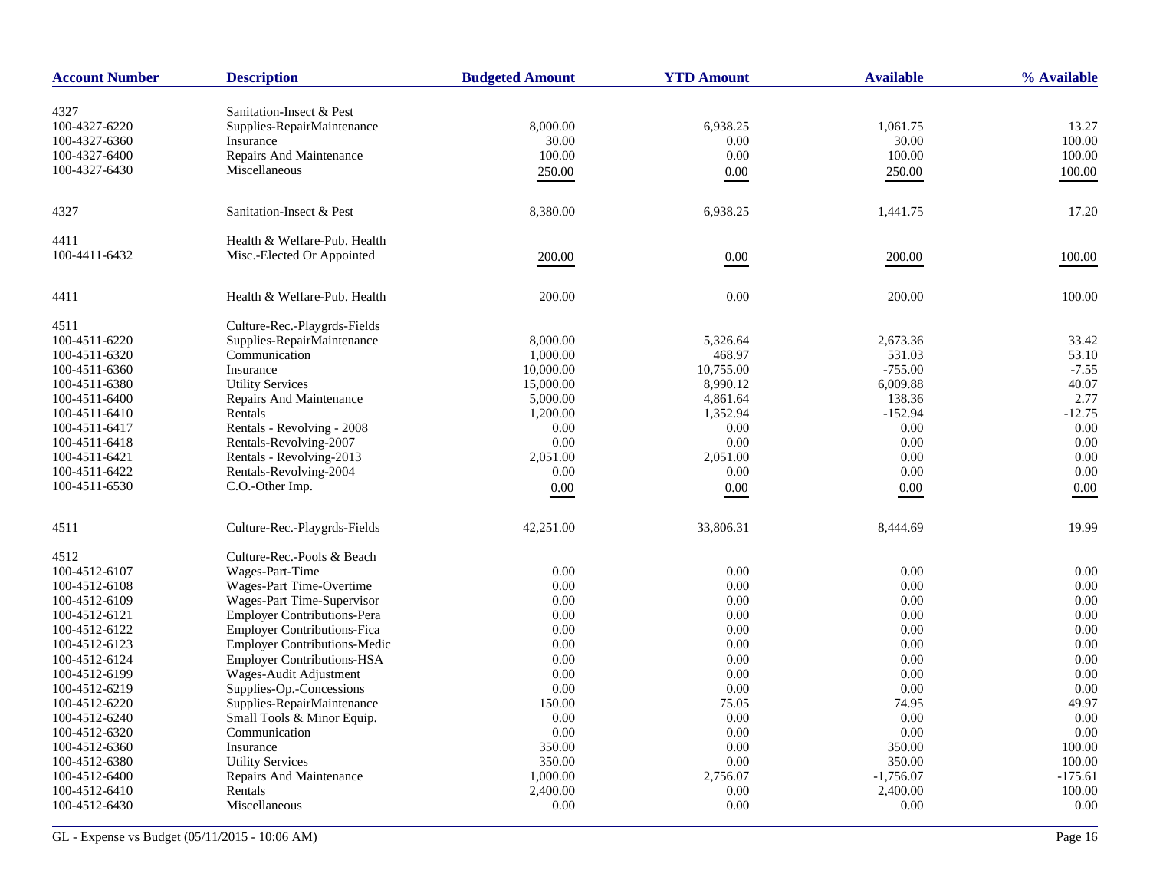| <b>Account Number</b> | <b>Description</b>                  | <b>Budgeted Amount</b> | <b>YTD Amount</b> | <b>Available</b> | % Available |
|-----------------------|-------------------------------------|------------------------|-------------------|------------------|-------------|
| 4327                  | Sanitation-Insect & Pest            |                        |                   |                  |             |
| 100-4327-6220         | Supplies-RepairMaintenance          | 8,000.00               | 6,938.25          | 1,061.75         | 13.27       |
| 100-4327-6360         | Insurance                           | 30.00                  | 0.00              | 30.00            | 100.00      |
| 100-4327-6400         | Repairs And Maintenance             | 100.00                 | $0.00\,$          | 100.00           | 100.00      |
| 100-4327-6430         | Miscellaneous                       |                        |                   |                  |             |
|                       |                                     | 250.00                 | 0.00              | 250.00           | 100.00      |
| 4327                  | Sanitation-Insect & Pest            | 8,380.00               | 6,938.25          | 1,441.75         | 17.20       |
| 4411                  | Health & Welfare-Pub. Health        |                        |                   |                  |             |
| 100-4411-6432         | Misc.-Elected Or Appointed          | 200.00                 | 0.00              | 200.00           | 100.00      |
|                       |                                     |                        |                   |                  |             |
| 4411                  | Health & Welfare-Pub. Health        | 200.00                 | 0.00              | 200.00           | 100.00      |
| 4511                  | Culture-Rec.-Playgrds-Fields        |                        |                   |                  |             |
| 100-4511-6220         | Supplies-RepairMaintenance          | 8,000.00               | 5,326.64          | 2,673.36         | 33.42       |
| 100-4511-6320         | Communication                       | 1,000.00               | 468.97            | 531.03           | 53.10       |
| 100-4511-6360         | Insurance                           | 10,000.00              | 10,755.00         | $-755.00$        | $-7.55$     |
| 100-4511-6380         | <b>Utility Services</b>             | 15,000.00              | 8,990.12          | 6,009.88         | 40.07       |
| 100-4511-6400         | Repairs And Maintenance             | 5,000.00               | 4,861.64          | 138.36           | 2.77        |
| 100-4511-6410         | Rentals                             | 1,200.00               | 1,352.94          | $-152.94$        | $-12.75$    |
| 100-4511-6417         | Rentals - Revolving - 2008          | 0.00                   | 0.00              | 0.00             | 0.00        |
| 100-4511-6418         | Rentals-Revolving-2007              | 0.00                   | 0.00              | 0.00             | 0.00        |
| 100-4511-6421         | Rentals - Revolving-2013            | 2,051.00               | 2,051.00          | 0.00             | 0.00        |
| 100-4511-6422         | Rentals-Revolving-2004              | 0.00                   | 0.00              | 0.00             | 0.00        |
| 100-4511-6530         | C.O.-Other Imp.                     | 0.00                   | 0.00              | $0.00\,$         | 0.00        |
| 4511                  | Culture-Rec.-Playgrds-Fields        | 42,251.00              | 33,806.31         | 8,444.69         | 19.99       |
| 4512                  | Culture-Rec.-Pools & Beach          |                        |                   |                  |             |
| 100-4512-6107         | Wages-Part-Time                     | 0.00                   | 0.00              | 0.00             | 0.00        |
| 100-4512-6108         | Wages-Part Time-Overtime            | 0.00                   | 0.00              | 0.00             | 0.00        |
| 100-4512-6109         | Wages-Part Time-Supervisor          | 0.00                   | 0.00              | 0.00             | 0.00        |
| 100-4512-6121         | <b>Employer Contributions-Pera</b>  | 0.00                   | 0.00              | 0.00             | 0.00        |
| 100-4512-6122         | <b>Employer Contributions-Fica</b>  | 0.00                   | 0.00              | 0.00             | 0.00        |
| 100-4512-6123         | <b>Employer Contributions-Medic</b> | 0.00                   | 0.00              | 0.00             | 0.00        |
| 100-4512-6124         | <b>Employer Contributions-HSA</b>   | 0.00                   | 0.00              | 0.00             | 0.00        |
| 100-4512-6199         | Wages-Audit Adjustment              | 0.00                   | 0.00              | 0.00             | 0.00        |
| 100-4512-6219         | Supplies-Op.-Concessions            | 0.00                   | 0.00              | 0.00             | 0.00        |
| 100-4512-6220         | Supplies-RepairMaintenance          | 150.00                 | 75.05             | 74.95            | 49.97       |
| 100-4512-6240         | Small Tools & Minor Equip.          | $0.00\,$               | 0.00              | 0.00             | 0.00        |
| 100-4512-6320         | Communication                       | 0.00                   | 0.00              | 0.00             | 0.00        |
| 100-4512-6360         | Insurance                           | 350.00                 | 0.00              | 350.00           | 100.00      |
| 100-4512-6380         | <b>Utility Services</b>             | 350.00                 | 0.00              | 350.00           | 100.00      |
| 100-4512-6400         | Repairs And Maintenance             | 1,000.00               | 2,756.07          | $-1,756.07$      | $-175.61$   |
| 100-4512-6410         | Rentals                             | 2,400.00               | 0.00              | 2,400.00         | 100.00      |
| 100-4512-6430         | Miscellaneous                       | $0.00\,$               | 0.00              | 0.00             | 0.00        |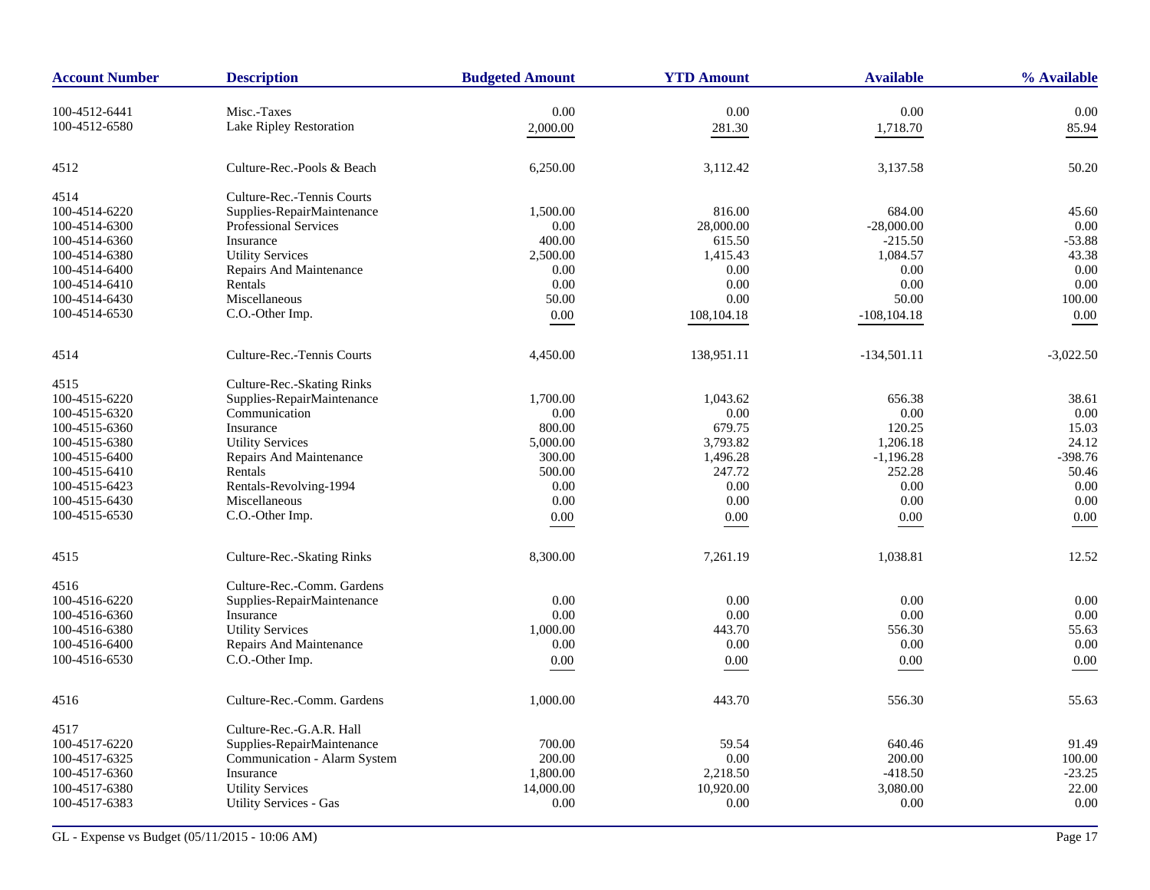| <b>Account Number</b> | <b>Description</b>            | <b>Budgeted Amount</b> | <b>YTD Amount</b> | <b>Available</b> | % Available |
|-----------------------|-------------------------------|------------------------|-------------------|------------------|-------------|
| 100-4512-6441         | Misc.-Taxes                   | 0.00                   | $0.00\,$          | 0.00             | 0.00        |
| 100-4512-6580         | Lake Ripley Restoration       | 2,000.00               | 281.30            | 1,718.70         | 85.94       |
|                       |                               |                        |                   |                  |             |
| 4512                  | Culture-Rec.-Pools & Beach    | 6,250.00               | 3,112.42          | 3,137.58         | 50.20       |
| 4514                  | Culture-Rec.-Tennis Courts    |                        |                   |                  |             |
| 100-4514-6220         | Supplies-RepairMaintenance    | 1,500.00               | 816.00            | 684.00           | 45.60       |
| 100-4514-6300         | <b>Professional Services</b>  | 0.00                   | 28,000.00         | $-28,000.00$     | 0.00        |
| 100-4514-6360         | Insurance                     | 400.00                 | 615.50            | $-215.50$        | $-53.88$    |
| 100-4514-6380         | <b>Utility Services</b>       | 2,500.00               | 1,415.43          | 1,084.57         | 43.38       |
| 100-4514-6400         | Repairs And Maintenance       | 0.00                   | 0.00              | 0.00             | 0.00        |
| 100-4514-6410         | Rentals                       | 0.00                   | 0.00              | 0.00             | 0.00        |
| 100-4514-6430         | Miscellaneous                 | 50.00                  | 0.00              | 50.00            | 100.00      |
| 100-4514-6530         | C.O.-Other Imp.               | 0.00                   | 108, 104. 18      | $-108, 104.18$   | 0.00        |
| 4514                  | Culture-Rec.-Tennis Courts    | 4,450.00               | 138,951.11        | $-134,501.11$    | $-3,022.50$ |
| 4515                  | Culture-Rec.-Skating Rinks    |                        |                   |                  |             |
| 100-4515-6220         | Supplies-RepairMaintenance    | 1,700.00               | 1,043.62          | 656.38           | 38.61       |
| 100-4515-6320         | Communication                 | 0.00                   | 0.00              | 0.00             | 0.00        |
| 100-4515-6360         | Insurance                     | 800.00                 | 679.75            | 120.25           | 15.03       |
| 100-4515-6380         | <b>Utility Services</b>       | 5,000.00               | 3,793.82          | 1,206.18         | 24.12       |
| 100-4515-6400         | Repairs And Maintenance       | 300.00                 | 1,496.28          | $-1,196.28$      | $-398.76$   |
| 100-4515-6410         | Rentals                       | 500.00                 | 247.72            | 252.28           | 50.46       |
| 100-4515-6423         | Rentals-Revolving-1994        | 0.00                   | 0.00              | 0.00             | 0.00        |
|                       |                               | 0.00                   | 0.00              | $0.00\,$         | 0.00        |
| 100-4515-6430         | Miscellaneous                 |                        |                   |                  |             |
| 100-4515-6530         | C.O.-Other Imp.               | 0.00                   | 0.00              | 0.00             | 0.00        |
| 4515                  | Culture-Rec.-Skating Rinks    | 8,300.00               | 7,261.19          | 1,038.81         | 12.52       |
| 4516                  | Culture-Rec.-Comm. Gardens    |                        |                   |                  |             |
| 100-4516-6220         | Supplies-RepairMaintenance    | 0.00                   | 0.00              | 0.00             | 0.00        |
| 100-4516-6360         | Insurance                     | 0.00                   | 0.00              | 0.00             | 0.00        |
| 100-4516-6380         | <b>Utility Services</b>       | 1,000.00               | 443.70            | 556.30           | 55.63       |
| 100-4516-6400         | Repairs And Maintenance       | 0.00                   | 0.00              | 0.00             | 0.00        |
| 100-4516-6530         | C.O.-Other Imp.               | 0.00                   | 0.00              | 0.00             | 0.00        |
| 4516                  | Culture-Rec.-Comm. Gardens    | 1.000.00               | 443.70            | 556.30           | 55.63       |
|                       |                               |                        |                   |                  |             |
| 4517                  | Culture-Rec.-G.A.R. Hall      |                        |                   |                  |             |
| 100-4517-6220         | Supplies-RepairMaintenance    | 700.00                 | 59.54             | 640.46           | 91.49       |
| 100-4517-6325         | Communication - Alarm System  | 200.00                 | 0.00              | 200.00           | 100.00      |
| 100-4517-6360         | Insurance                     | 1,800.00               | 2,218.50          | $-418.50$        | $-23.25$    |
| 100-4517-6380         | <b>Utility Services</b>       | 14,000.00              | 10,920.00         | 3,080.00         | 22.00       |
| 100-4517-6383         | <b>Utility Services - Gas</b> | 0.00                   | 0.00              | 0.00             | 0.00        |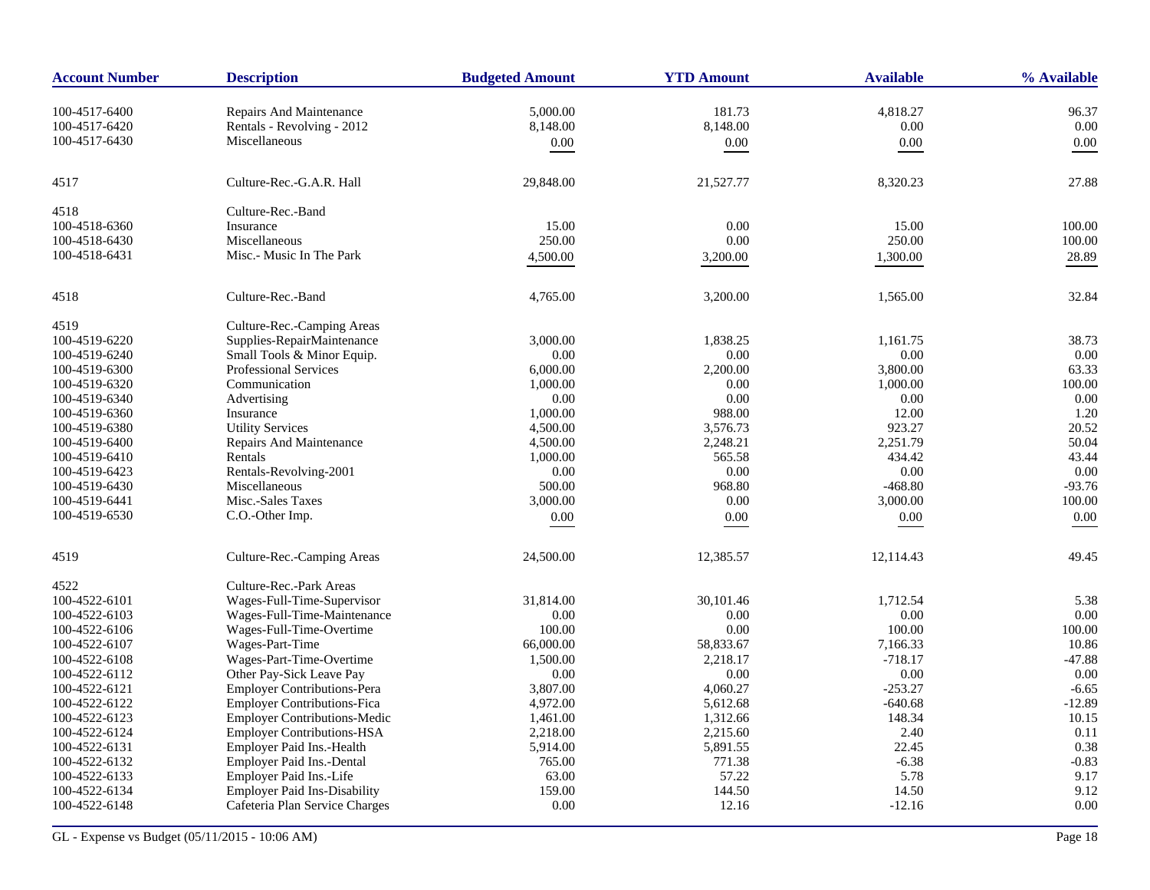| <b>Account Number</b> | <b>Description</b>                  | <b>Budgeted Amount</b> | <b>YTD Amount</b> | <b>Available</b> | % Available |
|-----------------------|-------------------------------------|------------------------|-------------------|------------------|-------------|
| 100-4517-6400         | Repairs And Maintenance             | 5,000.00               | 181.73            | 4,818.27         | 96.37       |
| 100-4517-6420         | Rentals - Revolving - 2012          | 8,148.00               | 8,148.00          | 0.00             | 0.00        |
| 100-4517-6430         | Miscellaneous                       | 0.00                   | 0.00              | 0.00             | 0.00        |
|                       |                                     |                        |                   |                  |             |
| 4517                  | Culture-Rec.-G.A.R. Hall            | 29,848.00              | 21,527.77         | 8,320.23         | 27.88       |
| 4518                  | Culture-Rec.-Band                   |                        |                   |                  |             |
| 100-4518-6360         | Insurance                           | 15.00                  | 0.00              | 15.00            | 100.00      |
| 100-4518-6430         | Miscellaneous                       | 250.00                 | 0.00              | 250.00           | 100.00      |
| 100-4518-6431         | Misc.- Music In The Park            | 4,500.00               | 3,200.00          | 1,300.00         | 28.89       |
| 4518                  | Culture-Rec.-Band                   | 4,765.00               | 3,200.00          | 1,565.00         | 32.84       |
| 4519                  | Culture-Rec.-Camping Areas          |                        |                   |                  |             |
| 100-4519-6220         | Supplies-RepairMaintenance          | 3,000.00               | 1,838.25          | 1,161.75         | 38.73       |
| 100-4519-6240         | Small Tools & Minor Equip.          | 0.00                   | 0.00              | 0.00             | 0.00        |
| 100-4519-6300         | <b>Professional Services</b>        | 6,000.00               | 2,200.00          | 3,800.00         | 63.33       |
| 100-4519-6320         | Communication                       | 1,000.00               | 0.00              | 1,000.00         | 100.00      |
| 100-4519-6340         | Advertising                         | 0.00                   | 0.00              | 0.00             | $0.00\,$    |
| 100-4519-6360         | Insurance                           | 1,000.00               | 988.00            | 12.00            | 1.20        |
| 100-4519-6380         | <b>Utility Services</b>             | 4,500.00               | 3,576.73          | 923.27           | 20.52       |
| 100-4519-6400         | <b>Repairs And Maintenance</b>      | 4,500.00               | 2,248.21          | 2,251.79         | 50.04       |
| 100-4519-6410         | Rentals                             | 1,000.00               | 565.58            | 434.42           | 43.44       |
| 100-4519-6423         | Rentals-Revolving-2001              | 0.00                   | 0.00              | 0.00             | 0.00        |
| 100-4519-6430         | Miscellaneous                       | 500.00                 | 968.80            | $-468.80$        | $-93.76$    |
| 100-4519-6441         | Misc.-Sales Taxes                   | 3,000.00               | 0.00              | 3,000.00         | 100.00      |
| 100-4519-6530         | C.O.-Other Imp.                     | 0.00                   | $0.00\,$          | $0.00\,$         | 0.00        |
| 4519                  | Culture-Rec.-Camping Areas          | 24,500.00              | 12,385.57         | 12,114.43        | 49.45       |
| 4522                  | Culture-Rec.-Park Areas             |                        |                   |                  |             |
| 100-4522-6101         | Wages-Full-Time-Supervisor          | 31,814.00              | 30,101.46         | 1,712.54         | 5.38        |
| 100-4522-6103         | Wages-Full-Time-Maintenance         | 0.00                   | 0.00              | 0.00             | 0.00        |
| 100-4522-6106         | Wages-Full-Time-Overtime            | 100.00                 | 0.00              | 100.00           | 100.00      |
| 100-4522-6107         | Wages-Part-Time                     | 66,000.00              | 58,833.67         | 7,166.33         | 10.86       |
| 100-4522-6108         | Wages-Part-Time-Overtime            | 1,500.00               | 2,218.17          | $-718.17$        | $-47.88$    |
| 100-4522-6112         | Other Pay-Sick Leave Pay            | 0.00                   | 0.00              | 0.00             | 0.00        |
| 100-4522-6121         | <b>Employer Contributions-Pera</b>  | 3,807.00               | 4,060.27          | $-253.27$        | $-6.65$     |
| 100-4522-6122         | <b>Employer Contributions-Fica</b>  | 4,972.00               | 5,612.68          | $-640.68$        | $-12.89$    |
| 100-4522-6123         | Employer Contributions-Medic        | 1,461.00               | 1,312.66          | 148.34           | 10.15       |
| 100-4522-6124         | <b>Employer Contributions-HSA</b>   | 2,218.00               | 2,215.60          | 2.40             | 0.11        |
| 100-4522-6131         | Employer Paid Ins.-Health           | 5,914.00               | 5,891.55          | 22.45            | 0.38        |
| 100-4522-6132         | Employer Paid Ins.-Dental           | 765.00                 | 771.38            | $-6.38$          | $-0.83$     |
| 100-4522-6133         | Employer Paid Ins.-Life             | 63.00                  | 57.22             | 5.78             | 9.17        |
| 100-4522-6134         | <b>Employer Paid Ins-Disability</b> | 159.00                 | 144.50            | 14.50            | 9.12        |
| 100-4522-6148         | Cafeteria Plan Service Charges      | 0.00                   | 12.16             | $-12.16$         | 0.00        |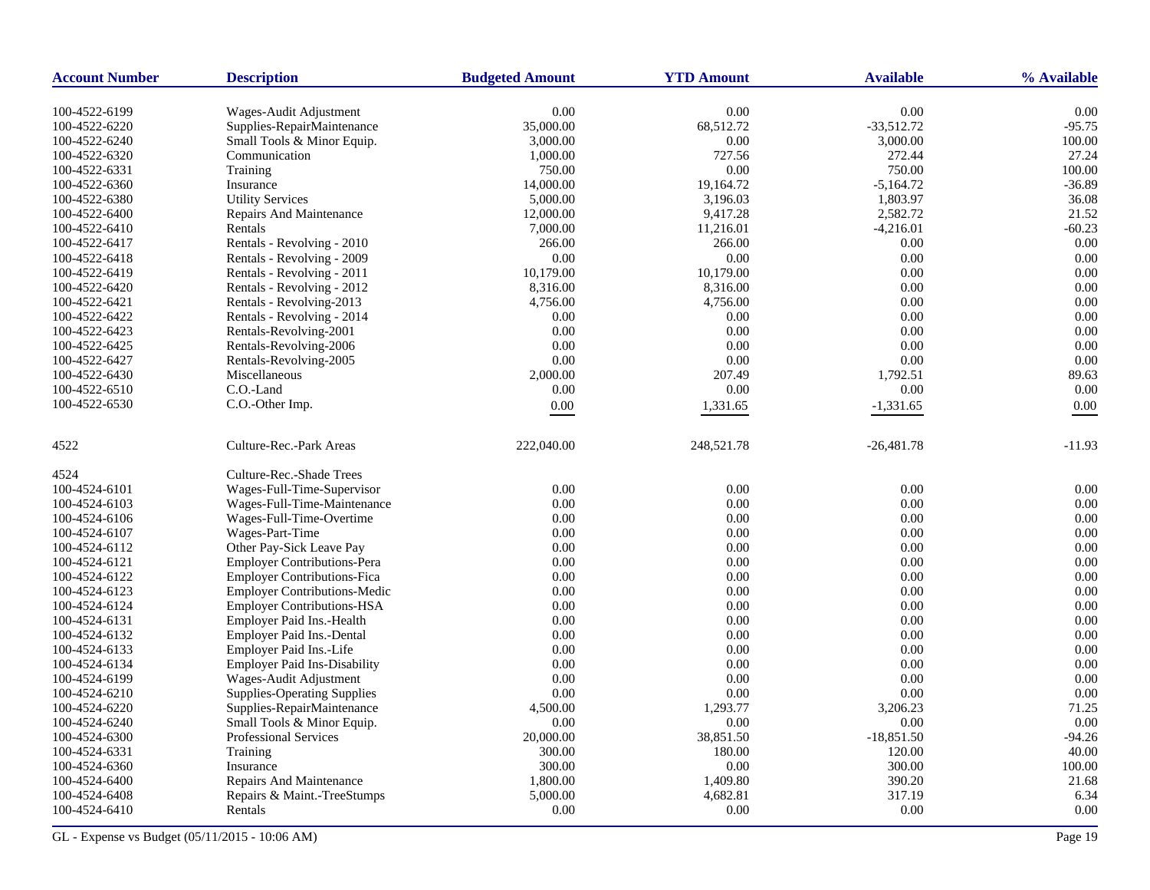| <b>Account Number</b> | <b>Description</b>                  | <b>Budgeted Amount</b> | <b>YTD Amount</b> | <b>Available</b> | % Available |
|-----------------------|-------------------------------------|------------------------|-------------------|------------------|-------------|
| 100-4522-6199         | Wages-Audit Adjustment              | 0.00                   | 0.00              | 0.00             | 0.00        |
| 100-4522-6220         | Supplies-RepairMaintenance          | 35,000.00              | 68,512.72         | $-33,512.72$     | $-95.75$    |
| 100-4522-6240         | Small Tools & Minor Equip.          | 3,000.00               | 0.00              | 3,000.00         | 100.00      |
| 100-4522-6320         | Communication                       | 1,000.00               | 727.56            | 272.44           | 27.24       |
| 100-4522-6331         | Training                            | 750.00                 | 0.00              | 750.00           | 100.00      |
| 100-4522-6360         | Insurance                           | 14,000.00              | 19,164.72         | $-5,164.72$      | $-36.89$    |
| 100-4522-6380         | <b>Utility Services</b>             | 5,000.00               | 3,196.03          | 1,803.97         | 36.08       |
| 100-4522-6400         | Repairs And Maintenance             | 12,000.00              | 9,417.28          | 2,582.72         | 21.52       |
| 100-4522-6410         | Rentals                             | 7,000.00               | 11,216.01         | $-4,216.01$      | $-60.23$    |
| 100-4522-6417         | Rentals - Revolving - 2010          | 266.00                 | 266.00            | 0.00             | 0.00        |
| 100-4522-6418         | Rentals - Revolving - 2009          | 0.00                   | 0.00              | 0.00             | 0.00        |
| 100-4522-6419         | Rentals - Revolving - 2011          | 10,179.00              | 10,179.00         | 0.00             | 0.00        |
| 100-4522-6420         | Rentals - Revolving - 2012          | 8,316.00               | 8,316.00          | 0.00             | 0.00        |
| 100-4522-6421         | Rentals - Revolving-2013            | 4,756.00               | 4,756.00          | 0.00             | 0.00        |
| 100-4522-6422         | Rentals - Revolving - 2014          | 0.00                   | 0.00              | 0.00             | 0.00        |
| 100-4522-6423         | Rentals-Revolving-2001              | 0.00                   | 0.00              | 0.00             | 0.00        |
| 100-4522-6425         | Rentals-Revolving-2006              | 0.00                   | 0.00              | 0.00             | 0.00        |
| 100-4522-6427         | Rentals-Revolving-2005              | 0.00                   | 0.00              | 0.00             | 0.00        |
| 100-4522-6430         | Miscellaneous                       | 2,000.00               | 207.49            | 1,792.51         | 89.63       |
| 100-4522-6510         | C.O.-Land                           | 0.00                   | 0.00              | 0.00             | 0.00        |
| 100-4522-6530         | C.O.-Other Imp.                     | 0.00                   | 1,331.65          | $-1,331.65$      | 0.00        |
|                       |                                     |                        |                   |                  |             |
| 4522                  | Culture-Rec.-Park Areas             | 222,040.00             | 248,521.78        | $-26,481.78$     | $-11.93$    |
| 4524                  | Culture-Rec.-Shade Trees            |                        |                   |                  |             |
| 100-4524-6101         | Wages-Full-Time-Supervisor          | 0.00                   | $0.00\,$          | 0.00             | 0.00        |
| 100-4524-6103         | Wages-Full-Time-Maintenance         | 0.00                   | 0.00              | 0.00             | 0.00        |
| 100-4524-6106         | Wages-Full-Time-Overtime            | 0.00                   | 0.00              | 0.00             | 0.00        |
| 100-4524-6107         | Wages-Part-Time                     | 0.00                   | 0.00              | 0.00             | 0.00        |
| 100-4524-6112         | Other Pay-Sick Leave Pay            | 0.00                   | 0.00              | 0.00             | 0.00        |
| 100-4524-6121         | <b>Employer Contributions-Pera</b>  | 0.00                   | 0.00              | 0.00             | 0.00        |
| 100-4524-6122         | <b>Employer Contributions-Fica</b>  | 0.00                   | 0.00              | 0.00             | 0.00        |
| 100-4524-6123         | <b>Employer Contributions-Medic</b> | 0.00                   | 0.00              | 0.00             | 0.00        |
| 100-4524-6124         | <b>Employer Contributions-HSA</b>   | 0.00                   | 0.00              | 0.00             | 0.00        |
| 100-4524-6131         | Employer Paid Ins.-Health           | 0.00                   | 0.00              | 0.00             | 0.00        |
| 100-4524-6132         | Employer Paid Ins.-Dental           | 0.00                   | 0.00              | 0.00             | 0.00        |
| 100-4524-6133         | Employer Paid Ins.-Life             | 0.00                   | 0.00              | 0.00             | 0.00        |
| 100-4524-6134         | <b>Employer Paid Ins-Disability</b> | 0.00                   | 0.00              | 0.00             | 0.00        |
| 100-4524-6199         | Wages-Audit Adjustment              | 0.00                   | 0.00              | 0.00             | 0.00        |
| 100-4524-6210         | <b>Supplies-Operating Supplies</b>  | 0.00                   | 0.00              | 0.00             | 0.00        |
| 100-4524-6220         | Supplies-RepairMaintenance          | 4,500.00               | 1,293.77          | 3,206.23         | 71.25       |
| 100-4524-6240         | Small Tools & Minor Equip.          | 0.00                   | 0.00              | 0.00             | 0.00        |
| 100-4524-6300         | Professional Services               | 20,000.00              | 38,851.50         | $-18,851.50$     | $-94.26$    |
| 100-4524-6331         | Training                            | 300.00                 | 180.00            | 120.00           | 40.00       |
| 100-4524-6360         | Insurance                           | 300.00                 | 0.00              | 300.00           | 100.00      |
| 100-4524-6400         | Repairs And Maintenance             | 1,800.00               | 1,409.80          | 390.20           | 21.68       |
| 100-4524-6408         | Repairs & Maint.-TreeStumps         | 5,000.00               | 4,682.81          | 317.19           | 6.34        |
| 100-4524-6410         | Rentals                             | 0.00                   | 0.00              | 0.00             | 0.00        |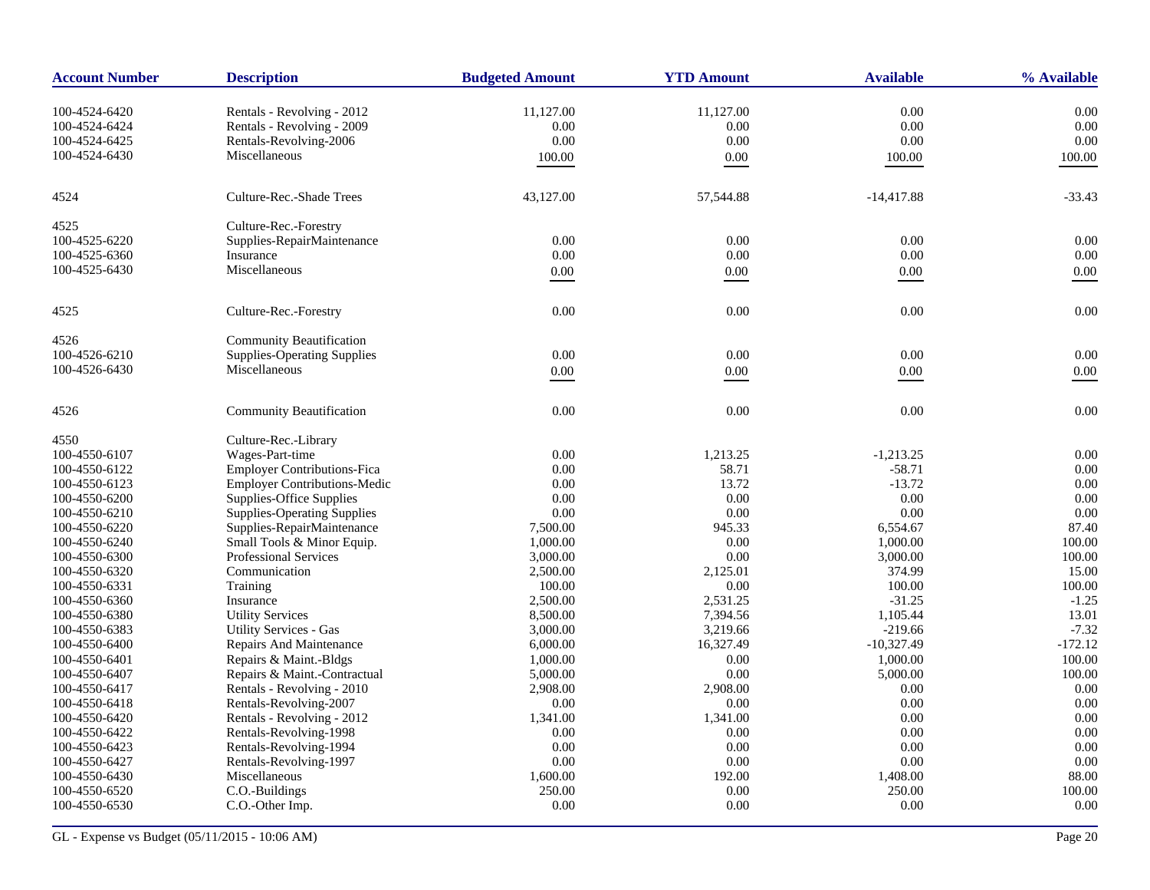| <b>Account Number</b> | <b>Description</b>                  | <b>Budgeted Amount</b> | <b>YTD Amount</b> | <b>Available</b> | % Available |
|-----------------------|-------------------------------------|------------------------|-------------------|------------------|-------------|
| 100-4524-6420         | Rentals - Revolving - 2012          | 11,127.00              | 11,127.00         | 0.00             | 0.00        |
| 100-4524-6424         | Rentals - Revolving - 2009          | 0.00                   | 0.00              | 0.00             | 0.00        |
| 100-4524-6425         | Rentals-Revolving-2006              | 0.00                   | 0.00              | 0.00             | 0.00        |
| 100-4524-6430         | Miscellaneous                       |                        |                   |                  |             |
|                       |                                     | 100.00                 | $0.00\,$          | 100.00           | 100.00      |
| 4524                  | Culture-Rec.-Shade Trees            | 43,127.00              | 57,544.88         | $-14,417.88$     | $-33.43$    |
| 4525                  | Culture-Rec.-Forestry               |                        |                   |                  |             |
| 100-4525-6220         | Supplies-RepairMaintenance          | 0.00                   | 0.00              | 0.00             | 0.00        |
| 100-4525-6360         | Insurance                           | 0.00                   | $0.00\,$          | $0.00\,$         | $0.00\,$    |
| 100-4525-6430         | Miscellaneous                       | 0.00                   | 0.00              | $0.00\,$         | 0.00        |
| 4525                  | Culture-Rec.-Forestry               | 0.00                   | 0.00              | 0.00             | 0.00        |
| 4526                  | Community Beautification            |                        |                   |                  |             |
| 100-4526-6210         | <b>Supplies-Operating Supplies</b>  | 0.00                   | 0.00              | 0.00             | 0.00        |
| 100-4526-6430         | Miscellaneous                       | 0.00                   | $0.00\,$          | 0.00             | 0.00        |
|                       |                                     |                        |                   |                  |             |
| 4526                  | <b>Community Beautification</b>     | 0.00                   | 0.00              | 0.00             | 0.00        |
| 4550                  | Culture-Rec.-Library                |                        |                   |                  |             |
| 100-4550-6107         | Wages-Part-time                     | 0.00                   | 1,213.25          | $-1,213.25$      | 0.00        |
| 100-4550-6122         | <b>Employer Contributions-Fica</b>  | 0.00                   | 58.71             | $-58.71$         | 0.00        |
| 100-4550-6123         | <b>Employer Contributions-Medic</b> | 0.00                   | 13.72             | $-13.72$         | 0.00        |
| 100-4550-6200         | Supplies-Office Supplies            | 0.00                   | 0.00              | 0.00             | 0.00        |
| 100-4550-6210         | <b>Supplies-Operating Supplies</b>  | 0.00                   | 0.00              | 0.00             | 0.00        |
| 100-4550-6220         | Supplies-RepairMaintenance          | 7,500.00               | 945.33            | 6,554.67         | 87.40       |
| 100-4550-6240         | Small Tools & Minor Equip.          | 1,000.00               | 0.00              | 1,000.00         | 100.00      |
| 100-4550-6300         | <b>Professional Services</b>        | 3,000.00               | 0.00              | 3,000.00         | 100.00      |
| 100-4550-6320         | Communication                       | 2,500.00               | 2,125.01          | 374.99           | 15.00       |
| 100-4550-6331         | Training                            | 100.00                 | $0.00\,$          | 100.00           | 100.00      |
| 100-4550-6360         | Insurance                           | 2,500.00               | 2,531.25          | $-31.25$         | $-1.25$     |
| 100-4550-6380         | <b>Utility Services</b>             | 8,500.00               | 7,394.56          | 1,105.44         | 13.01       |
| 100-4550-6383         | <b>Utility Services - Gas</b>       | 3,000.00               | 3,219.66          | $-219.66$        | $-7.32$     |
| 100-4550-6400         | Repairs And Maintenance             | 6,000.00               | 16,327.49         | $-10,327.49$     | $-172.12$   |
| 100-4550-6401         | Repairs & Maint.-Bldgs              | 1,000.00               | 0.00              | 1,000.00         | 100.00      |
| 100-4550-6407         | Repairs & Maint.-Contractual        | 5,000.00               | 0.00              | 5,000.00         | 100.00      |
| 100-4550-6417         | Rentals - Revolving - 2010          | 2,908.00               | 2,908.00          | 0.00             | 0.00        |
| 100-4550-6418         | Rentals-Revolving-2007              | 0.00                   | 0.00              | 0.00             | 0.00        |
| 100-4550-6420         | Rentals - Revolving - 2012          | 1,341.00               | 1,341.00          | 0.00             | 0.00        |
| 100-4550-6422         | Rentals-Revolving-1998              | 0.00                   | 0.00              | 0.00             | 0.00        |
| 100-4550-6423         | Rentals-Revolving-1994              | 0.00                   | 0.00              | 0.00             | 0.00        |
| 100-4550-6427         | Rentals-Revolving-1997              | 0.00                   | 0.00              | 0.00             | 0.00        |
| 100-4550-6430         | Miscellaneous                       | 1,600.00               | 192.00            | 1,408.00         | 88.00       |
| 100-4550-6520         | C.O.-Buildings                      | 250.00                 | 0.00              | 250.00           | 100.00      |
| 100-4550-6530         | C.O.-Other Imp.                     | 0.00                   | 0.00              | 0.00             | 0.00        |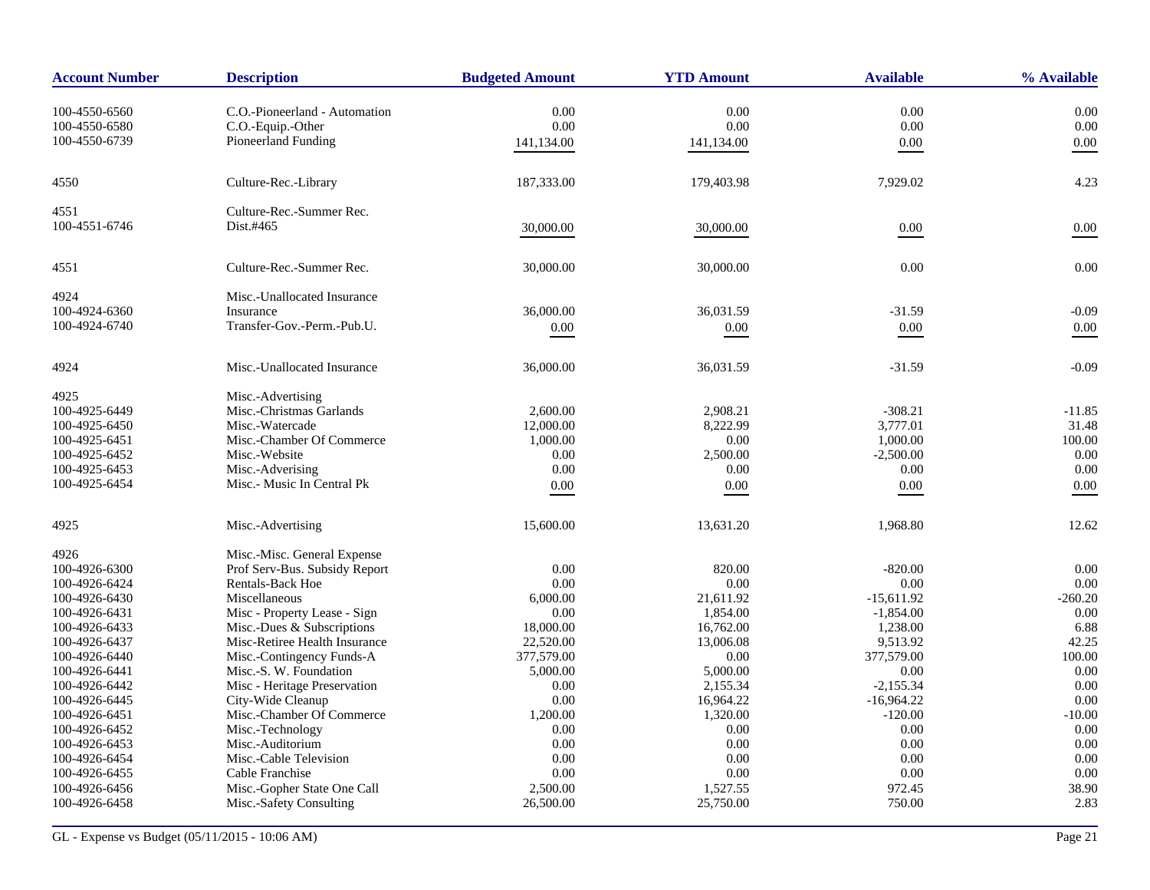| <b>Account Number</b> | <b>Description</b>            | <b>Budgeted Amount</b> | <b>YTD Amount</b> | <b>Available</b> | % Available |
|-----------------------|-------------------------------|------------------------|-------------------|------------------|-------------|
| 100-4550-6560         | C.O.-Pioneerland - Automation | 0.00                   | 0.00              | 0.00             | 0.00        |
| 100-4550-6580         | C.O.-Equip.-Other             | 0.00                   | 0.00              | $0.00\,$         | 0.00        |
| 100-4550-6739         | Pioneerland Funding           | 141,134.00             | 141,134.00        | 0.00             | 0.00        |
|                       |                               |                        |                   |                  |             |
| 4550                  | Culture-Rec.-Library          | 187,333.00             | 179,403.98        | 7,929.02         | 4.23        |
| 4551                  | Culture-Rec.-Summer Rec.      |                        |                   |                  |             |
| 100-4551-6746         | Dist.#465                     | 30,000.00              | 30,000.00         | 0.00             | 0.00        |
| 4551                  | Culture-Rec.-Summer Rec.      | 30,000.00              | 30,000.00         | 0.00             | 0.00        |
| 4924                  | Misc.-Unallocated Insurance   |                        |                   |                  |             |
| 100-4924-6360         | Insurance                     | 36,000.00              | 36,031.59         | $-31.59$         | $-0.09$     |
| 100-4924-6740         | Transfer-Gov.-Perm.-Pub.U.    | 0.00                   | $0.00\,$          | $0.00\,$         | 0.00        |
| 4924                  | Misc.-Unallocated Insurance   | 36,000.00              | 36,031.59         | $-31.59$         | $-0.09$     |
| 4925                  | Misc.-Advertising             |                        |                   |                  |             |
| 100-4925-6449         | Misc.-Christmas Garlands      | 2,600.00               | 2.908.21          | $-308.21$        | $-11.85$    |
| 100-4925-6450         | Misc.-Watercade               | 12,000.00              | 8,222.99          | 3,777.01         | 31.48       |
| 100-4925-6451         | Misc.-Chamber Of Commerce     | 1,000.00               | 0.00              | 1,000.00         | 100.00      |
| 100-4925-6452         | Misc.-Website                 | 0.00                   | 2,500.00          | $-2,500.00$      | 0.00        |
| 100-4925-6453         | Misc.-Adverising              | 0.00                   | 0.00              | 0.00             | 0.00        |
| 100-4925-6454         | Misc.- Music In Central Pk    | $0.00\,$               | $0.00\,$          | $0.00\,$         | 0.00        |
| 4925                  | Misc.-Advertising             | 15,600.00              | 13,631.20         | 1,968.80         | 12.62       |
| 4926                  | Misc.-Misc. General Expense   |                        |                   |                  |             |
| 100-4926-6300         | Prof Serv-Bus. Subsidy Report | 0.00                   | 820.00            | $-820.00$        | 0.00        |
| 100-4926-6424         | <b>Rentals-Back Hoe</b>       | 0.00                   | 0.00              | 0.00             | 0.00        |
| 100-4926-6430         | Miscellaneous                 | 6,000.00               | 21,611.92         | $-15,611.92$     | $-260.20$   |
| 100-4926-6431         | Misc - Property Lease - Sign  | 0.00                   | 1,854.00          | $-1,854.00$      | 0.00        |
| 100-4926-6433         | Misc.-Dues & Subscriptions    | 18,000.00              | 16,762.00         | 1,238.00         | 6.88        |
| 100-4926-6437         | Misc-Retiree Health Insurance | 22,520.00              | 13,006.08         | 9,513.92         | 42.25       |
| 100-4926-6440         | Misc.-Contingency Funds-A     | 377,579.00             | 0.00              | 377,579.00       | 100.00      |
| 100-4926-6441         | Misc.-S. W. Foundation        | 5,000.00               | 5,000.00          | 0.00             | 0.00        |
| 100-4926-6442         | Misc - Heritage Preservation  | 0.00                   | 2,155.34          | $-2,155.34$      | 0.00        |
| 100-4926-6445         | City-Wide Cleanup             | 0.00                   | 16,964.22         | $-16,964.22$     | 0.00        |
| 100-4926-6451         | Misc.-Chamber Of Commerce     | 1,200.00               | 1,320.00          | $-120.00$        | $-10.00$    |
| 100-4926-6452         | Misc.-Technology              | 0.00                   | 0.00              | 0.00             | 0.00        |
| 100-4926-6453         | Misc.-Auditorium              | 0.00                   | 0.00              | 0.00             | 0.00        |
| 100-4926-6454         | Misc.-Cable Television        | 0.00                   | 0.00              | 0.00             | 0.00        |
| 100-4926-6455         | Cable Franchise               | 0.00                   | 0.00              | 0.00             | 0.00        |
| 100-4926-6456         | Misc.-Gopher State One Call   | 2,500.00               | 1,527.55          | 972.45           | 38.90       |
| 100-4926-6458         | Misc.-Safety Consulting       | 26,500.00              | 25,750.00         | 750.00           | 2.83        |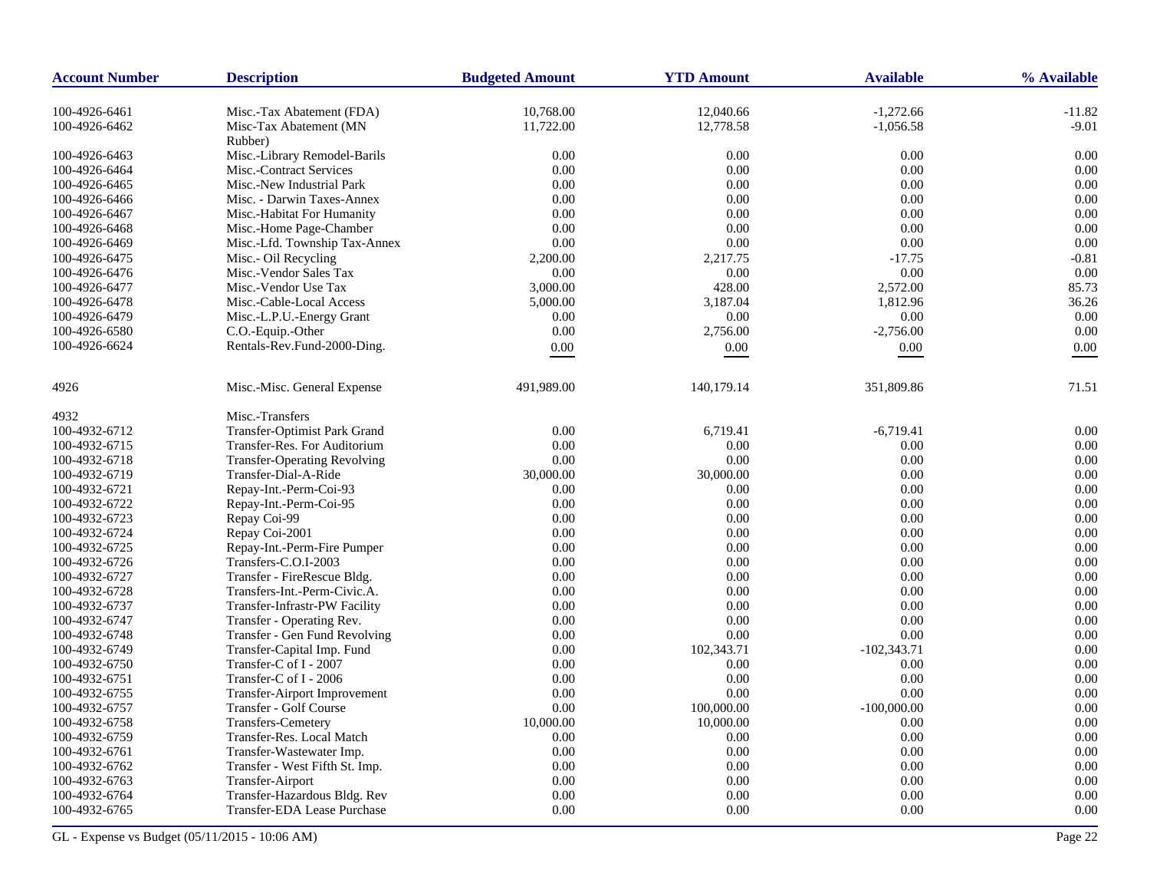| <b>Account Number</b> | <b>Description</b>                  | <b>Budgeted Amount</b> | <b>YTD Amount</b> | <b>Available</b> | % Available |
|-----------------------|-------------------------------------|------------------------|-------------------|------------------|-------------|
| 100-4926-6461         | Misc.-Tax Abatement (FDA)           | 10,768.00              | 12,040.66         | $-1,272.66$      | $-11.82$    |
| 100-4926-6462         | Misc-Tax Abatement (MN              | 11,722.00              | 12,778.58         | $-1,056.58$      | $-9.01$     |
|                       | Rubber)                             |                        |                   |                  |             |
| 100-4926-6463         | Misc.-Library Remodel-Barils        | 0.00                   | 0.00              | 0.00             | 0.00        |
| 100-4926-6464         | Misc.-Contract Services             | 0.00                   | 0.00              | 0.00             | 0.00        |
| 100-4926-6465         | Misc.-New Industrial Park           | 0.00                   | 0.00              | 0.00             | 0.00        |
| 100-4926-6466         | Misc. - Darwin Taxes-Annex          | 0.00                   | 0.00              | 0.00             | 0.00        |
| 100-4926-6467         | Misc.-Habitat For Humanity          | 0.00                   | 0.00              | 0.00             | 0.00        |
| 100-4926-6468         | Misc.-Home Page-Chamber             | 0.00                   | 0.00              | 0.00             | 0.00        |
| 100-4926-6469         | Misc.-Lfd. Township Tax-Annex       | 0.00                   | 0.00              | 0.00             | 0.00        |
| 100-4926-6475         | Misc.- Oil Recycling                | 2,200.00               | 2,217.75          | $-17.75$         | $-0.81$     |
| 100-4926-6476         | Misc.-Vendor Sales Tax              | 0.00                   | 0.00              | 0.00             | 0.00        |
| 100-4926-6477         | Misc.-Vendor Use Tax                | 3,000.00               | 428.00            | 2,572.00         | 85.73       |
| 100-4926-6478         | Misc.-Cable-Local Access            | 5,000.00               | 3,187.04          | 1,812.96         | 36.26       |
| 100-4926-6479         | Misc.-L.P.U.-Energy Grant           | 0.00                   | 0.00              | 0.00             | 0.00        |
| 100-4926-6580         | C.O.-Equip.-Other                   | 0.00                   | 2,756.00          | $-2,756.00$      | 0.00        |
| 100-4926-6624         | Rentals-Rev.Fund-2000-Ding.         | 0.00                   | 0.00              | 0.00             | 0.00        |
|                       |                                     |                        |                   |                  |             |
| 4926                  | Misc.-Misc. General Expense         | 491,989.00             | 140,179.14        | 351,809.86       | 71.51       |
| 4932                  | Misc.-Transfers                     |                        |                   |                  |             |
| 100-4932-6712         | Transfer-Optimist Park Grand        | 0.00                   | 6,719.41          | $-6,719.41$      | 0.00        |
| 100-4932-6715         | Transfer-Res. For Auditorium        | 0.00                   | 0.00              | 0.00             | 0.00        |
| 100-4932-6718         | <b>Transfer-Operating Revolving</b> | 0.00                   | 0.00              | 0.00             | 0.00        |
| 100-4932-6719         | Transfer-Dial-A-Ride                | 30,000.00              | 30,000.00         | 0.00             | 0.00        |
| 100-4932-6721         | Repay-Int.-Perm-Coi-93              | 0.00                   | 0.00              | 0.00             | 0.00        |
| 100-4932-6722         | Repay-Int.-Perm-Coi-95              | 0.00                   | 0.00              | 0.00             | 0.00        |
| 100-4932-6723         | Repay Coi-99                        | 0.00                   | 0.00              | 0.00             | 0.00        |
| 100-4932-6724         | Repay Coi-2001                      | 0.00                   | 0.00              | 0.00             | 0.00        |
| 100-4932-6725         | Repay-Int.-Perm-Fire Pumper         | 0.00                   | 0.00              | 0.00             | 0.00        |
| 100-4932-6726         | Transfers-C.O.I-2003                | 0.00                   | 0.00              | 0.00             | 0.00        |
| 100-4932-6727         | Transfer - FireRescue Bldg.         | 0.00                   | 0.00              | 0.00             | 0.00        |
| 100-4932-6728         | Transfers-Int.-Perm-Civic.A.        | 0.00                   | 0.00              | 0.00             | 0.00        |
| 100-4932-6737         | Transfer-Infrastr-PW Facility       | 0.00                   | 0.00              | 0.00             | 0.00        |
| 100-4932-6747         | Transfer - Operating Rev.           | 0.00                   | 0.00              | 0.00             | 0.00        |
| 100-4932-6748         | Transfer - Gen Fund Revolving       | 0.00                   | 0.00              | 0.00             | 0.00        |
| 100-4932-6749         | Transfer-Capital Imp. Fund          | 0.00                   | 102,343.71        | $-102,343.71$    | 0.00        |
| 100-4932-6750         | Transfer-C of I - 2007              | 0.00                   | 0.00              | 0.00             | 0.00        |
| 100-4932-6751         | Transfer-C of I - 2006              | 0.00                   | 0.00              | 0.00             | 0.00        |
| 100-4932-6755         | <b>Transfer-Airport Improvement</b> | 0.00                   | 0.00              | 0.00             | 0.00        |
| 100-4932-6757         | Transfer - Golf Course              | 0.00                   | 100,000.00        | $-100,000.00$    | 0.00        |
| 100-4932-6758         | <b>Transfers-Cemetery</b>           | 10,000.00              | 10,000.00         | 0.00             | 0.00        |
| 100-4932-6759         | Transfer-Res. Local Match           | 0.00                   | 0.00              | 0.00             | 0.00        |
| 100-4932-6761         | Transfer-Wastewater Imp.            | 0.00                   | 0.00              | 0.00             | 0.00        |
| 100-4932-6762         | Transfer - West Fifth St. Imp.      | 0.00                   | 0.00              | 0.00             | 0.00        |
| 100-4932-6763         | Transfer-Airport                    | 0.00                   | 0.00              | 0.00             | 0.00        |
| 100-4932-6764         | Transfer-Hazardous Bldg. Rev        | 0.00                   | 0.00              | $0.00\,$         | 0.00        |
| 100-4932-6765         | Transfer-EDA Lease Purchase         | 0.00                   | 0.00              | 0.00             | 0.00        |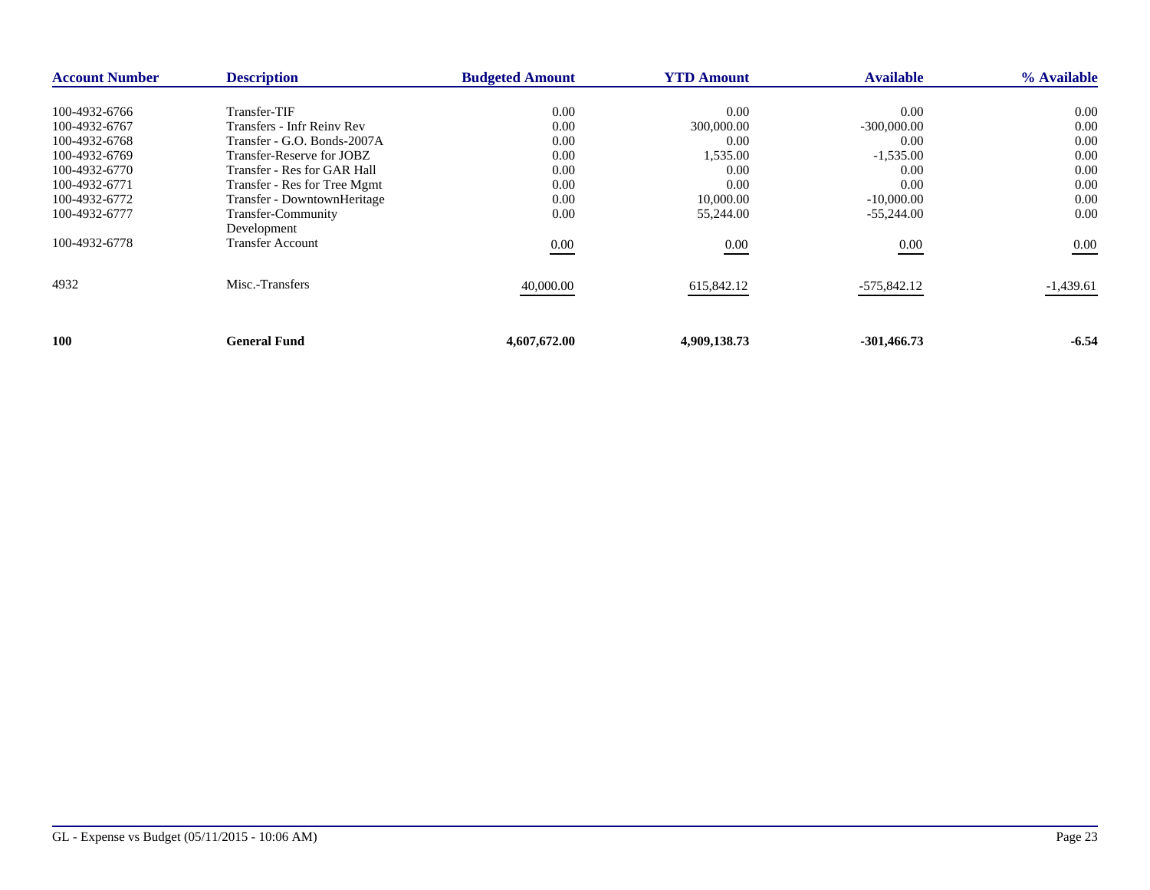| <b>Account Number</b> | <b>Description</b>           | <b>Budgeted Amount</b> | <b>YTD Amount</b> | <b>Available</b> | % Available |
|-----------------------|------------------------------|------------------------|-------------------|------------------|-------------|
|                       |                              |                        |                   |                  |             |
| 100-4932-6766         | Transfer-TIF                 | 0.00                   | 0.00              | 0.00             | 0.00        |
| 100-4932-6767         | Transfers - Infr Reiny Rev   | 0.00                   | 300,000.00        | $-300,000.00$    | 0.00        |
| 100-4932-6768         | Transfer - G.O. Bonds-2007A  | 0.00                   | 0.00              | 0.00             | 0.00        |
| 100-4932-6769         | Transfer-Reserve for JOBZ    | 0.00                   | 1,535.00          | $-1,535.00$      | 0.00        |
| 100-4932-6770         | Transfer - Res for GAR Hall  | 0.00                   | 0.00              | 0.00             | 0.00        |
| 100-4932-6771         | Transfer - Res for Tree Mgmt | 0.00                   | 0.00              | 0.00             | 0.00        |
| 100-4932-6772         | Transfer - DowntownHeritage  | 0.00                   | 10,000.00         | $-10,000.00$     | 0.00        |
| 100-4932-6777         | Transfer-Community           | 0.00                   | 55,244.00         | $-55,244.00$     | 0.00        |
|                       | Development                  |                        |                   |                  |             |
| 100-4932-6778         | <b>Transfer Account</b>      | 0.00                   | 0.00              | $0.00\,$         | 0.00        |
| 4932                  | Misc.-Transfers              | 40,000.00              | 615,842.12        | -575,842.12      | $-1,439.61$ |
|                       |                              |                        |                   |                  |             |
| 100                   | General Fund                 | 4,607,672.00           | 4,909,138.73      | $-301,466.73$    | $-6.54$     |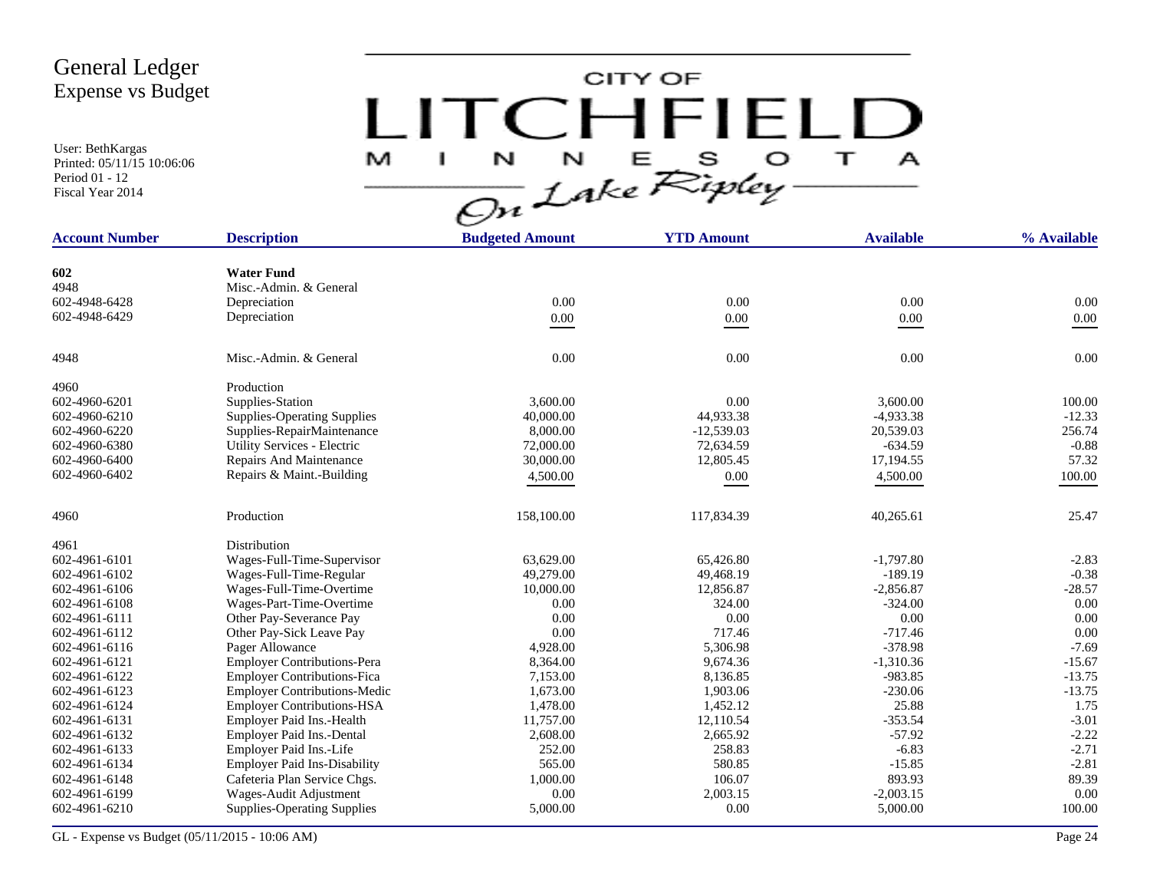User: BethKargas Printed: 05/11/15 10:06:06 Period 01 - 12 Fiscal Year 2014

CITY OF LITCHFIELD  $M$  I N N E S O T A

| <b>Account Number</b> | <b>Description</b>                  | <b>Budgeted Amount</b> | <b>YTD Amount</b> | <b>Available</b> | % Available |
|-----------------------|-------------------------------------|------------------------|-------------------|------------------|-------------|
|                       |                                     |                        |                   |                  |             |
| 602                   | <b>Water Fund</b>                   |                        |                   |                  |             |
| 4948                  | Misc.-Admin. & General              |                        |                   |                  |             |
| 602-4948-6428         | Depreciation                        | 0.00                   | 0.00              | 0.00             | 0.00        |
| 602-4948-6429         | Depreciation                        | $0.00\,$               | $0.00\,$          | $0.00\,$         | $0.00\,$    |
| 4948                  | Misc.-Admin. & General              | 0.00                   | 0.00              | 0.00             | 0.00        |
| 4960                  | Production                          |                        |                   |                  |             |
| 602-4960-6201         | Supplies-Station                    | 3,600.00               | 0.00              | 3,600.00         | 100.00      |
| 602-4960-6210         | <b>Supplies-Operating Supplies</b>  | 40,000.00              | 44,933.38         | $-4,933.38$      | $-12.33$    |
| 602-4960-6220         | Supplies-RepairMaintenance          | 8,000.00               | $-12,539.03$      | 20,539.03        | 256.74      |
| 602-4960-6380         | Utility Services - Electric         | 72,000.00              | 72,634.59         | $-634.59$        | $-0.88$     |
| 602-4960-6400         | Repairs And Maintenance             | 30,000.00              | 12,805.45         | 17,194.55        | 57.32       |
| 602-4960-6402         | Repairs & Maint.-Building           | 4,500.00               | $0.00\,$          | 4,500.00         | 100.00      |
| 4960                  | Production                          | 158,100.00             | 117,834.39        | 40,265.61        | 25.47       |
| 4961                  | Distribution                        |                        |                   |                  |             |
| 602-4961-6101         | Wages-Full-Time-Supervisor          | 63,629.00              | 65,426.80         | $-1,797.80$      | $-2.83$     |
| 602-4961-6102         | Wages-Full-Time-Regular             | 49,279.00              | 49.468.19         | $-189.19$        | $-0.38$     |
| 602-4961-6106         | Wages-Full-Time-Overtime            | 10,000.00              | 12,856.87         | $-2,856.87$      | $-28.57$    |
| 602-4961-6108         | Wages-Part-Time-Overtime            | 0.00                   | 324.00            | $-324.00$        | 0.00        |
| 602-4961-6111         | Other Pay-Severance Pay             | 0.00                   | 0.00              | 0.00             | 0.00        |
| 602-4961-6112         | Other Pay-Sick Leave Pay            | 0.00                   | 717.46            | $-717.46$        | 0.00        |
| 602-4961-6116         | Pager Allowance                     | 4,928.00               | 5,306.98          | $-378.98$        | $-7.69$     |
| 602-4961-6121         | <b>Employer Contributions-Pera</b>  | 8,364.00               | 9,674.36          | $-1,310.36$      | $-15.67$    |
| 602-4961-6122         | <b>Employer Contributions-Fica</b>  | 7,153.00               | 8,136.85          | $-983.85$        | $-13.75$    |
| 602-4961-6123         | <b>Employer Contributions-Medic</b> | 1,673.00               | 1,903.06          | $-230.06$        | $-13.75$    |
| 602-4961-6124         | <b>Employer Contributions-HSA</b>   | 1,478.00               | 1,452.12          | 25.88            | 1.75        |
| 602-4961-6131         | Employer Paid Ins.-Health           | 11,757.00              | 12,110.54         | $-353.54$        | $-3.01$     |
| 602-4961-6132         | Employer Paid Ins.-Dental           | 2,608.00               | 2,665.92          | $-57.92$         | $-2.22$     |
| 602-4961-6133         | Employer Paid Ins.-Life             | 252.00                 | 258.83            | $-6.83$          | $-2.71$     |
| 602-4961-6134         | <b>Employer Paid Ins-Disability</b> | 565.00                 | 580.85            | $-15.85$         | $-2.81$     |
| 602-4961-6148         | Cafeteria Plan Service Chgs.        | 1,000.00               | 106.07            | 893.93           | 89.39       |
| 602-4961-6199         | Wages-Audit Adjustment              | 0.00                   | 2,003.15          | $-2,003.15$      | 0.00        |
| 602-4961-6210         | <b>Supplies-Operating Supplies</b>  | 5,000.00               | 0.00              | 5,000.00         | 100.00      |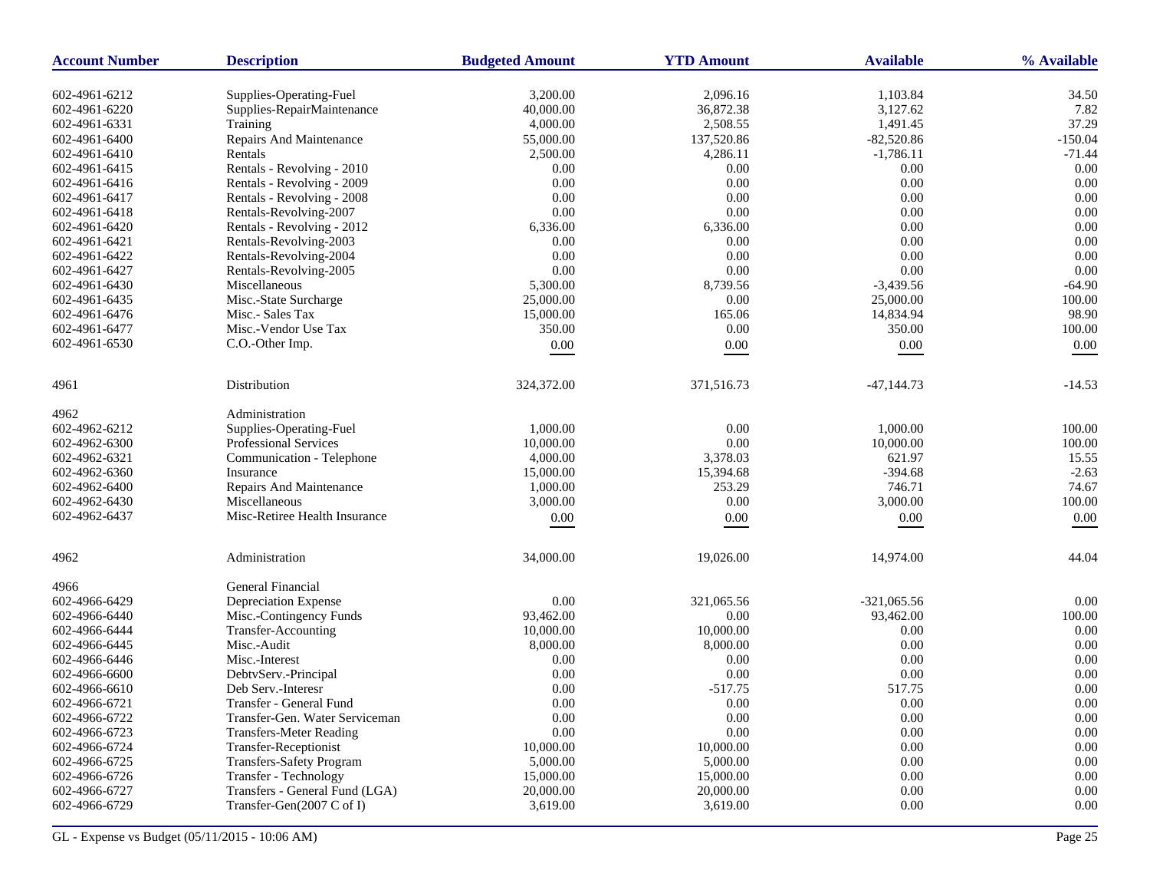| <b>Account Number</b> | <b>Description</b>             | <b>Budgeted Amount</b> | <b>YTD Amount</b> | <b>Available</b> | % Available |
|-----------------------|--------------------------------|------------------------|-------------------|------------------|-------------|
| 602-4961-6212         | Supplies-Operating-Fuel        | 3,200.00               | 2,096.16          | 1,103.84         | 34.50       |
| 602-4961-6220         | Supplies-RepairMaintenance     | 40,000.00              | 36,872.38         | 3,127.62         | 7.82        |
| 602-4961-6331         | Training                       | 4,000.00               | 2,508.55          | 1,491.45         | 37.29       |
| 602-4961-6400         | Repairs And Maintenance        | 55,000.00              | 137,520.86        | $-82,520.86$     | $-150.04$   |
| 602-4961-6410         | Rentals                        | 2,500.00               | 4,286.11          | $-1,786.11$      | $-71.44$    |
| 602-4961-6415         | Rentals - Revolving - 2010     | 0.00                   | 0.00              | 0.00             | $0.00\,$    |
| 602-4961-6416         | Rentals - Revolving - 2009     | 0.00                   | 0.00              | 0.00             | 0.00        |
| 602-4961-6417         | Rentals - Revolving - 2008     | 0.00                   | $0.00\,$          | 0.00             | 0.00        |
| 602-4961-6418         | Rentals-Revolving-2007         | 0.00                   | 0.00              | 0.00             | 0.00        |
| 602-4961-6420         | Rentals - Revolving - 2012     | 6,336.00               | 6,336.00          | 0.00             | 0.00        |
| 602-4961-6421         | Rentals-Revolving-2003         | 0.00                   | 0.00              | 0.00             | 0.00        |
| 602-4961-6422         | Rentals-Revolving-2004         | 0.00                   | 0.00              | 0.00             | 0.00        |
| 602-4961-6427         | Rentals-Revolving-2005         | 0.00                   | 0.00              | 0.00             | 0.00        |
| 602-4961-6430         | Miscellaneous                  | 5,300.00               | 8,739.56          | $-3,439.56$      | $-64.90$    |
| 602-4961-6435         | Misc.-State Surcharge          | 25,000.00              | 0.00              | 25,000.00        | 100.00      |
|                       | Misc.- Sales Tax               |                        |                   |                  | 98.90       |
| 602-4961-6476         |                                | 15,000.00              | 165.06            | 14,834.94        |             |
| 602-4961-6477         | Misc.-Vendor Use Tax           | 350.00                 | 0.00              | 350.00           | 100.00      |
| 602-4961-6530         | C.O.-Other Imp.                | $0.00\,$               | 0.00              | $0.00\,$         | $0.00\,$    |
| 4961                  | Distribution                   | 324,372.00             | 371,516.73        | $-47,144.73$     | $-14.53$    |
| 4962                  | Administration                 |                        |                   |                  |             |
| 602-4962-6212         | Supplies-Operating-Fuel        | 1,000.00               | 0.00              | 1,000.00         | 100.00      |
| 602-4962-6300         | Professional Services          | 10,000.00              | $0.00\,$          | 10,000.00        | 100.00      |
| 602-4962-6321         | Communication - Telephone      | 4,000.00               | 3,378.03          | 621.97           | 15.55       |
| 602-4962-6360         | Insurance                      | 15,000.00              | 15,394.68         | $-394.68$        | $-2.63$     |
| 602-4962-6400         | Repairs And Maintenance        | 1,000.00               | 253.29            | 746.71           | 74.67       |
| 602-4962-6430         | Miscellaneous                  | 3,000.00               | 0.00              | 3,000.00         | 100.00      |
| 602-4962-6437         | Misc-Retiree Health Insurance  | $0.00\,$               | 0.00              | $0.00\,$         | $0.00\,$    |
| 4962                  | Administration                 | 34,000.00              | 19,026.00         | 14,974.00        | 44.04       |
|                       |                                |                        |                   |                  |             |
| 4966                  | General Financial              |                        |                   |                  |             |
| 602-4966-6429         | Depreciation Expense           | 0.00                   | 321,065.56        | $-321,065.56$    | 0.00        |
| 602-4966-6440         | Misc.-Contingency Funds        | 93,462.00              | 0.00              | 93,462.00        | 100.00      |
| 602-4966-6444         | Transfer-Accounting            | 10,000.00              | 10,000.00         | 0.00             | $0.00\,$    |
| 602-4966-6445         | Misc.-Audit                    | 8,000.00               | 8,000.00          | 0.00             | 0.00        |
| 602-4966-6446         | Misc.-Interest                 | 0.00                   | 0.00              | 0.00             | 0.00        |
| 602-4966-6600         | DebtvServ.-Principal           | 0.00                   | 0.00              | 0.00             | 0.00        |
| 602-4966-6610         | Deb Serv.-Interesr             | 0.00                   | $-517.75$         | 517.75           | 0.00        |
| 602-4966-6721         | Transfer - General Fund        | $0.00\,$               | $0.00\,$          | $0.00\,$         | $0.00\,$    |
| 602-4966-6722         | Transfer-Gen. Water Serviceman | 0.00                   | 0.00              | 0.00             | $0.00\,$    |
| 602-4966-6723         | <b>Transfers-Meter Reading</b> | 0.00                   | 0.00              | 0.00             | 0.00        |
| 602-4966-6724         | Transfer-Receptionist          | 10,000.00              | 10,000.00         | 0.00             | 0.00        |
| 602-4966-6725         | Transfers-Safety Program       | 5,000.00               | 5,000.00          | 0.00             | 0.00        |
| 602-4966-6726         | Transfer - Technology          | 15,000.00              | 15,000.00         | 0.00             | 0.00        |
| 602-4966-6727         | Transfers - General Fund (LGA) | 20,000.00              | 20,000.00         | 0.00             | $0.00\,$    |
| 602-4966-6729         | Transfer-Gen(2007 C of I)      | 3,619.00               | 3,619.00          | 0.00             | 0.00        |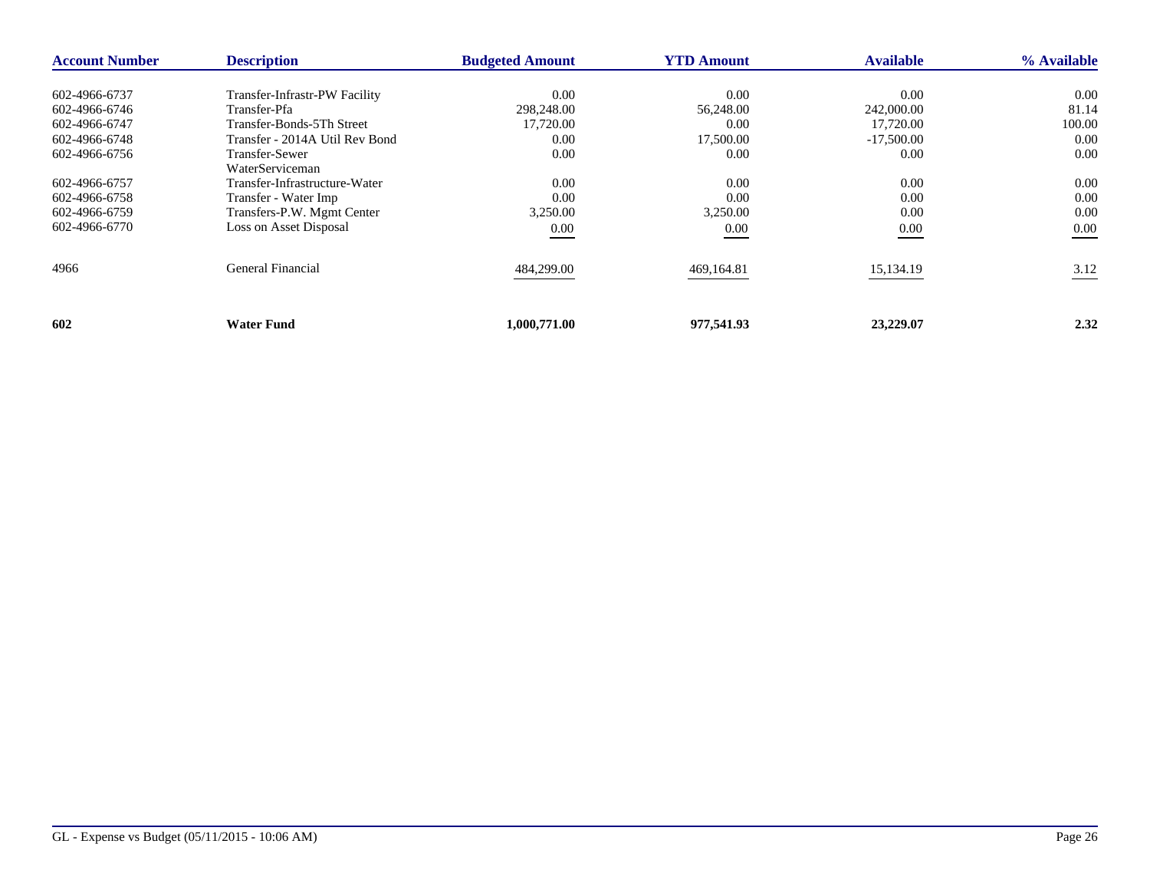| <b>Account Number</b> | <b>Description</b>             | <b>Budgeted Amount</b> | <b>YTD Amount</b> | <b>Available</b> | % Available |
|-----------------------|--------------------------------|------------------------|-------------------|------------------|-------------|
| 602-4966-6737         | Transfer-Infrastr-PW Facility  | 0.00                   | 0.00              | 0.00             | $0.00\,$    |
| 602-4966-6746         | Transfer-Pfa                   | 298,248.00             | 56,248.00         | 242,000.00       | 81.14       |
| 602-4966-6747         | Transfer-Bonds-5Th Street      | 17,720.00              | 0.00              | 17,720.00        | 100.00      |
| 602-4966-6748         | Transfer - 2014A Util Rev Bond | 0.00                   | 17,500.00         | $-17,500.00$     | 0.00        |
| 602-4966-6756         | Transfer-Sewer                 | 0.00                   | 0.00              | 0.00             | 0.00        |
|                       | WaterServiceman                |                        |                   |                  |             |
| 602-4966-6757         | Transfer-Infrastructure-Water  | 0.00                   | 0.00              | 0.00             | 0.00        |
| 602-4966-6758         | Transfer - Water Imp           | 0.00                   | 0.00              | 0.00             | 0.00        |
| 602-4966-6759         | Transfers-P.W. Mgmt Center     | 3,250.00               | 3,250.00          | 0.00             | 0.00        |
| 602-4966-6770         | Loss on Asset Disposal         | 0.00<br>___            | 0.00              | $0.00\,$         | 0.00        |
| 4966                  | General Financial              | 484,299.00             | 469,164.81        | 15,134.19        | 3.12        |
| 602                   | <b>Water Fund</b>              | 1,000,771.00           | 977,541.93        | 23,229.07        | 2.32        |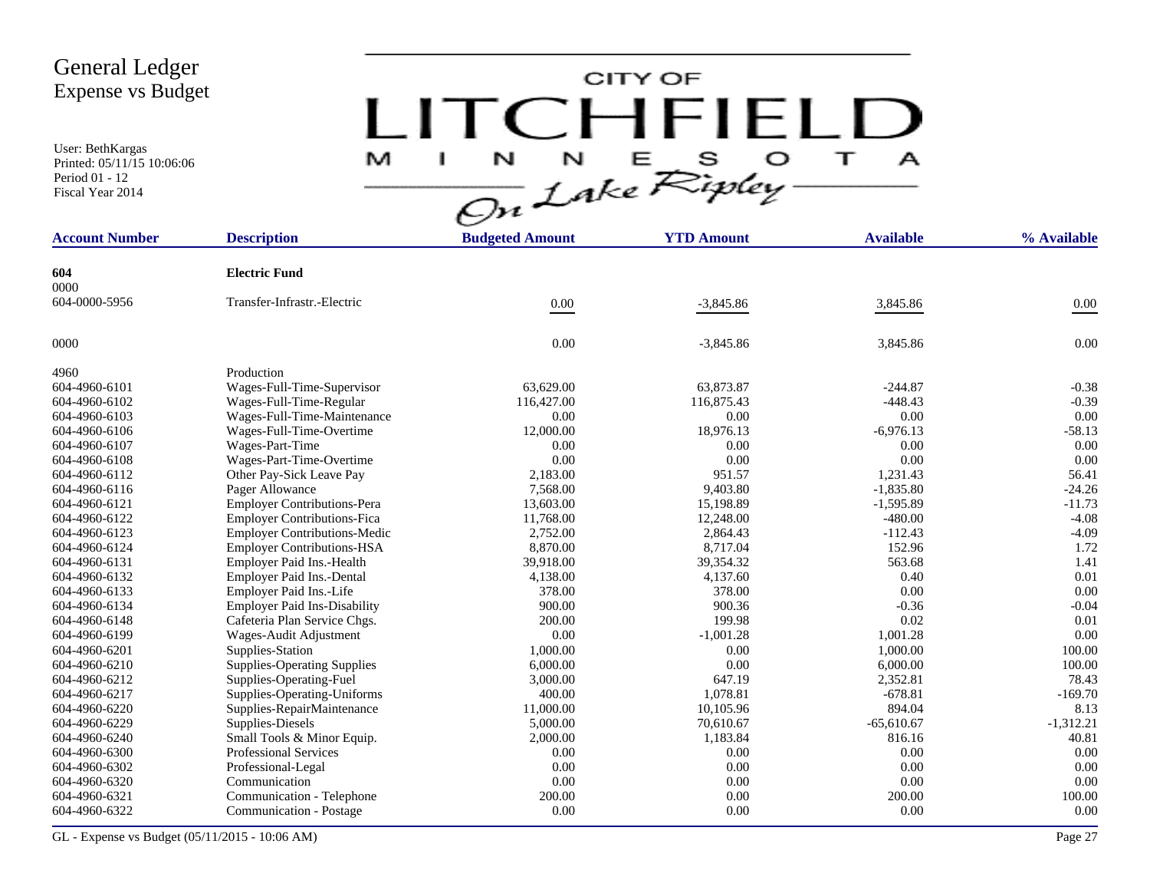User: BethKargas Printed: 05/11/15 10:06:06 Period 01 - 12 Fiscal Year 2014

# CITY OF LITCHFIELD  $M$  I N N E S O T A<br>On Lake Ripley

| <b>Account Number</b> | <b>Description</b>                  | <b>Budgeted Amount</b> | <b>YTD Amount</b> | <b>Available</b> | % Available |
|-----------------------|-------------------------------------|------------------------|-------------------|------------------|-------------|
|                       |                                     |                        |                   |                  |             |
| 604<br>0000           | <b>Electric Fund</b>                |                        |                   |                  |             |
| 604-0000-5956         | Transfer-Infrastr.-Electric         |                        |                   |                  |             |
|                       |                                     | $0.00\,$               | $-3,845.86$       | 3,845.86         | $0.00\,$    |
| 0000                  |                                     | 0.00                   | $-3,845.86$       | 3,845.86         | 0.00        |
| 4960                  | Production                          |                        |                   |                  |             |
| 604-4960-6101         | Wages-Full-Time-Supervisor          | 63.629.00              | 63,873.87         | $-244.87$        | $-0.38$     |
| 604-4960-6102         | Wages-Full-Time-Regular             | 116,427.00             | 116,875.43        | $-448.43$        | $-0.39$     |
| 604-4960-6103         | Wages-Full-Time-Maintenance         | 0.00                   | 0.00              | 0.00             | 0.00        |
| 604-4960-6106         | Wages-Full-Time-Overtime            | 12,000.00              | 18,976.13         | $-6,976.13$      | $-58.13$    |
| 604-4960-6107         | Wages-Part-Time                     | 0.00                   | 0.00              | 0.00             | 0.00        |
| 604-4960-6108         | Wages-Part-Time-Overtime            | 0.00                   | 0.00              | 0.00             | 0.00        |
| 604-4960-6112         | Other Pay-Sick Leave Pay            | 2,183.00               | 951.57            | 1.231.43         | 56.41       |
| 604-4960-6116         | Pager Allowance                     | 7,568.00               | 9,403.80          | $-1,835.80$      | $-24.26$    |
| 604-4960-6121         | <b>Employer Contributions-Pera</b>  | 13,603.00              | 15,198.89         | $-1,595.89$      | $-11.73$    |
| 604-4960-6122         | <b>Employer Contributions-Fica</b>  | 11,768.00              | 12,248.00         | $-480.00$        | $-4.08$     |
| 604-4960-6123         | <b>Employer Contributions-Medic</b> | 2,752.00               | 2,864.43          | $-112.43$        | $-4.09$     |
| 604-4960-6124         | <b>Employer Contributions-HSA</b>   | 8,870.00               | 8,717.04          | 152.96           | 1.72        |
| 604-4960-6131         | Employer Paid Ins.-Health           | 39,918.00              | 39,354.32         | 563.68           | 1.41        |
| 604-4960-6132         | Employer Paid Ins.-Dental           | 4,138.00               | 4,137.60          | 0.40             | 0.01        |
| 604-4960-6133         | Employer Paid Ins.-Life             | 378.00                 | 378.00            | $0.00\,$         | 0.00        |
| 604-4960-6134         | <b>Employer Paid Ins-Disability</b> | 900.00                 | 900.36            | $-0.36$          | $-0.04$     |
| 604-4960-6148         | Cafeteria Plan Service Chgs.        | 200.00                 | 199.98            | 0.02             | 0.01        |
| 604-4960-6199         | Wages-Audit Adjustment              | 0.00                   | $-1,001.28$       | 1,001.28         | 0.00        |
| 604-4960-6201         | Supplies-Station                    | 1,000.00               | 0.00              | 1,000.00         | 100.00      |
| 604-4960-6210         | <b>Supplies-Operating Supplies</b>  | 6,000.00               | 0.00              | 6,000.00         | 100.00      |
| 604-4960-6212         | Supplies-Operating-Fuel             | 3,000.00               | 647.19            | 2,352.81         | 78.43       |
| 604-4960-6217         | Supplies-Operating-Uniforms         | 400.00                 | 1,078.81          | $-678.81$        | $-169.70$   |
| 604-4960-6220         | Supplies-RepairMaintenance          | 11,000.00              | 10,105.96         | 894.04           | 8.13        |
| 604-4960-6229         | Supplies-Diesels                    | 5,000.00               | 70,610.67         | $-65,610.67$     | $-1,312.21$ |
| 604-4960-6240         | Small Tools & Minor Equip.          | 2,000.00               | 1,183.84          | 816.16           | 40.81       |
| 604-4960-6300         | <b>Professional Services</b>        | 0.00                   | 0.00              | 0.00             | 0.00        |
| 604-4960-6302         | Professional-Legal                  | 0.00                   | 0.00              | 0.00             | 0.00        |
| 604-4960-6320         | Communication                       | 0.00                   | 0.00              | 0.00             | 0.00        |
| 604-4960-6321         | Communication - Telephone           | 200.00                 | 0.00              | 200.00           | 100.00      |
| 604-4960-6322         | Communication - Postage             | 0.00                   | 0.00              | 0.00             | 0.00        |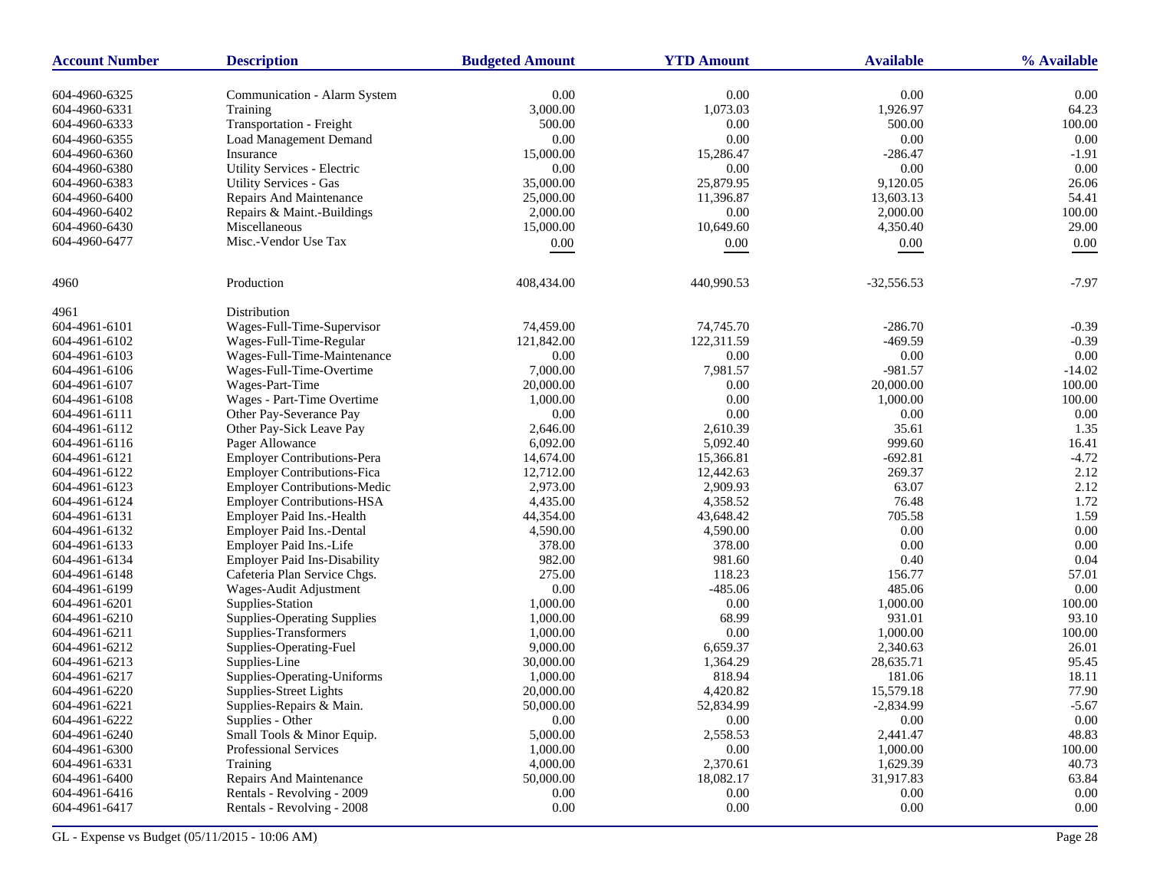| <b>Account Number</b> | <b>Description</b>                  | <b>Budgeted Amount</b> | <b>YTD Amount</b> | <b>Available</b> | % Available |
|-----------------------|-------------------------------------|------------------------|-------------------|------------------|-------------|
| 604-4960-6325         | Communication - Alarm System        | 0.00                   | 0.00              | 0.00             | 0.00        |
| 604-4960-6331         | Training                            | 3,000.00               | 1,073.03          | 1,926.97         | 64.23       |
| 604-4960-6333         | Transportation - Freight            | 500.00                 | 0.00              | 500.00           | 100.00      |
| 604-4960-6355         | <b>Load Management Demand</b>       | 0.00                   | 0.00              | 0.00             | 0.00        |
| 604-4960-6360         | Insurance                           | 15,000.00              | 15,286.47         | $-286.47$        | $-1.91$     |
| 604-4960-6380         | Utility Services - Electric         | 0.00                   | 0.00              | 0.00             | 0.00        |
| 604-4960-6383         | <b>Utility Services - Gas</b>       | 35,000.00              | 25,879.95         | 9,120.05         | 26.06       |
| 604-4960-6400         | Repairs And Maintenance             | 25,000.00              | 11,396.87         | 13,603.13        | 54.41       |
| 604-4960-6402         | Repairs & Maint.-Buildings          | 2,000.00               | 0.00              | 2,000.00         | 100.00      |
| 604-4960-6430         | Miscellaneous                       | 15,000.00              | 10,649.60         | 4,350.40         | 29.00       |
| 604-4960-6477         | Misc.-Vendor Use Tax                |                        |                   | $0.00\,$         | 0.00        |
|                       |                                     | 0.00                   | 0.00              |                  |             |
| 4960                  | Production                          | 408,434.00             | 440,990.53        | $-32,556.53$     | $-7.97$     |
| 4961                  | Distribution                        |                        |                   |                  |             |
| 604-4961-6101         | Wages-Full-Time-Supervisor          | 74,459.00              | 74,745.70         | $-286.70$        | $-0.39$     |
| 604-4961-6102         | Wages-Full-Time-Regular             | 121,842.00             | 122,311.59        | $-469.59$        | $-0.39$     |
| 604-4961-6103         | Wages-Full-Time-Maintenance         | 0.00                   | $0.00\,$          | 0.00             | 0.00        |
| 604-4961-6106         | Wages-Full-Time-Overtime            | 7,000.00               | 7,981.57          | $-981.57$        | $-14.02$    |
| 604-4961-6107         | Wages-Part-Time                     | 20,000.00              | 0.00              | 20,000.00        | 100.00      |
| 604-4961-6108         | Wages - Part-Time Overtime          | 1,000.00               | $0.00\,$          | 1,000.00         | 100.00      |
| 604-4961-6111         | Other Pay-Severance Pay             | 0.00                   | 0.00              | 0.00             | 0.00        |
| 604-4961-6112         | Other Pay-Sick Leave Pay            | 2,646.00               | 2,610.39          | 35.61            | 1.35        |
| 604-4961-6116         | Pager Allowance                     | 6,092.00               | 5,092.40          | 999.60           | 16.41       |
| 604-4961-6121         | <b>Employer Contributions-Pera</b>  | 14,674.00              | 15,366.81         | $-692.81$        | $-4.72$     |
| 604-4961-6122         | <b>Employer Contributions-Fica</b>  | 12,712.00              | 12,442.63         | 269.37           | 2.12        |
| 604-4961-6123         | <b>Employer Contributions-Medic</b> | 2,973.00               | 2,909.93          | 63.07            | 2.12        |
| 604-4961-6124         | <b>Employer Contributions-HSA</b>   | 4,435.00               | 4,358.52          | 76.48            | 1.72        |
| 604-4961-6131         | Employer Paid Ins.-Health           | 44,354.00              | 43,648.42         | 705.58           | 1.59        |
| 604-4961-6132         | Employer Paid Ins.-Dental           | 4,590.00               | 4,590.00          | 0.00             | 0.00        |
| 604-4961-6133         | Employer Paid Ins.-Life             | 378.00                 | 378.00            | 0.00             | 0.00        |
| 604-4961-6134         | <b>Employer Paid Ins-Disability</b> | 982.00                 | 981.60            | 0.40             | 0.04        |
| 604-4961-6148         | Cafeteria Plan Service Chgs.        | 275.00                 | 118.23            | 156.77           | 57.01       |
| 604-4961-6199         | Wages-Audit Adjustment              | 0.00                   | $-485.06$         | 485.06           | 0.00        |
| 604-4961-6201         | Supplies-Station                    | 1,000.00               | 0.00              | 1,000.00         | 100.00      |
| 604-4961-6210         | <b>Supplies-Operating Supplies</b>  | 1,000.00               | 68.99             | 931.01           | 93.10       |
| 604-4961-6211         | Supplies-Transformers               | 1,000.00               | 0.00              | 1,000.00         | 100.00      |
| 604-4961-6212         | Supplies-Operating-Fuel             | 9,000.00               | 6,659.37          | 2,340.63         | 26.01       |
| 604-4961-6213         | Supplies-Line                       | 30,000.00              | 1,364.29          | 28,635.71        | 95.45       |
| 604-4961-6217         | Supplies-Operating-Uniforms         | 1,000.00               | 818.94            | 181.06           | 18.11       |
| 604-4961-6220         | Supplies-Street Lights              | 20,000.00              | 4,420.82          | 15,579.18        | 77.90       |
| 604-4961-6221         | Supplies-Repairs & Main.            | 50,000.00              | 52,834.99         | $-2,834.99$      | $-5.67$     |
| 604-4961-6222         | Supplies - Other                    | 0.00                   | 0.00              | 0.00             | $0.00\,$    |
| 604-4961-6240         | Small Tools & Minor Equip.          | 5,000.00               | 2,558.53          | 2,441.47         | 48.83       |
| 604-4961-6300         | Professional Services               | 1,000.00               | 0.00              | 1,000.00         | 100.00      |
| 604-4961-6331         | Training                            | 4,000.00               | 2,370.61          | 1,629.39         | 40.73       |
| 604-4961-6400         | Repairs And Maintenance             | 50,000.00              | 18,082.17         | 31,917.83        | 63.84       |
| 604-4961-6416         | Rentals - Revolving - 2009          | 0.00                   | 0.00              | $0.00\,$         | $0.00\,$    |
| 604-4961-6417         | Rentals - Revolving - 2008          | 0.00                   | $0.00\,$          | $0.00\,$         | $0.00\,$    |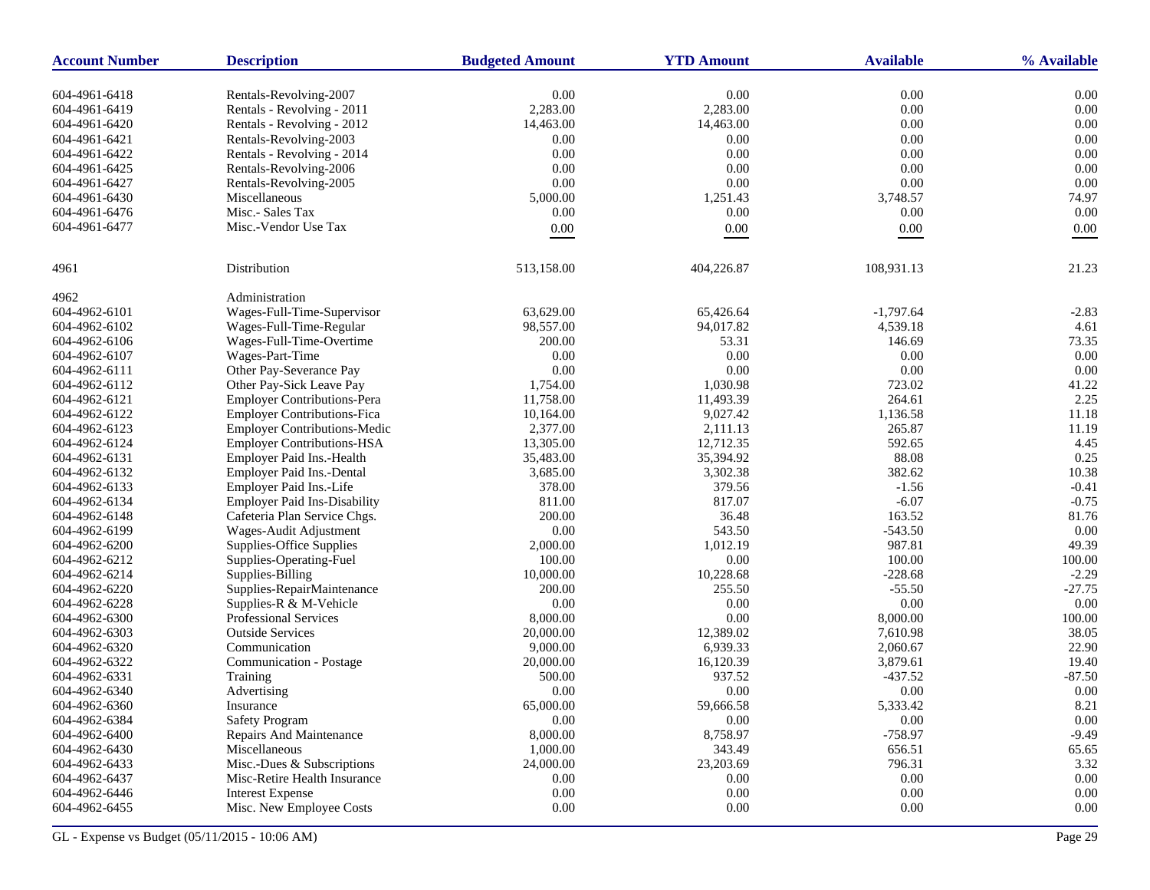| <b>Account Number</b> | <b>Description</b>                  | <b>Budgeted Amount</b> | <b>YTD Amount</b> | <b>Available</b> | % Available |
|-----------------------|-------------------------------------|------------------------|-------------------|------------------|-------------|
| 604-4961-6418         | Rentals-Revolving-2007              | 0.00                   | $0.00\,$          | 0.00             | 0.00        |
| 604-4961-6419         | Rentals - Revolving - 2011          | 2,283.00               | 2,283.00          | 0.00             | 0.00        |
| 604-4961-6420         | Rentals - Revolving - 2012          | 14,463.00              | 14,463.00         | 0.00             | 0.00        |
| 604-4961-6421         | Rentals-Revolving-2003              | 0.00                   | 0.00              | 0.00             | 0.00        |
| 604-4961-6422         | Rentals - Revolving - 2014          | 0.00                   | 0.00              | 0.00             | 0.00        |
| 604-4961-6425         | Rentals-Revolving-2006              | 0.00                   | 0.00              | 0.00             | 0.00        |
| 604-4961-6427         | Rentals-Revolving-2005              | 0.00                   | 0.00              | 0.00             | 0.00        |
| 604-4961-6430         | Miscellaneous                       | 5,000.00               | 1,251.43          | 3,748.57         | 74.97       |
| 604-4961-6476         | Misc.- Sales Tax                    | 0.00                   | 0.00              | 0.00             | 0.00        |
| 604-4961-6477         | Misc.-Vendor Use Tax                | $0.00\,$               | 0.00              | $0.00\,$         | 0.00        |
|                       |                                     |                        |                   |                  |             |
| 4961                  | Distribution                        | 513,158.00             | 404,226.87        | 108,931.13       | 21.23       |
| 4962                  | Administration                      |                        |                   |                  |             |
| 604-4962-6101         | Wages-Full-Time-Supervisor          | 63,629.00              | 65,426.64         | $-1,797.64$      | $-2.83$     |
| 604-4962-6102         | Wages-Full-Time-Regular             | 98,557.00              | 94,017.82         | 4,539.18         | 4.61        |
| 604-4962-6106         | Wages-Full-Time-Overtime            | 200.00                 | 53.31             | 146.69           | 73.35       |
| 604-4962-6107         | Wages-Part-Time                     | 0.00                   | 0.00              | 0.00             | 0.00        |
| 604-4962-6111         | Other Pay-Severance Pay             | 0.00                   | $0.00\,$          | 0.00             | 0.00        |
| 604-4962-6112         | Other Pay-Sick Leave Pay            | 1,754.00               | 1,030.98          | 723.02           | 41.22       |
| 604-4962-6121         | <b>Employer Contributions-Pera</b>  | 11,758.00              | 11,493.39         | 264.61           | 2.25        |
| 604-4962-6122         | <b>Employer Contributions-Fica</b>  | 10,164.00              | 9,027.42          | 1,136.58         | 11.18       |
| 604-4962-6123         | <b>Employer Contributions-Medic</b> | 2,377.00               | 2,111.13          | 265.87           | 11.19       |
| 604-4962-6124         | <b>Employer Contributions-HSA</b>   | 13,305.00              | 12,712.35         | 592.65           | 4.45        |
| 604-4962-6131         | Employer Paid Ins.-Health           | 35,483.00              | 35,394.92         | 88.08            | 0.25        |
| 604-4962-6132         | Employer Paid Ins.-Dental           | 3,685.00               | 3,302.38          | 382.62           | 10.38       |
| 604-4962-6133         | Employer Paid Ins.-Life             | 378.00                 | 379.56            | $-1.56$          | $-0.41$     |
| 604-4962-6134         | <b>Employer Paid Ins-Disability</b> | 811.00                 | 817.07            | $-6.07$          | $-0.75$     |
| 604-4962-6148         | Cafeteria Plan Service Chgs.        | 200.00                 | 36.48             | 163.52           | 81.76       |
| 604-4962-6199         | Wages-Audit Adjustment              | 0.00                   | 543.50            | $-543.50$        | 0.00        |
| 604-4962-6200         | Supplies-Office Supplies            | 2,000.00               | 1,012.19          | 987.81           | 49.39       |
| 604-4962-6212         | Supplies-Operating-Fuel             | 100.00                 | 0.00              | 100.00           | 100.00      |
| 604-4962-6214         | Supplies-Billing                    | 10,000.00              | 10,228.68         | $-228.68$        | $-2.29$     |
| 604-4962-6220         | Supplies-RepairMaintenance          | 200.00                 | 255.50            | $-55.50$         | $-27.75$    |
| 604-4962-6228         | Supplies-R & M-Vehicle              | 0.00                   | 0.00              | 0.00             | 0.00        |
| 604-4962-6300         | <b>Professional Services</b>        | 8,000.00               | 0.00              | 8,000.00         | 100.00      |
| 604-4962-6303         | <b>Outside Services</b>             | 20,000.00              | 12,389.02         | 7,610.98         | 38.05       |
| 604-4962-6320         | Communication                       | 9,000.00               | 6,939.33          | 2,060.67         | 22.90       |
| 604-4962-6322         | Communication - Postage             | 20,000.00              | 16,120.39         | 3,879.61         | 19.40       |
| 604-4962-6331         | Training                            | 500.00                 | 937.52            | $-437.52$        | $-87.50$    |
| 604-4962-6340         | Advertising                         | 0.00                   | 0.00              | 0.00             | 0.00        |
| 604-4962-6360         | Insurance                           | 65,000.00              | 59,666.58         | 5,333.42         | 8.21        |
| 604-4962-6384         | <b>Safety Program</b>               | 0.00                   | 0.00              | 0.00             | 0.00        |
| 604-4962-6400         | Repairs And Maintenance             | 8,000.00               | 8,758.97          | $-758.97$        | $-9.49$     |
| 604-4962-6430         | Miscellaneous                       | 1,000.00               | 343.49            | 656.51           | 65.65       |
| 604-4962-6433         | Misc.-Dues & Subscriptions          | 24,000.00              | 23,203.69         | 796.31           | 3.32        |
| 604-4962-6437         | Misc-Retire Health Insurance        | 0.00                   | 0.00              | 0.00             | 0.00        |
| 604-4962-6446         | <b>Interest Expense</b>             | 0.00                   | 0.00              | $0.00\,$         | $0.00\,$    |
| 604-4962-6455         | Misc. New Employee Costs            | $0.00\,$               | $0.00\,$          | 0.00             | 0.00        |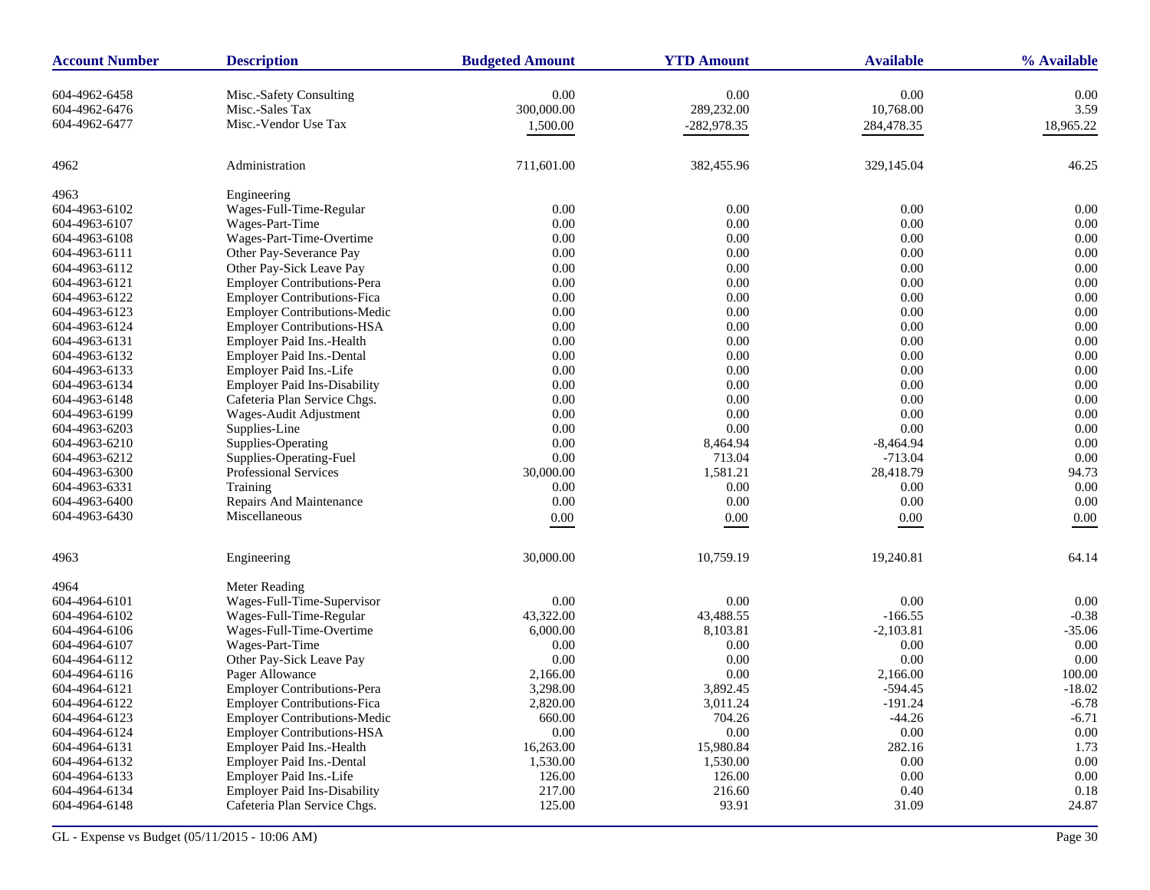| <b>Account Number</b> | <b>Description</b>                  | <b>Budgeted Amount</b> | <b>YTD Amount</b> | <b>Available</b> | % Available |
|-----------------------|-------------------------------------|------------------------|-------------------|------------------|-------------|
| 604-4962-6458         | Misc.-Safety Consulting             | 0.00                   | 0.00              | 0.00             | 0.00        |
| 604-4962-6476         | Misc.-Sales Tax                     | 300,000.00             | 289,232.00        | 10,768.00        | 3.59        |
| 604-4962-6477         | Misc.-Vendor Use Tax                | 1,500.00               | $-282,978.35$     | 284,478.35       | 18,965.22   |
|                       |                                     |                        |                   |                  |             |
| 4962                  | Administration                      | 711,601.00             | 382,455.96        | 329,145.04       | 46.25       |
| 4963                  | Engineering                         |                        |                   |                  |             |
| 604-4963-6102         | Wages-Full-Time-Regular             | 0.00                   | 0.00              | 0.00             | 0.00        |
| 604-4963-6107         | Wages-Part-Time                     | 0.00                   | 0.00              | 0.00             | 0.00        |
| 604-4963-6108         | Wages-Part-Time-Overtime            | 0.00                   | 0.00              | 0.00             | 0.00        |
| 604-4963-6111         | Other Pay-Severance Pay             | 0.00                   | 0.00              | 0.00             | 0.00        |
| 604-4963-6112         | Other Pay-Sick Leave Pay            | 0.00                   | 0.00              | 0.00             | 0.00        |
| 604-4963-6121         | <b>Employer Contributions-Pera</b>  | 0.00                   | 0.00              | 0.00             | 0.00        |
| 604-4963-6122         | <b>Employer Contributions-Fica</b>  | 0.00                   | 0.00              | 0.00             | 0.00        |
| 604-4963-6123         | <b>Employer Contributions-Medic</b> | 0.00                   | $0.00\,$          | 0.00             | 0.00        |
| 604-4963-6124         | <b>Employer Contributions-HSA</b>   | 0.00                   | 0.00              | 0.00             | 0.00        |
| 604-4963-6131         | Employer Paid Ins.-Health           | 0.00                   | 0.00              | 0.00             | 0.00        |
| 604-4963-6132         | Employer Paid Ins.-Dental           | 0.00                   | $0.00\,$          | 0.00             | 0.00        |
| 604-4963-6133         | Employer Paid Ins.-Life             | 0.00                   | 0.00              | 0.00             | 0.00        |
| 604-4963-6134         | <b>Employer Paid Ins-Disability</b> | 0.00                   | 0.00              | 0.00             | 0.00        |
| 604-4963-6148         | Cafeteria Plan Service Chgs.        | 0.00                   | $0.00\,$          | 0.00             | 0.00        |
| 604-4963-6199         | Wages-Audit Adjustment              | 0.00                   | 0.00              | 0.00             | 0.00        |
| 604-4963-6203         | Supplies-Line                       | 0.00                   | 0.00              | 0.00             | 0.00        |
| 604-4963-6210         | Supplies-Operating                  | 0.00                   | 8,464.94          | $-8,464.94$      | 0.00        |
| 604-4963-6212         | Supplies-Operating-Fuel             | $0.00\,$               | 713.04            | $-713.04$        | 0.00        |
| 604-4963-6300         | Professional Services               | 30,000.00              | 1,581.21          | 28,418.79        | 94.73       |
| 604-4963-6331         | Training                            | 0.00                   | 0.00              | 0.00             | 0.00        |
| 604-4963-6400         | Repairs And Maintenance             | 0.00                   | 0.00              | 0.00             | 0.00        |
| 604-4963-6430         | Miscellaneous                       |                        |                   |                  |             |
|                       |                                     | 0.00                   | 0.00              | 0.00             | 0.00        |
| 4963                  | Engineering                         | 30,000.00              | 10,759.19         | 19,240.81        | 64.14       |
| 4964                  | Meter Reading                       |                        |                   |                  |             |
| 604-4964-6101         | Wages-Full-Time-Supervisor          | 0.00                   | 0.00              | 0.00             | 0.00        |
| 604-4964-6102         | Wages-Full-Time-Regular             | 43,322.00              | 43,488.55         | $-166.55$        | $-0.38$     |
| 604-4964-6106         | Wages-Full-Time-Overtime            | 6,000.00               | 8,103.81          | $-2,103.81$      | $-35.06$    |
| 604-4964-6107         | Wages-Part-Time                     | 0.00                   | 0.00              | 0.00             | 0.00        |
| 604-4964-6112         | Other Pay-Sick Leave Pay            | 0.00                   | 0.00              | 0.00             | 0.00        |
| 604-4964-6116         | Pager Allowance                     | 2,166.00               | 0.00              | 2,166.00         | 100.00      |
| 604-4964-6121         | <b>Employer Contributions-Pera</b>  | 3,298.00               | 3,892.45          | $-594.45$        | $-18.02$    |
| 604-4964-6122         | <b>Employer Contributions-Fica</b>  | 2,820.00               | 3,011.24          | $-191.24$        | $-6.78$     |
| 604-4964-6123         | <b>Employer Contributions-Medic</b> | 660.00                 | 704.26            | $-44.26$         | $-6.71$     |
| 604-4964-6124         | <b>Employer Contributions-HSA</b>   | $0.00\,$               | 0.00              | $0.00\,$         | $0.00\,$    |
| 604-4964-6131         | Employer Paid Ins.-Health           | 16,263.00              | 15,980.84         | 282.16           | 1.73        |
| 604-4964-6132         | Employer Paid Ins.-Dental           | 1,530.00               | 1,530.00          | 0.00             | $0.00\,$    |
| 604-4964-6133         | Employer Paid Ins.-Life             | 126.00                 | 126.00            | 0.00             | 0.00        |
| 604-4964-6134         | <b>Employer Paid Ins-Disability</b> | 217.00                 | 216.60            | 0.40             | 0.18        |
| 604-4964-6148         | Cafeteria Plan Service Chgs.        | 125.00                 | 93.91             | 31.09            | 24.87       |
|                       |                                     |                        |                   |                  |             |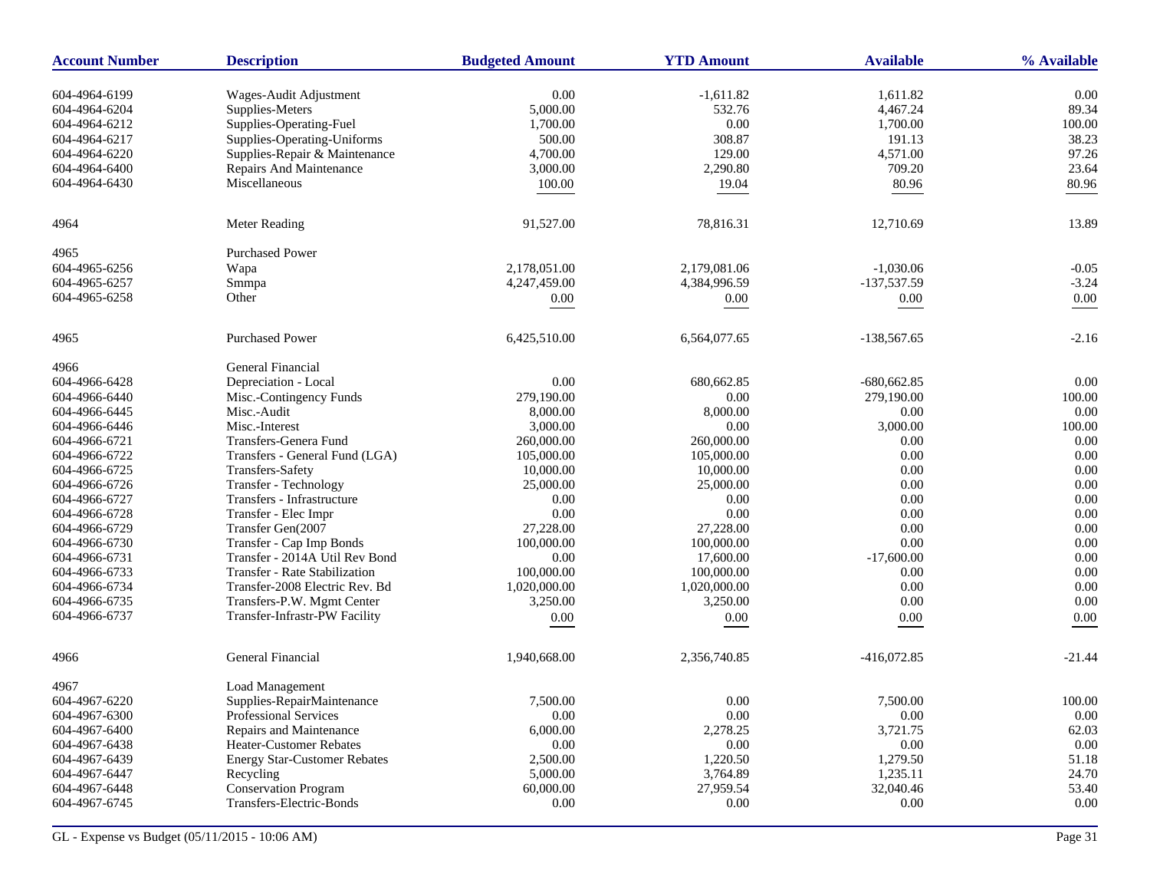| <b>Account Number</b> | <b>Description</b>                                   | <b>Budgeted Amount</b> | <b>YTD Amount</b> | <b>Available</b> | % Available |
|-----------------------|------------------------------------------------------|------------------------|-------------------|------------------|-------------|
| 604-4964-6199         | Wages-Audit Adjustment                               | 0.00                   | $-1.611.82$       | 1,611.82         | 0.00        |
| 604-4964-6204         | Supplies-Meters                                      | 5,000.00               | 532.76            | 4,467.24         | 89.34       |
| 604-4964-6212         | Supplies-Operating-Fuel                              | 1,700.00               | 0.00              | 1,700.00         | 100.00      |
| 604-4964-6217         | Supplies-Operating-Uniforms                          | 500.00                 | 308.87            | 191.13           | 38.23       |
| 604-4964-6220         | Supplies-Repair & Maintenance                        | 4,700.00               | 129.00            | 4,571.00         | 97.26       |
| 604-4964-6400         | Repairs And Maintenance                              | 3,000.00               | 2,290.80          | 709.20           | 23.64       |
| 604-4964-6430         | Miscellaneous                                        | 100.00                 | 19.04             | 80.96            | 80.96       |
|                       |                                                      |                        |                   |                  |             |
| 4964                  | Meter Reading                                        | 91,527.00              | 78,816.31         | 12,710.69        | 13.89       |
| 4965                  | <b>Purchased Power</b>                               |                        |                   |                  |             |
| 604-4965-6256         | Wapa                                                 | 2,178,051.00           | 2,179,081.06      | $-1,030.06$      | $-0.05$     |
| 604-4965-6257         | Smmpa                                                | 4,247,459.00           | 4,384,996.59      | -137,537.59      | $-3.24$     |
| 604-4965-6258         | Other                                                | 0.00                   | $0.00\,$          | 0.00             | $0.00\,$    |
| 4965                  | <b>Purchased Power</b>                               | 6,425,510.00           | 6,564,077.65      | $-138,567.65$    | $-2.16$     |
| 4966                  | General Financial                                    |                        |                   |                  |             |
| 604-4966-6428         | Depreciation - Local                                 | 0.00                   | 680,662.85        | $-680,662.85$    | 0.00        |
| 604-4966-6440         | Misc.-Contingency Funds                              | 279,190.00             | 0.00              | 279,190.00       | 100.00      |
| 604-4966-6445         | Misc.-Audit                                          | 8,000.00               | 8,000.00          | 0.00             | 0.00        |
| 604-4966-6446         | Misc.-Interest                                       | 3,000.00               | 0.00              | 3,000.00         | 100.00      |
| 604-4966-6721         | Transfers-Genera Fund                                | 260,000.00             | 260,000.00        | 0.00             | 0.00        |
| 604-4966-6722         | Transfers - General Fund (LGA)                       | 105,000.00             | 105,000.00        | 0.00             | 0.00        |
| 604-4966-6725         | Transfers-Safety                                     | 10,000.00              | 10,000.00         | 0.00             | 0.00        |
| 604-4966-6726         | Transfer - Technology                                | 25,000.00              | 25,000.00         | 0.00             | 0.00        |
| 604-4966-6727         | Transfers - Infrastructure                           | 0.00                   | 0.00              | 0.00             | 0.00        |
| 604-4966-6728         | Transfer - Elec Impr                                 | 0.00                   | 0.00              | 0.00             | 0.00        |
| 604-4966-6729         | Transfer Gen(2007                                    | 27,228.00              | 27,228.00         | 0.00             | 0.00        |
| 604-4966-6730         | Transfer - Cap Imp Bonds                             | 100,000.00             | 100,000.00        | 0.00             | 0.00        |
| 604-4966-6731         | Transfer - 2014A Util Rev Bond                       | 0.00                   | 17,600.00         | $-17,600.00$     | 0.00        |
| 604-4966-6733         | <b>Transfer - Rate Stabilization</b>                 | 100,000.00             | 100,000.00        | 0.00             | 0.00        |
| 604-4966-6734         | Transfer-2008 Electric Rev. Bd                       | 1,020,000.00           | 1,020,000.00      | 0.00             | 0.00        |
| 604-4966-6735         | Transfers-P.W. Mgmt Center                           | 3,250.00               | 3,250.00          | 0.00             | 0.00        |
| 604-4966-6737         | Transfer-Infrastr-PW Facility                        | 0.00                   | 0.00              | $0.00\,$         | 0.00        |
| 4966                  | General Financial                                    | 1,940,668.00           | 2,356,740.85      | $-416,072.85$    | $-21.44$    |
|                       |                                                      |                        |                   |                  |             |
| 4967<br>604-4967-6220 | <b>Load Management</b><br>Supplies-RepairMaintenance | 7,500.00               | 0.00              | 7,500.00         | 100.00      |
| 604-4967-6300         | <b>Professional Services</b>                         | 0.00                   | 0.00              | 0.00             | 0.00        |
| 604-4967-6400         | Repairs and Maintenance                              | 6,000.00               | 2,278.25          | 3,721.75         | 62.03       |
| 604-4967-6438         | <b>Heater-Customer Rebates</b>                       | 0.00                   | 0.00              | 0.00             | 0.00        |
| 604-4967-6439         | <b>Energy Star-Customer Rebates</b>                  | 2,500.00               | 1.220.50          | 1,279.50         | 51.18       |
| 604-4967-6447         | Recycling                                            | 5,000.00               | 3,764.89          | 1,235.11         | 24.70       |
| 604-4967-6448         | <b>Conservation Program</b>                          | 60,000.00              | 27,959.54         | 32,040.46        | 53.40       |
| 604-4967-6745         | Transfers-Electric-Bonds                             | 0.00                   | 0.00              | 0.00             | $0.00\,$    |
|                       |                                                      |                        |                   |                  |             |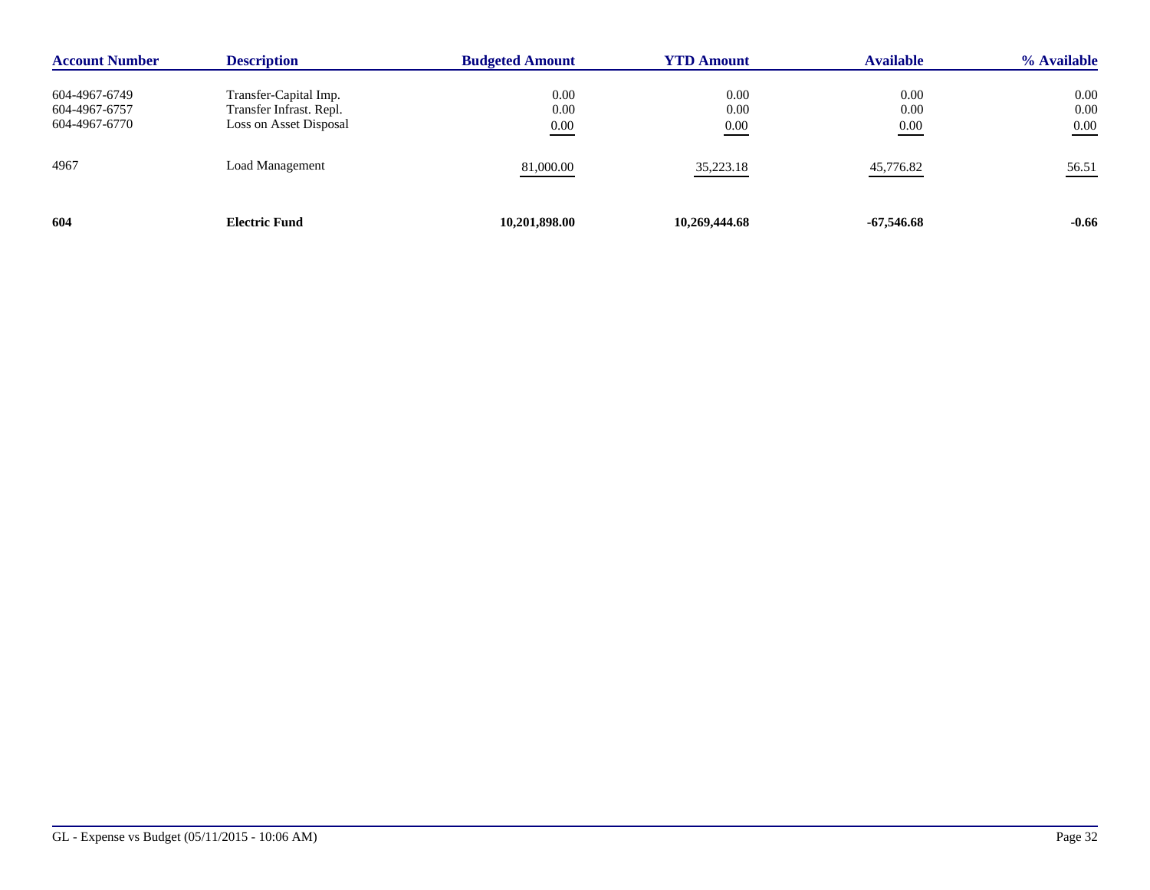| <b>Account Number</b>                           | <b>Description</b>                                                         | <b>Budgeted Amount</b> | <b>YTD Amount</b>    | <b>Available</b>         | % Available              |
|-------------------------------------------------|----------------------------------------------------------------------------|------------------------|----------------------|--------------------------|--------------------------|
| 604-4967-6749<br>604-4967-6757<br>604-4967-6770 | Transfer-Capital Imp.<br>Transfer Infrast. Repl.<br>Loss on Asset Disposal | 0.00<br>0.00<br>0.00   | 0.00<br>0.00<br>0.00 | 0.00<br>0.00<br>$0.00\,$ | $0.00\,$<br>0.00<br>0.00 |
| 4967                                            | <b>Load Management</b>                                                     | 81,000.00              | 35,223.18            | 45,776.82                | 56.51                    |
| 604                                             | <b>Electric Fund</b>                                                       | 10,201,898.00          | 10,269,444.68        | -67,546.68               | $-0.66$                  |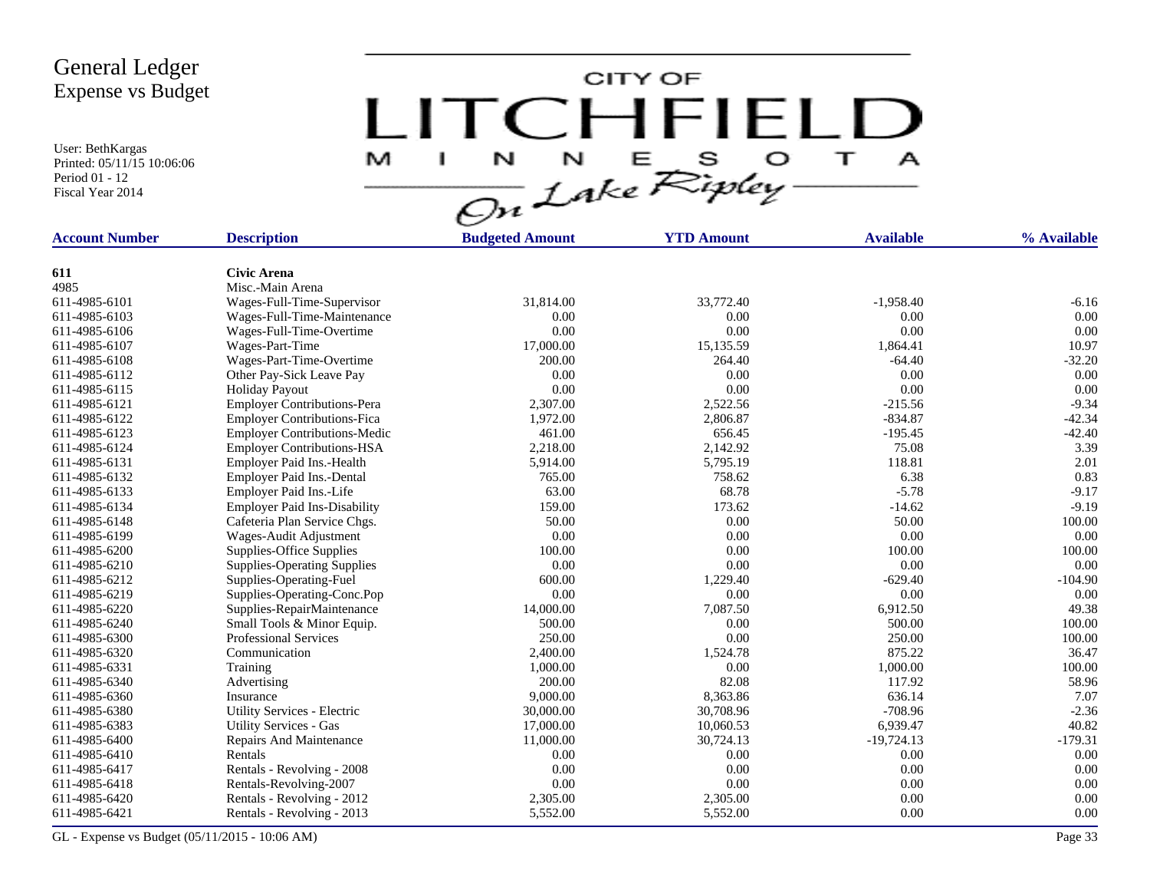User: BethKargas Printed: 05/11/15 10:06:06 Period 01 - 12 Fiscal Year 2014

CITY OF LITCHFIELD M  $\top$  $\mathbf{I}$  $\mathbf{A}$ 

| <b>Account Number</b> | <b>Description</b>                  | <b>Budgeted Amount</b> | <b>YTD Amount</b> | <b>Available</b> | % Available |
|-----------------------|-------------------------------------|------------------------|-------------------|------------------|-------------|
|                       |                                     |                        |                   |                  |             |
| 611                   | <b>Civic Arena</b>                  |                        |                   |                  |             |
| 4985                  | Misc.-Main Arena                    |                        |                   |                  |             |
| 611-4985-6101         | Wages-Full-Time-Supervisor          | 31,814.00              | 33,772.40         | $-1,958.40$      | $-6.16$     |
| 611-4985-6103         | Wages-Full-Time-Maintenance         | 0.00                   | 0.00              | 0.00             | 0.00        |
| 611-4985-6106         | Wages-Full-Time-Overtime            | 0.00                   | 0.00              | 0.00             | 0.00        |
| 611-4985-6107         | Wages-Part-Time                     | 17,000.00              | 15,135.59         | 1,864.41         | 10.97       |
| 611-4985-6108         | Wages-Part-Time-Overtime            | 200.00                 | 264.40            | $-64.40$         | $-32.20$    |
| 611-4985-6112         | Other Pay-Sick Leave Pay            | 0.00                   | 0.00              | 0.00             | 0.00        |
| 611-4985-6115         | <b>Holiday Payout</b>               | 0.00                   | 0.00              | 0.00             | 0.00        |
| 611-4985-6121         | <b>Employer Contributions-Pera</b>  | 2,307.00               | 2,522.56          | $-215.56$        | $-9.34$     |
| 611-4985-6122         | <b>Employer Contributions-Fica</b>  | 1,972.00               | 2,806.87          | $-834.87$        | $-42.34$    |
| 611-4985-6123         | <b>Employer Contributions-Medic</b> | 461.00                 | 656.45            | $-195.45$        | $-42.40$    |
| 611-4985-6124         | <b>Employer Contributions-HSA</b>   | 2,218.00               | 2,142.92          | 75.08            | 3.39        |
| 611-4985-6131         | Employer Paid Ins.-Health           | 5,914.00               | 5,795.19          | 118.81           | 2.01        |
| 611-4985-6132         | Employer Paid Ins.-Dental           | 765.00                 | 758.62            | 6.38             | 0.83        |
| 611-4985-6133         | Employer Paid Ins.-Life             | 63.00                  | 68.78             | $-5.78$          | $-9.17$     |
| 611-4985-6134         | <b>Employer Paid Ins-Disability</b> | 159.00                 | 173.62            | $-14.62$         | $-9.19$     |
| 611-4985-6148         | Cafeteria Plan Service Chgs.        | 50.00                  | 0.00              | 50.00            | 100.00      |
| 611-4985-6199         | Wages-Audit Adjustment              | 0.00                   | 0.00              | $0.00\,$         | 0.00        |
| 611-4985-6200         | Supplies-Office Supplies            | 100.00                 | 0.00              | 100.00           | 100.00      |
| 611-4985-6210         | <b>Supplies-Operating Supplies</b>  | 0.00                   | 0.00              | 0.00             | 0.00        |
| 611-4985-6212         | Supplies-Operating-Fuel             | 600.00                 | 1,229.40          | $-629.40$        | $-104.90$   |
| 611-4985-6219         | Supplies-Operating-Conc.Pop         | 0.00                   | 0.00              | 0.00             | 0.00        |
| 611-4985-6220         | Supplies-RepairMaintenance          | 14,000.00              | 7.087.50          | 6,912.50         | 49.38       |
| 611-4985-6240         | Small Tools & Minor Equip.          | 500.00                 | 0.00              | 500.00           | 100.00      |
| 611-4985-6300         | <b>Professional Services</b>        | 250.00                 | 0.00              | 250.00           | 100.00      |
| 611-4985-6320         | Communication                       | 2,400.00               | 1,524.78          | 875.22           | 36.47       |
| 611-4985-6331         | Training                            | 1,000.00               | 0.00              | 1,000.00         | 100.00      |
| 611-4985-6340         | Advertising                         | 200.00                 | 82.08             | 117.92           | 58.96       |
| 611-4985-6360         | Insurance                           | 9,000.00               | 8,363.86          | 636.14           | 7.07        |
| 611-4985-6380         | Utility Services - Electric         | 30,000.00              | 30,708.96         | $-708.96$        | $-2.36$     |
| 611-4985-6383         | <b>Utility Services - Gas</b>       | 17,000.00              | 10,060.53         | 6,939.47         | 40.82       |
| 611-4985-6400         | Repairs And Maintenance             | 11,000.00              | 30,724.13         | $-19,724.13$     | $-179.31$   |
| 611-4985-6410         | Rentals                             | 0.00                   | 0.00              | 0.00             | 0.00        |
| 611-4985-6417         | Rentals - Revolving - 2008          | 0.00                   | 0.00              | 0.00             | 0.00        |
| 611-4985-6418         | Rentals-Revolving-2007              | 0.00                   | 0.00              | 0.00             | 0.00        |
| 611-4985-6420         | Rentals - Revolving - 2012          | 2,305.00               | 2,305.00          | 0.00             | 0.00        |
| 611-4985-6421         | Rentals - Revolving - 2013          | 5,552.00               | 5,552.00          | 0.00             | 0.00        |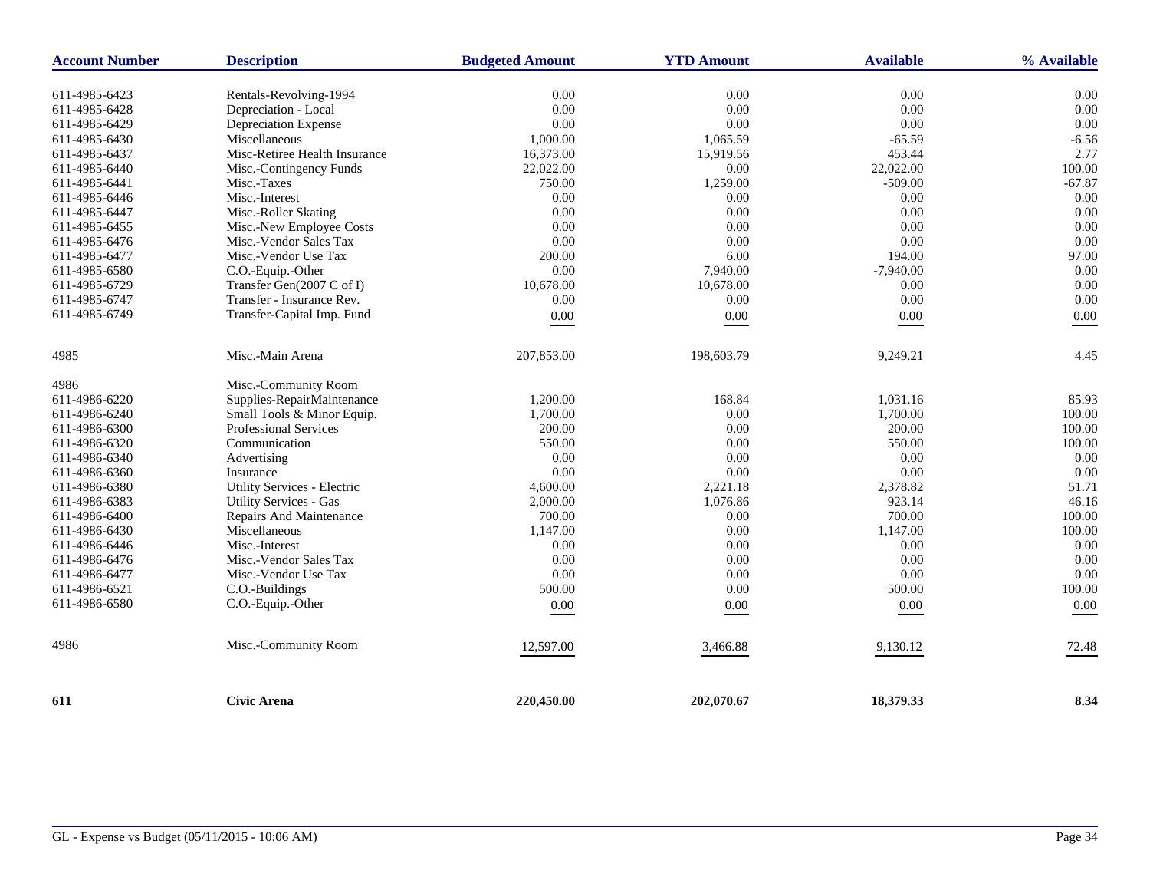| <b>Account Number</b> | <b>Description</b>                 | <b>Budgeted Amount</b> | <b>YTD Amount</b> | <b>Available</b> | % Available |
|-----------------------|------------------------------------|------------------------|-------------------|------------------|-------------|
| 611-4985-6423         | Rentals-Revolving-1994             | 0.00                   | 0.00              | 0.00             | 0.00        |
| 611-4985-6428         | Depreciation - Local               | 0.00                   | 0.00              | $0.00\,$         | 0.00        |
| 611-4985-6429         | Depreciation Expense               | 0.00                   | 0.00              | 0.00             | 0.00        |
| 611-4985-6430         | Miscellaneous                      | 1,000.00               | 1,065.59          | $-65.59$         | $-6.56$     |
| 611-4985-6437         | Misc-Retiree Health Insurance      | 16,373.00              | 15,919.56         | 453.44           | 2.77        |
| 611-4985-6440         | Misc.-Contingency Funds            | 22,022.00              | 0.00              | 22,022.00        | 100.00      |
| 611-4985-6441         | Misc.-Taxes                        | 750.00                 | 1,259.00          | $-509.00$        | $-67.87$    |
| 611-4985-6446         | Misc.-Interest                     | 0.00                   | 0.00              | 0.00             | 0.00        |
| 611-4985-6447         | Misc.-Roller Skating               | 0.00                   | 0.00              | 0.00             | 0.00        |
| 611-4985-6455         | Misc.-New Employee Costs           | 0.00                   | 0.00              | 0.00             | 0.00        |
| 611-4985-6476         | Misc.-Vendor Sales Tax             | 0.00                   | 0.00              | 0.00             | 0.00        |
| 611-4985-6477         | Misc.-Vendor Use Tax               | 200.00                 | 6.00              | 194.00           | 97.00       |
| 611-4985-6580         | C.O.-Equip.-Other                  | 0.00                   | 7,940.00          | $-7,940.00$      | 0.00        |
| 611-4985-6729         | Transfer Gen(2007 C of I)          | 10.678.00              | 10,678.00         | 0.00             | 0.00        |
| 611-4985-6747         | Transfer - Insurance Rev.          | 0.00                   | $0.00\,$          | 0.00             | 0.00        |
| 611-4985-6749         | Transfer-Capital Imp. Fund         | 0.00                   | $0.00\,$          | $0.00\,$         | $0.00\,$    |
|                       |                                    |                        |                   |                  |             |
| 4985                  | Misc.-Main Arena                   | 207,853.00             | 198,603.79        | 9,249.21         | 4.45        |
| 4986                  | Misc.-Community Room               |                        |                   |                  |             |
| 611-4986-6220         | Supplies-RepairMaintenance         | 1,200.00               | 168.84            | 1,031.16         | 85.93       |
| 611-4986-6240         | Small Tools & Minor Equip.         | 1,700.00               | 0.00              | 1,700.00         | 100.00      |
| 611-4986-6300         | <b>Professional Services</b>       | 200.00                 | 0.00              | 200.00           | 100.00      |
| 611-4986-6320         | Communication                      | 550.00                 | 0.00              | 550.00           | 100.00      |
| 611-4986-6340         | Advertising                        | 0.00                   | 0.00              | 0.00             | 0.00        |
| 611-4986-6360         | Insurance                          | 0.00                   | 0.00              | 0.00             | 0.00        |
| 611-4986-6380         | <b>Utility Services - Electric</b> | 4,600.00               | 2,221.18          | 2,378.82         | 51.71       |
| 611-4986-6383         | <b>Utility Services - Gas</b>      | 2,000.00               | 1,076.86          | 923.14           | 46.16       |
| 611-4986-6400         | Repairs And Maintenance            | 700.00                 | 0.00              | 700.00           | 100.00      |
| 611-4986-6430         | Miscellaneous                      | 1,147.00               | 0.00              | 1,147.00         | 100.00      |
| 611-4986-6446         | Misc.-Interest                     | 0.00                   | 0.00              | 0.00             | 0.00        |
| 611-4986-6476         | Misc.-Vendor Sales Tax             | 0.00                   | 0.00              | 0.00             | 0.00        |
| 611-4986-6477         | Misc.-Vendor Use Tax               | 0.00                   | 0.00              | $0.00\,$         | 0.00        |
| 611-4986-6521         | C.O.-Buildings                     | 500.00                 | 0.00              | 500.00           | 100.00      |
| 611-4986-6580         | C.O.-Equip.-Other                  | $0.00\,$               | 0.00              | 0.00             | $0.00\,$    |
| 4986                  | Misc.-Community Room               | 12,597.00              | 3,466.88          | 9,130.12         | 72.48       |
| 611                   | Civic Arena                        | 220,450.00             | 202,070.67        | 18,379.33        | 8.34        |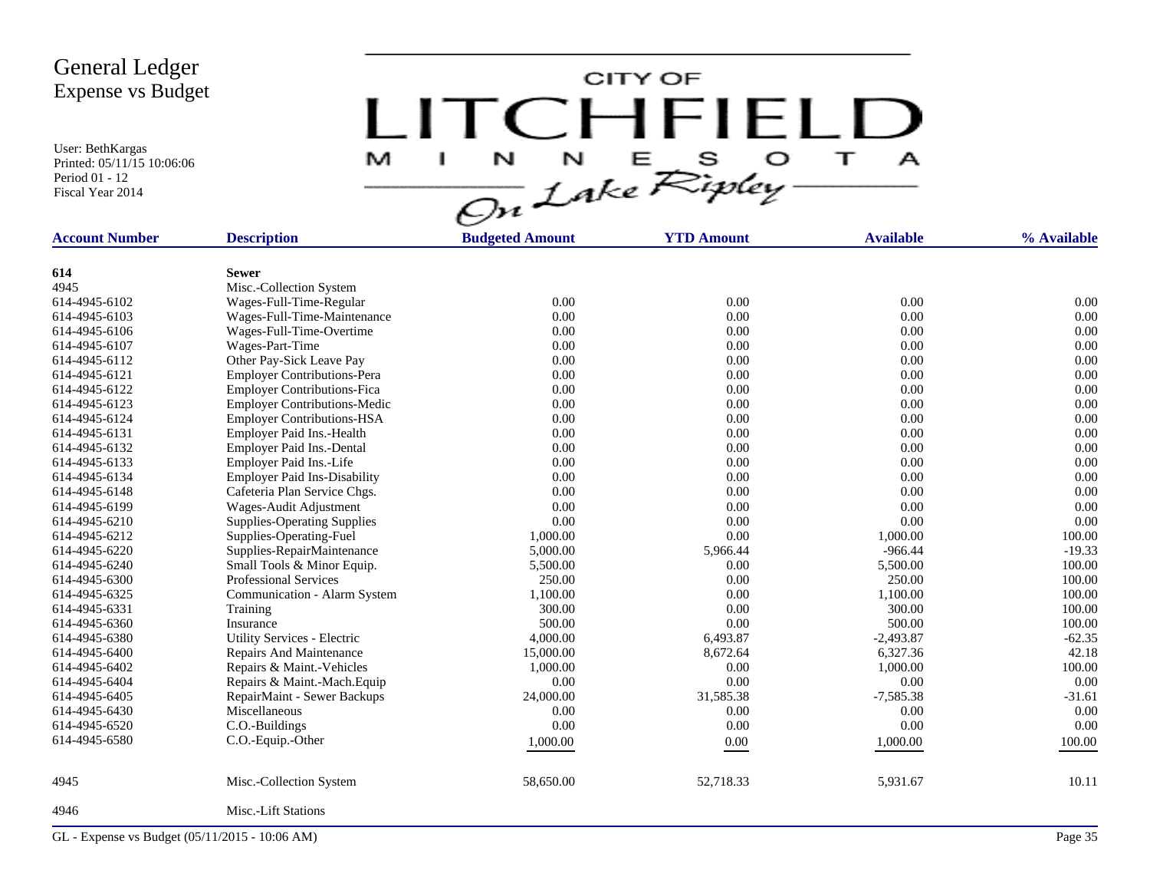User: BethKargas Printed: 05/11/15 10:06:06 Period 01 - 12 Fiscal Year 2014

CITY OF LITCHFIELD  $\top$ M J.  $\mathbf{A}$ 

| <b>Account Number</b> | <b>Description</b>                  | <b>Budgeted Amount</b> | <b>YTD Amount</b> | <b>Available</b> | % Available |
|-----------------------|-------------------------------------|------------------------|-------------------|------------------|-------------|
|                       |                                     |                        |                   |                  |             |
| 614                   | <b>Sewer</b>                        |                        |                   |                  |             |
| 4945                  | Misc.-Collection System             |                        |                   |                  |             |
| 614-4945-6102         | Wages-Full-Time-Regular             | 0.00                   | 0.00              | 0.00             | 0.00        |
| 614-4945-6103         | Wages-Full-Time-Maintenance         | 0.00                   | 0.00              | 0.00             | 0.00        |
| 614-4945-6106         | Wages-Full-Time-Overtime            | 0.00                   | 0.00              | 0.00             | 0.00        |
| 614-4945-6107         | Wages-Part-Time                     | 0.00                   | 0.00              | 0.00             | 0.00        |
| 614-4945-6112         | Other Pay-Sick Leave Pay            | 0.00                   | 0.00              | 0.00             | 0.00        |
| 614-4945-6121         | <b>Employer Contributions-Pera</b>  | 0.00                   | 0.00              | 0.00             | 0.00        |
| 614-4945-6122         | <b>Employer Contributions-Fica</b>  | 0.00                   | 0.00              | 0.00             | 0.00        |
| 614-4945-6123         | <b>Employer Contributions-Medic</b> | 0.00                   | 0.00              | 0.00             | 0.00        |
| 614-4945-6124         | <b>Employer Contributions-HSA</b>   | 0.00                   | 0.00              | 0.00             | 0.00        |
| 614-4945-6131         | Employer Paid Ins.-Health           | 0.00                   | 0.00              | 0.00             | 0.00        |
| 614-4945-6132         | Employer Paid Ins.-Dental           | 0.00                   | 0.00              | 0.00             | 0.00        |
| 614-4945-6133         | Employer Paid Ins.-Life             | 0.00                   | 0.00              | 0.00             | 0.00        |
| 614-4945-6134         | <b>Employer Paid Ins-Disability</b> | 0.00                   | 0.00              | 0.00             | 0.00        |
| 614-4945-6148         | Cafeteria Plan Service Chgs.        | 0.00                   | 0.00              | 0.00             | 0.00        |
| 614-4945-6199         | Wages-Audit Adjustment              | 0.00                   | 0.00              | 0.00             | 0.00        |
| 614-4945-6210         | <b>Supplies-Operating Supplies</b>  | 0.00                   | 0.00              | 0.00             | 0.00        |
| 614-4945-6212         | Supplies-Operating-Fuel             | 1,000.00               | 0.00              | 1,000.00         | 100.00      |
| 614-4945-6220         | Supplies-RepairMaintenance          | 5,000.00               | 5,966.44          | $-966.44$        | $-19.33$    |
| 614-4945-6240         | Small Tools & Minor Equip.          | 5,500.00               | 0.00              | 5,500.00         | 100.00      |
| 614-4945-6300         | <b>Professional Services</b>        | 250.00                 | 0.00              | 250.00           | 100.00      |
| 614-4945-6325         | Communication - Alarm System        | 1,100.00               | 0.00              | 1,100.00         | 100.00      |
| 614-4945-6331         | Training                            | 300.00                 | 0.00              | 300.00           | 100.00      |
| 614-4945-6360         | Insurance                           | 500.00                 | 0.00              | 500.00           | 100.00      |
| 614-4945-6380         | Utility Services - Electric         | 4,000.00               | 6,493.87          | $-2,493.87$      | $-62.35$    |
| 614-4945-6400         | Repairs And Maintenance             | 15,000.00              | 8,672.64          | 6,327.36         | 42.18       |
| 614-4945-6402         | Repairs & Maint.-Vehicles           | 1,000.00               | 0.00              | 1,000.00         | 100.00      |
| 614-4945-6404         | Repairs & Maint.-Mach. Equip        | 0.00                   | 0.00              | 0.00             | 0.00        |
| 614-4945-6405         | RepairMaint - Sewer Backups         | 24,000.00              | 31,585.38         | $-7,585.38$      | $-31.61$    |
| 614-4945-6430         | Miscellaneous                       | 0.00                   | 0.00              | 0.00             | 0.00        |
| 614-4945-6520         | C.O.-Buildings                      | 0.00                   | 0.00              | 0.00             | 0.00        |
| 614-4945-6580         | C.O.-Equip.-Other                   | 1,000.00               | 0.00              | 1,000.00         | 100.00      |
|                       |                                     |                        |                   |                  |             |
| 4945                  | Misc.-Collection System             | 58,650.00              | 52,718.33         | 5,931.67         | 10.11       |
| 4946                  | Misc.-Lift Stations                 |                        |                   |                  |             |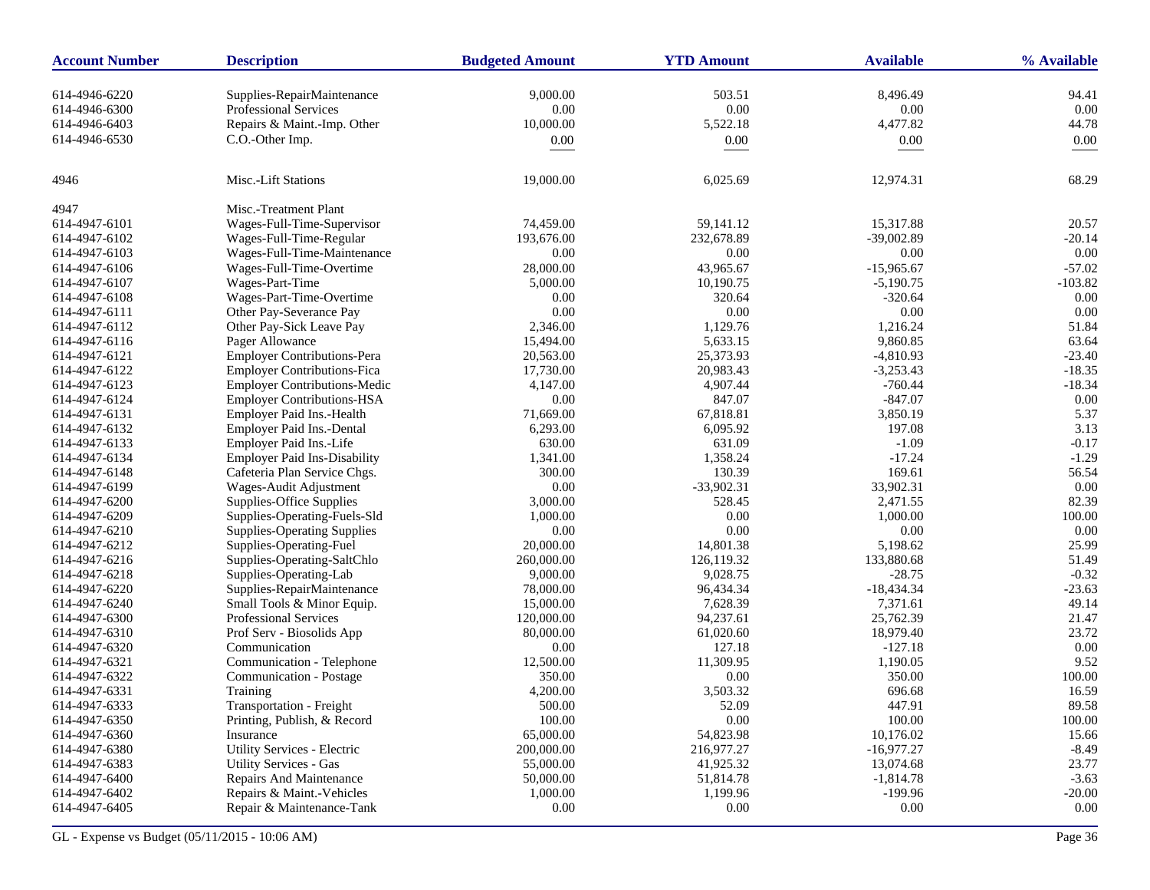| 9,000.00<br>503.51<br>8,496.49<br>614-4946-6220<br>Supplies-RepairMaintenance<br>94.41<br>Professional Services<br>0.00<br>0.00<br>0.00<br>0.00<br>614-4946-6300<br>10,000.00<br>5,522.18<br>4,477.82<br>44.78<br>614-4946-6403<br>Repairs & Maint.-Imp. Other<br>614-4946-6530<br>C.O.-Other Imp.<br>0.00<br>0.00<br>$0.00\,$<br>0.00<br>Misc.-Lift Stations<br>68.29<br>4946<br>19,000.00<br>6,025.69<br>12,974.31<br>4947<br>Misc.-Treatment Plant<br>614-4947-6101<br>Wages-Full-Time-Supervisor<br>15,317.88<br>74,459.00<br>59, 141. 12<br>20.57<br>232,678.89<br>614-4947-6102<br>Wages-Full-Time-Regular<br>193,676.00<br>$-39,002.89$<br>$-20.14$<br>0.00<br>614-4947-6103<br>Wages-Full-Time-Maintenance<br>0.00<br>0.00<br>0.00<br>$-57.02$<br>Wages-Full-Time-Overtime<br>28,000.00<br>43,965.67<br>$-15,965.67$<br>614-4947-6106<br>$-103.82$<br>614-4947-6107<br>Wages-Part-Time<br>5,000.00<br>10,190.75<br>$-5,190.75$<br>Wages-Part-Time-Overtime<br>0.00<br>320.64<br>$-320.64$<br>0.00<br>614-4947-6108<br>0.00<br>0.00<br>0.00<br>Other Pay-Severance Pay<br>0.00<br>614-4947-6111<br>1,129.76<br>51.84<br>614-4947-6112<br>Other Pay-Sick Leave Pay<br>2,346.00<br>1,216.24<br>5,633.15<br>63.64<br>Pager Allowance<br>15,494.00<br>9,860.85<br>614-4947-6116<br><b>Employer Contributions-Pera</b><br>20,563.00<br>25,373.93<br>$-4,810.93$<br>$-23.40$<br>614-4947-6121<br>17,730.00<br>20,983.43<br>$-3,253.43$<br>$-18.35$<br>614-4947-6122<br><b>Employer Contributions-Fica</b><br>4,907.44<br>$-760.44$<br>$-18.34$<br>614-4947-6123<br><b>Employer Contributions-Medic</b><br>4,147.00<br><b>Employer Contributions-HSA</b><br>847.07<br>$-847.07$<br>0.00<br>0.00<br>614-4947-6124<br>5.37<br>614-4947-6131<br>Employer Paid Ins.-Health<br>71,669.00<br>67,818.81<br>3,850.19<br>3.13<br>Employer Paid Ins.-Dental<br>6,293.00<br>6.095.92<br>197.08<br>614-4947-6132<br>631.09<br>$-1.09$<br>$-0.17$<br>Employer Paid Ins.-Life<br>630.00<br>614-4947-6133<br>1,358.24<br>$-1.29$<br>614-4947-6134<br><b>Employer Paid Ins-Disability</b><br>1,341.00<br>$-17.24$<br>130.39<br>169.61<br>614-4947-6148<br>Cafeteria Plan Service Chgs.<br>300.00<br>56.54<br>33,902.31<br>Wages-Audit Adjustment<br>0.00<br>$-33,902.31$<br>0.00<br>614-4947-6199<br>82.39<br>Supplies-Office Supplies<br>3,000.00<br>528.45<br>2,471.55<br>614-4947-6200<br>0.00<br>614-4947-6209<br>Supplies-Operating-Fuels-Sld<br>1,000.00<br>1,000.00<br>100.00<br>0.00<br><b>Supplies-Operating Supplies</b><br>0.00<br>0.00<br>0.00<br>614-4947-6210<br>614-4947-6212<br>Supplies-Operating-Fuel<br>20,000.00<br>14,801.38<br>5,198.62<br>25.99<br>51.49<br>614-4947-6216<br>Supplies-Operating-SaltChlo<br>260,000.00<br>126,119.32<br>133,880.68<br>9,028.75<br>$-28.75$<br>$-0.32$<br>614-4947-6218<br>Supplies-Operating-Lab<br>9,000.00<br>614-4947-6220<br>Supplies-RepairMaintenance<br>78,000.00<br>96,434.34<br>$-18,434.34$<br>$-23.63$<br>7,371.61<br>49.14<br>Small Tools & Minor Equip.<br>15,000.00<br>7,628.39<br>614-4947-6240<br><b>Professional Services</b><br>120,000.00<br>94,237.61<br>25,762.39<br>614-4947-6300<br>21.47<br>614-4947-6310<br>Prof Serv - Biosolids App<br>80,000.00<br>61,020.60<br>18,979.40<br>23.72<br>127.18<br>$-127.18$<br>0.00<br>614-4947-6320<br>Communication<br>0.00<br>9.52<br>Communication - Telephone<br>12,500.00<br>11,309.95<br>1,190.05<br>614-4947-6321<br>614-4947-6322<br>Communication - Postage<br>350.00<br>0.00<br>350.00<br>100.00<br>3,503.32<br>614-4947-6331<br>4,200.00<br>696.68<br>16.59<br>Training<br>614-4947-6333<br>Transportation - Freight<br>500.00<br>52.09<br>447.91<br>89.58<br>100.00<br>0.00<br>100.00<br>100.00<br>614-4947-6350<br>Printing, Publish, & Record<br>54,823.98<br>614-4947-6360<br>Insurance<br>65,000.00<br>10,176.02<br>15.66<br>Utility Services - Electric<br>200,000.00<br>216,977.27<br>$-16,977.27$<br>$-8.49$<br>614-4947-6380<br>23.77<br>614-4947-6383<br><b>Utility Services - Gas</b><br>55,000.00<br>41,925.32<br>13,074.68<br>$-3.63$<br>614-4947-6400<br>Repairs And Maintenance<br>50,000.00<br>51,814.78<br>$-1,814.78$<br>614-4947-6402<br>Repairs & Maint.-Vehicles<br>1,000.00<br>1,199.96<br>$-199.96$<br>$-20.00$<br>614-4947-6405<br>Repair & Maintenance-Tank<br>0.00<br>0.00<br>0.00<br>0.00 | <b>Account Number</b> | <b>Description</b> | <b>Budgeted Amount</b> | <b>YTD Amount</b> | <b>Available</b> | % Available |
|-----------------------------------------------------------------------------------------------------------------------------------------------------------------------------------------------------------------------------------------------------------------------------------------------------------------------------------------------------------------------------------------------------------------------------------------------------------------------------------------------------------------------------------------------------------------------------------------------------------------------------------------------------------------------------------------------------------------------------------------------------------------------------------------------------------------------------------------------------------------------------------------------------------------------------------------------------------------------------------------------------------------------------------------------------------------------------------------------------------------------------------------------------------------------------------------------------------------------------------------------------------------------------------------------------------------------------------------------------------------------------------------------------------------------------------------------------------------------------------------------------------------------------------------------------------------------------------------------------------------------------------------------------------------------------------------------------------------------------------------------------------------------------------------------------------------------------------------------------------------------------------------------------------------------------------------------------------------------------------------------------------------------------------------------------------------------------------------------------------------------------------------------------------------------------------------------------------------------------------------------------------------------------------------------------------------------------------------------------------------------------------------------------------------------------------------------------------------------------------------------------------------------------------------------------------------------------------------------------------------------------------------------------------------------------------------------------------------------------------------------------------------------------------------------------------------------------------------------------------------------------------------------------------------------------------------------------------------------------------------------------------------------------------------------------------------------------------------------------------------------------------------------------------------------------------------------------------------------------------------------------------------------------------------------------------------------------------------------------------------------------------------------------------------------------------------------------------------------------------------------------------------------------------------------------------------------------------------------------------------------------------------------------------------------------------------------------------------------------------------------------------------------------------------------------------------------------------------------------------------------------------------------------------------------------------------------------------------------------------------------------------------------------------------------------------------------------------------------------------------------------------------------------------------------------------------------------------------------------------------------------------------------------------------------------------------------------------|-----------------------|--------------------|------------------------|-------------------|------------------|-------------|
|                                                                                                                                                                                                                                                                                                                                                                                                                                                                                                                                                                                                                                                                                                                                                                                                                                                                                                                                                                                                                                                                                                                                                                                                                                                                                                                                                                                                                                                                                                                                                                                                                                                                                                                                                                                                                                                                                                                                                                                                                                                                                                                                                                                                                                                                                                                                                                                                                                                                                                                                                                                                                                                                                                                                                                                                                                                                                                                                                                                                                                                                                                                                                                                                                                                                                                                                                                                                                                                                                                                                                                                                                                                                                                                                                                                                                                                                                                                                                                                                                                                                                                                                                                                                                                                                                                                                   |                       |                    |                        |                   |                  |             |
|                                                                                                                                                                                                                                                                                                                                                                                                                                                                                                                                                                                                                                                                                                                                                                                                                                                                                                                                                                                                                                                                                                                                                                                                                                                                                                                                                                                                                                                                                                                                                                                                                                                                                                                                                                                                                                                                                                                                                                                                                                                                                                                                                                                                                                                                                                                                                                                                                                                                                                                                                                                                                                                                                                                                                                                                                                                                                                                                                                                                                                                                                                                                                                                                                                                                                                                                                                                                                                                                                                                                                                                                                                                                                                                                                                                                                                                                                                                                                                                                                                                                                                                                                                                                                                                                                                                                   |                       |                    |                        |                   |                  |             |
|                                                                                                                                                                                                                                                                                                                                                                                                                                                                                                                                                                                                                                                                                                                                                                                                                                                                                                                                                                                                                                                                                                                                                                                                                                                                                                                                                                                                                                                                                                                                                                                                                                                                                                                                                                                                                                                                                                                                                                                                                                                                                                                                                                                                                                                                                                                                                                                                                                                                                                                                                                                                                                                                                                                                                                                                                                                                                                                                                                                                                                                                                                                                                                                                                                                                                                                                                                                                                                                                                                                                                                                                                                                                                                                                                                                                                                                                                                                                                                                                                                                                                                                                                                                                                                                                                                                                   |                       |                    |                        |                   |                  |             |
|                                                                                                                                                                                                                                                                                                                                                                                                                                                                                                                                                                                                                                                                                                                                                                                                                                                                                                                                                                                                                                                                                                                                                                                                                                                                                                                                                                                                                                                                                                                                                                                                                                                                                                                                                                                                                                                                                                                                                                                                                                                                                                                                                                                                                                                                                                                                                                                                                                                                                                                                                                                                                                                                                                                                                                                                                                                                                                                                                                                                                                                                                                                                                                                                                                                                                                                                                                                                                                                                                                                                                                                                                                                                                                                                                                                                                                                                                                                                                                                                                                                                                                                                                                                                                                                                                                                                   |                       |                    |                        |                   |                  |             |
|                                                                                                                                                                                                                                                                                                                                                                                                                                                                                                                                                                                                                                                                                                                                                                                                                                                                                                                                                                                                                                                                                                                                                                                                                                                                                                                                                                                                                                                                                                                                                                                                                                                                                                                                                                                                                                                                                                                                                                                                                                                                                                                                                                                                                                                                                                                                                                                                                                                                                                                                                                                                                                                                                                                                                                                                                                                                                                                                                                                                                                                                                                                                                                                                                                                                                                                                                                                                                                                                                                                                                                                                                                                                                                                                                                                                                                                                                                                                                                                                                                                                                                                                                                                                                                                                                                                                   |                       |                    |                        |                   |                  |             |
|                                                                                                                                                                                                                                                                                                                                                                                                                                                                                                                                                                                                                                                                                                                                                                                                                                                                                                                                                                                                                                                                                                                                                                                                                                                                                                                                                                                                                                                                                                                                                                                                                                                                                                                                                                                                                                                                                                                                                                                                                                                                                                                                                                                                                                                                                                                                                                                                                                                                                                                                                                                                                                                                                                                                                                                                                                                                                                                                                                                                                                                                                                                                                                                                                                                                                                                                                                                                                                                                                                                                                                                                                                                                                                                                                                                                                                                                                                                                                                                                                                                                                                                                                                                                                                                                                                                                   |                       |                    |                        |                   |                  |             |
|                                                                                                                                                                                                                                                                                                                                                                                                                                                                                                                                                                                                                                                                                                                                                                                                                                                                                                                                                                                                                                                                                                                                                                                                                                                                                                                                                                                                                                                                                                                                                                                                                                                                                                                                                                                                                                                                                                                                                                                                                                                                                                                                                                                                                                                                                                                                                                                                                                                                                                                                                                                                                                                                                                                                                                                                                                                                                                                                                                                                                                                                                                                                                                                                                                                                                                                                                                                                                                                                                                                                                                                                                                                                                                                                                                                                                                                                                                                                                                                                                                                                                                                                                                                                                                                                                                                                   |                       |                    |                        |                   |                  |             |
|                                                                                                                                                                                                                                                                                                                                                                                                                                                                                                                                                                                                                                                                                                                                                                                                                                                                                                                                                                                                                                                                                                                                                                                                                                                                                                                                                                                                                                                                                                                                                                                                                                                                                                                                                                                                                                                                                                                                                                                                                                                                                                                                                                                                                                                                                                                                                                                                                                                                                                                                                                                                                                                                                                                                                                                                                                                                                                                                                                                                                                                                                                                                                                                                                                                                                                                                                                                                                                                                                                                                                                                                                                                                                                                                                                                                                                                                                                                                                                                                                                                                                                                                                                                                                                                                                                                                   |                       |                    |                        |                   |                  |             |
|                                                                                                                                                                                                                                                                                                                                                                                                                                                                                                                                                                                                                                                                                                                                                                                                                                                                                                                                                                                                                                                                                                                                                                                                                                                                                                                                                                                                                                                                                                                                                                                                                                                                                                                                                                                                                                                                                                                                                                                                                                                                                                                                                                                                                                                                                                                                                                                                                                                                                                                                                                                                                                                                                                                                                                                                                                                                                                                                                                                                                                                                                                                                                                                                                                                                                                                                                                                                                                                                                                                                                                                                                                                                                                                                                                                                                                                                                                                                                                                                                                                                                                                                                                                                                                                                                                                                   |                       |                    |                        |                   |                  |             |
|                                                                                                                                                                                                                                                                                                                                                                                                                                                                                                                                                                                                                                                                                                                                                                                                                                                                                                                                                                                                                                                                                                                                                                                                                                                                                                                                                                                                                                                                                                                                                                                                                                                                                                                                                                                                                                                                                                                                                                                                                                                                                                                                                                                                                                                                                                                                                                                                                                                                                                                                                                                                                                                                                                                                                                                                                                                                                                                                                                                                                                                                                                                                                                                                                                                                                                                                                                                                                                                                                                                                                                                                                                                                                                                                                                                                                                                                                                                                                                                                                                                                                                                                                                                                                                                                                                                                   |                       |                    |                        |                   |                  |             |
|                                                                                                                                                                                                                                                                                                                                                                                                                                                                                                                                                                                                                                                                                                                                                                                                                                                                                                                                                                                                                                                                                                                                                                                                                                                                                                                                                                                                                                                                                                                                                                                                                                                                                                                                                                                                                                                                                                                                                                                                                                                                                                                                                                                                                                                                                                                                                                                                                                                                                                                                                                                                                                                                                                                                                                                                                                                                                                                                                                                                                                                                                                                                                                                                                                                                                                                                                                                                                                                                                                                                                                                                                                                                                                                                                                                                                                                                                                                                                                                                                                                                                                                                                                                                                                                                                                                                   |                       |                    |                        |                   |                  |             |
|                                                                                                                                                                                                                                                                                                                                                                                                                                                                                                                                                                                                                                                                                                                                                                                                                                                                                                                                                                                                                                                                                                                                                                                                                                                                                                                                                                                                                                                                                                                                                                                                                                                                                                                                                                                                                                                                                                                                                                                                                                                                                                                                                                                                                                                                                                                                                                                                                                                                                                                                                                                                                                                                                                                                                                                                                                                                                                                                                                                                                                                                                                                                                                                                                                                                                                                                                                                                                                                                                                                                                                                                                                                                                                                                                                                                                                                                                                                                                                                                                                                                                                                                                                                                                                                                                                                                   |                       |                    |                        |                   |                  |             |
|                                                                                                                                                                                                                                                                                                                                                                                                                                                                                                                                                                                                                                                                                                                                                                                                                                                                                                                                                                                                                                                                                                                                                                                                                                                                                                                                                                                                                                                                                                                                                                                                                                                                                                                                                                                                                                                                                                                                                                                                                                                                                                                                                                                                                                                                                                                                                                                                                                                                                                                                                                                                                                                                                                                                                                                                                                                                                                                                                                                                                                                                                                                                                                                                                                                                                                                                                                                                                                                                                                                                                                                                                                                                                                                                                                                                                                                                                                                                                                                                                                                                                                                                                                                                                                                                                                                                   |                       |                    |                        |                   |                  |             |
|                                                                                                                                                                                                                                                                                                                                                                                                                                                                                                                                                                                                                                                                                                                                                                                                                                                                                                                                                                                                                                                                                                                                                                                                                                                                                                                                                                                                                                                                                                                                                                                                                                                                                                                                                                                                                                                                                                                                                                                                                                                                                                                                                                                                                                                                                                                                                                                                                                                                                                                                                                                                                                                                                                                                                                                                                                                                                                                                                                                                                                                                                                                                                                                                                                                                                                                                                                                                                                                                                                                                                                                                                                                                                                                                                                                                                                                                                                                                                                                                                                                                                                                                                                                                                                                                                                                                   |                       |                    |                        |                   |                  |             |
|                                                                                                                                                                                                                                                                                                                                                                                                                                                                                                                                                                                                                                                                                                                                                                                                                                                                                                                                                                                                                                                                                                                                                                                                                                                                                                                                                                                                                                                                                                                                                                                                                                                                                                                                                                                                                                                                                                                                                                                                                                                                                                                                                                                                                                                                                                                                                                                                                                                                                                                                                                                                                                                                                                                                                                                                                                                                                                                                                                                                                                                                                                                                                                                                                                                                                                                                                                                                                                                                                                                                                                                                                                                                                                                                                                                                                                                                                                                                                                                                                                                                                                                                                                                                                                                                                                                                   |                       |                    |                        |                   |                  |             |
|                                                                                                                                                                                                                                                                                                                                                                                                                                                                                                                                                                                                                                                                                                                                                                                                                                                                                                                                                                                                                                                                                                                                                                                                                                                                                                                                                                                                                                                                                                                                                                                                                                                                                                                                                                                                                                                                                                                                                                                                                                                                                                                                                                                                                                                                                                                                                                                                                                                                                                                                                                                                                                                                                                                                                                                                                                                                                                                                                                                                                                                                                                                                                                                                                                                                                                                                                                                                                                                                                                                                                                                                                                                                                                                                                                                                                                                                                                                                                                                                                                                                                                                                                                                                                                                                                                                                   |                       |                    |                        |                   |                  |             |
|                                                                                                                                                                                                                                                                                                                                                                                                                                                                                                                                                                                                                                                                                                                                                                                                                                                                                                                                                                                                                                                                                                                                                                                                                                                                                                                                                                                                                                                                                                                                                                                                                                                                                                                                                                                                                                                                                                                                                                                                                                                                                                                                                                                                                                                                                                                                                                                                                                                                                                                                                                                                                                                                                                                                                                                                                                                                                                                                                                                                                                                                                                                                                                                                                                                                                                                                                                                                                                                                                                                                                                                                                                                                                                                                                                                                                                                                                                                                                                                                                                                                                                                                                                                                                                                                                                                                   |                       |                    |                        |                   |                  |             |
|                                                                                                                                                                                                                                                                                                                                                                                                                                                                                                                                                                                                                                                                                                                                                                                                                                                                                                                                                                                                                                                                                                                                                                                                                                                                                                                                                                                                                                                                                                                                                                                                                                                                                                                                                                                                                                                                                                                                                                                                                                                                                                                                                                                                                                                                                                                                                                                                                                                                                                                                                                                                                                                                                                                                                                                                                                                                                                                                                                                                                                                                                                                                                                                                                                                                                                                                                                                                                                                                                                                                                                                                                                                                                                                                                                                                                                                                                                                                                                                                                                                                                                                                                                                                                                                                                                                                   |                       |                    |                        |                   |                  |             |
|                                                                                                                                                                                                                                                                                                                                                                                                                                                                                                                                                                                                                                                                                                                                                                                                                                                                                                                                                                                                                                                                                                                                                                                                                                                                                                                                                                                                                                                                                                                                                                                                                                                                                                                                                                                                                                                                                                                                                                                                                                                                                                                                                                                                                                                                                                                                                                                                                                                                                                                                                                                                                                                                                                                                                                                                                                                                                                                                                                                                                                                                                                                                                                                                                                                                                                                                                                                                                                                                                                                                                                                                                                                                                                                                                                                                                                                                                                                                                                                                                                                                                                                                                                                                                                                                                                                                   |                       |                    |                        |                   |                  |             |
|                                                                                                                                                                                                                                                                                                                                                                                                                                                                                                                                                                                                                                                                                                                                                                                                                                                                                                                                                                                                                                                                                                                                                                                                                                                                                                                                                                                                                                                                                                                                                                                                                                                                                                                                                                                                                                                                                                                                                                                                                                                                                                                                                                                                                                                                                                                                                                                                                                                                                                                                                                                                                                                                                                                                                                                                                                                                                                                                                                                                                                                                                                                                                                                                                                                                                                                                                                                                                                                                                                                                                                                                                                                                                                                                                                                                                                                                                                                                                                                                                                                                                                                                                                                                                                                                                                                                   |                       |                    |                        |                   |                  |             |
|                                                                                                                                                                                                                                                                                                                                                                                                                                                                                                                                                                                                                                                                                                                                                                                                                                                                                                                                                                                                                                                                                                                                                                                                                                                                                                                                                                                                                                                                                                                                                                                                                                                                                                                                                                                                                                                                                                                                                                                                                                                                                                                                                                                                                                                                                                                                                                                                                                                                                                                                                                                                                                                                                                                                                                                                                                                                                                                                                                                                                                                                                                                                                                                                                                                                                                                                                                                                                                                                                                                                                                                                                                                                                                                                                                                                                                                                                                                                                                                                                                                                                                                                                                                                                                                                                                                                   |                       |                    |                        |                   |                  |             |
|                                                                                                                                                                                                                                                                                                                                                                                                                                                                                                                                                                                                                                                                                                                                                                                                                                                                                                                                                                                                                                                                                                                                                                                                                                                                                                                                                                                                                                                                                                                                                                                                                                                                                                                                                                                                                                                                                                                                                                                                                                                                                                                                                                                                                                                                                                                                                                                                                                                                                                                                                                                                                                                                                                                                                                                                                                                                                                                                                                                                                                                                                                                                                                                                                                                                                                                                                                                                                                                                                                                                                                                                                                                                                                                                                                                                                                                                                                                                                                                                                                                                                                                                                                                                                                                                                                                                   |                       |                    |                        |                   |                  |             |
|                                                                                                                                                                                                                                                                                                                                                                                                                                                                                                                                                                                                                                                                                                                                                                                                                                                                                                                                                                                                                                                                                                                                                                                                                                                                                                                                                                                                                                                                                                                                                                                                                                                                                                                                                                                                                                                                                                                                                                                                                                                                                                                                                                                                                                                                                                                                                                                                                                                                                                                                                                                                                                                                                                                                                                                                                                                                                                                                                                                                                                                                                                                                                                                                                                                                                                                                                                                                                                                                                                                                                                                                                                                                                                                                                                                                                                                                                                                                                                                                                                                                                                                                                                                                                                                                                                                                   |                       |                    |                        |                   |                  |             |
|                                                                                                                                                                                                                                                                                                                                                                                                                                                                                                                                                                                                                                                                                                                                                                                                                                                                                                                                                                                                                                                                                                                                                                                                                                                                                                                                                                                                                                                                                                                                                                                                                                                                                                                                                                                                                                                                                                                                                                                                                                                                                                                                                                                                                                                                                                                                                                                                                                                                                                                                                                                                                                                                                                                                                                                                                                                                                                                                                                                                                                                                                                                                                                                                                                                                                                                                                                                                                                                                                                                                                                                                                                                                                                                                                                                                                                                                                                                                                                                                                                                                                                                                                                                                                                                                                                                                   |                       |                    |                        |                   |                  |             |
|                                                                                                                                                                                                                                                                                                                                                                                                                                                                                                                                                                                                                                                                                                                                                                                                                                                                                                                                                                                                                                                                                                                                                                                                                                                                                                                                                                                                                                                                                                                                                                                                                                                                                                                                                                                                                                                                                                                                                                                                                                                                                                                                                                                                                                                                                                                                                                                                                                                                                                                                                                                                                                                                                                                                                                                                                                                                                                                                                                                                                                                                                                                                                                                                                                                                                                                                                                                                                                                                                                                                                                                                                                                                                                                                                                                                                                                                                                                                                                                                                                                                                                                                                                                                                                                                                                                                   |                       |                    |                        |                   |                  |             |
|                                                                                                                                                                                                                                                                                                                                                                                                                                                                                                                                                                                                                                                                                                                                                                                                                                                                                                                                                                                                                                                                                                                                                                                                                                                                                                                                                                                                                                                                                                                                                                                                                                                                                                                                                                                                                                                                                                                                                                                                                                                                                                                                                                                                                                                                                                                                                                                                                                                                                                                                                                                                                                                                                                                                                                                                                                                                                                                                                                                                                                                                                                                                                                                                                                                                                                                                                                                                                                                                                                                                                                                                                                                                                                                                                                                                                                                                                                                                                                                                                                                                                                                                                                                                                                                                                                                                   |                       |                    |                        |                   |                  |             |
|                                                                                                                                                                                                                                                                                                                                                                                                                                                                                                                                                                                                                                                                                                                                                                                                                                                                                                                                                                                                                                                                                                                                                                                                                                                                                                                                                                                                                                                                                                                                                                                                                                                                                                                                                                                                                                                                                                                                                                                                                                                                                                                                                                                                                                                                                                                                                                                                                                                                                                                                                                                                                                                                                                                                                                                                                                                                                                                                                                                                                                                                                                                                                                                                                                                                                                                                                                                                                                                                                                                                                                                                                                                                                                                                                                                                                                                                                                                                                                                                                                                                                                                                                                                                                                                                                                                                   |                       |                    |                        |                   |                  |             |
|                                                                                                                                                                                                                                                                                                                                                                                                                                                                                                                                                                                                                                                                                                                                                                                                                                                                                                                                                                                                                                                                                                                                                                                                                                                                                                                                                                                                                                                                                                                                                                                                                                                                                                                                                                                                                                                                                                                                                                                                                                                                                                                                                                                                                                                                                                                                                                                                                                                                                                                                                                                                                                                                                                                                                                                                                                                                                                                                                                                                                                                                                                                                                                                                                                                                                                                                                                                                                                                                                                                                                                                                                                                                                                                                                                                                                                                                                                                                                                                                                                                                                                                                                                                                                                                                                                                                   |                       |                    |                        |                   |                  |             |
|                                                                                                                                                                                                                                                                                                                                                                                                                                                                                                                                                                                                                                                                                                                                                                                                                                                                                                                                                                                                                                                                                                                                                                                                                                                                                                                                                                                                                                                                                                                                                                                                                                                                                                                                                                                                                                                                                                                                                                                                                                                                                                                                                                                                                                                                                                                                                                                                                                                                                                                                                                                                                                                                                                                                                                                                                                                                                                                                                                                                                                                                                                                                                                                                                                                                                                                                                                                                                                                                                                                                                                                                                                                                                                                                                                                                                                                                                                                                                                                                                                                                                                                                                                                                                                                                                                                                   |                       |                    |                        |                   |                  |             |
|                                                                                                                                                                                                                                                                                                                                                                                                                                                                                                                                                                                                                                                                                                                                                                                                                                                                                                                                                                                                                                                                                                                                                                                                                                                                                                                                                                                                                                                                                                                                                                                                                                                                                                                                                                                                                                                                                                                                                                                                                                                                                                                                                                                                                                                                                                                                                                                                                                                                                                                                                                                                                                                                                                                                                                                                                                                                                                                                                                                                                                                                                                                                                                                                                                                                                                                                                                                                                                                                                                                                                                                                                                                                                                                                                                                                                                                                                                                                                                                                                                                                                                                                                                                                                                                                                                                                   |                       |                    |                        |                   |                  |             |
|                                                                                                                                                                                                                                                                                                                                                                                                                                                                                                                                                                                                                                                                                                                                                                                                                                                                                                                                                                                                                                                                                                                                                                                                                                                                                                                                                                                                                                                                                                                                                                                                                                                                                                                                                                                                                                                                                                                                                                                                                                                                                                                                                                                                                                                                                                                                                                                                                                                                                                                                                                                                                                                                                                                                                                                                                                                                                                                                                                                                                                                                                                                                                                                                                                                                                                                                                                                                                                                                                                                                                                                                                                                                                                                                                                                                                                                                                                                                                                                                                                                                                                                                                                                                                                                                                                                                   |                       |                    |                        |                   |                  |             |
|                                                                                                                                                                                                                                                                                                                                                                                                                                                                                                                                                                                                                                                                                                                                                                                                                                                                                                                                                                                                                                                                                                                                                                                                                                                                                                                                                                                                                                                                                                                                                                                                                                                                                                                                                                                                                                                                                                                                                                                                                                                                                                                                                                                                                                                                                                                                                                                                                                                                                                                                                                                                                                                                                                                                                                                                                                                                                                                                                                                                                                                                                                                                                                                                                                                                                                                                                                                                                                                                                                                                                                                                                                                                                                                                                                                                                                                                                                                                                                                                                                                                                                                                                                                                                                                                                                                                   |                       |                    |                        |                   |                  |             |
|                                                                                                                                                                                                                                                                                                                                                                                                                                                                                                                                                                                                                                                                                                                                                                                                                                                                                                                                                                                                                                                                                                                                                                                                                                                                                                                                                                                                                                                                                                                                                                                                                                                                                                                                                                                                                                                                                                                                                                                                                                                                                                                                                                                                                                                                                                                                                                                                                                                                                                                                                                                                                                                                                                                                                                                                                                                                                                                                                                                                                                                                                                                                                                                                                                                                                                                                                                                                                                                                                                                                                                                                                                                                                                                                                                                                                                                                                                                                                                                                                                                                                                                                                                                                                                                                                                                                   |                       |                    |                        |                   |                  |             |
|                                                                                                                                                                                                                                                                                                                                                                                                                                                                                                                                                                                                                                                                                                                                                                                                                                                                                                                                                                                                                                                                                                                                                                                                                                                                                                                                                                                                                                                                                                                                                                                                                                                                                                                                                                                                                                                                                                                                                                                                                                                                                                                                                                                                                                                                                                                                                                                                                                                                                                                                                                                                                                                                                                                                                                                                                                                                                                                                                                                                                                                                                                                                                                                                                                                                                                                                                                                                                                                                                                                                                                                                                                                                                                                                                                                                                                                                                                                                                                                                                                                                                                                                                                                                                                                                                                                                   |                       |                    |                        |                   |                  |             |
|                                                                                                                                                                                                                                                                                                                                                                                                                                                                                                                                                                                                                                                                                                                                                                                                                                                                                                                                                                                                                                                                                                                                                                                                                                                                                                                                                                                                                                                                                                                                                                                                                                                                                                                                                                                                                                                                                                                                                                                                                                                                                                                                                                                                                                                                                                                                                                                                                                                                                                                                                                                                                                                                                                                                                                                                                                                                                                                                                                                                                                                                                                                                                                                                                                                                                                                                                                                                                                                                                                                                                                                                                                                                                                                                                                                                                                                                                                                                                                                                                                                                                                                                                                                                                                                                                                                                   |                       |                    |                        |                   |                  |             |
|                                                                                                                                                                                                                                                                                                                                                                                                                                                                                                                                                                                                                                                                                                                                                                                                                                                                                                                                                                                                                                                                                                                                                                                                                                                                                                                                                                                                                                                                                                                                                                                                                                                                                                                                                                                                                                                                                                                                                                                                                                                                                                                                                                                                                                                                                                                                                                                                                                                                                                                                                                                                                                                                                                                                                                                                                                                                                                                                                                                                                                                                                                                                                                                                                                                                                                                                                                                                                                                                                                                                                                                                                                                                                                                                                                                                                                                                                                                                                                                                                                                                                                                                                                                                                                                                                                                                   |                       |                    |                        |                   |                  |             |
|                                                                                                                                                                                                                                                                                                                                                                                                                                                                                                                                                                                                                                                                                                                                                                                                                                                                                                                                                                                                                                                                                                                                                                                                                                                                                                                                                                                                                                                                                                                                                                                                                                                                                                                                                                                                                                                                                                                                                                                                                                                                                                                                                                                                                                                                                                                                                                                                                                                                                                                                                                                                                                                                                                                                                                                                                                                                                                                                                                                                                                                                                                                                                                                                                                                                                                                                                                                                                                                                                                                                                                                                                                                                                                                                                                                                                                                                                                                                                                                                                                                                                                                                                                                                                                                                                                                                   |                       |                    |                        |                   |                  |             |
|                                                                                                                                                                                                                                                                                                                                                                                                                                                                                                                                                                                                                                                                                                                                                                                                                                                                                                                                                                                                                                                                                                                                                                                                                                                                                                                                                                                                                                                                                                                                                                                                                                                                                                                                                                                                                                                                                                                                                                                                                                                                                                                                                                                                                                                                                                                                                                                                                                                                                                                                                                                                                                                                                                                                                                                                                                                                                                                                                                                                                                                                                                                                                                                                                                                                                                                                                                                                                                                                                                                                                                                                                                                                                                                                                                                                                                                                                                                                                                                                                                                                                                                                                                                                                                                                                                                                   |                       |                    |                        |                   |                  |             |
|                                                                                                                                                                                                                                                                                                                                                                                                                                                                                                                                                                                                                                                                                                                                                                                                                                                                                                                                                                                                                                                                                                                                                                                                                                                                                                                                                                                                                                                                                                                                                                                                                                                                                                                                                                                                                                                                                                                                                                                                                                                                                                                                                                                                                                                                                                                                                                                                                                                                                                                                                                                                                                                                                                                                                                                                                                                                                                                                                                                                                                                                                                                                                                                                                                                                                                                                                                                                                                                                                                                                                                                                                                                                                                                                                                                                                                                                                                                                                                                                                                                                                                                                                                                                                                                                                                                                   |                       |                    |                        |                   |                  |             |
|                                                                                                                                                                                                                                                                                                                                                                                                                                                                                                                                                                                                                                                                                                                                                                                                                                                                                                                                                                                                                                                                                                                                                                                                                                                                                                                                                                                                                                                                                                                                                                                                                                                                                                                                                                                                                                                                                                                                                                                                                                                                                                                                                                                                                                                                                                                                                                                                                                                                                                                                                                                                                                                                                                                                                                                                                                                                                                                                                                                                                                                                                                                                                                                                                                                                                                                                                                                                                                                                                                                                                                                                                                                                                                                                                                                                                                                                                                                                                                                                                                                                                                                                                                                                                                                                                                                                   |                       |                    |                        |                   |                  |             |
|                                                                                                                                                                                                                                                                                                                                                                                                                                                                                                                                                                                                                                                                                                                                                                                                                                                                                                                                                                                                                                                                                                                                                                                                                                                                                                                                                                                                                                                                                                                                                                                                                                                                                                                                                                                                                                                                                                                                                                                                                                                                                                                                                                                                                                                                                                                                                                                                                                                                                                                                                                                                                                                                                                                                                                                                                                                                                                                                                                                                                                                                                                                                                                                                                                                                                                                                                                                                                                                                                                                                                                                                                                                                                                                                                                                                                                                                                                                                                                                                                                                                                                                                                                                                                                                                                                                                   |                       |                    |                        |                   |                  |             |
|                                                                                                                                                                                                                                                                                                                                                                                                                                                                                                                                                                                                                                                                                                                                                                                                                                                                                                                                                                                                                                                                                                                                                                                                                                                                                                                                                                                                                                                                                                                                                                                                                                                                                                                                                                                                                                                                                                                                                                                                                                                                                                                                                                                                                                                                                                                                                                                                                                                                                                                                                                                                                                                                                                                                                                                                                                                                                                                                                                                                                                                                                                                                                                                                                                                                                                                                                                                                                                                                                                                                                                                                                                                                                                                                                                                                                                                                                                                                                                                                                                                                                                                                                                                                                                                                                                                                   |                       |                    |                        |                   |                  |             |
|                                                                                                                                                                                                                                                                                                                                                                                                                                                                                                                                                                                                                                                                                                                                                                                                                                                                                                                                                                                                                                                                                                                                                                                                                                                                                                                                                                                                                                                                                                                                                                                                                                                                                                                                                                                                                                                                                                                                                                                                                                                                                                                                                                                                                                                                                                                                                                                                                                                                                                                                                                                                                                                                                                                                                                                                                                                                                                                                                                                                                                                                                                                                                                                                                                                                                                                                                                                                                                                                                                                                                                                                                                                                                                                                                                                                                                                                                                                                                                                                                                                                                                                                                                                                                                                                                                                                   |                       |                    |                        |                   |                  |             |
|                                                                                                                                                                                                                                                                                                                                                                                                                                                                                                                                                                                                                                                                                                                                                                                                                                                                                                                                                                                                                                                                                                                                                                                                                                                                                                                                                                                                                                                                                                                                                                                                                                                                                                                                                                                                                                                                                                                                                                                                                                                                                                                                                                                                                                                                                                                                                                                                                                                                                                                                                                                                                                                                                                                                                                                                                                                                                                                                                                                                                                                                                                                                                                                                                                                                                                                                                                                                                                                                                                                                                                                                                                                                                                                                                                                                                                                                                                                                                                                                                                                                                                                                                                                                                                                                                                                                   |                       |                    |                        |                   |                  |             |
|                                                                                                                                                                                                                                                                                                                                                                                                                                                                                                                                                                                                                                                                                                                                                                                                                                                                                                                                                                                                                                                                                                                                                                                                                                                                                                                                                                                                                                                                                                                                                                                                                                                                                                                                                                                                                                                                                                                                                                                                                                                                                                                                                                                                                                                                                                                                                                                                                                                                                                                                                                                                                                                                                                                                                                                                                                                                                                                                                                                                                                                                                                                                                                                                                                                                                                                                                                                                                                                                                                                                                                                                                                                                                                                                                                                                                                                                                                                                                                                                                                                                                                                                                                                                                                                                                                                                   |                       |                    |                        |                   |                  |             |
|                                                                                                                                                                                                                                                                                                                                                                                                                                                                                                                                                                                                                                                                                                                                                                                                                                                                                                                                                                                                                                                                                                                                                                                                                                                                                                                                                                                                                                                                                                                                                                                                                                                                                                                                                                                                                                                                                                                                                                                                                                                                                                                                                                                                                                                                                                                                                                                                                                                                                                                                                                                                                                                                                                                                                                                                                                                                                                                                                                                                                                                                                                                                                                                                                                                                                                                                                                                                                                                                                                                                                                                                                                                                                                                                                                                                                                                                                                                                                                                                                                                                                                                                                                                                                                                                                                                                   |                       |                    |                        |                   |                  |             |
|                                                                                                                                                                                                                                                                                                                                                                                                                                                                                                                                                                                                                                                                                                                                                                                                                                                                                                                                                                                                                                                                                                                                                                                                                                                                                                                                                                                                                                                                                                                                                                                                                                                                                                                                                                                                                                                                                                                                                                                                                                                                                                                                                                                                                                                                                                                                                                                                                                                                                                                                                                                                                                                                                                                                                                                                                                                                                                                                                                                                                                                                                                                                                                                                                                                                                                                                                                                                                                                                                                                                                                                                                                                                                                                                                                                                                                                                                                                                                                                                                                                                                                                                                                                                                                                                                                                                   |                       |                    |                        |                   |                  |             |
|                                                                                                                                                                                                                                                                                                                                                                                                                                                                                                                                                                                                                                                                                                                                                                                                                                                                                                                                                                                                                                                                                                                                                                                                                                                                                                                                                                                                                                                                                                                                                                                                                                                                                                                                                                                                                                                                                                                                                                                                                                                                                                                                                                                                                                                                                                                                                                                                                                                                                                                                                                                                                                                                                                                                                                                                                                                                                                                                                                                                                                                                                                                                                                                                                                                                                                                                                                                                                                                                                                                                                                                                                                                                                                                                                                                                                                                                                                                                                                                                                                                                                                                                                                                                                                                                                                                                   |                       |                    |                        |                   |                  |             |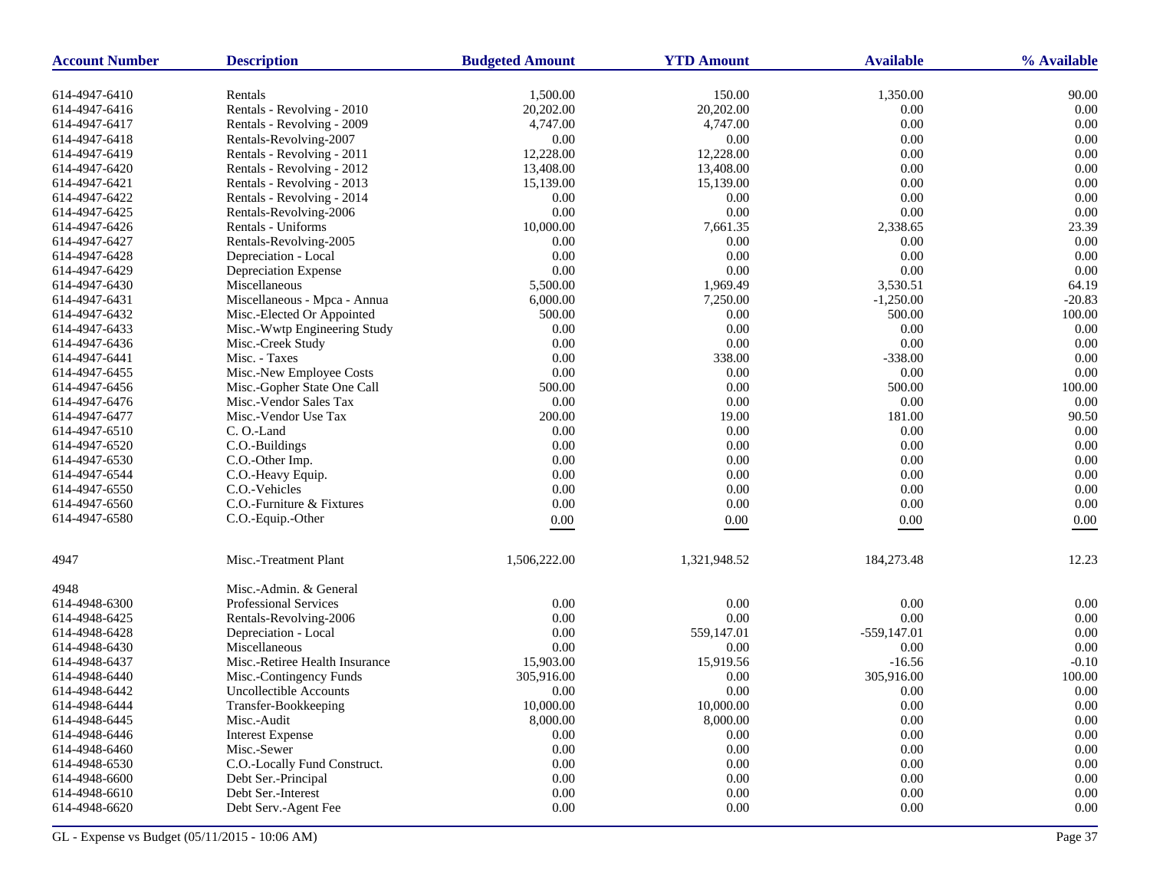| 1,500.00<br>150.00<br>1,350.00<br>90.00<br>614-4947-6410<br>Rentals<br>20,202.00<br>0.00<br>614-4947-6416<br>Rentals - Revolving - 2010<br>20,202.00<br>0.00<br>0.00<br>Rentals - Revolving - 2009<br>4,747.00<br>4,747.00<br>0.00<br>614-4947-6417<br>0.00<br>0.00<br>614-4947-6418<br>Rentals-Revolving-2007<br>0.00<br>0.00<br>0.00<br>614-4947-6419<br>Rentals - Revolving - 2011<br>12,228.00<br>12,228.00<br>0.00<br>0.00<br>Rentals - Revolving - 2012<br>13,408.00<br>13,408.00<br>0.00<br>614-4947-6420<br>15,139.00<br>0.00<br>0.00<br>614-4947-6421<br>Rentals - Revolving - 2013<br>15,139.00<br>0.00<br>0.00<br>0.00<br>0.00<br>614-4947-6422<br>Rentals - Revolving - 2014<br>0.00<br>$0.00\,$<br>0.00<br>0.00<br>614-4947-6425<br>Rentals-Revolving-2006<br>7,661.35<br>2,338.65<br>23.39<br>614-4947-6426<br>Rentals - Uniforms<br>10,000.00<br>0.00<br>614-4947-6427<br>Rentals-Revolving-2005<br>0.00<br>0.00<br>0.00<br>0.00<br>0.00<br>0.00<br>0.00<br>614-4947-6428<br>Depreciation - Local<br>0.00<br>0.00<br>0.00<br>0.00<br>614-4947-6429<br>Depreciation Expense<br>1,969.49<br>64.19<br>614-4947-6430<br>Miscellaneous<br>5,500.00<br>3,530.51<br>$-20.83$<br>Miscellaneous - Mpca - Annua<br>6,000.00<br>7,250.00<br>$-1,250.00$<br>614-4947-6431<br>100.00<br>Misc.-Elected Or Appointed<br>500.00<br>0.00<br>500.00<br>614-4947-6432<br>0.00<br>0.00<br>0.00<br>0.00<br>614-4947-6433<br>Misc.-Wwtp Engineering Study<br>0.00<br>0.00<br>0.00<br>0.00<br>614-4947-6436<br>Misc.-Creek Study<br>0.00<br>Misc. - Taxes<br>0.00<br>338.00<br>$-338.00$<br>614-4947-6441<br>$0.00\,$<br>0.00<br>0.00<br>Misc.-New Employee Costs<br>0.00<br>614-4947-6455<br>100.00<br>Misc.-Gopher State One Call<br>500.00<br>0.00<br>500.00<br>614-4947-6456<br>Misc.-Vendor Sales Tax<br>0.00<br>0.00<br>0.00<br>0.00<br>614-4947-6476<br>Misc.-Vendor Use Tax<br>200.00<br>19.00<br>181.00<br>90.50<br>614-4947-6477<br>0.00<br>614-4947-6510<br>C.O.-Land<br>0.00<br>0.00<br>0.00<br>C.O.-Buildings<br>0.00<br>0.00<br>0.00<br>0.00<br>614-4947-6520<br>0.00<br>0.00<br>C.O.-Other Imp.<br>0.00<br>0.00<br>614-4947-6530<br>0.00<br>0.00<br>0.00<br>0.00<br>614-4947-6544<br>C.O.-Heavy Equip.<br>C.O.-Vehicles<br>0.00<br>0.00<br>0.00<br>0.00<br>614-4947-6550<br>614-4947-6560<br>C.O.-Furniture & Fixtures<br>0.00<br>0.00<br>0.00<br>0.00<br>614-4947-6580<br>C.O.-Equip.-Other<br>$0.00\,$<br>0.00<br>$0.00\,$<br>0.00<br>Misc.-Treatment Plant<br>184,273.48<br>12.23<br>4947<br>1,506,222.00<br>1,321,948.52<br>Misc.-Admin. & General<br>4948<br><b>Professional Services</b><br>0.00<br>0.00<br>0.00<br>0.00<br>614-4948-6300<br>0.00<br>0.00<br>0.00<br>0.00<br>614-4948-6425<br>Rentals-Revolving-2006<br>0.00<br>559,147.01<br>$-559,147.01$<br>0.00<br>614-4948-6428<br>Depreciation - Local |
|---------------------------------------------------------------------------------------------------------------------------------------------------------------------------------------------------------------------------------------------------------------------------------------------------------------------------------------------------------------------------------------------------------------------------------------------------------------------------------------------------------------------------------------------------------------------------------------------------------------------------------------------------------------------------------------------------------------------------------------------------------------------------------------------------------------------------------------------------------------------------------------------------------------------------------------------------------------------------------------------------------------------------------------------------------------------------------------------------------------------------------------------------------------------------------------------------------------------------------------------------------------------------------------------------------------------------------------------------------------------------------------------------------------------------------------------------------------------------------------------------------------------------------------------------------------------------------------------------------------------------------------------------------------------------------------------------------------------------------------------------------------------------------------------------------------------------------------------------------------------------------------------------------------------------------------------------------------------------------------------------------------------------------------------------------------------------------------------------------------------------------------------------------------------------------------------------------------------------------------------------------------------------------------------------------------------------------------------------------------------------------------------------------------------------------------------------------------------------------------------------------------------------------------------------------------------------------------------------------------------------------------------------------------------------------------------------------------------------------------------------------------------------------------------------------------------------|
|                                                                                                                                                                                                                                                                                                                                                                                                                                                                                                                                                                                                                                                                                                                                                                                                                                                                                                                                                                                                                                                                                                                                                                                                                                                                                                                                                                                                                                                                                                                                                                                                                                                                                                                                                                                                                                                                                                                                                                                                                                                                                                                                                                                                                                                                                                                                                                                                                                                                                                                                                                                                                                                                                                                                                                                                                           |
|                                                                                                                                                                                                                                                                                                                                                                                                                                                                                                                                                                                                                                                                                                                                                                                                                                                                                                                                                                                                                                                                                                                                                                                                                                                                                                                                                                                                                                                                                                                                                                                                                                                                                                                                                                                                                                                                                                                                                                                                                                                                                                                                                                                                                                                                                                                                                                                                                                                                                                                                                                                                                                                                                                                                                                                                                           |
|                                                                                                                                                                                                                                                                                                                                                                                                                                                                                                                                                                                                                                                                                                                                                                                                                                                                                                                                                                                                                                                                                                                                                                                                                                                                                                                                                                                                                                                                                                                                                                                                                                                                                                                                                                                                                                                                                                                                                                                                                                                                                                                                                                                                                                                                                                                                                                                                                                                                                                                                                                                                                                                                                                                                                                                                                           |
|                                                                                                                                                                                                                                                                                                                                                                                                                                                                                                                                                                                                                                                                                                                                                                                                                                                                                                                                                                                                                                                                                                                                                                                                                                                                                                                                                                                                                                                                                                                                                                                                                                                                                                                                                                                                                                                                                                                                                                                                                                                                                                                                                                                                                                                                                                                                                                                                                                                                                                                                                                                                                                                                                                                                                                                                                           |
|                                                                                                                                                                                                                                                                                                                                                                                                                                                                                                                                                                                                                                                                                                                                                                                                                                                                                                                                                                                                                                                                                                                                                                                                                                                                                                                                                                                                                                                                                                                                                                                                                                                                                                                                                                                                                                                                                                                                                                                                                                                                                                                                                                                                                                                                                                                                                                                                                                                                                                                                                                                                                                                                                                                                                                                                                           |
|                                                                                                                                                                                                                                                                                                                                                                                                                                                                                                                                                                                                                                                                                                                                                                                                                                                                                                                                                                                                                                                                                                                                                                                                                                                                                                                                                                                                                                                                                                                                                                                                                                                                                                                                                                                                                                                                                                                                                                                                                                                                                                                                                                                                                                                                                                                                                                                                                                                                                                                                                                                                                                                                                                                                                                                                                           |
|                                                                                                                                                                                                                                                                                                                                                                                                                                                                                                                                                                                                                                                                                                                                                                                                                                                                                                                                                                                                                                                                                                                                                                                                                                                                                                                                                                                                                                                                                                                                                                                                                                                                                                                                                                                                                                                                                                                                                                                                                                                                                                                                                                                                                                                                                                                                                                                                                                                                                                                                                                                                                                                                                                                                                                                                                           |
|                                                                                                                                                                                                                                                                                                                                                                                                                                                                                                                                                                                                                                                                                                                                                                                                                                                                                                                                                                                                                                                                                                                                                                                                                                                                                                                                                                                                                                                                                                                                                                                                                                                                                                                                                                                                                                                                                                                                                                                                                                                                                                                                                                                                                                                                                                                                                                                                                                                                                                                                                                                                                                                                                                                                                                                                                           |
|                                                                                                                                                                                                                                                                                                                                                                                                                                                                                                                                                                                                                                                                                                                                                                                                                                                                                                                                                                                                                                                                                                                                                                                                                                                                                                                                                                                                                                                                                                                                                                                                                                                                                                                                                                                                                                                                                                                                                                                                                                                                                                                                                                                                                                                                                                                                                                                                                                                                                                                                                                                                                                                                                                                                                                                                                           |
|                                                                                                                                                                                                                                                                                                                                                                                                                                                                                                                                                                                                                                                                                                                                                                                                                                                                                                                                                                                                                                                                                                                                                                                                                                                                                                                                                                                                                                                                                                                                                                                                                                                                                                                                                                                                                                                                                                                                                                                                                                                                                                                                                                                                                                                                                                                                                                                                                                                                                                                                                                                                                                                                                                                                                                                                                           |
|                                                                                                                                                                                                                                                                                                                                                                                                                                                                                                                                                                                                                                                                                                                                                                                                                                                                                                                                                                                                                                                                                                                                                                                                                                                                                                                                                                                                                                                                                                                                                                                                                                                                                                                                                                                                                                                                                                                                                                                                                                                                                                                                                                                                                                                                                                                                                                                                                                                                                                                                                                                                                                                                                                                                                                                                                           |
|                                                                                                                                                                                                                                                                                                                                                                                                                                                                                                                                                                                                                                                                                                                                                                                                                                                                                                                                                                                                                                                                                                                                                                                                                                                                                                                                                                                                                                                                                                                                                                                                                                                                                                                                                                                                                                                                                                                                                                                                                                                                                                                                                                                                                                                                                                                                                                                                                                                                                                                                                                                                                                                                                                                                                                                                                           |
|                                                                                                                                                                                                                                                                                                                                                                                                                                                                                                                                                                                                                                                                                                                                                                                                                                                                                                                                                                                                                                                                                                                                                                                                                                                                                                                                                                                                                                                                                                                                                                                                                                                                                                                                                                                                                                                                                                                                                                                                                                                                                                                                                                                                                                                                                                                                                                                                                                                                                                                                                                                                                                                                                                                                                                                                                           |
|                                                                                                                                                                                                                                                                                                                                                                                                                                                                                                                                                                                                                                                                                                                                                                                                                                                                                                                                                                                                                                                                                                                                                                                                                                                                                                                                                                                                                                                                                                                                                                                                                                                                                                                                                                                                                                                                                                                                                                                                                                                                                                                                                                                                                                                                                                                                                                                                                                                                                                                                                                                                                                                                                                                                                                                                                           |
|                                                                                                                                                                                                                                                                                                                                                                                                                                                                                                                                                                                                                                                                                                                                                                                                                                                                                                                                                                                                                                                                                                                                                                                                                                                                                                                                                                                                                                                                                                                                                                                                                                                                                                                                                                                                                                                                                                                                                                                                                                                                                                                                                                                                                                                                                                                                                                                                                                                                                                                                                                                                                                                                                                                                                                                                                           |
|                                                                                                                                                                                                                                                                                                                                                                                                                                                                                                                                                                                                                                                                                                                                                                                                                                                                                                                                                                                                                                                                                                                                                                                                                                                                                                                                                                                                                                                                                                                                                                                                                                                                                                                                                                                                                                                                                                                                                                                                                                                                                                                                                                                                                                                                                                                                                                                                                                                                                                                                                                                                                                                                                                                                                                                                                           |
|                                                                                                                                                                                                                                                                                                                                                                                                                                                                                                                                                                                                                                                                                                                                                                                                                                                                                                                                                                                                                                                                                                                                                                                                                                                                                                                                                                                                                                                                                                                                                                                                                                                                                                                                                                                                                                                                                                                                                                                                                                                                                                                                                                                                                                                                                                                                                                                                                                                                                                                                                                                                                                                                                                                                                                                                                           |
|                                                                                                                                                                                                                                                                                                                                                                                                                                                                                                                                                                                                                                                                                                                                                                                                                                                                                                                                                                                                                                                                                                                                                                                                                                                                                                                                                                                                                                                                                                                                                                                                                                                                                                                                                                                                                                                                                                                                                                                                                                                                                                                                                                                                                                                                                                                                                                                                                                                                                                                                                                                                                                                                                                                                                                                                                           |
|                                                                                                                                                                                                                                                                                                                                                                                                                                                                                                                                                                                                                                                                                                                                                                                                                                                                                                                                                                                                                                                                                                                                                                                                                                                                                                                                                                                                                                                                                                                                                                                                                                                                                                                                                                                                                                                                                                                                                                                                                                                                                                                                                                                                                                                                                                                                                                                                                                                                                                                                                                                                                                                                                                                                                                                                                           |
|                                                                                                                                                                                                                                                                                                                                                                                                                                                                                                                                                                                                                                                                                                                                                                                                                                                                                                                                                                                                                                                                                                                                                                                                                                                                                                                                                                                                                                                                                                                                                                                                                                                                                                                                                                                                                                                                                                                                                                                                                                                                                                                                                                                                                                                                                                                                                                                                                                                                                                                                                                                                                                                                                                                                                                                                                           |
|                                                                                                                                                                                                                                                                                                                                                                                                                                                                                                                                                                                                                                                                                                                                                                                                                                                                                                                                                                                                                                                                                                                                                                                                                                                                                                                                                                                                                                                                                                                                                                                                                                                                                                                                                                                                                                                                                                                                                                                                                                                                                                                                                                                                                                                                                                                                                                                                                                                                                                                                                                                                                                                                                                                                                                                                                           |
|                                                                                                                                                                                                                                                                                                                                                                                                                                                                                                                                                                                                                                                                                                                                                                                                                                                                                                                                                                                                                                                                                                                                                                                                                                                                                                                                                                                                                                                                                                                                                                                                                                                                                                                                                                                                                                                                                                                                                                                                                                                                                                                                                                                                                                                                                                                                                                                                                                                                                                                                                                                                                                                                                                                                                                                                                           |
|                                                                                                                                                                                                                                                                                                                                                                                                                                                                                                                                                                                                                                                                                                                                                                                                                                                                                                                                                                                                                                                                                                                                                                                                                                                                                                                                                                                                                                                                                                                                                                                                                                                                                                                                                                                                                                                                                                                                                                                                                                                                                                                                                                                                                                                                                                                                                                                                                                                                                                                                                                                                                                                                                                                                                                                                                           |
|                                                                                                                                                                                                                                                                                                                                                                                                                                                                                                                                                                                                                                                                                                                                                                                                                                                                                                                                                                                                                                                                                                                                                                                                                                                                                                                                                                                                                                                                                                                                                                                                                                                                                                                                                                                                                                                                                                                                                                                                                                                                                                                                                                                                                                                                                                                                                                                                                                                                                                                                                                                                                                                                                                                                                                                                                           |
|                                                                                                                                                                                                                                                                                                                                                                                                                                                                                                                                                                                                                                                                                                                                                                                                                                                                                                                                                                                                                                                                                                                                                                                                                                                                                                                                                                                                                                                                                                                                                                                                                                                                                                                                                                                                                                                                                                                                                                                                                                                                                                                                                                                                                                                                                                                                                                                                                                                                                                                                                                                                                                                                                                                                                                                                                           |
|                                                                                                                                                                                                                                                                                                                                                                                                                                                                                                                                                                                                                                                                                                                                                                                                                                                                                                                                                                                                                                                                                                                                                                                                                                                                                                                                                                                                                                                                                                                                                                                                                                                                                                                                                                                                                                                                                                                                                                                                                                                                                                                                                                                                                                                                                                                                                                                                                                                                                                                                                                                                                                                                                                                                                                                                                           |
|                                                                                                                                                                                                                                                                                                                                                                                                                                                                                                                                                                                                                                                                                                                                                                                                                                                                                                                                                                                                                                                                                                                                                                                                                                                                                                                                                                                                                                                                                                                                                                                                                                                                                                                                                                                                                                                                                                                                                                                                                                                                                                                                                                                                                                                                                                                                                                                                                                                                                                                                                                                                                                                                                                                                                                                                                           |
|                                                                                                                                                                                                                                                                                                                                                                                                                                                                                                                                                                                                                                                                                                                                                                                                                                                                                                                                                                                                                                                                                                                                                                                                                                                                                                                                                                                                                                                                                                                                                                                                                                                                                                                                                                                                                                                                                                                                                                                                                                                                                                                                                                                                                                                                                                                                                                                                                                                                                                                                                                                                                                                                                                                                                                                                                           |
|                                                                                                                                                                                                                                                                                                                                                                                                                                                                                                                                                                                                                                                                                                                                                                                                                                                                                                                                                                                                                                                                                                                                                                                                                                                                                                                                                                                                                                                                                                                                                                                                                                                                                                                                                                                                                                                                                                                                                                                                                                                                                                                                                                                                                                                                                                                                                                                                                                                                                                                                                                                                                                                                                                                                                                                                                           |
|                                                                                                                                                                                                                                                                                                                                                                                                                                                                                                                                                                                                                                                                                                                                                                                                                                                                                                                                                                                                                                                                                                                                                                                                                                                                                                                                                                                                                                                                                                                                                                                                                                                                                                                                                                                                                                                                                                                                                                                                                                                                                                                                                                                                                                                                                                                                                                                                                                                                                                                                                                                                                                                                                                                                                                                                                           |
|                                                                                                                                                                                                                                                                                                                                                                                                                                                                                                                                                                                                                                                                                                                                                                                                                                                                                                                                                                                                                                                                                                                                                                                                                                                                                                                                                                                                                                                                                                                                                                                                                                                                                                                                                                                                                                                                                                                                                                                                                                                                                                                                                                                                                                                                                                                                                                                                                                                                                                                                                                                                                                                                                                                                                                                                                           |
|                                                                                                                                                                                                                                                                                                                                                                                                                                                                                                                                                                                                                                                                                                                                                                                                                                                                                                                                                                                                                                                                                                                                                                                                                                                                                                                                                                                                                                                                                                                                                                                                                                                                                                                                                                                                                                                                                                                                                                                                                                                                                                                                                                                                                                                                                                                                                                                                                                                                                                                                                                                                                                                                                                                                                                                                                           |
|                                                                                                                                                                                                                                                                                                                                                                                                                                                                                                                                                                                                                                                                                                                                                                                                                                                                                                                                                                                                                                                                                                                                                                                                                                                                                                                                                                                                                                                                                                                                                                                                                                                                                                                                                                                                                                                                                                                                                                                                                                                                                                                                                                                                                                                                                                                                                                                                                                                                                                                                                                                                                                                                                                                                                                                                                           |
|                                                                                                                                                                                                                                                                                                                                                                                                                                                                                                                                                                                                                                                                                                                                                                                                                                                                                                                                                                                                                                                                                                                                                                                                                                                                                                                                                                                                                                                                                                                                                                                                                                                                                                                                                                                                                                                                                                                                                                                                                                                                                                                                                                                                                                                                                                                                                                                                                                                                                                                                                                                                                                                                                                                                                                                                                           |
|                                                                                                                                                                                                                                                                                                                                                                                                                                                                                                                                                                                                                                                                                                                                                                                                                                                                                                                                                                                                                                                                                                                                                                                                                                                                                                                                                                                                                                                                                                                                                                                                                                                                                                                                                                                                                                                                                                                                                                                                                                                                                                                                                                                                                                                                                                                                                                                                                                                                                                                                                                                                                                                                                                                                                                                                                           |
|                                                                                                                                                                                                                                                                                                                                                                                                                                                                                                                                                                                                                                                                                                                                                                                                                                                                                                                                                                                                                                                                                                                                                                                                                                                                                                                                                                                                                                                                                                                                                                                                                                                                                                                                                                                                                                                                                                                                                                                                                                                                                                                                                                                                                                                                                                                                                                                                                                                                                                                                                                                                                                                                                                                                                                                                                           |
| 0.00<br>Miscellaneous<br>0.00<br>0.00<br>0.00<br>614-4948-6430                                                                                                                                                                                                                                                                                                                                                                                                                                                                                                                                                                                                                                                                                                                                                                                                                                                                                                                                                                                                                                                                                                                                                                                                                                                                                                                                                                                                                                                                                                                                                                                                                                                                                                                                                                                                                                                                                                                                                                                                                                                                                                                                                                                                                                                                                                                                                                                                                                                                                                                                                                                                                                                                                                                                                            |
| $-0.10$<br>Misc.-Retiree Health Insurance<br>15,919.56<br>$-16.56$<br>614-4948-6437<br>15,903.00                                                                                                                                                                                                                                                                                                                                                                                                                                                                                                                                                                                                                                                                                                                                                                                                                                                                                                                                                                                                                                                                                                                                                                                                                                                                                                                                                                                                                                                                                                                                                                                                                                                                                                                                                                                                                                                                                                                                                                                                                                                                                                                                                                                                                                                                                                                                                                                                                                                                                                                                                                                                                                                                                                                          |
| 614-4948-6440<br>Misc.-Contingency Funds<br>305,916.00<br>0.00<br>305,916.00<br>100.00                                                                                                                                                                                                                                                                                                                                                                                                                                                                                                                                                                                                                                                                                                                                                                                                                                                                                                                                                                                                                                                                                                                                                                                                                                                                                                                                                                                                                                                                                                                                                                                                                                                                                                                                                                                                                                                                                                                                                                                                                                                                                                                                                                                                                                                                                                                                                                                                                                                                                                                                                                                                                                                                                                                                    |
| <b>Uncollectible Accounts</b><br>0.00<br>0.00<br>0.00<br>0.00<br>614-4948-6442                                                                                                                                                                                                                                                                                                                                                                                                                                                                                                                                                                                                                                                                                                                                                                                                                                                                                                                                                                                                                                                                                                                                                                                                                                                                                                                                                                                                                                                                                                                                                                                                                                                                                                                                                                                                                                                                                                                                                                                                                                                                                                                                                                                                                                                                                                                                                                                                                                                                                                                                                                                                                                                                                                                                            |
| 10,000.00<br>614-4948-6444<br>Transfer-Bookkeeping<br>10,000.00<br>0.00<br>$0.00^{\circ}$                                                                                                                                                                                                                                                                                                                                                                                                                                                                                                                                                                                                                                                                                                                                                                                                                                                                                                                                                                                                                                                                                                                                                                                                                                                                                                                                                                                                                                                                                                                                                                                                                                                                                                                                                                                                                                                                                                                                                                                                                                                                                                                                                                                                                                                                                                                                                                                                                                                                                                                                                                                                                                                                                                                                 |
| 8,000.00<br>8,000.00<br>0.00<br>0.00<br>614-4948-6445<br>Misc.-Audit                                                                                                                                                                                                                                                                                                                                                                                                                                                                                                                                                                                                                                                                                                                                                                                                                                                                                                                                                                                                                                                                                                                                                                                                                                                                                                                                                                                                                                                                                                                                                                                                                                                                                                                                                                                                                                                                                                                                                                                                                                                                                                                                                                                                                                                                                                                                                                                                                                                                                                                                                                                                                                                                                                                                                      |
| 0.00<br>$0.00\,$<br>0.00<br>0.00<br>614-4948-6446<br><b>Interest Expense</b>                                                                                                                                                                                                                                                                                                                                                                                                                                                                                                                                                                                                                                                                                                                                                                                                                                                                                                                                                                                                                                                                                                                                                                                                                                                                                                                                                                                                                                                                                                                                                                                                                                                                                                                                                                                                                                                                                                                                                                                                                                                                                                                                                                                                                                                                                                                                                                                                                                                                                                                                                                                                                                                                                                                                              |
| 614-4948-6460<br>Misc.-Sewer<br>0.00<br>0.00<br>0.00<br>0.00                                                                                                                                                                                                                                                                                                                                                                                                                                                                                                                                                                                                                                                                                                                                                                                                                                                                                                                                                                                                                                                                                                                                                                                                                                                                                                                                                                                                                                                                                                                                                                                                                                                                                                                                                                                                                                                                                                                                                                                                                                                                                                                                                                                                                                                                                                                                                                                                                                                                                                                                                                                                                                                                                                                                                              |
| 614-4948-6530<br>C.O.-Locally Fund Construct.<br>0.00<br>$0.00\,$<br>0.00<br>0.00                                                                                                                                                                                                                                                                                                                                                                                                                                                                                                                                                                                                                                                                                                                                                                                                                                                                                                                                                                                                                                                                                                                                                                                                                                                                                                                                                                                                                                                                                                                                                                                                                                                                                                                                                                                                                                                                                                                                                                                                                                                                                                                                                                                                                                                                                                                                                                                                                                                                                                                                                                                                                                                                                                                                         |
| 0.00<br>$0.00\,$<br>0.00<br>614-4948-6600<br>Debt Ser.-Principal<br>0.00                                                                                                                                                                                                                                                                                                                                                                                                                                                                                                                                                                                                                                                                                                                                                                                                                                                                                                                                                                                                                                                                                                                                                                                                                                                                                                                                                                                                                                                                                                                                                                                                                                                                                                                                                                                                                                                                                                                                                                                                                                                                                                                                                                                                                                                                                                                                                                                                                                                                                                                                                                                                                                                                                                                                                  |
| $0.00\,$<br>614-4948-6610<br>Debt Ser.-Interest<br>0.00<br>0.00<br>0.00                                                                                                                                                                                                                                                                                                                                                                                                                                                                                                                                                                                                                                                                                                                                                                                                                                                                                                                                                                                                                                                                                                                                                                                                                                                                                                                                                                                                                                                                                                                                                                                                                                                                                                                                                                                                                                                                                                                                                                                                                                                                                                                                                                                                                                                                                                                                                                                                                                                                                                                                                                                                                                                                                                                                                   |
| 614-4948-6620<br>Debt Serv.-Agent Fee<br>0.00<br>$0.00\,$<br>0.00<br>0.00                                                                                                                                                                                                                                                                                                                                                                                                                                                                                                                                                                                                                                                                                                                                                                                                                                                                                                                                                                                                                                                                                                                                                                                                                                                                                                                                                                                                                                                                                                                                                                                                                                                                                                                                                                                                                                                                                                                                                                                                                                                                                                                                                                                                                                                                                                                                                                                                                                                                                                                                                                                                                                                                                                                                                 |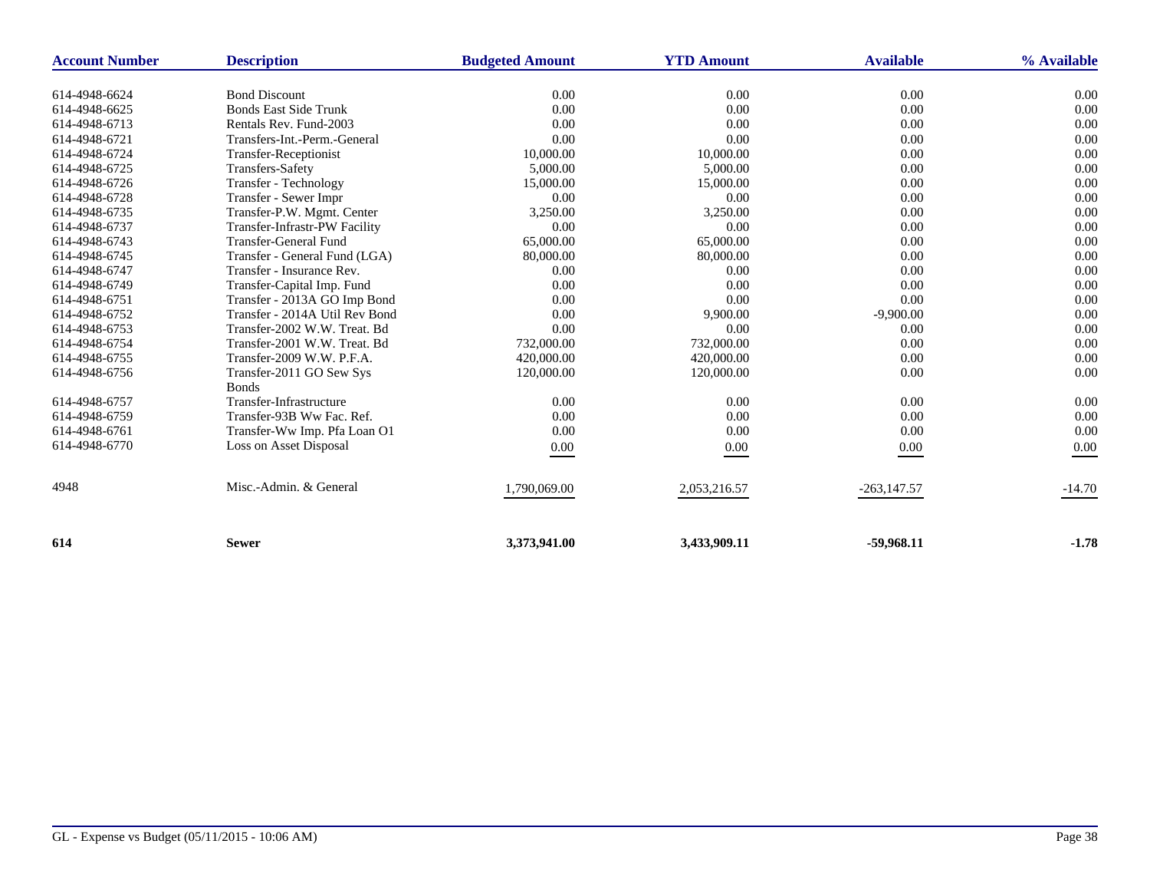| <b>Account Number</b> | <b>Description</b>             | <b>Budgeted Amount</b> | <b>YTD Amount</b> | <b>Available</b> | % Available |
|-----------------------|--------------------------------|------------------------|-------------------|------------------|-------------|
| 614-4948-6624         | <b>Bond Discount</b>           | 0.00                   | 0.00              | 0.00             | 0.00        |
| 614-4948-6625         | <b>Bonds East Side Trunk</b>   | 0.00                   | 0.00              | 0.00             | 0.00        |
| 614-4948-6713         | Rentals Rev. Fund-2003         | 0.00                   | 0.00              | 0.00             | 0.00        |
| 614-4948-6721         | Transfers-Int.-Perm.-General   | 0.00                   | 0.00              | 0.00             | 0.00        |
| 614-4948-6724         | Transfer-Receptionist          | 10,000.00              | 10,000.00         | 0.00             | 0.00        |
| 614-4948-6725         | <b>Transfers-Safety</b>        | 5,000.00               | 5,000.00          | 0.00             | 0.00        |
| 614-4948-6726         | Transfer - Technology          | 15,000.00              | 15,000.00         | 0.00             | 0.00        |
| 614-4948-6728         | Transfer - Sewer Impr          | 0.00                   | 0.00              | 0.00             | 0.00        |
| 614-4948-6735         | Transfer-P.W. Mgmt. Center     | 3,250.00               | 3,250.00          | 0.00             | 0.00        |
| 614-4948-6737         | Transfer-Infrastr-PW Facility  | 0.00                   | 0.00              | 0.00             | 0.00        |
| 614-4948-6743         | <b>Transfer-General Fund</b>   | 65,000.00              | 65,000.00         | 0.00             | 0.00        |
| 614-4948-6745         | Transfer - General Fund (LGA)  | 80,000.00              | 80,000.00         | 0.00             | 0.00        |
| 614-4948-6747         | Transfer - Insurance Rev.      | 0.00                   | 0.00              | 0.00             | 0.00        |
| 614-4948-6749         | Transfer-Capital Imp. Fund     | 0.00                   | 0.00              | 0.00             | 0.00        |
| 614-4948-6751         | Transfer - 2013A GO Imp Bond   | 0.00                   | 0.00              | 0.00             | 0.00        |
| 614-4948-6752         | Transfer - 2014A Util Rev Bond | 0.00                   | 9,900.00          | $-9,900.00$      | 0.00        |
| 614-4948-6753         | Transfer-2002 W.W. Treat. Bd   | 0.00                   | 0.00              | 0.00             | 0.00        |
| 614-4948-6754         | Transfer-2001 W.W. Treat. Bd   | 732,000.00             | 732,000.00        | 0.00             | 0.00        |
| 614-4948-6755         | Transfer-2009 W.W. P.F.A.      | 420,000.00             | 420,000.00        | 0.00             | 0.00        |
| 614-4948-6756         | Transfer-2011 GO Sew Sys       | 120,000.00             | 120,000.00        | 0.00             | 0.00        |
|                       | <b>Bonds</b>                   |                        |                   |                  |             |
| 614-4948-6757         | Transfer-Infrastructure        | 0.00                   | 0.00              | 0.00             | 0.00        |
| 614-4948-6759         | Transfer-93B Ww Fac. Ref.      | 0.00                   | 0.00              | 0.00             | 0.00        |
| 614-4948-6761         | Transfer-Ww Imp. Pfa Loan O1   | 0.00                   | 0.00              | 0.00             | 0.00        |
| 614-4948-6770         | Loss on Asset Disposal         | 0.00                   | 0.00              | 0.00             | 0.00        |
| 4948                  | Misc.-Admin. & General         | 1,790,069.00           | 2,053,216.57      | $-263,147.57$    | $-14.70$    |
| 614                   | <b>Sewer</b>                   | 3,373,941.00           | 3,433,909.11      | $-59,968.11$     | $-1.78$     |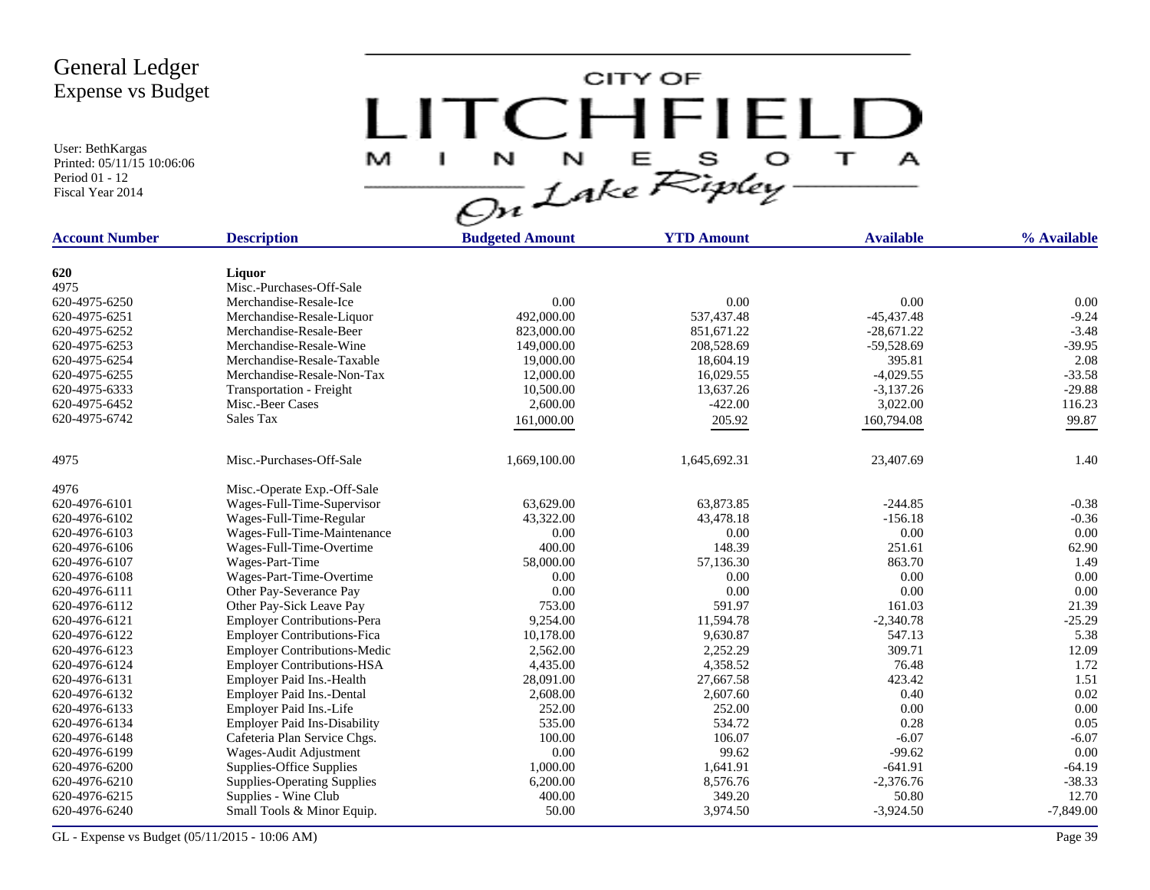User: BethKargas Printed: 05/11/15 10:06:06 Period 01 - 12 Fiscal Year 2014

CITY OF LITCHFIELD  $M$  I N N E S O T A

| <b>Account Number</b> | <b>Description</b>                  | <b>Budgeted Amount</b> | <b>YTD Amount</b> | <b>Available</b> | % Available |
|-----------------------|-------------------------------------|------------------------|-------------------|------------------|-------------|
|                       |                                     |                        |                   |                  |             |
| 620                   | Liquor                              |                        |                   |                  |             |
| 4975                  | Misc.-Purchases-Off-Sale            |                        |                   |                  |             |
| 620-4975-6250         | Merchandise-Resale-Ice              | 0.00                   | 0.00              | 0.00             | 0.00        |
| 620-4975-6251         | Merchandise-Resale-Liquor           | 492,000.00             | 537,437.48        | $-45,437.48$     | $-9.24$     |
| 620-4975-6252         | Merchandise-Resale-Beer             | 823,000.00             | 851,671.22        | $-28,671.22$     | $-3.48$     |
| 620-4975-6253         | Merchandise-Resale-Wine             | 149,000.00             | 208,528.69        | $-59,528.69$     | $-39.95$    |
| 620-4975-6254         | Merchandise-Resale-Taxable          | 19,000.00              | 18,604.19         | 395.81           | 2.08        |
| 620-4975-6255         | Merchandise-Resale-Non-Tax          | 12,000.00              | 16,029.55         | $-4,029.55$      | $-33.58$    |
| 620-4975-6333         | Transportation - Freight            | 10,500.00              | 13,637.26         | $-3,137.26$      | $-29.88$    |
| 620-4975-6452         | Misc.-Beer Cases                    | 2,600.00               | $-422.00$         | 3,022.00         | 116.23      |
| 620-4975-6742         | Sales Tax                           | 161,000.00             | 205.92            | 160,794.08       | 99.87       |
| 4975                  | Misc.-Purchases-Off-Sale            | 1,669,100.00           | 1,645,692.31      | 23,407.69        | 1.40        |
|                       |                                     |                        |                   |                  |             |
| 4976                  | Misc.-Operate Exp.-Off-Sale         |                        |                   |                  |             |
| 620-4976-6101         | Wages-Full-Time-Supervisor          | 63,629.00              | 63,873.85         | $-244.85$        | $-0.38$     |
| 620-4976-6102         | Wages-Full-Time-Regular             | 43,322.00              | 43,478.18         | $-156.18$        | $-0.36$     |
| 620-4976-6103         | Wages-Full-Time-Maintenance         | 0.00                   | 0.00              | 0.00             | 0.00        |
| 620-4976-6106         | Wages-Full-Time-Overtime            | 400.00                 | 148.39            | 251.61           | 62.90       |
| 620-4976-6107         | Wages-Part-Time                     | 58,000.00              | 57,136.30         | 863.70           | 1.49        |
| 620-4976-6108         | Wages-Part-Time-Overtime            | 0.00                   | 0.00              | 0.00             | 0.00        |
| 620-4976-6111         | Other Pay-Severance Pay             | 0.00                   | 0.00              | 0.00             | 0.00        |
| 620-4976-6112         | Other Pay-Sick Leave Pay            | 753.00                 | 591.97            | 161.03           | 21.39       |
| 620-4976-6121         | <b>Employer Contributions-Pera</b>  | 9,254.00               | 11,594.78         | $-2,340.78$      | $-25.29$    |
| 620-4976-6122         | <b>Employer Contributions-Fica</b>  | 10,178.00              | 9,630.87          | 547.13           | 5.38        |
| 620-4976-6123         | <b>Employer Contributions-Medic</b> | 2,562.00               | 2,252.29          | 309.71           | 12.09       |
| 620-4976-6124         | <b>Employer Contributions-HSA</b>   | 4,435.00               | 4,358.52          | 76.48            | 1.72        |
| 620-4976-6131         | Employer Paid Ins.-Health           | 28,091.00              | 27,667.58         | 423.42           | 1.51        |
| 620-4976-6132         | Employer Paid Ins.-Dental           | 2,608.00               | 2,607.60          | 0.40             | 0.02        |
| 620-4976-6133         | Employer Paid Ins.-Life             | 252.00                 | 252.00            | 0.00             | 0.00        |
| 620-4976-6134         | <b>Employer Paid Ins-Disability</b> | 535.00                 | 534.72            | 0.28             | 0.05        |
| 620-4976-6148         | Cafeteria Plan Service Chgs.        | 100.00                 | 106.07            | $-6.07$          | $-6.07$     |
| 620-4976-6199         | Wages-Audit Adjustment              | 0.00                   | 99.62             | $-99.62$         | 0.00        |
| 620-4976-6200         | Supplies-Office Supplies            | 1,000.00               | 1,641.91          | $-641.91$        | $-64.19$    |
| 620-4976-6210         | <b>Supplies-Operating Supplies</b>  | 6,200.00               | 8,576.76          | $-2,376.76$      | $-38.33$    |
| 620-4976-6215         | Supplies - Wine Club                | 400.00                 | 349.20            | 50.80            | 12.70       |
| 620-4976-6240         | Small Tools & Minor Equip.          | 50.00                  | 3,974.50          | $-3,924.50$      | $-7,849.00$ |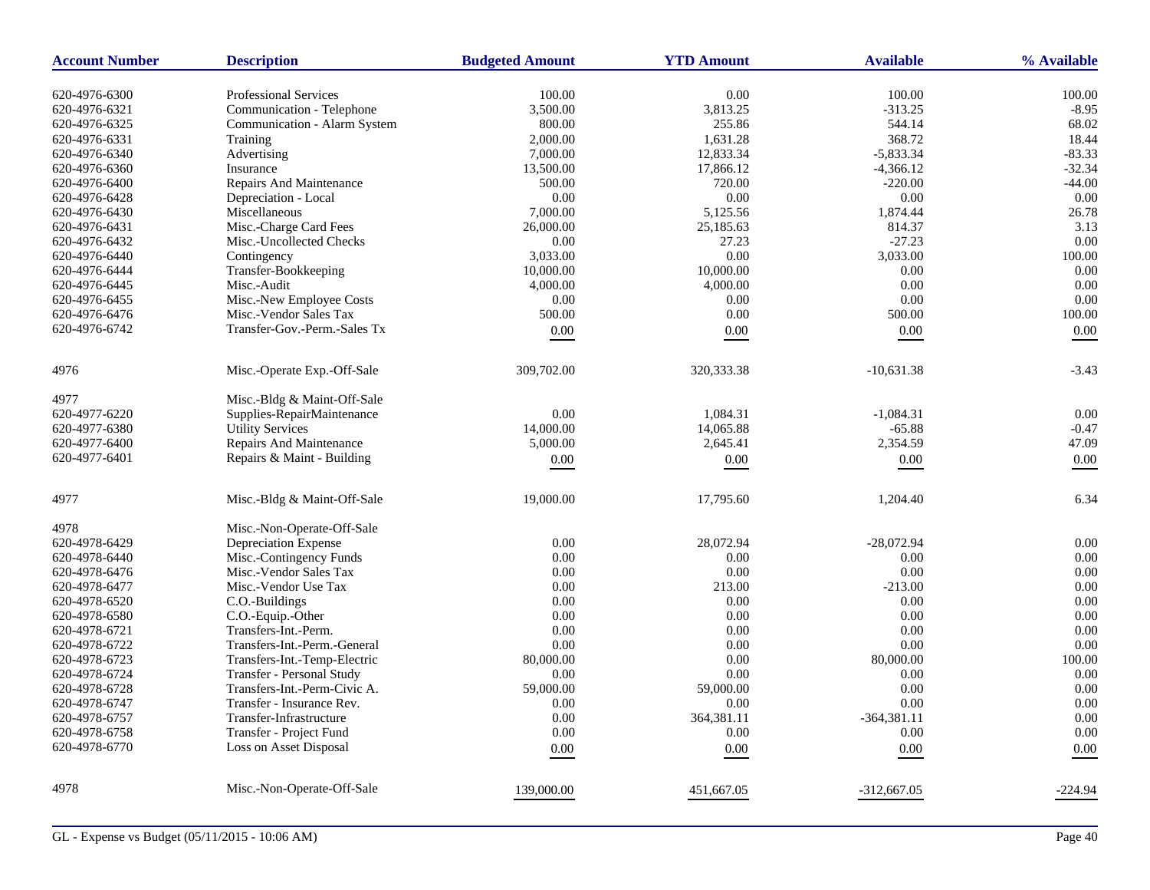| <b>Account Number</b> | <b>Description</b>           | <b>Budgeted Amount</b> | <b>YTD Amount</b> | <b>Available</b> | % Available |
|-----------------------|------------------------------|------------------------|-------------------|------------------|-------------|
| 620-4976-6300         | <b>Professional Services</b> | 100.00                 | 0.00              | 100.00           | 100.00      |
| 620-4976-6321         | Communication - Telephone    | 3,500.00               | 3,813.25          | $-313.25$        | $-8.95$     |
| 620-4976-6325         | Communication - Alarm System | 800.00                 | 255.86            | 544.14           | 68.02       |
| 620-4976-6331         | Training                     | 2,000.00               | 1,631.28          | 368.72           | 18.44       |
| 620-4976-6340         | Advertising                  | 7,000.00               | 12,833.34         | $-5,833.34$      | $-83.33$    |
| 620-4976-6360         | Insurance                    | 13,500.00              | 17,866.12         | $-4,366.12$      | $-32.34$    |
| 620-4976-6400         | Repairs And Maintenance      | 500.00                 | 720.00            | $-220.00$        | $-44.00$    |
| 620-4976-6428         | Depreciation - Local         | 0.00                   | 0.00              | 0.00             | 0.00        |
| 620-4976-6430         | Miscellaneous                | 7,000.00               | 5,125.56          | 1,874.44         | 26.78       |
| 620-4976-6431         | Misc.-Charge Card Fees       | 26,000.00              | 25,185.63         | 814.37           | 3.13        |
| 620-4976-6432         | Misc.-Uncollected Checks     | 0.00                   | 27.23             | $-27.23$         | 0.00        |
| 620-4976-6440         | Contingency                  | 3,033.00               | 0.00              | 3,033.00         | 100.00      |
| 620-4976-6444         | Transfer-Bookkeeping         | 10,000.00              | 10,000.00         | 0.00             | 0.00        |
| 620-4976-6445         | Misc.-Audit                  | 4,000.00               | 4,000.00          | 0.00             | 0.00        |
| 620-4976-6455         | Misc.-New Employee Costs     | 0.00                   | 0.00              | 0.00             | 0.00        |
| 620-4976-6476         | Misc.-Vendor Sales Tax       | 500.00                 | 0.00              | 500.00           | 100.00      |
| 620-4976-6742         | Transfer-Gov.-Perm.-Sales Tx | 0.00                   | 0.00              | 0.00             | 0.00        |
|                       |                              |                        |                   |                  |             |
| 4976                  | Misc.-Operate Exp.-Off-Sale  | 309,702.00             | 320, 333. 38      | $-10,631.38$     | $-3.43$     |
| 4977                  | Misc.-Bldg & Maint-Off-Sale  |                        |                   |                  |             |
| 620-4977-6220         | Supplies-RepairMaintenance   | 0.00                   | 1,084.31          | $-1,084.31$      | 0.00        |
| 620-4977-6380         | <b>Utility Services</b>      | 14,000.00              | 14,065.88         | $-65.88$         | $-0.47$     |
| 620-4977-6400         | Repairs And Maintenance      | 5,000.00               | 2,645.41          | 2,354.59         | 47.09       |
| 620-4977-6401         | Repairs & Maint - Building   | 0.00                   | 0.00              | 0.00             | 0.00        |
| 4977                  | Misc.-Bldg & Maint-Off-Sale  | 19,000.00              | 17,795.60         | 1,204.40         | 6.34        |
|                       |                              |                        |                   |                  |             |
| 4978                  | Misc.-Non-Operate-Off-Sale   |                        |                   |                  |             |
| 620-4978-6429         | Depreciation Expense         | 0.00                   | 28,072.94         | $-28,072.94$     | 0.00        |
| 620-4978-6440         | Misc.-Contingency Funds      | 0.00                   | 0.00              | 0.00             | 0.00        |
| 620-4978-6476         | Misc.-Vendor Sales Tax       | 0.00                   | 0.00              | 0.00             | 0.00        |
| 620-4978-6477         | Misc.-Vendor Use Tax         | 0.00                   | 213.00            | $-213.00$        | 0.00        |
| 620-4978-6520         | C.O.-Buildings               | 0.00                   | 0.00              | 0.00             | 0.00        |
| 620-4978-6580         | C.O.-Equip.-Other            | 0.00                   | 0.00              | 0.00             | 0.00        |
| 620-4978-6721         | Transfers-Int.-Perm.         | 0.00                   | 0.00              | 0.00             | 0.00        |
| 620-4978-6722         | Transfers-Int.-Perm.-General | 0.00                   | 0.00              | 0.00             | 0.00        |
| 620-4978-6723         | Transfers-Int.-Temp-Electric | 80,000.00              | 0.00              | 80,000.00        | 100.00      |
| 620-4978-6724         | Transfer - Personal Study    | 0.00                   | 0.00              | 0.00             | 0.00        |
| 620-4978-6728         | Transfers-Int.-Perm-Civic A. | 59,000.00              | 59,000.00         | 0.00             | 0.00        |
| 620-4978-6747         | Transfer - Insurance Rev.    | 0.00                   | 0.00              | 0.00             | 0.00        |
| 620-4978-6757         | Transfer-Infrastructure      | 0.00                   | 364,381.11        | $-364,381.11$    | 0.00        |
| 620-4978-6758         | Transfer - Project Fund      | 0.00                   | 0.00              | 0.00             | 0.00        |
| 620-4978-6770         | Loss on Asset Disposal       | 0.00                   | 0.00              | 0.00             | 0.00        |
| 4978                  | Misc.-Non-Operate-Off-Sale   | 139,000.00             | 451.667.05        | $-312,667,05$    | -224.94     |
|                       |                              |                        |                   |                  |             |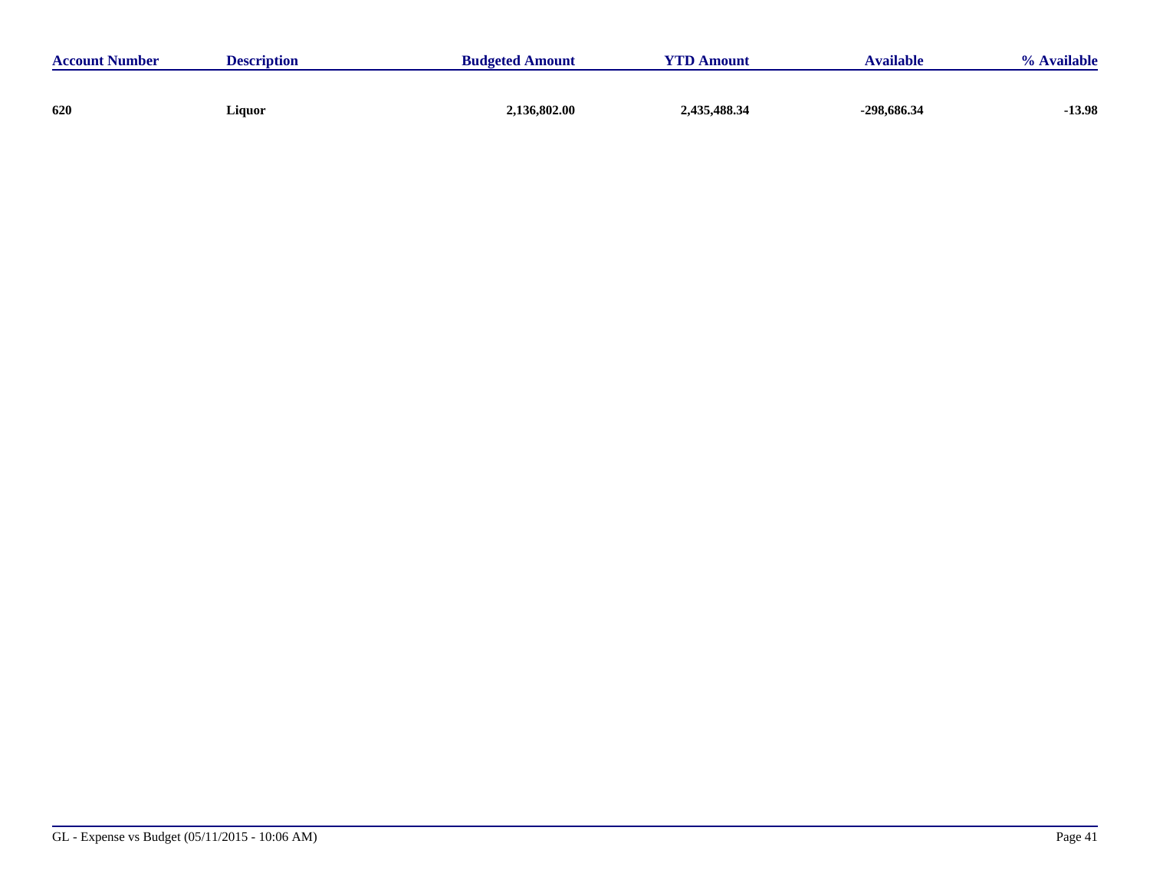| <b>Account Number</b> | <b>Description</b> | <b>Budgeted Amount</b> | <b>YTD Amount</b> | <b>Available</b> | % Available |
|-----------------------|--------------------|------------------------|-------------------|------------------|-------------|
|                       |                    |                        |                   |                  |             |
| 620                   | Liquor             | 2,136,802.00           | 2,435,488.34      | -298,686.34      | $-13.98$    |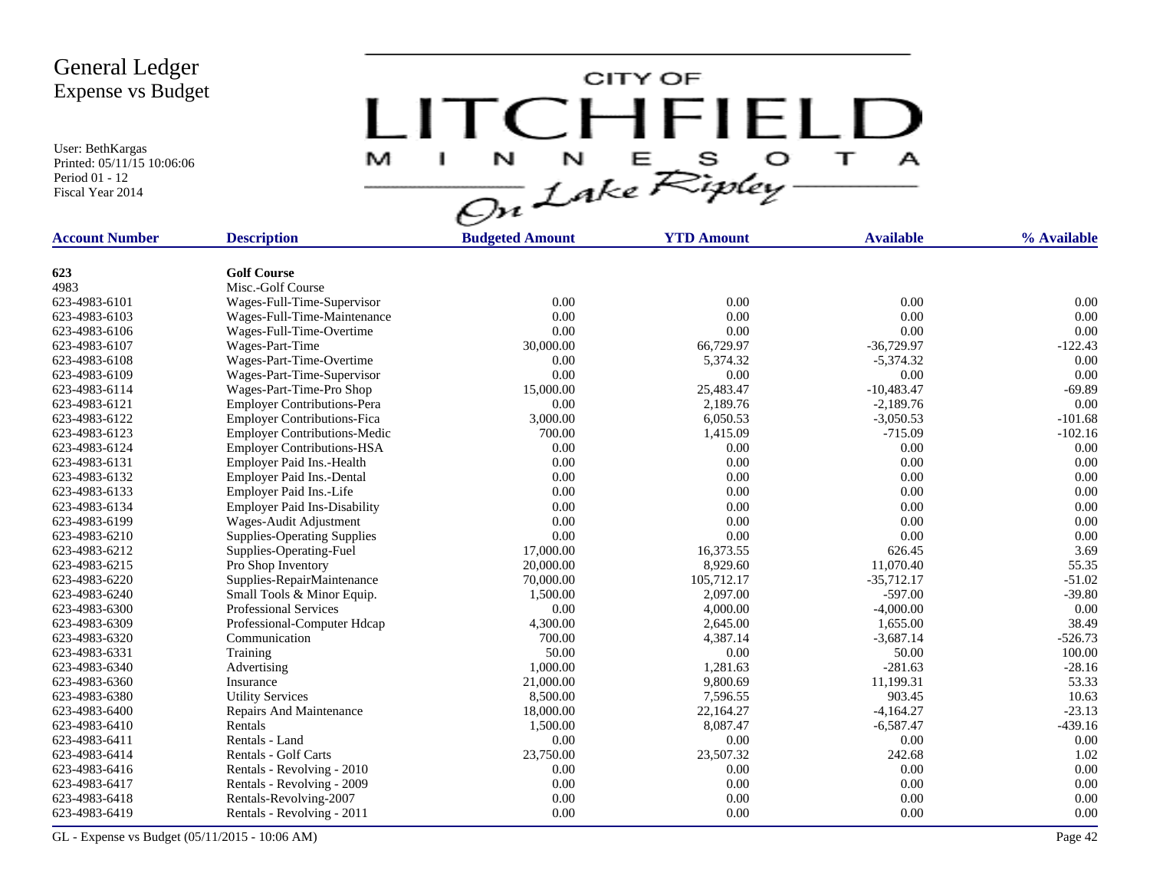User: BethKargas Printed: 05/11/15 10:06:06 Period 01 - 12 Fiscal Year 2014

CITY OF LITCHFIELD E S O  $\top$ M N N  $\mathbf{A}$ H.

| <b>Account Number</b> | <b>Description</b>                  | <b>Budgeted Amount</b> | <b>YTD Amount</b> | <b>Available</b> | % Available |  |
|-----------------------|-------------------------------------|------------------------|-------------------|------------------|-------------|--|
|                       |                                     |                        |                   |                  |             |  |
| 623                   | <b>Golf Course</b>                  |                        |                   |                  |             |  |
| 4983                  | Misc.-Golf Course                   |                        |                   |                  |             |  |
| 623-4983-6101         | Wages-Full-Time-Supervisor          | 0.00                   | 0.00              | 0.00             | 0.00        |  |
| 623-4983-6103         | Wages-Full-Time-Maintenance         | 0.00                   | 0.00              | 0.00             | 0.00        |  |
| 623-4983-6106         | Wages-Full-Time-Overtime            | 0.00                   | 0.00              | 0.00             | 0.00        |  |
| 623-4983-6107         | Wages-Part-Time                     | 30,000.00              | 66,729.97         | $-36,729.97$     | $-122.43$   |  |
| 623-4983-6108         | Wages-Part-Time-Overtime            | 0.00                   | 5,374.32          | $-5,374.32$      | 0.00        |  |
| 623-4983-6109         | Wages-Part-Time-Supervisor          | 0.00                   | 0.00              | 0.00             | 0.00        |  |
| 623-4983-6114         | Wages-Part-Time-Pro Shop            | 15,000.00              | 25,483.47         | $-10,483.47$     | $-69.89$    |  |
| 623-4983-6121         | <b>Employer Contributions-Pera</b>  | 0.00                   | 2,189.76          | $-2,189.76$      | 0.00        |  |
| 623-4983-6122         | <b>Employer Contributions-Fica</b>  | 3,000.00               | 6.050.53          | $-3,050.53$      | $-101.68$   |  |
| 623-4983-6123         | <b>Employer Contributions-Medic</b> | 700.00                 | 1,415.09          | $-715.09$        | $-102.16$   |  |
| 623-4983-6124         | <b>Employer Contributions-HSA</b>   | 0.00                   | 0.00              | 0.00             | 0.00        |  |
| 623-4983-6131         | Employer Paid Ins.-Health           | 0.00                   | 0.00              | 0.00             | 0.00        |  |
| 623-4983-6132         | Employer Paid Ins.-Dental           | 0.00                   | 0.00              | 0.00             | 0.00        |  |
| 623-4983-6133         | Employer Paid Ins.-Life             | 0.00                   | 0.00              | 0.00             | 0.00        |  |
| 623-4983-6134         | <b>Employer Paid Ins-Disability</b> | 0.00                   | 0.00              | 0.00             | 0.00        |  |
| 623-4983-6199         | Wages-Audit Adjustment              | 0.00                   | 0.00              | 0.00             | 0.00        |  |
| 623-4983-6210         | <b>Supplies-Operating Supplies</b>  | 0.00                   | 0.00              | 0.00             | 0.00        |  |
| 623-4983-6212         | Supplies-Operating-Fuel             | 17,000.00              | 16,373.55         | 626.45           | 3.69        |  |
| 623-4983-6215         | Pro Shop Inventory                  | 20,000.00              | 8,929.60          | 11,070.40        | 55.35       |  |
| 623-4983-6220         | Supplies-RepairMaintenance          | 70,000.00              | 105,712.17        | $-35,712.17$     | $-51.02$    |  |
| 623-4983-6240         | Small Tools & Minor Equip.          | 1,500.00               | 2,097.00          | $-597.00$        | $-39.80$    |  |
| 623-4983-6300         | <b>Professional Services</b>        | 0.00                   | 4,000.00          | $-4,000.00$      | 0.00        |  |
| 623-4983-6309         | Professional-Computer Hdcap         | 4,300.00               | 2,645.00          | 1,655.00         | 38.49       |  |
| 623-4983-6320         | Communication                       | 700.00                 | 4,387.14          | $-3,687.14$      | $-526.73$   |  |
| 623-4983-6331         | Training                            | 50.00                  | 0.00              | 50.00            | 100.00      |  |
| 623-4983-6340         | Advertising                         | 1,000.00               | 1,281.63          | $-281.63$        | $-28.16$    |  |
| 623-4983-6360         | Insurance                           | 21,000.00              | 9,800.69          | 11,199.31        | 53.33       |  |
| 623-4983-6380         | <b>Utility Services</b>             | 8,500.00               | 7,596.55          | 903.45           | 10.63       |  |
| 623-4983-6400         | <b>Repairs And Maintenance</b>      | 18,000.00              | 22,164.27         | $-4,164.27$      | $-23.13$    |  |
| 623-4983-6410         | Rentals                             | 1,500.00               | 8,087.47          | $-6,587.47$      | $-439.16$   |  |
| 623-4983-6411         | Rentals - Land                      | 0.00                   | 0.00              | 0.00             | 0.00        |  |
| 623-4983-6414         | Rentals - Golf Carts                | 23,750.00              | 23,507.32         | 242.68           | 1.02        |  |
| 623-4983-6416         | Rentals - Revolving - 2010          | 0.00                   | 0.00              | 0.00             | 0.00        |  |
| 623-4983-6417         | Rentals - Revolving - 2009          | 0.00                   | 0.00              | 0.00             | 0.00        |  |
| 623-4983-6418         | Rentals-Revolving-2007              | 0.00                   | 0.00              | 0.00             | 0.00        |  |
| 623-4983-6419         | Rentals - Revolving - 2011          | 0.00                   | 0.00              | 0.00             | 0.00        |  |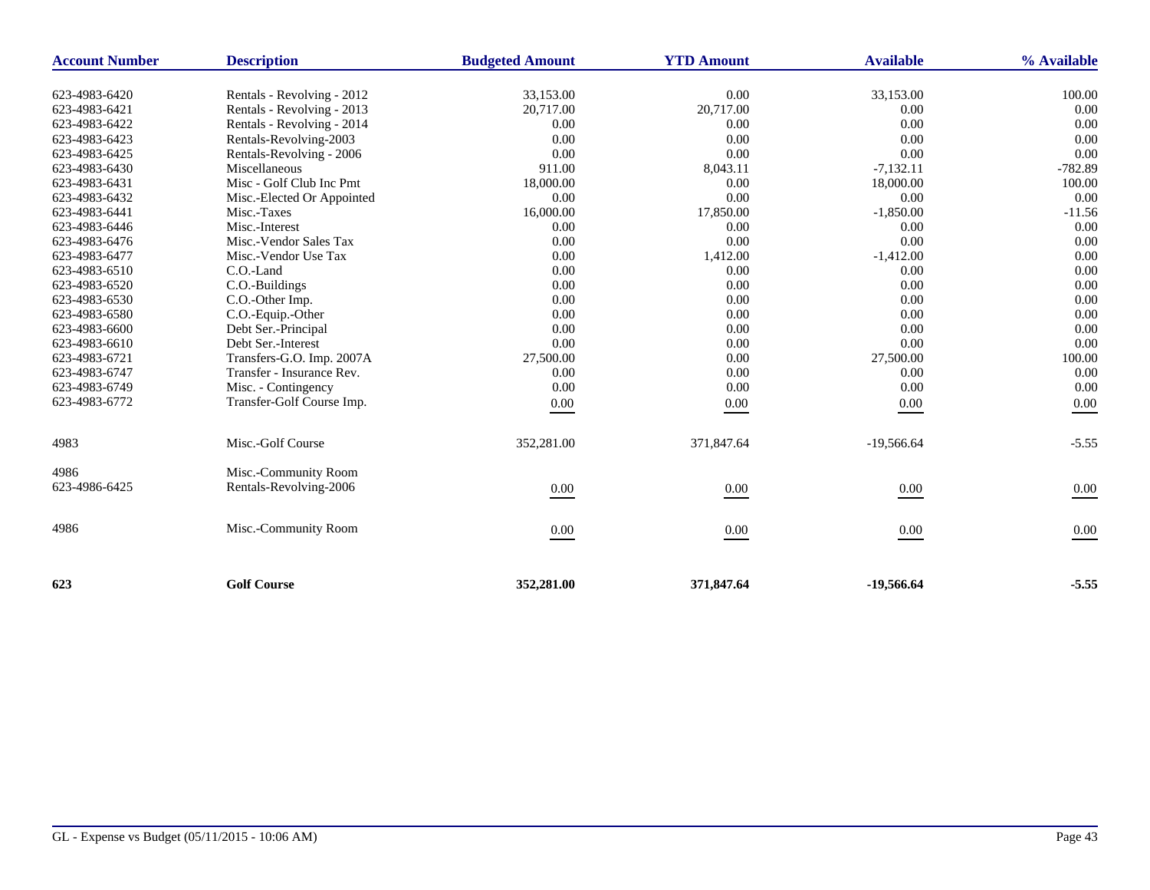| <b>Account Number</b> | <b>Description</b>         | <b>Budgeted Amount</b> | <b>YTD Amount</b> | <b>Available</b> | % Available |
|-----------------------|----------------------------|------------------------|-------------------|------------------|-------------|
| 623-4983-6420         | Rentals - Revolving - 2012 | 33,153.00              | 0.00              | 33,153.00        | 100.00      |
| 623-4983-6421         | Rentals - Revolving - 2013 | 20,717.00              | 20,717.00         | 0.00             | 0.00        |
| 623-4983-6422         | Rentals - Revolving - 2014 | 0.00                   | 0.00              | 0.00             | 0.00        |
| 623-4983-6423         | Rentals-Revolving-2003     | 0.00                   | 0.00              | 0.00             | 0.00        |
| 623-4983-6425         | Rentals-Revolving - 2006   | 0.00                   | 0.00              | 0.00             | 0.00        |
| 623-4983-6430         | Miscellaneous              | 911.00                 | 8,043.11          | $-7,132.11$      | $-782.89$   |
| 623-4983-6431         | Misc - Golf Club Inc Pmt   | 18,000.00              | 0.00              | 18,000.00        | 100.00      |
| 623-4983-6432         | Misc.-Elected Or Appointed | 0.00                   | 0.00              | 0.00             | 0.00        |
| 623-4983-6441         | Misc.-Taxes                | 16,000.00              | 17,850.00         | $-1,850.00$      | $-11.56$    |
| 623-4983-6446         | Misc.-Interest             | 0.00                   | 0.00              | 0.00             | 0.00        |
| 623-4983-6476         | Misc.-Vendor Sales Tax     | 0.00                   | 0.00              | 0.00             | 0.00        |
| 623-4983-6477         | Misc.-Vendor Use Tax       | 0.00                   | 1,412.00          | $-1,412.00$      | 0.00        |
| 623-4983-6510         | C.O.-Land                  | 0.00                   | 0.00              | 0.00             | 0.00        |
| 623-4983-6520         | C.O.-Buildings             | 0.00                   | 0.00              | 0.00             | 0.00        |
| 623-4983-6530         | C.O.-Other Imp.            | 0.00                   | 0.00              | 0.00             | 0.00        |
| 623-4983-6580         | C.O.-Equip.-Other          | 0.00                   | 0.00              | 0.00             | 0.00        |
| 623-4983-6600         | Debt Ser.-Principal        | 0.00                   | 0.00              | 0.00             | 0.00        |
| 623-4983-6610         | Debt Ser.-Interest         | 0.00                   | 0.00              | 0.00             | 0.00        |
| 623-4983-6721         | Transfers-G.O. Imp. 2007A  | 27,500.00              | 0.00              | 27,500.00        | 100.00      |
| 623-4983-6747         | Transfer - Insurance Rev.  | 0.00                   | 0.00              | 0.00             | 0.00        |
| 623-4983-6749         | Misc. - Contingency        | 0.00                   | 0.00              | 0.00             | 0.00        |
| 623-4983-6772         | Transfer-Golf Course Imp.  | $0.00\,$               | 0.00              | 0.00             | 0.00        |
| 4983                  | Misc.-Golf Course          | 352,281.00             | 371,847.64        | $-19,566.64$     | $-5.55$     |
| 4986                  | Misc.-Community Room       |                        |                   |                  |             |
| 623-4986-6425         | Rentals-Revolving-2006     | 0.00                   | 0.00              | 0.00             | 0.00        |
| 4986                  | Misc.-Community Room       | 0.00                   | $0.00\,$          | 0.00             | 0.00        |
| 623                   | <b>Golf Course</b>         | 352,281.00             | 371,847.64        | $-19,566,64$     | $-5.55$     |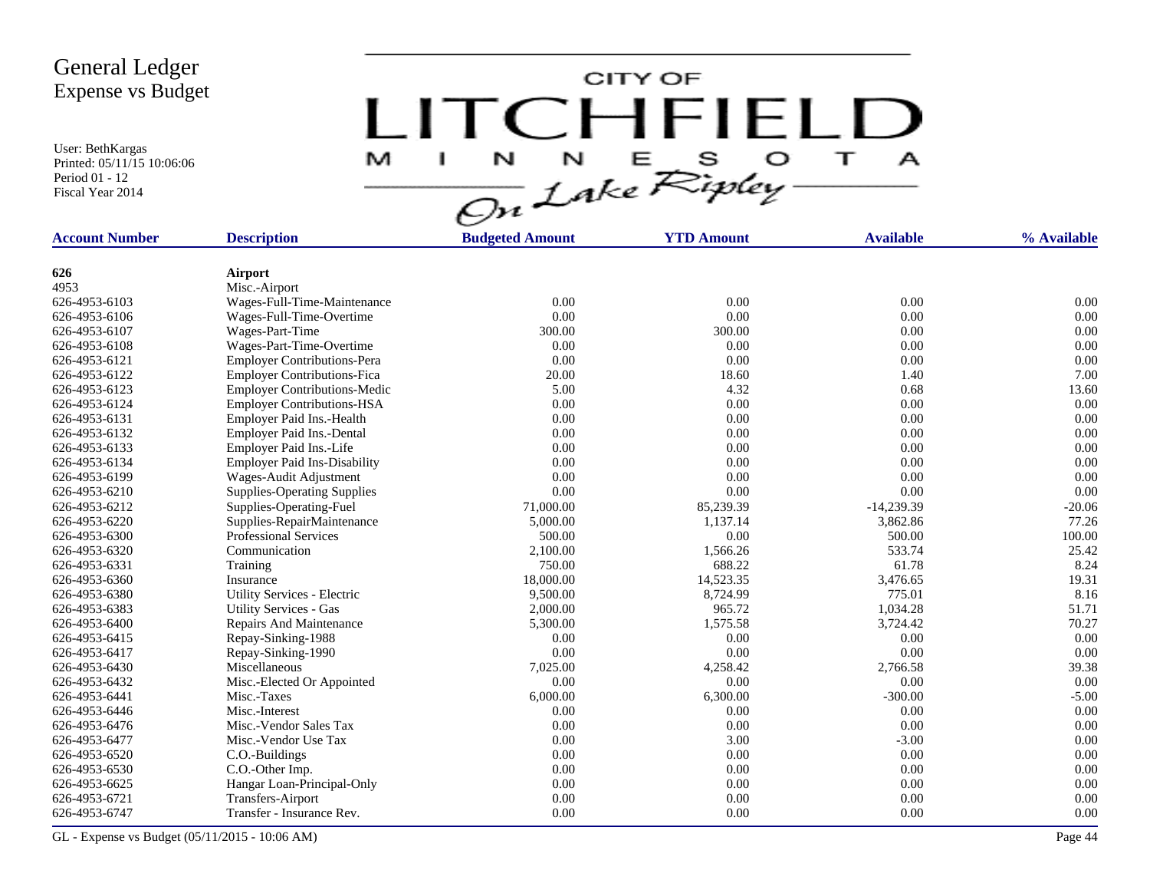User: BethKargas Printed: 05/11/15 10:06:06 Period 01 - 12 Fiscal Year 2014

CITY OF LITCHFIELD  $\overline{\mathbf{u}}$ M  $\mathbf{I}$  $\mathbf{A}$ 

| <b>Account Number</b> | <b>Description</b>                  | <b>Budgeted Amount</b> | <b>YTD Amount</b> | <b>Available</b> | % Available |  |
|-----------------------|-------------------------------------|------------------------|-------------------|------------------|-------------|--|
|                       |                                     |                        |                   |                  |             |  |
| 626                   | Airport                             |                        |                   |                  |             |  |
| 4953                  | Misc.-Airport                       |                        |                   |                  |             |  |
| 626-4953-6103         | Wages-Full-Time-Maintenance         | 0.00                   | 0.00              | 0.00             | 0.00        |  |
| 626-4953-6106         | Wages-Full-Time-Overtime            | 0.00                   | 0.00              | 0.00             | 0.00        |  |
| 626-4953-6107         | Wages-Part-Time                     | 300.00                 | 300.00            | 0.00             | 0.00        |  |
| 626-4953-6108         | Wages-Part-Time-Overtime            | 0.00                   | 0.00              | 0.00             | 0.00        |  |
| 626-4953-6121         | <b>Employer Contributions-Pera</b>  | 0.00                   | 0.00              | 0.00             | 0.00        |  |
| 626-4953-6122         | <b>Employer Contributions-Fica</b>  | 20.00                  | 18.60             | 1.40             | 7.00        |  |
| 626-4953-6123         | <b>Employer Contributions-Medic</b> | 5.00                   | 4.32              | 0.68             | 13.60       |  |
| 626-4953-6124         | <b>Employer Contributions-HSA</b>   | 0.00                   | 0.00              | 0.00             | 0.00        |  |
| 626-4953-6131         | Employer Paid Ins.-Health           | 0.00                   | 0.00              | 0.00             | 0.00        |  |
| 626-4953-6132         | Employer Paid Ins.-Dental           | 0.00                   | 0.00              | 0.00             | 0.00        |  |
| 626-4953-6133         | Employer Paid Ins.-Life             | 0.00                   | 0.00              | 0.00             | 0.00        |  |
| 626-4953-6134         | <b>Employer Paid Ins-Disability</b> | 0.00                   | 0.00              | 0.00             | 0.00        |  |
| 626-4953-6199         | Wages-Audit Adjustment              | 0.00                   | 0.00              | 0.00             | 0.00        |  |
| 626-4953-6210         | <b>Supplies-Operating Supplies</b>  | 0.00                   | 0.00              | 0.00             | 0.00        |  |
| 626-4953-6212         | Supplies-Operating-Fuel             | 71,000.00              | 85,239.39         | $-14,239.39$     | $-20.06$    |  |
| 626-4953-6220         | Supplies-RepairMaintenance          | 5,000.00               | 1.137.14          | 3.862.86         | 77.26       |  |
| 626-4953-6300         | <b>Professional Services</b>        | 500.00                 | 0.00              | 500.00           | 100.00      |  |
| 626-4953-6320         | Communication                       | 2,100.00               | 1,566.26          | 533.74           | 25.42       |  |
| 626-4953-6331         | Training                            | 750.00                 | 688.22            | 61.78            | 8.24        |  |
| 626-4953-6360         | Insurance                           | 18,000.00              | 14,523.35         | 3,476.65         | 19.31       |  |
| 626-4953-6380         | Utility Services - Electric         | 9,500.00               | 8,724.99          | 775.01           | 8.16        |  |
| 626-4953-6383         | <b>Utility Services - Gas</b>       | 2,000.00               | 965.72            | 1,034.28         | 51.71       |  |
| 626-4953-6400         | Repairs And Maintenance             | 5,300.00               | 1,575.58          | 3,724.42         | 70.27       |  |
| 626-4953-6415         | Repay-Sinking-1988                  | 0.00                   | 0.00              | 0.00             | 0.00        |  |
| 626-4953-6417         | Repay-Sinking-1990                  | 0.00                   | 0.00              | 0.00             | 0.00        |  |
| 626-4953-6430         | Miscellaneous                       | 7,025.00               | 4,258.42          | 2,766.58         | 39.38       |  |
| 626-4953-6432         | Misc.-Elected Or Appointed          | 0.00                   | 0.00              | 0.00             | 0.00        |  |
| 626-4953-6441         | Misc.-Taxes                         | 6,000.00               | 6,300.00          | $-300.00$        | $-5.00$     |  |
| 626-4953-6446         | Misc.-Interest                      | 0.00                   | 0.00              | 0.00             | 0.00        |  |
| 626-4953-6476         | Misc.-Vendor Sales Tax              | 0.00                   | 0.00              | 0.00             | 0.00        |  |
| 626-4953-6477         | Misc.-Vendor Use Tax                | 0.00                   | 3.00              | $-3.00$          | 0.00        |  |
| 626-4953-6520         | C.O.-Buildings                      | 0.00                   | 0.00              | 0.00             | 0.00        |  |
| 626-4953-6530         | C.O.-Other Imp.                     | 0.00                   | 0.00              | 0.00             | 0.00        |  |
| 626-4953-6625         | Hangar Loan-Principal-Only          | 0.00                   | 0.00              | 0.00             | 0.00        |  |
| 626-4953-6721         | Transfers-Airport                   | 0.00                   | 0.00              | 0.00             | 0.00        |  |
| 626-4953-6747         | Transfer - Insurance Rev.           | 0.00                   | 0.00              | 0.00             | 0.00        |  |
|                       |                                     |                        |                   |                  |             |  |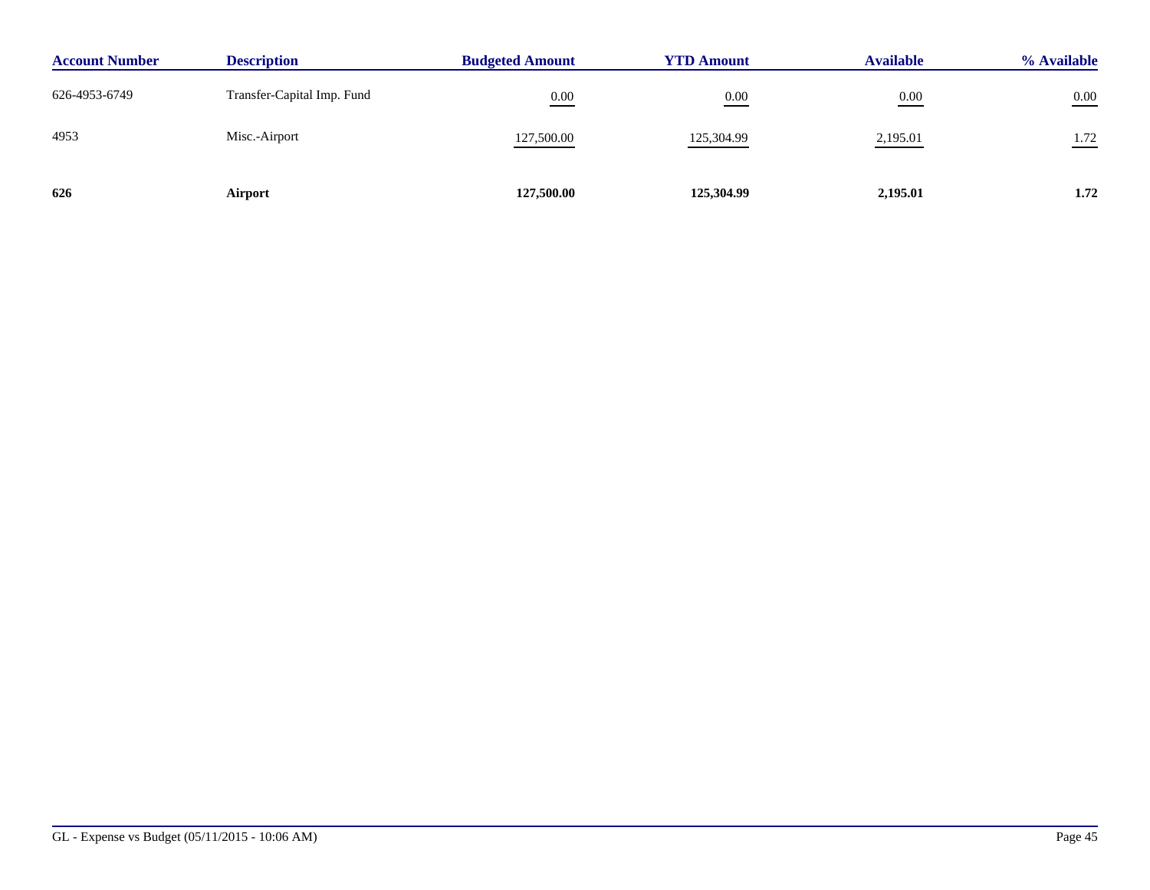| <b>Account Number</b> | <b>Description</b>         | <b>Budgeted Amount</b> | <b>YTD Amount</b> | <b>Available</b> | % Available |
|-----------------------|----------------------------|------------------------|-------------------|------------------|-------------|
| 626-4953-6749         | Transfer-Capital Imp. Fund | 0.00                   | 0.00              | 0.00             | $0.00\,$    |
| 4953                  | Misc.-Airport              | 127,500.00             | 125,304.99        | 2,195.01         | 1.72        |
| 626                   | Airport                    | 127,500.00             | 125,304.99        | 2,195.01         | 1.72        |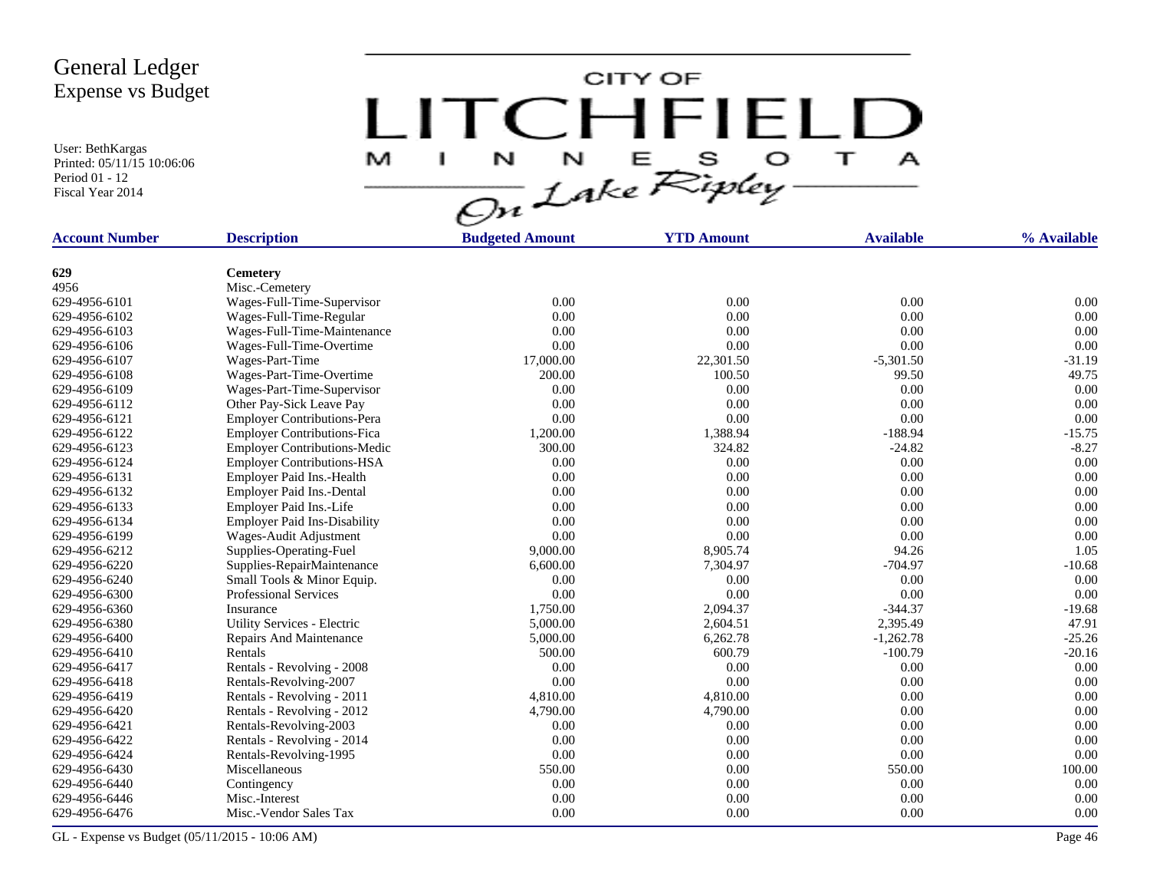User: BethKargas Printed: 05/11/15 10:06:06 Period 01 - 12 Fiscal Year 2014

CITY OF LITCHFIELD E S O  $\overline{\mathbf{r}}$ M N N  $\mathbf{A}$ J.

| <b>Account Number</b> | <b>Description</b>                  | <b>Budgeted Amount</b> | <b>YTD Amount</b> | <b>Available</b> | % Available |  |
|-----------------------|-------------------------------------|------------------------|-------------------|------------------|-------------|--|
|                       |                                     |                        |                   |                  |             |  |
| 629                   | <b>Cemetery</b>                     |                        |                   |                  |             |  |
| 4956                  | Misc.-Cemetery                      |                        |                   |                  |             |  |
| 629-4956-6101         | Wages-Full-Time-Supervisor          | 0.00                   | 0.00              | 0.00             | 0.00        |  |
| 629-4956-6102         | Wages-Full-Time-Regular             | 0.00                   | 0.00              | 0.00             | 0.00        |  |
| 629-4956-6103         | Wages-Full-Time-Maintenance         | 0.00                   | 0.00              | 0.00             | 0.00        |  |
| 629-4956-6106         | Wages-Full-Time-Overtime            | 0.00                   | 0.00              | 0.00             | 0.00        |  |
| 629-4956-6107         | Wages-Part-Time                     | 17,000.00              | 22,301.50         | $-5,301.50$      | $-31.19$    |  |
| 629-4956-6108         | Wages-Part-Time-Overtime            | 200.00                 | 100.50            | 99.50            | 49.75       |  |
| 629-4956-6109         | Wages-Part-Time-Supervisor          | 0.00                   | 0.00              | 0.00             | 0.00        |  |
| 629-4956-6112         | Other Pay-Sick Leave Pay            | 0.00                   | 0.00              | 0.00             | 0.00        |  |
| 629-4956-6121         | <b>Employer Contributions-Pera</b>  | 0.00                   | 0.00              | 0.00             | 0.00        |  |
| 629-4956-6122         | <b>Employer Contributions-Fica</b>  | 1,200.00               | 1,388.94          | $-188.94$        | $-15.75$    |  |
| 629-4956-6123         | <b>Employer Contributions-Medic</b> | 300.00                 | 324.82            | $-24.82$         | $-8.27$     |  |
| 629-4956-6124         | <b>Employer Contributions-HSA</b>   | 0.00                   | 0.00              | 0.00             | 0.00        |  |
| 629-4956-6131         | Employer Paid Ins.-Health           | 0.00                   | 0.00              | 0.00             | 0.00        |  |
| 629-4956-6132         | Employer Paid Ins.-Dental           | 0.00                   | 0.00              | 0.00             | 0.00        |  |
| 629-4956-6133         | Employer Paid Ins.-Life             | 0.00                   | 0.00              | 0.00             | 0.00        |  |
| 629-4956-6134         | <b>Employer Paid Ins-Disability</b> | 0.00                   | 0.00              | 0.00             | 0.00        |  |
| 629-4956-6199         | Wages-Audit Adjustment              | 0.00                   | 0.00              | 0.00             | 0.00        |  |
| 629-4956-6212         | Supplies-Operating-Fuel             | 9,000.00               | 8,905.74          | 94.26            | 1.05        |  |
| 629-4956-6220         | Supplies-RepairMaintenance          | 6,600.00               | 7,304.97          | $-704.97$        | $-10.68$    |  |
| 629-4956-6240         | Small Tools & Minor Equip.          | 0.00                   | 0.00              | 0.00             | 0.00        |  |
| 629-4956-6300         | <b>Professional Services</b>        | 0.00                   | 0.00              | 0.00             | 0.00        |  |
| 629-4956-6360         | Insurance                           | 1,750.00               | 2,094.37          | $-344.37$        | $-19.68$    |  |
| 629-4956-6380         | Utility Services - Electric         | 5,000.00               | 2,604.51          | 2,395.49         | 47.91       |  |
| 629-4956-6400         | Repairs And Maintenance             | 5,000.00               | 6,262.78          | $-1,262.78$      | $-25.26$    |  |
| 629-4956-6410         | Rentals                             | 500.00                 | 600.79            | $-100.79$        | $-20.16$    |  |
| 629-4956-6417         | Rentals - Revolving - 2008          | 0.00                   | 0.00              | 0.00             | 0.00        |  |
| 629-4956-6418         | Rentals-Revolving-2007              | 0.00                   | 0.00              | 0.00             | 0.00        |  |
| 629-4956-6419         | Rentals - Revolving - 2011          | 4,810.00               | 4,810.00          | 0.00             | 0.00        |  |
| 629-4956-6420         | Rentals - Revolving - 2012          | 4,790.00               | 4,790.00          | 0.00             | 0.00        |  |
| 629-4956-6421         | Rentals-Revolving-2003              | 0.00                   | 0.00              | 0.00             | 0.00        |  |
| 629-4956-6422         | Rentals - Revolving - 2014          | 0.00                   | 0.00              | 0.00             | 0.00        |  |
| 629-4956-6424         | Rentals-Revolving-1995              | 0.00                   | 0.00              | 0.00             | 0.00        |  |
| 629-4956-6430         | Miscellaneous                       | 550.00                 | 0.00              | 550.00           | 100.00      |  |
| 629-4956-6440         | Contingency                         | 0.00                   | 0.00              | 0.00             | 0.00        |  |
| 629-4956-6446         | Misc.-Interest                      | 0.00                   | 0.00              | 0.00             | 0.00        |  |
| 629-4956-6476         | Misc.-Vendor Sales Tax              | 0.00                   | 0.00              | 0.00             | 0.00        |  |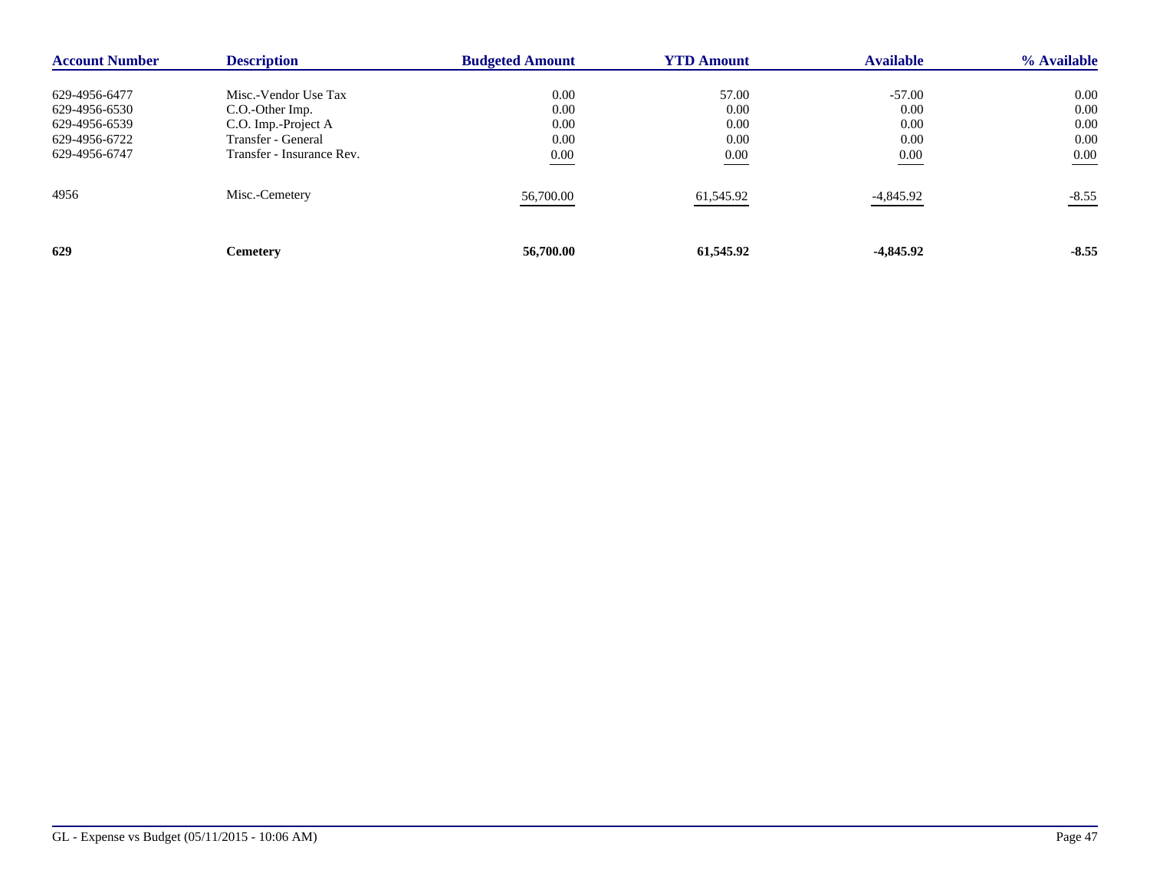| <b>Account Number</b> | <b>Description</b>        | <b>Budgeted Amount</b> | <b>YTD Amount</b> | <b>Available</b> | % Available |
|-----------------------|---------------------------|------------------------|-------------------|------------------|-------------|
| 629-4956-6477         | Misc.-Vendor Use Tax      | 0.00                   | 57.00             | $-57.00$         | 0.00        |
| 629-4956-6530         | C.O.-Other Imp.           | 0.00                   | 0.00              | 0.00             | 0.00        |
| 629-4956-6539         | C.O. Imp.-Project A       | 0.00                   | 0.00              | 0.00             | 0.00        |
| 629-4956-6722         | Transfer - General        | 0.00                   | 0.00              | 0.00             | 0.00        |
| 629-4956-6747         | Transfer - Insurance Rev. | 0.00                   | 0.00              | 0.00             | 0.00        |
| 4956                  | Misc.-Cemetery            | 56,700.00              | 61,545.92         | -4,845.92        | $-8.55$     |
| 629                   | <b>Cemetery</b>           | 56,700.00              | 61,545.92         | $-4,845.92$      | $-8.55$     |